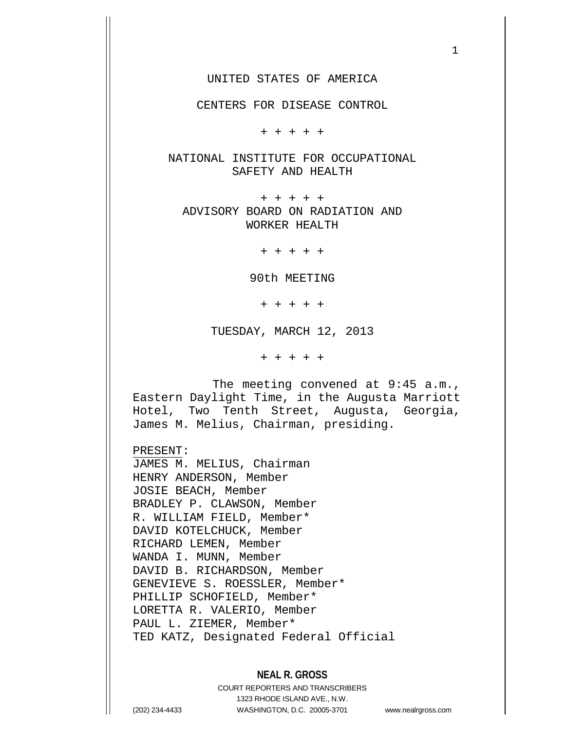UNITED STATES OF AMERICA

CENTERS FOR DISEASE CONTROL

+ + + + +

NATIONAL INSTITUTE FOR OCCUPATIONAL SAFETY AND HEALTH

+ + + + + ADVISORY BOARD ON RADIATION AND WORKER HEALTH

+ + + + +

90th MEETING

+ + + + +

TUESDAY, MARCH 12, 2013

+ + + + +

The meeting convened at 9:45 a.m., Eastern Daylight Time, in the Augusta Marriott Hotel, Two Tenth Street, Augusta, Georgia, James M. Melius, Chairman, presiding.

PRESENT:

JAMES M. MELIUS, Chairman HENRY ANDERSON, Member JOSIE BEACH, Member BRADLEY P. CLAWSON, Member R. WILLIAM FIELD, Member\* DAVID KOTELCHUCK, Member RICHARD LEMEN, Member WANDA I. MUNN, Member DAVID B. RICHARDSON, Member GENEVIEVE S. ROESSLER, Member\* PHILLIP SCHOFIELD, Member\* LORETTA R. VALERIO, Member PAUL L. ZIEMER, Member\* TED KATZ, Designated Federal Official

## **NEAL R. GROSS**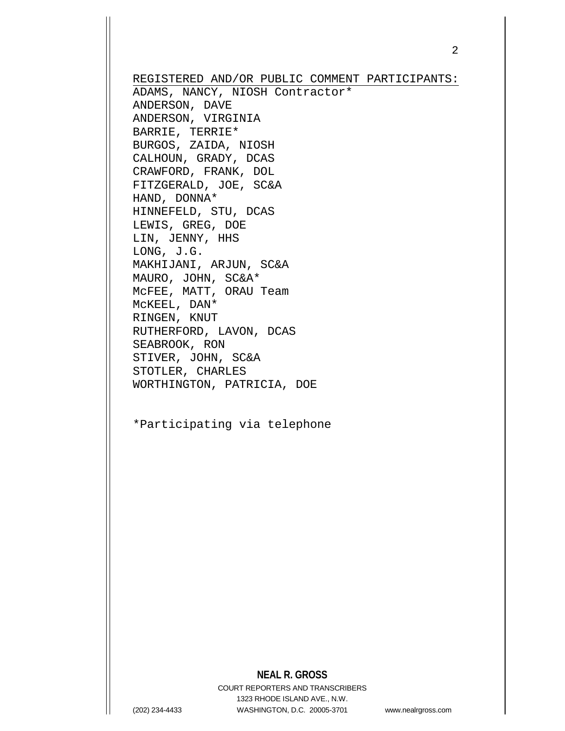REGISTERED AND/OR PUBLIC COMMENT PARTICIPANTS: ADAMS, NANCY, NIOSH Contractor\* ANDERSON, DAVE ANDERSON, VIRGINIA BARRIE, TERRIE\* BURGOS, ZAIDA, NIOSH CALHOUN, GRADY, DCAS CRAWFORD, FRANK, DOL FITZGERALD, JOE, SC&A HAND, DONNA\* HINNEFELD, STU, DCAS LEWIS, GREG, DOE LIN, JENNY, HHS LONG, J.G. MAKHIJANI, ARJUN, SC&A MAURO, JOHN, SC&A\* McFEE, MATT, ORAU Team McKEEL, DAN\* RINGEN, KNUT RUTHERFORD, LAVON, DCAS SEABROOK, RON STIVER, JOHN, SC&A STOTLER, CHARLES WORTHINGTON, PATRICIA, DOE

\*Participating via telephone

# **NEAL R. GROSS**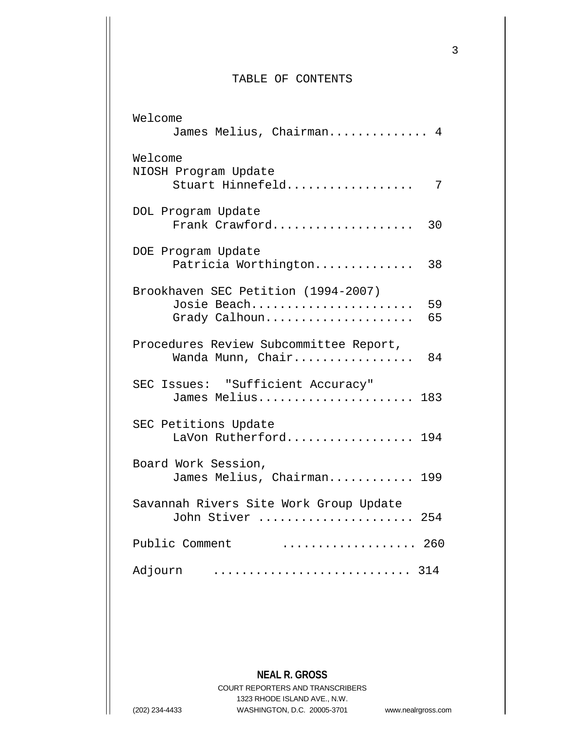### TABLE OF CONTENTS

| Welcome<br>James Melius, Chairman                                   | 4        |
|---------------------------------------------------------------------|----------|
| Welcome<br>NIOSH Program Update<br>Stuart Hinnefeld                 | 7        |
| DOL Program Update<br>Frank Crawford                                | 30       |
| DOE Program Update<br>Patricia Worthington                          | 38       |
| Brookhaven SEC Petition (1994-2007)<br>Josie Beach<br>Grady Calhoun | 59<br>65 |
| Procedures Review Subcommittee Report,<br>Wanda Munn, Chair         | 84       |
| SEC Issues: "Sufficient Accuracy"<br>James Melius 183               |          |
| SEC Petitions Update<br>LaVon Rutherford 194                        |          |
| Board Work Session,<br>James Melius, Chairman 199                   |          |
| Savannah Rivers Site Work Group Update<br>John Stiver  254          |          |
| Public Comment<br>. 260                                             |          |
| Adjourn                                                             |          |

**NEAL R. GROSS**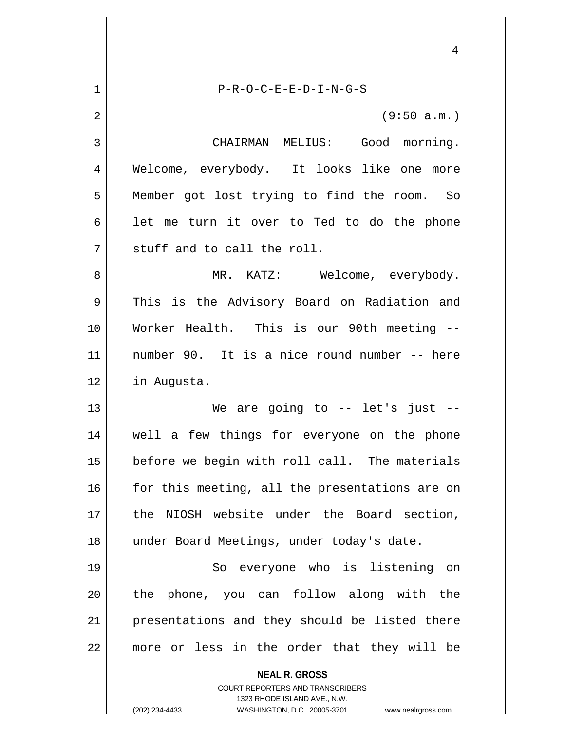|    | 4                                                                   |
|----|---------------------------------------------------------------------|
| 1  | $P-R-O-C-E-E-D-I-N-G-S$                                             |
| 2  | (9:50 a.m.)                                                         |
| 3  | CHAIRMAN MELIUS: Good morning.                                      |
| 4  | Welcome, everybody. It looks like one more                          |
| 5  | Member got lost trying to find the room. So                         |
| 6  | let me turn it over to Ted to do the phone                          |
| 7  | stuff and to call the roll.                                         |
| 8  | MR. KATZ: Welcome, everybody.                                       |
| 9  | This is the Advisory Board on Radiation and                         |
| 10 | Worker Health. This is our 90th meeting --                          |
| 11 | number 90. It is a nice round number -- here                        |
| 12 | in Augusta.                                                         |
| 13 | We are going to $-$ let's just $-$                                  |
| 14 | well a few things for everyone on the phone                         |
| 15 | before we begin with roll call. The materials                       |
| 16 | for this meeting, all the presentations are on                      |
| 17 | the NIOSH website under the Board section,                          |
| 18 | under Board Meetings, under today's date.                           |
| 19 | So everyone who is listening on                                     |
| 20 | phone, you can follow along with the<br>the                         |
| 21 | presentations and they should be listed there                       |
| 22 | more or less in the order that they will be                         |
|    | <b>NEAL R. GROSS</b><br><b>COURT REPORTERS AND TRANSCRIBERS</b>     |
|    | 1323 RHODE ISLAND AVE., N.W.                                        |
|    | (202) 234-4433<br>WASHINGTON, D.C. 20005-3701<br>www.nealrgross.com |

 $\mathsf{I}$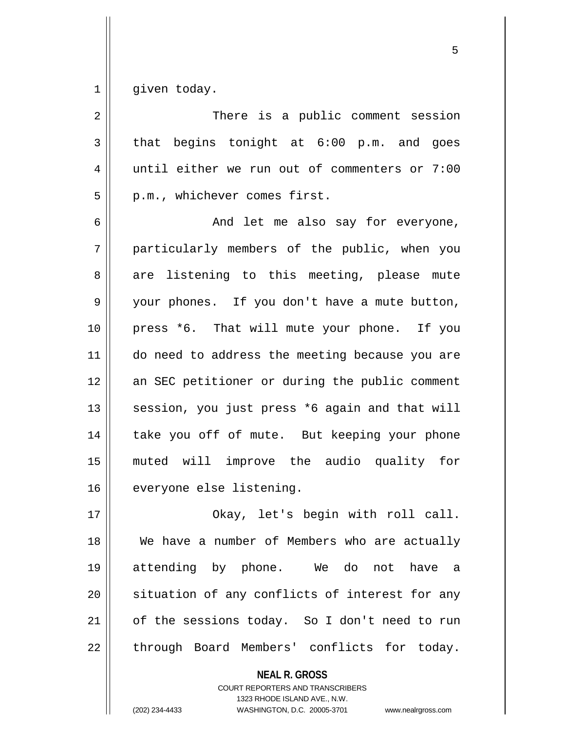$1 \parallel$  given today.

| 2  | There is a public comment session              |
|----|------------------------------------------------|
| 3  | that begins tonight at $6:00$ p.m. and goes    |
| 4  | until either we run out of commenters or 7:00  |
| 5  | p.m., whichever comes first.                   |
| 6  | And let me also say for everyone,              |
| 7  | particularly members of the public, when you   |
| 8  | are listening to this meeting, please mute     |
| 9  | your phones. If you don't have a mute button,  |
| 10 | press *6. That will mute your phone. If you    |
| 11 | do need to address the meeting because you are |
| 12 | an SEC petitioner or during the public comment |
| 13 | session, you just press *6 again and that will |
| 14 | take you off of mute. But keeping your phone   |
| 15 | muted will improve the audio quality for       |
| 16 | everyone else listening.                       |
| 17 | Okay, let's begin with roll call.              |
| 18 | We have a number of Members who are actually   |
| 19 | attending by phone. We do not<br>have<br>- a   |
| 20 | situation of any conflicts of interest for any |
| 21 | of the sessions today. So I don't need to run  |
| 22 | through Board Members' conflicts for today.    |

**NEAL R. GROSS**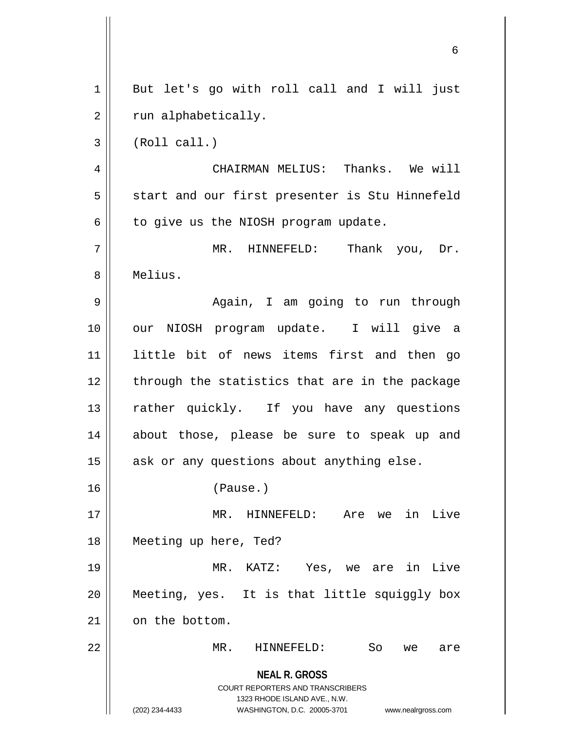**NEAL R. GROSS** COURT REPORTERS AND TRANSCRIBERS 1323 RHODE ISLAND AVE., N.W. (202) 234-4433 WASHINGTON, D.C. 20005-3701 www.nealrgross.com 1 || But let's go with roll call and I will just  $2 \parallel$  run alphabetically.  $3 \parallel$  (Roll call.) 4 CHAIRMAN MELIUS: Thanks. We will 5 || start and our first presenter is Stu Hinnefeld  $6 \parallel$  to give us the NIOSH program update. 7 MR. HINNEFELD: Thank you, Dr. 8 Melius. 9 || Again, I am going to run through 10 || our NIOSH program update. I will give a 11 little bit of news items first and then go  $12$  | through the statistics that are in the package 13 || rather quickly. If you have any questions 14 about those, please be sure to speak up and  $15$  ask or any questions about anything else. 16 (Pause.) 17 || MR. HINNEFELD: Are we in Live 18 Meeting up here, Ted? 19 MR. KATZ: Yes, we are in Live 20 Meeting, yes. It is that little squiggly box 21 on the bottom. 22 MR. HINNEFELD: So we are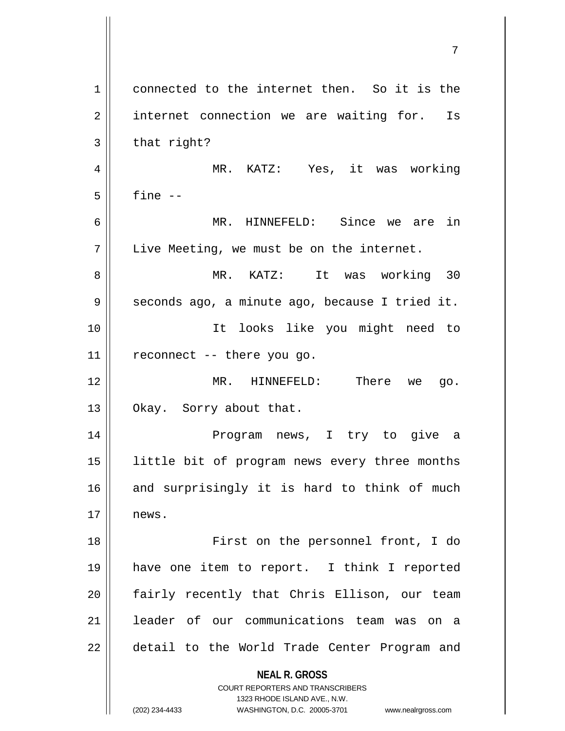| $\mathbf 1$ | connected to the internet then. So it is the                                                                                                                        |
|-------------|---------------------------------------------------------------------------------------------------------------------------------------------------------------------|
| 2           | internet connection we are waiting for. Is                                                                                                                          |
| 3           | that right?                                                                                                                                                         |
| 4           | MR. KATZ: Yes, it was working                                                                                                                                       |
| 5           | fine --                                                                                                                                                             |
| 6           | MR. HINNEFELD: Since we are in                                                                                                                                      |
| 7           | Live Meeting, we must be on the internet.                                                                                                                           |
| 8           | MR. KATZ: It was working 30                                                                                                                                         |
| 9           | seconds ago, a minute ago, because I tried it.                                                                                                                      |
| 10          | It looks like you might need to                                                                                                                                     |
| 11          | reconnect -- there you go.                                                                                                                                          |
| 12          | MR. HINNEFELD: There we go.                                                                                                                                         |
| 13          | Okay. Sorry about that.                                                                                                                                             |
| 14          | Program news, I try to give a                                                                                                                                       |
| 15          | little bit of program news every three months                                                                                                                       |
| 16          | and surprisingly it is hard to think of much                                                                                                                        |
| 17          | news.                                                                                                                                                               |
| 18          | First on the personnel front, I do                                                                                                                                  |
| 19          | have one item to report. I think I reported                                                                                                                         |
| 20          | fairly recently that Chris Ellison, our team                                                                                                                        |
| 21          | leader of our communications team was on a                                                                                                                          |
| 22          | detail to the World Trade Center Program and                                                                                                                        |
|             | <b>NEAL R. GROSS</b><br><b>COURT REPORTERS AND TRANSCRIBERS</b><br>1323 RHODE ISLAND AVE., N.W.<br>(202) 234-4433<br>WASHINGTON, D.C. 20005-3701 www.nealrgross.com |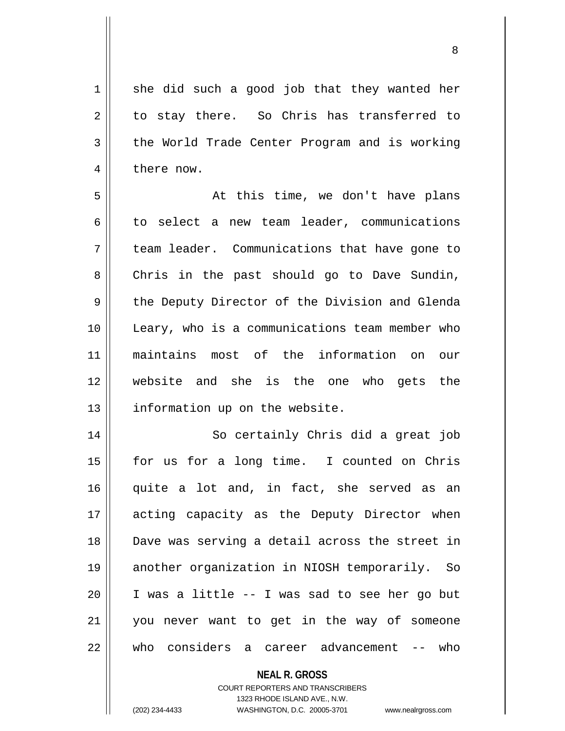$1 \parallel$  she did such a good job that they wanted her  $2 \parallel$  to stay there. So Chris has transferred to  $3 \parallel$  the World Trade Center Program and is working 4 | there now.

5 At this time, we don't have plans  $6 \parallel$  to select a new team leader, communications 7 team leader. Communications that have gone to 8 | Chris in the past should go to Dave Sundin, 9 the Deputy Director of the Division and Glenda 10 Leary, who is a communications team member who 11 maintains most of the information on our 12 Website and she is the one who gets the  $13$  | information up on the website.

 So certainly Chris did a great job for us for a long time. I counted on Chris quite a lot and, in fact, she served as an 17 || acting capacity as the Deputy Director when Dave was serving a detail across the street in another organization in NIOSH temporarily. So I was a little -- I was sad to see her go but you never want to get in the way of someone who considers a career advancement -- who

#### **NEAL R. GROSS**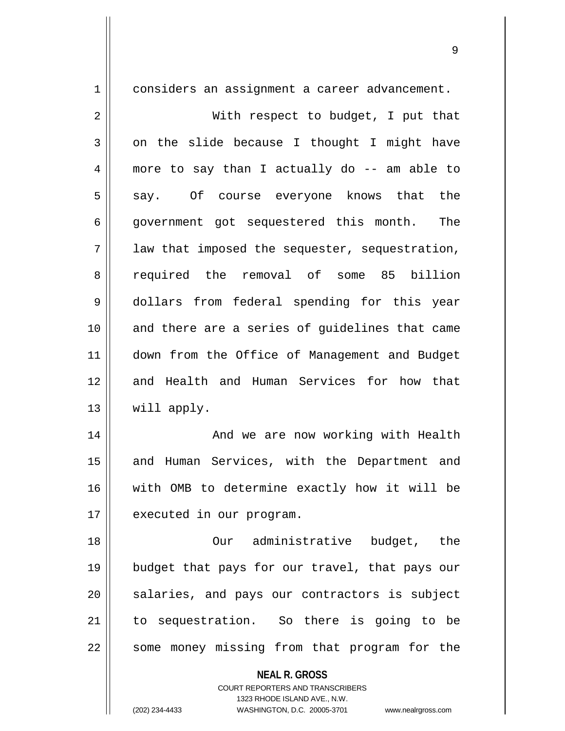1 | considers an assignment a career advancement.

2 With respect to budget, I put that  $3 \parallel$  on the slide because I thought I might have 4 more to say than I actually do -- am able to 5 say. Of course everyone knows that the 6 || government got sequestered this month. The  $7 \parallel$  law that imposed the sequester, sequestration, 8 required the removal of some 85 billion 9 dollars from federal spending for this year 10 and there are a series of quidelines that came 11 down from the Office of Management and Budget 12 and Health and Human Services for how that 13 will apply.

14 || And we are now working with Health 15 || and Human Services, with the Department and 16 with OMB to determine exactly how it will be 17 | executed in our program.

18 Our administrative budget, the 19 budget that pays for our travel, that pays our 20 || salaries, and pays our contractors is subject 21 to sequestration. So there is going to be 22 || some money missing from that program for the

**NEAL R. GROSS**

COURT REPORTERS AND TRANSCRIBERS 1323 RHODE ISLAND AVE., N.W. (202) 234-4433 WASHINGTON, D.C. 20005-3701 www.nealrgross.com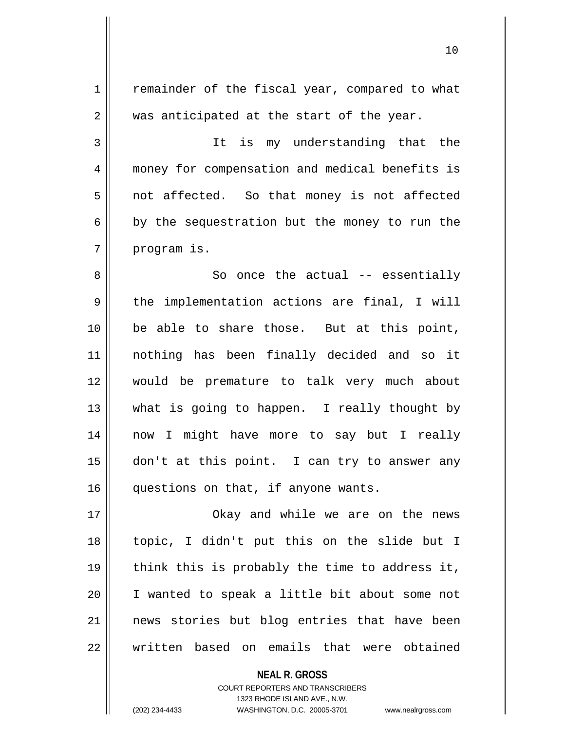| 1  | remainder of the fiscal year, compared to what |
|----|------------------------------------------------|
| 2  | was anticipated at the start of the year.      |
| 3  | It is my understanding that the                |
| 4  | money for compensation and medical benefits is |
| 5  | not affected. So that money is not affected    |
| 6  | by the sequestration but the money to run the  |
| 7  | program is.                                    |
| 8  | So once the $actual$ -- essentially            |
| 9  | the implementation actions are final, I will   |
| 10 | be able to share those. But at this point,     |
| 11 | nothing has been finally decided and so it     |
| 12 | would be premature to talk very much about     |
| 13 | what is going to happen. I really thought by   |
| 14 | now I might have more to say but I really      |
| 15 | don't at this point. I can try to answer any   |
| 16 | questions on that, if anyone wants.            |
| 17 | Okay and while we are on the news              |
| 18 | topic, I didn't put this on the slide but I    |
| 19 | think this is probably the time to address it, |
| 20 | I wanted to speak a little bit about some not  |
| 21 | news stories but blog entries that have been   |
| 22 | written based on emails that were obtained     |
|    |                                                |

**NEAL R. GROSS** COURT REPORTERS AND TRANSCRIBERS

1323 RHODE ISLAND AVE., N.W.

 $\mathsf{I}$ 

(202) 234-4433 WASHINGTON, D.C. 20005-3701 www.nealrgross.com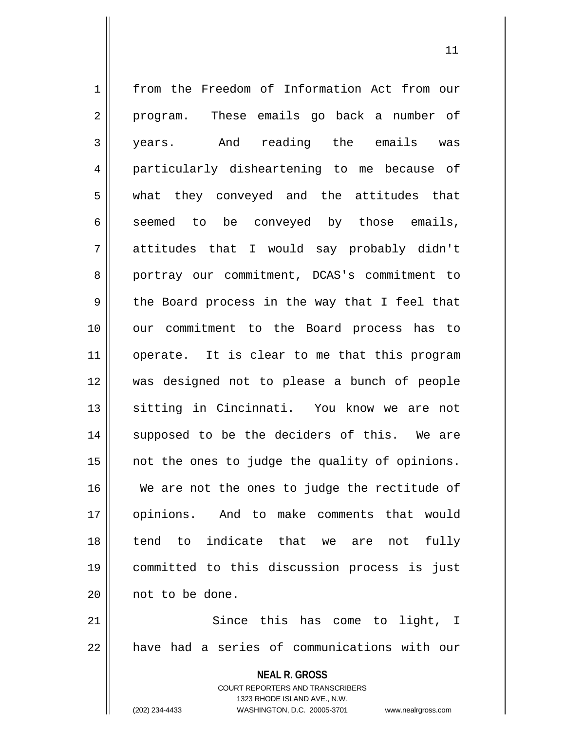**NEAL R. GROSS** 1 from the Freedom of Information Act from our 2 || program. These emails go back a number of 3 years. And reading the emails was 4 particularly disheartening to me because of 5 what they conveyed and the attitudes that  $6 \parallel$  seemed to be conveyed by those emails, 7 attitudes that I would say probably didn't 8 || portray our commitment, DCAS's commitment to 9 || the Board process in the way that I feel that 10 our commitment to the Board process has to 11 || operate. It is clear to me that this program 12 was designed not to please a bunch of people 13 || sitting in Cincinnati. You know we are not 14 || supposed to be the deciders of this. We are  $15$  || not the ones to judge the quality of opinions. 16 We are not the ones to judge the rectitude of 17 opinions. And to make comments that would  $18$   $\parallel$  tend to indicate that we are not fully 19 committed to this discussion process is just 20 | not to be done. 21 || Since this has come to light, I 22 have had a series of communications with our

> COURT REPORTERS AND TRANSCRIBERS 1323 RHODE ISLAND AVE., N.W.

(202) 234-4433 WASHINGTON, D.C. 20005-3701 www.nealrgross.com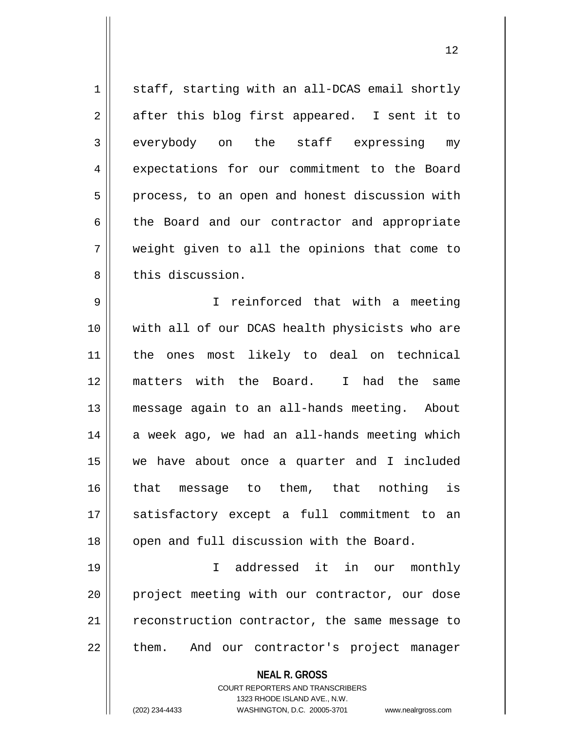1 | staff, starting with an all-DCAS email shortly  $2 \parallel$  after this blog first appeared. I sent it to 3 everybody on the staff expressing my 4 expectations for our commitment to the Board  $5 \parallel$  process, to an open and honest discussion with 6 the Board and our contractor and appropriate 7 weight given to all the opinions that come to 8 this discussion.

 I reinforced that with a meeting 10 || with all of our DCAS health physicists who are the ones most likely to deal on technical matters with the Board. I had the same message again to an all-hands meeting. About a week ago, we had an all-hands meeting which we have about once a quarter and I included 16 || that message to them, that nothing is satisfactory except a full commitment to an 18 || open and full discussion with the Board.

19 I addressed it in our monthly 20 || project meeting with our contractor, our dose 21 | reconstruction contractor, the same message to  $22$  || them. And our contractor's project manager

**NEAL R. GROSS**

COURT REPORTERS AND TRANSCRIBERS 1323 RHODE ISLAND AVE., N.W. (202) 234-4433 WASHINGTON, D.C. 20005-3701 www.nealrgross.com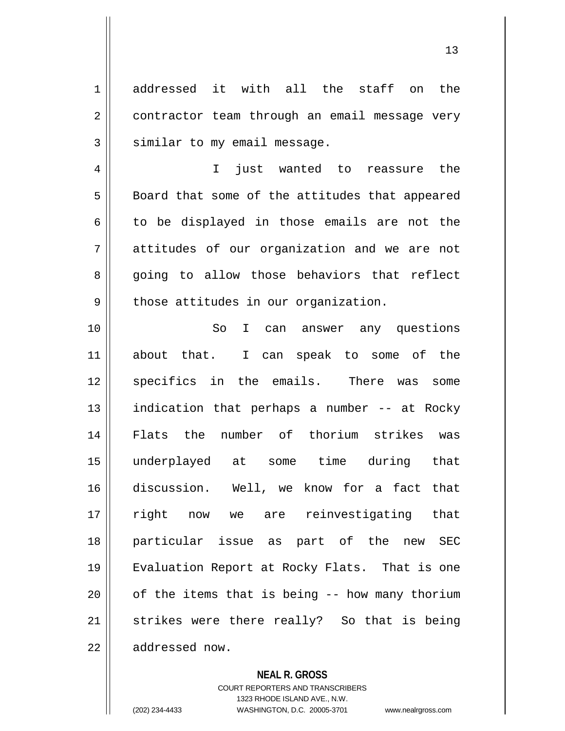1 addressed it with all the staff on the 2 | contractor team through an email message very  $3$   $\parallel$  similar to my email message.

4 I just wanted to reassure the 5 | Board that some of the attitudes that appeared  $6 \parallel$  to be displayed in those emails are not the 7 attitudes of our organization and we are not 8 going to allow those behaviors that reflect  $9 \parallel$  those attitudes in our organization.

10 || So I can answer any questions 11 about that. I can speak to some of the 12 || specifics in the emails. There was some 13 || indication that perhaps a number -- at Rocky 14 Flats the number of thorium strikes was 15 underplayed at some time during that 16 discussion. Well, we know for a fact that 17 || right now we are reinvestigating that 18 particular issue as part of the new SEC 19 Evaluation Report at Rocky Flats. That is one  $20$  | of the items that is being  $-$ - how many thorium 21 || strikes were there really? So that is being 22 | addressed now.

#### **NEAL R. GROSS**

COURT REPORTERS AND TRANSCRIBERS 1323 RHODE ISLAND AVE., N.W. (202) 234-4433 WASHINGTON, D.C. 20005-3701 www.nealrgross.com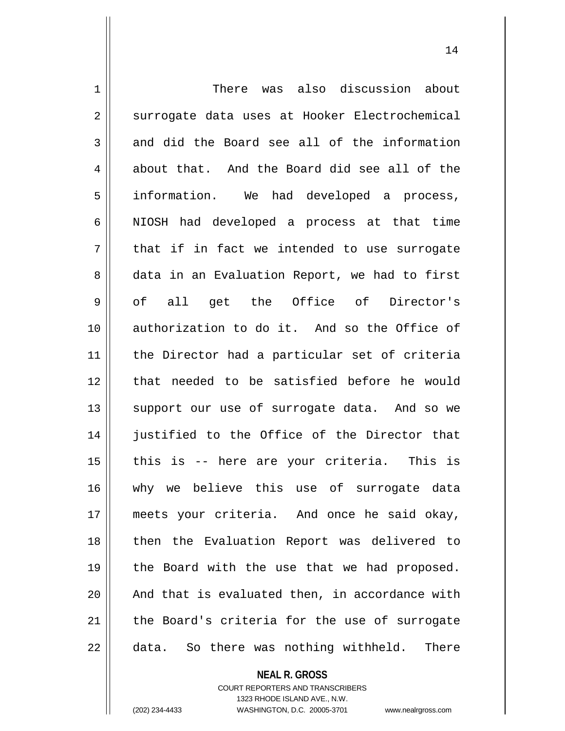1 There was also discussion about 2 | surrogate data uses at Hooker Electrochemical  $3 \parallel$  and did the Board see all of the information  $4 \parallel$  about that. And the Board did see all of the 5 || information. We had developed a process, 6 || NIOSH had developed a process at that time  $7 \parallel$  that if in fact we intended to use surrogate 8 data in an Evaluation Report, we had to first 9 || of all get the Office of Director's 10 || authorization to do it. And so the Office of 11 the Director had a particular set of criteria 12 that needed to be satisfied before he would 13 || support our use of surrogate data. And so we 14 iustified to the Office of the Director that 15 || this is -- here are your criteria. This is 16 why we believe this use of surrogate data 17 meets your criteria. And once he said okay, 18 || then the Evaluation Report was delivered to 19 || the Board with the use that we had proposed.  $20$  || And that is evaluated then, in accordance with 21 the Board's criteria for the use of surrogate 22 || data. So there was nothing withheld. There

**NEAL R. GROSS**

COURT REPORTERS AND TRANSCRIBERS 1323 RHODE ISLAND AVE., N.W. (202) 234-4433 WASHINGTON, D.C. 20005-3701 www.nealrgross.com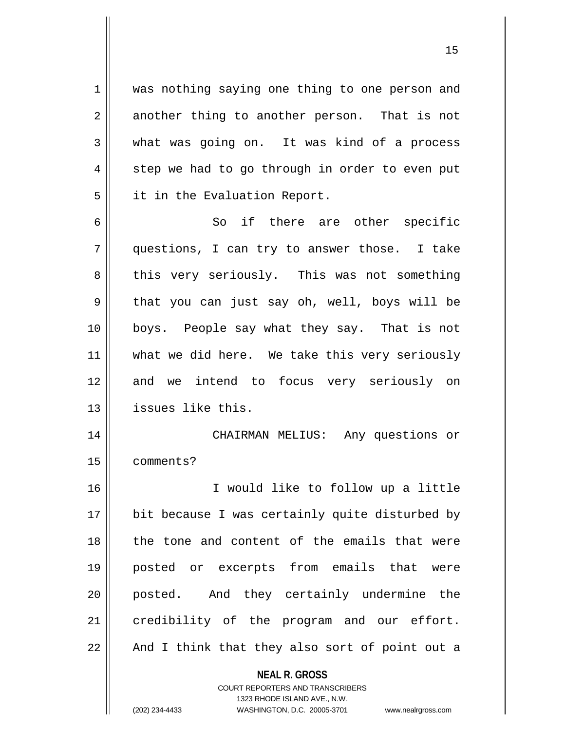1 || was nothing saying one thing to one person and  $2 \parallel$  another thing to another person. That is not  $3 \parallel$  what was going on. It was kind of a process  $4 \parallel$  step we had to go through in order to even put 5 | it in the Evaluation Report.

6 So if there are other specific 7 questions, I can try to answer those. I take 8 || this very seriously. This was not something  $9 \parallel$  that you can just say oh, well, boys will be 10 boys. People say what they say. That is not 11 || what we did here. We take this very seriously 12 and we intend to focus very seriously on 13 | issues like this.

14 CHAIRMAN MELIUS: Any questions or 15 comments?

 I would like to follow up a little bit because I was certainly quite disturbed by 18 || the tone and content of the emails that were posted or excerpts from emails that were posted. And they certainly undermine the 21 credibility of the program and our effort. || And I think that they also sort of point out a

> **NEAL R. GROSS** COURT REPORTERS AND TRANSCRIBERS

> > 1323 RHODE ISLAND AVE., N.W.

(202) 234-4433 WASHINGTON, D.C. 20005-3701 www.nealrgross.com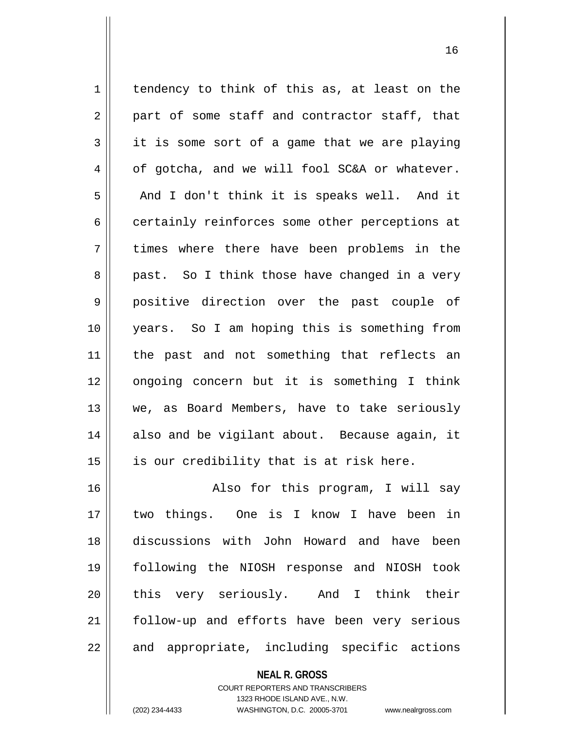1 | tendency to think of this as, at least on the  $2 \parallel$  part of some staff and contractor staff, that  $3 \parallel$  it is some sort of a game that we are playing  $4 \parallel$  of gotcha, and we will fool SC&A or whatever.  $5 \parallel$  And I don't think it is speaks well. And it 6 certainly reinforces some other perceptions at 7 times where there have been problems in the 8 || past. So I think those have changed in a very 9 positive direction over the past couple of 10 years. So I am hoping this is something from 11 || the past and not something that reflects an 12 ongoing concern but it is something I think 13 we, as Board Members, have to take seriously  $14$  also and be vigilant about. Because again, it  $15$  || is our credibility that is at risk here. 16 Also for this program, I will say 17 two things. One is I know I have been in 18 discussions with John Howard and have been 19 following the NIOSH response and NIOSH took 20 this very seriously. And I think their

21 || follow-up and efforts have been very serious  $22$  || and appropriate, including specific actions

> **NEAL R. GROSS** COURT REPORTERS AND TRANSCRIBERS 1323 RHODE ISLAND AVE., N.W.

(202) 234-4433 WASHINGTON, D.C. 20005-3701 www.nealrgross.com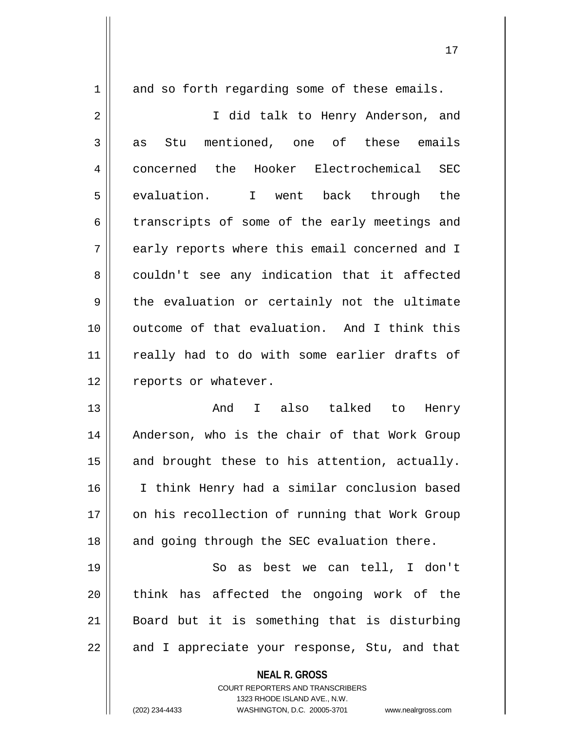$1 \parallel$  and so forth regarding some of these emails.

2 || I did talk to Henry Anderson, and 3 as Stu mentioned, one of these emails 4 || concerned the Hooker Electrochemical SEC 5 evaluation. I went back through the  $6 \parallel$  transcripts of some of the early meetings and 7 || early reports where this email concerned and I 8 || couldn't see any indication that it affected  $9 \parallel$  the evaluation or certainly not the ultimate 10 outcome of that evaluation. And I think this 11 || really had to do with some earlier drafts of 12 || reports or whatever.

 And I also talked to Henry 14 || Anderson, who is the chair of that Work Group and brought these to his attention, actually. I think Henry had a similar conclusion based 17 || on his recollection of running that Work Group | and going through the SEC evaluation there.

 So as best we can tell, I don't || think has affected the ongoing work of the Board but it is something that is disturbing  $22 \parallel$  and I appreciate your response, Stu, and that

**NEAL R. GROSS**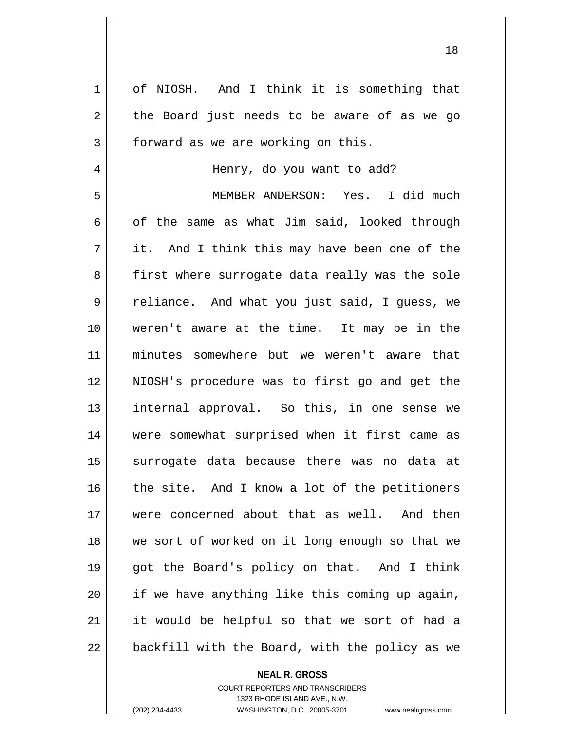1 | of NIOSH. And I think it is something that  $2 \parallel$  the Board just needs to be aware of as we go 3 | forward as we are working on this. 4 Henry, do you want to add? 5 MEMBER ANDERSON: Yes. I did much  $6 \parallel$  of the same as what Jim said, looked through  $7 \parallel$  it. And I think this may have been one of the 8 || first where surrogate data really was the sole 9 | Peliance. And what you just said, I guess, we 10 weren't aware at the time. It may be in the 11 minutes somewhere but we weren't aware that 12 NIOSH's procedure was to first go and get the 13 internal approval. So this, in one sense we 14 were somewhat surprised when it first came as 15 || surrogate data because there was no data at 16 || the site. And I know a lot of the petitioners 17 were concerned about that as well. And then 18 we sort of worked on it long enough so that we 19 got the Board's policy on that. And I think  $20$  || if we have anything like this coming up again, 21 it would be helpful so that we sort of had a  $22$  | backfill with the Board, with the policy as we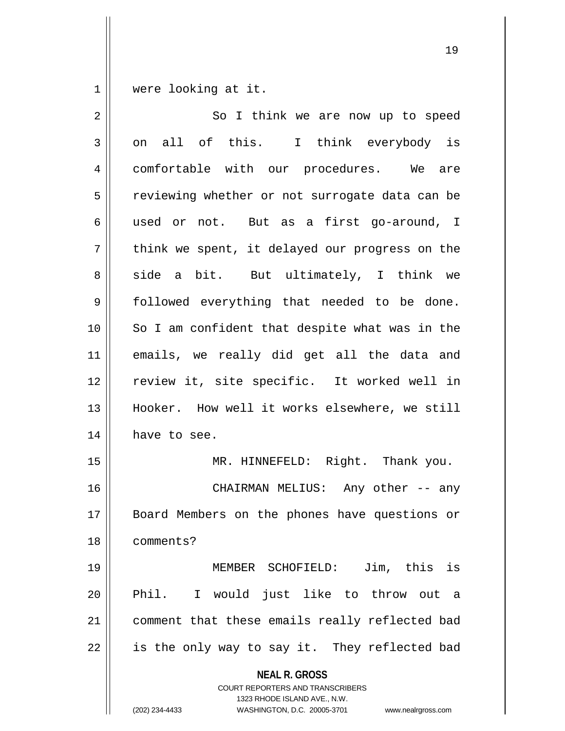$1 \parallel$  were looking at it.

| $\overline{2}$ | So I think we are now up to speed                                                                                                                                      |
|----------------|------------------------------------------------------------------------------------------------------------------------------------------------------------------------|
| 3              | on all of this. I think everybody is                                                                                                                                   |
| 4              | comfortable with our procedures. We are                                                                                                                                |
| 5              | reviewing whether or not surrogate data can be                                                                                                                         |
| 6              | used or not. But as a first go-around, I                                                                                                                               |
| 7              | think we spent, it delayed our progress on the                                                                                                                         |
| 8              | side a bit. But ultimately, I think we                                                                                                                                 |
| $\mathsf 9$    | followed everything that needed to be done.                                                                                                                            |
| 10             | So I am confident that despite what was in the                                                                                                                         |
| 11             | emails, we really did get all the data and                                                                                                                             |
| 12             | review it, site specific. It worked well in                                                                                                                            |
| 13             | Hooker. How well it works elsewhere, we still                                                                                                                          |
| 14             | have to see.                                                                                                                                                           |
| 15             | MR. HINNEFELD: Right. Thank you.                                                                                                                                       |
| 16             | CHAIRMAN MELIUS: Any other -- any                                                                                                                                      |
| 17             | Board Members on the phones have questions or                                                                                                                          |
| 18             | comments?                                                                                                                                                              |
| 19             | MEMBER SCHOFIELD: Jim, this is                                                                                                                                         |
| 20             | Phil. I would just like to throw out a                                                                                                                                 |
| 21             | comment that these emails really reflected bad                                                                                                                         |
| 22             | is the only way to say it. They reflected bad                                                                                                                          |
|                | <b>NEAL R. GROSS</b><br><b>COURT REPORTERS AND TRANSCRIBERS</b><br>1323 RHODE ISLAND AVE., N.W.<br>(202) 234-4433<br>WASHINGTON, D.C. 20005-3701<br>www.nealrgross.com |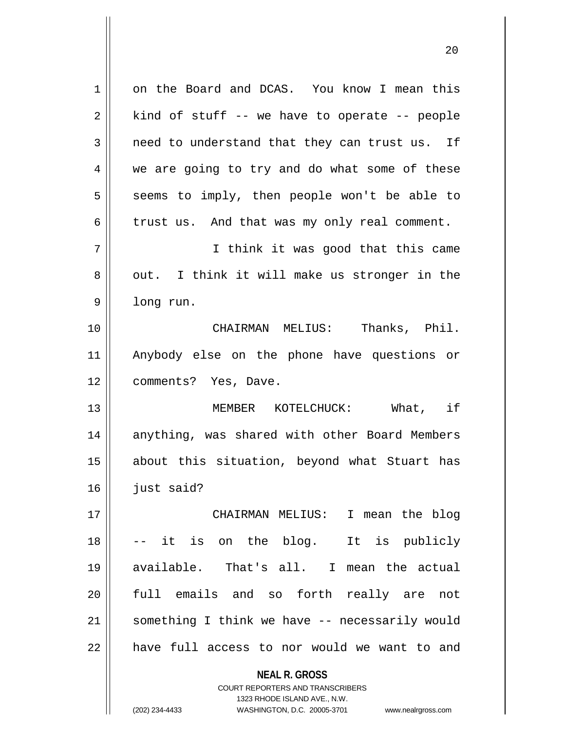| 1  | on the Board and DCAS. You know I mean this                                                         |
|----|-----------------------------------------------------------------------------------------------------|
| 2  | kind of stuff -- we have to operate -- people                                                       |
| 3  | need to understand that they can trust us. If                                                       |
| 4  | we are going to try and do what some of these                                                       |
| 5  | seems to imply, then people won't be able to                                                        |
| 6  | trust us. And that was my only real comment.                                                        |
| 7  | I think it was good that this came                                                                  |
| 8  | out. I think it will make us stronger in the                                                        |
| 9  | long run.                                                                                           |
| 10 | CHAIRMAN MELIUS: Thanks, Phil.                                                                      |
| 11 | Anybody else on the phone have questions or                                                         |
| 12 | comments? Yes, Dave.                                                                                |
| 13 | MEMBER KOTELCHUCK: What, if                                                                         |
| 14 | anything, was shared with other Board Members                                                       |
| 15 | about this situation, beyond what Stuart has                                                        |
| 16 | just said?                                                                                          |
| 17 | CHAIRMAN MELIUS: I mean the blog                                                                    |
| 18 | the blog.<br>It is publicly<br>it is on<br>$--$                                                     |
| 19 | available. That's all.<br>I mean the actual                                                         |
| 20 | full emails and so forth really are<br>not                                                          |
| 21 | something I think we have -- necessarily would                                                      |
| 22 | have full access to nor would we want to and                                                        |
|    | <b>NEAL R. GROSS</b>                                                                                |
|    | <b>COURT REPORTERS AND TRANSCRIBERS</b>                                                             |
|    | 1323 RHODE ISLAND AVE., N.W.<br>(202) 234-4433<br>WASHINGTON, D.C. 20005-3701<br>www.nealrgross.com |
|    |                                                                                                     |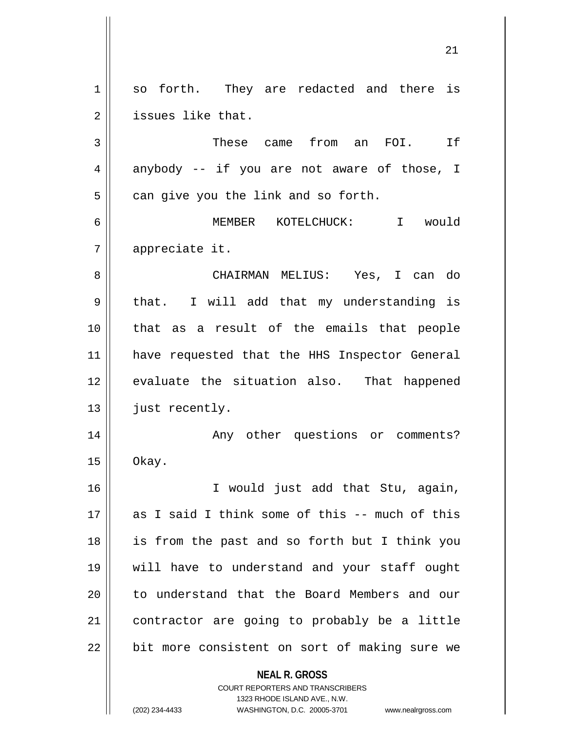**NEAL R. GROSS** COURT REPORTERS AND TRANSCRIBERS 1 so forth. They are redacted and there is 2 || issues like that. 3 These came from an FOI. If  $4 \parallel$  anybody -- if you are not aware of those, I  $5 \parallel$  can give you the link and so forth. 6 MEMBER KOTELCHUCK: I would 7 appreciate it. 8 CHAIRMAN MELIUS: Yes, I can do  $9 \parallel$  that. I will add that my understanding is 10 that as a result of the emails that people 11 have requested that the HHS Inspector General 12 || evaluate the situation also. That happened 13 || just recently. 14 || Any other questions or comments?  $15 \parallel$  Okay. 16 I would just add that Stu, again, 17 as I said I think some of this -- much of this 18 is from the past and so forth but I think you 19 will have to understand and your staff ought 20 || to understand that the Board Members and our 21 contractor are going to probably be a little  $22$  | bit more consistent on sort of making sure we

1323 RHODE ISLAND AVE., N.W.

(202) 234-4433 WASHINGTON, D.C. 20005-3701 www.nealrgross.com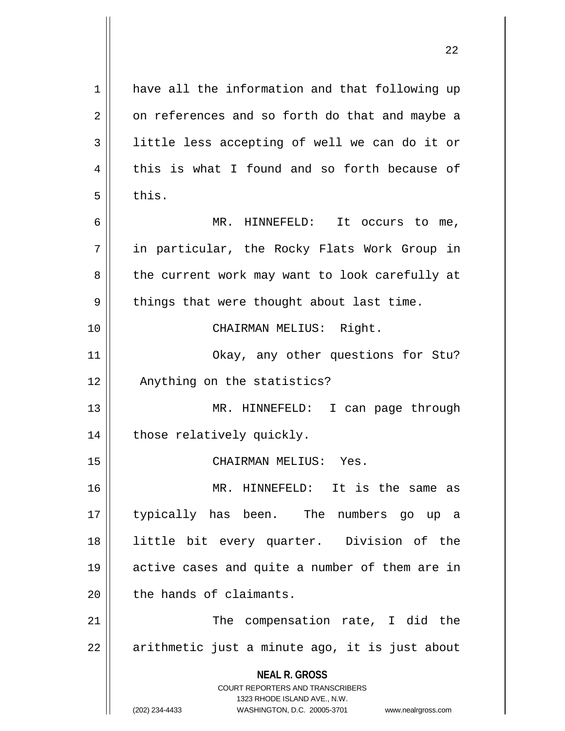**NEAL R. GROSS** COURT REPORTERS AND TRANSCRIBERS 1323 RHODE ISLAND AVE., N.W. (202) 234-4433 WASHINGTON, D.C. 20005-3701 www.nealrgross.com 1 have all the information and that following up  $2 \parallel$  on references and so forth do that and maybe a 3 || little less accepting of well we can do it or  $4 \parallel$  this is what I found and so forth because of  $5 \parallel$  this. 6 MR. HINNEFELD: It occurs to me, 7 in particular, the Rocky Flats Work Group in 8 || the current work may want to look carefully at 9 || things that were thought about last time. 10 || CHAIRMAN MELIUS: Right. 11 || Okay, any other questions for Stu? 12 || Anything on the statistics? 13 || MR. HINNEFELD: I can page through 14 || those relatively quickly. 15 CHAIRMAN MELIUS: Yes. 16 MR. HINNEFELD: It is the same as 17 typically has been. The numbers go up a 18 little bit every quarter. Division of the 19 active cases and quite a number of them are in 20 l the hands of claimants. 21 || The compensation rate, I did the  $22 \parallel$  arithmetic just a minute ago, it is just about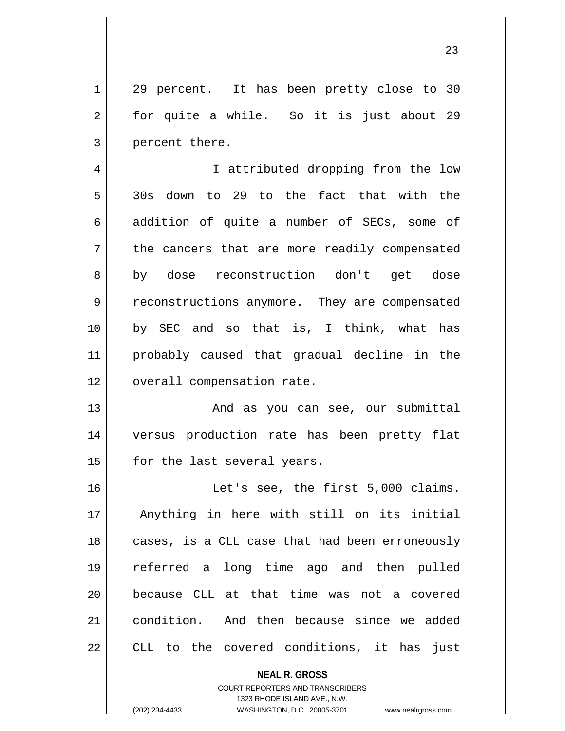1 || 29 percent. It has been pretty close to 30 2 || for quite a while. So it is just about 29 3 || percent there.

4 || I attributed dropping from the low 5 30s down to 29 to the fact that with the  $6 \parallel$  addition of quite a number of SECs, some of 7 the cancers that are more readily compensated 8 by dose reconstruction don't get dose 9 Teconstructions anymore. They are compensated 10 by SEC and so that is, I think, what has 11 probably caused that gradual decline in the 12 | overall compensation rate.

13 || The Mand as you can see, our submittal 14 versus production rate has been pretty flat 15 | for the last several years.

16 || Let's see, the first 5,000 claims. 17 Anything in here with still on its initial 18 || cases, is a CLL case that had been erroneously 19 referred a long time ago and then pulled 20 because CLL at that time was not a covered 21 condition. And then because since we added 22 || CLL to the covered conditions, it has just

> **NEAL R. GROSS** COURT REPORTERS AND TRANSCRIBERS 1323 RHODE ISLAND AVE., N.W. (202) 234-4433 WASHINGTON, D.C. 20005-3701 www.nealrgross.com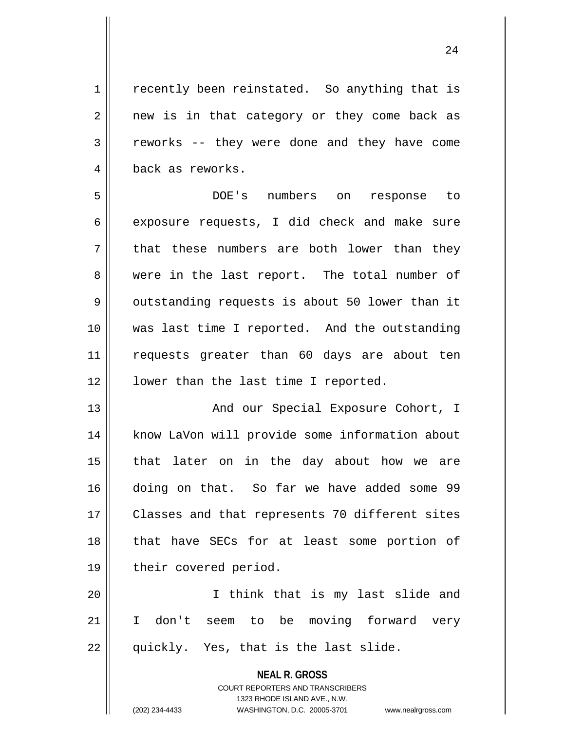1 | recently been reinstated. So anything that is  $2 \parallel$  new is in that category or they come back as 3 Teworks -- they were done and they have come 4 || back as reworks.

5 DOE's numbers on response to  $6 \parallel$  exposure requests, I did check and make sure  $7 \parallel$  that these numbers are both lower than they 8 were in the last report. The total number of  $9 \parallel$  outstanding requests is about 50 lower than it 10 was last time I reported. And the outstanding 11 requests greater than 60 days are about ten 12 || lower than the last time I reported.

13 || And our Special Exposure Cohort, I 14 || know LaVon will provide some information about 15 that later on in the day about how we are 16 doing on that. So far we have added some 99 17 || Classes and that represents 70 different sites 18 || that have SECs for at least some portion of 19 || their covered period.

20 I think that is my last slide and 21 I don't seem to be moving forward very 22 || quickly. Yes, that is the last slide.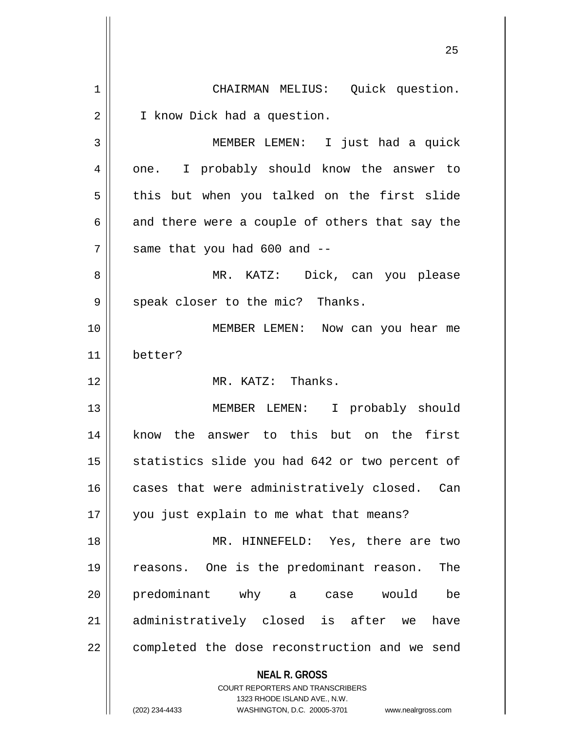**NEAL R. GROSS** COURT REPORTERS AND TRANSCRIBERS 1323 RHODE ISLAND AVE., N.W. (202) 234-4433 WASHINGTON, D.C. 20005-3701 www.nealrgross.com 1 || CHAIRMAN MELIUS: Quick question. 2 | I know Dick had a question. 3 MEMBER LEMEN: I just had a quick 4 || one. I probably should know the answer to  $5 \parallel$  this but when you talked on the first slide  $6 \parallel$  and there were a couple of others that say the  $7$  || same that you had 600 and  $-$ 8 MR. KATZ: Dick, can you please  $9 \parallel$  speak closer to the mic? Thanks. 10 MEMBER LEMEN: Now can you hear me 11 better? 12 || MR. KATZ: Thanks. 13 || MEMBER LEMEN: I probably should 14 || know the answer to this but on the first 15 || statistics slide you had 642 or two percent of 16 cases that were administratively closed. Can 17 you just explain to me what that means? 18 MR. HINNEFELD: Yes, there are two 19 reasons. One is the predominant reason. The 20 predominant why a case would be 21 administratively closed is after we have 22 | completed the dose reconstruction and we send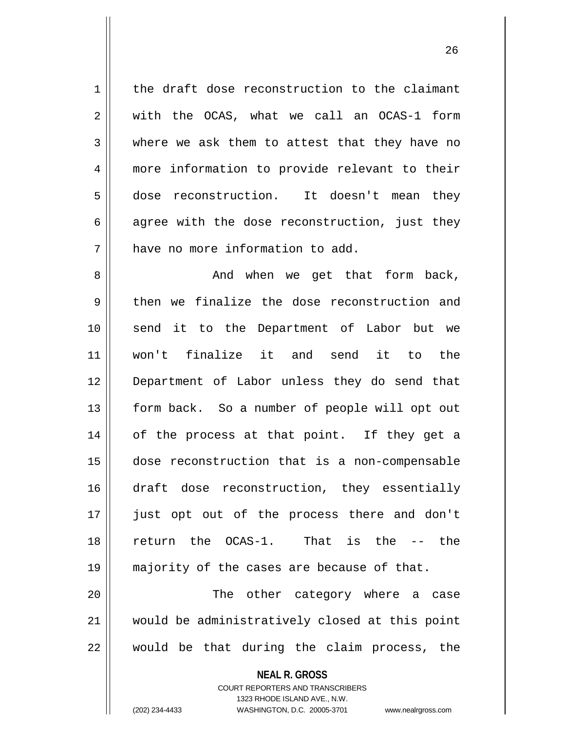$1 \parallel$  the draft dose reconstruction to the claimant  $2 \parallel$  with the OCAS, what we call an OCAS-1 form 3 where we ask them to attest that they have no 4 more information to provide relevant to their 5 dose reconstruction. It doesn't mean they  $6 \parallel$  agree with the dose reconstruction, just they 7 | have no more information to add. 8 And when we get that form back,  $9 \parallel$  then we finalize the dose reconstruction and 10 send it to the Department of Labor but we 11 won't finalize it and send it to the 12 Department of Labor unless they do send that 13 || form back. So a number of people will opt out 14 || of the process at that point. If they get a 15 dose reconstruction that is a non-compensable 16 draft dose reconstruction, they essentially 17 just opt out of the process there and don't 18 return the OCAS-1. That is the -- the 19 majority of the cases are because of that. 20 The other category where a case 21 would be administratively closed at this point  $22$  || would be that during the claim process, the

> **NEAL R. GROSS** COURT REPORTERS AND TRANSCRIBERS 1323 RHODE ISLAND AVE., N.W.

(202) 234-4433 WASHINGTON, D.C. 20005-3701 www.nealrgross.com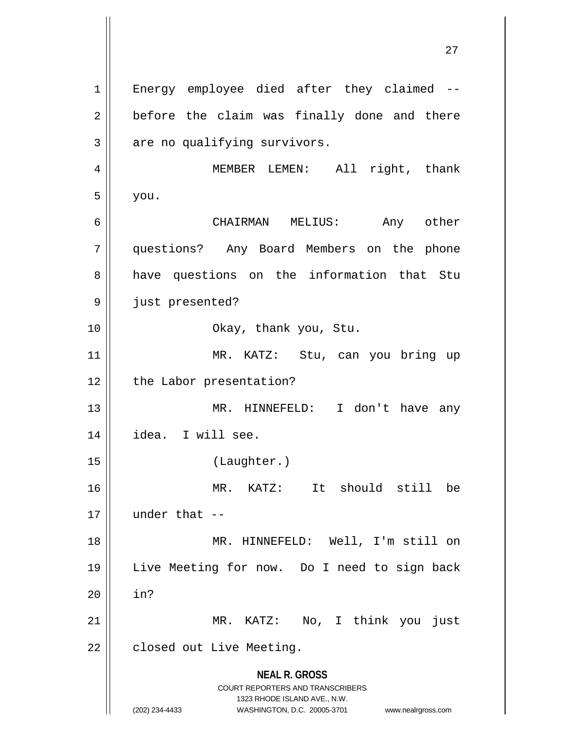**NEAL R. GROSS** COURT REPORTERS AND TRANSCRIBERS 1323 RHODE ISLAND AVE., N.W. (202) 234-4433 WASHINGTON, D.C. 20005-3701 www.nealrgross.com 1 || Energy employee died after they claimed -- $2 \parallel$  before the claim was finally done and there  $3 \parallel$  are no qualifying survivors. 4 MEMBER LEMEN: All right, thank  $5 \parallel$  you. 6 CHAIRMAN MELIUS: Any other 7 questions? Any Board Members on the phone 8 || have questions on the information that Stu 9 || just presented? 10 Okay, thank you, Stu. 11 || MR. KATZ: Stu, can you bring up 12 | the Labor presentation? 13 MR. HINNEFELD: I don't have any 14 idea. I will see. 15 (Laughter.) 16 MR. KATZ: It should still be  $17$  | under that  $-$ 18 || MR. HINNEFELD: Well, I'm still on 19 Live Meeting for now. Do I need to sign back  $20$  | in? 21 || MR. KATZ: No, I think you just 22 | closed out Live Meeting.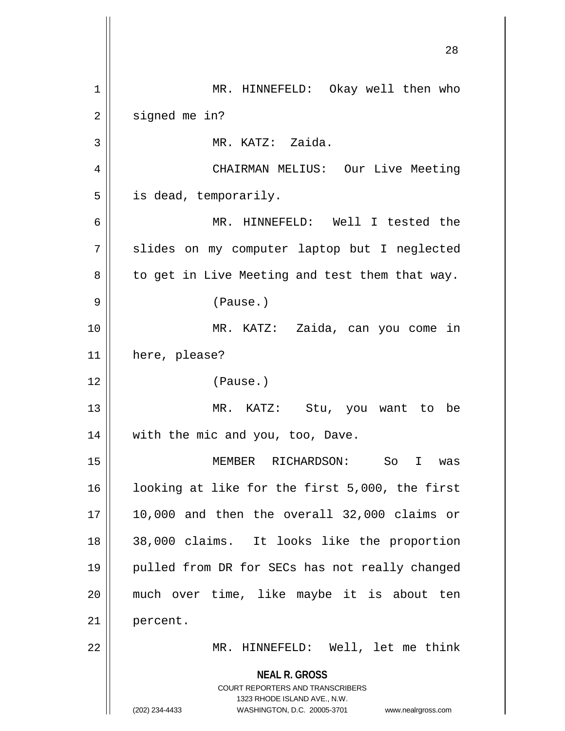**NEAL R. GROSS** COURT REPORTERS AND TRANSCRIBERS 1323 RHODE ISLAND AVE., N.W. (202) 234-4433 WASHINGTON, D.C. 20005-3701 www.nealrgross.com 1 MR. HINNEFELD: Okay well then who  $2 \parallel$  signed me in? 3 MR. KATZ: Zaida. 4 CHAIRMAN MELIUS: Our Live Meeting  $5 \parallel$  is dead, temporarily. 6 MR. HINNEFELD: Well I tested the 7 || slides on my computer laptop but I neglected  $8 \parallel$  to get in Live Meeting and test them that way. 9 (Pause.) 10 MR. KATZ: Zaida, can you come in 11 here, please? 12 (Pause.) 13 MR. KATZ: Stu, you want to be 14 || with the mic and you, too, Dave. 15 MEMBER RICHARDSON: So I was 16 || looking at like for the first 5,000, the first  $17 \parallel 10,000$  and then the overall 32,000 claims or 18 38,000 claims. It looks like the proportion 19 || pulled from DR for SECs has not really changed 20 much over time, like maybe it is about ten 21 | percent. 22 MR. HINNEFELD: Well, let me think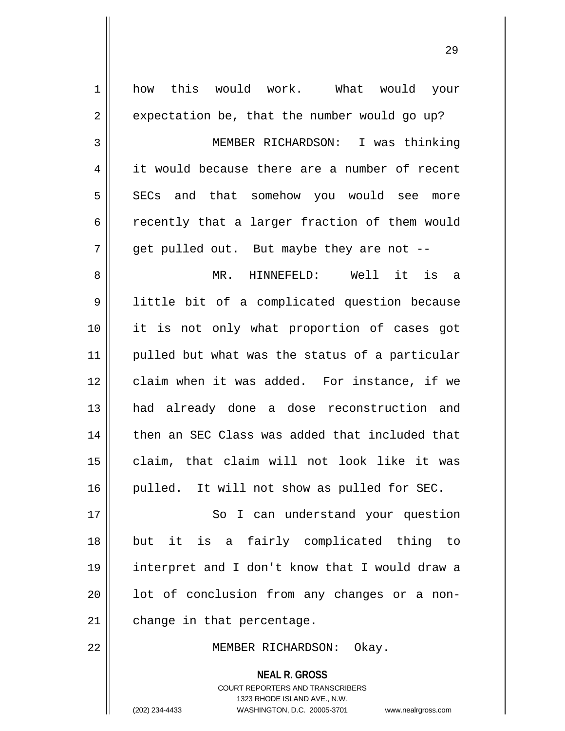| $\mathbf 1$    | how this would work. What would your                                                                                                                                   |
|----------------|------------------------------------------------------------------------------------------------------------------------------------------------------------------------|
| $\overline{2}$ | expectation be, that the number would go up?                                                                                                                           |
| 3              | MEMBER RICHARDSON: I was thinking                                                                                                                                      |
| 4              | it would because there are a number of recent                                                                                                                          |
| 5              | SECs and that somehow you would see more                                                                                                                               |
| 6              | recently that a larger fraction of them would                                                                                                                          |
| 7              | get pulled out. But maybe they are not --                                                                                                                              |
| 8              | Well it is a<br>MR. HINNEFELD:                                                                                                                                         |
| 9              | little bit of a complicated question because                                                                                                                           |
| 10             | it is not only what proportion of cases got                                                                                                                            |
| 11             | pulled but what was the status of a particular                                                                                                                         |
| 12             | claim when it was added. For instance, if we                                                                                                                           |
| 13             | had already done a dose reconstruction and                                                                                                                             |
| 14             | then an SEC Class was added that included that                                                                                                                         |
| 15             | claim, that claim will not look like it was                                                                                                                            |
| 16             | pulled. It will not show as pulled for SEC.                                                                                                                            |
| 17             | So I can understand your question                                                                                                                                      |
| 18             | but it is a fairly complicated thing to                                                                                                                                |
| 19             | interpret and I don't know that I would draw a                                                                                                                         |
| 20             | lot of conclusion from any changes or a non-                                                                                                                           |
| 21             | change in that percentage.                                                                                                                                             |
| 22             | MEMBER RICHARDSON: Okay.                                                                                                                                               |
|                | <b>NEAL R. GROSS</b><br><b>COURT REPORTERS AND TRANSCRIBERS</b><br>1323 RHODE ISLAND AVE., N.W.<br>(202) 234-4433<br>WASHINGTON, D.C. 20005-3701<br>www.nealrgross.com |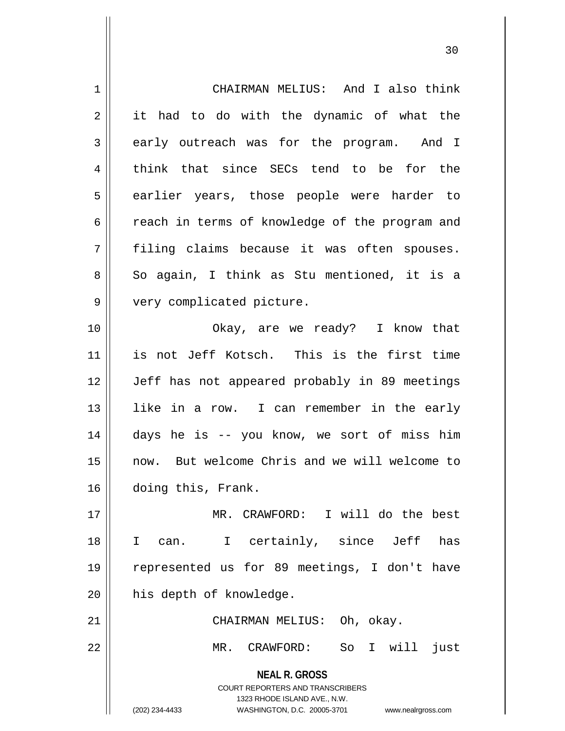| 1  | CHAIRMAN MELIUS: And I also think                                                                                                                                      |
|----|------------------------------------------------------------------------------------------------------------------------------------------------------------------------|
| 2  | it had to do with the dynamic of what the                                                                                                                              |
| 3  | early outreach was for the program. And I                                                                                                                              |
| 4  | think that since SECs tend to be for the                                                                                                                               |
| 5  | earlier years, those people were harder to                                                                                                                             |
| 6  | reach in terms of knowledge of the program and                                                                                                                         |
| 7  | filing claims because it was often spouses.                                                                                                                            |
| 8  | So again, I think as Stu mentioned, it is a                                                                                                                            |
| 9  | very complicated picture.                                                                                                                                              |
| 10 | Okay, are we ready? I know that                                                                                                                                        |
| 11 | is not Jeff Kotsch. This is the first time                                                                                                                             |
| 12 | Jeff has not appeared probably in 89 meetings                                                                                                                          |
| 13 | like in a row. I can remember in the early                                                                                                                             |
| 14 | days he is -- you know, we sort of miss him                                                                                                                            |
| 15 | now. But welcome Chris and we will welcome to                                                                                                                          |
| 16 | doing this, Frank.                                                                                                                                                     |
| 17 | MR. CRAWFORD: I will do the best                                                                                                                                       |
| 18 | I certainly, since Jeff<br>has<br>I.<br>can.                                                                                                                           |
| 19 | represented us for 89 meetings, I don't have                                                                                                                           |
| 20 | his depth of knowledge.                                                                                                                                                |
| 21 | CHAIRMAN MELIUS: Oh, okay.                                                                                                                                             |
| 22 | So I will<br>$MR$ .<br>CRAWFORD:<br>just                                                                                                                               |
|    | <b>NEAL R. GROSS</b><br><b>COURT REPORTERS AND TRANSCRIBERS</b><br>1323 RHODE ISLAND AVE., N.W.<br>(202) 234-4433<br>WASHINGTON, D.C. 20005-3701<br>www.nealrgross.com |

 $\overline{\mathbf{1}}$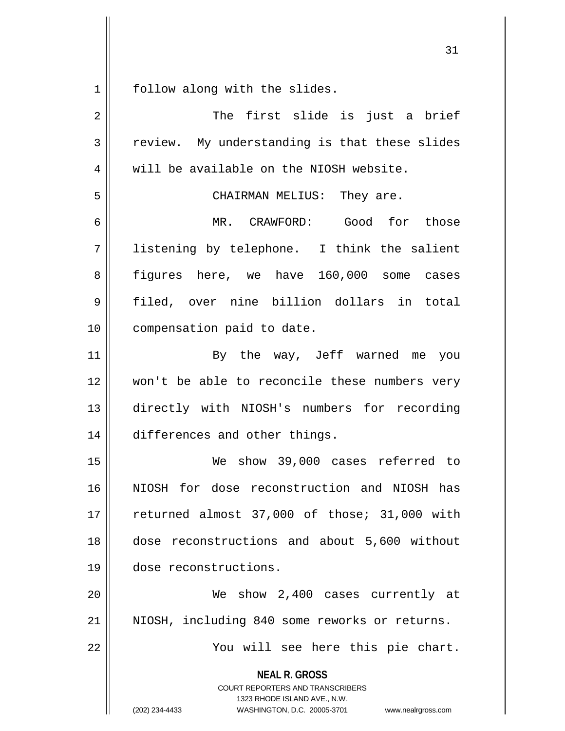$1 \parallel$  follow along with the slides.

| $\overline{a}$ | The first slide is just a brief                                                                                                                                        |
|----------------|------------------------------------------------------------------------------------------------------------------------------------------------------------------------|
| 3              | review. My understanding is that these slides                                                                                                                          |
| 4              | will be available on the NIOSH website.                                                                                                                                |
| 5              | CHAIRMAN MELIUS: They are.                                                                                                                                             |
| 6              | MR. CRAWFORD: Good for those                                                                                                                                           |
| 7              | listening by telephone. I think the salient                                                                                                                            |
| 8              | figures here, we have 160,000 some cases                                                                                                                               |
| 9              | filed, over nine billion dollars in total                                                                                                                              |
| 10             | compensation paid to date.                                                                                                                                             |
| 11             | By the way, Jeff warned me you                                                                                                                                         |
| 12             | won't be able to reconcile these numbers very                                                                                                                          |
| 13             | directly with NIOSH's numbers for recording                                                                                                                            |
| 14             | differences and other things.                                                                                                                                          |
| 15             | We show 39,000 cases referred to                                                                                                                                       |
| 16             | NIOSH for dose reconstruction and NIOSH has                                                                                                                            |
| 17             | returned almost 37,000 of those; 31,000 with                                                                                                                           |
| 18             | dose reconstructions and about 5,600 without                                                                                                                           |
| 19             | dose reconstructions.                                                                                                                                                  |
| 20             | We show 2,400 cases currently at                                                                                                                                       |
| 21             | NIOSH, including 840 some reworks or returns.                                                                                                                          |
| 22             | You will see here this pie chart.                                                                                                                                      |
|                | <b>NEAL R. GROSS</b><br><b>COURT REPORTERS AND TRANSCRIBERS</b><br>1323 RHODE ISLAND AVE., N.W.<br>WASHINGTON, D.C. 20005-3701<br>(202) 234-4433<br>www.nealrgross.com |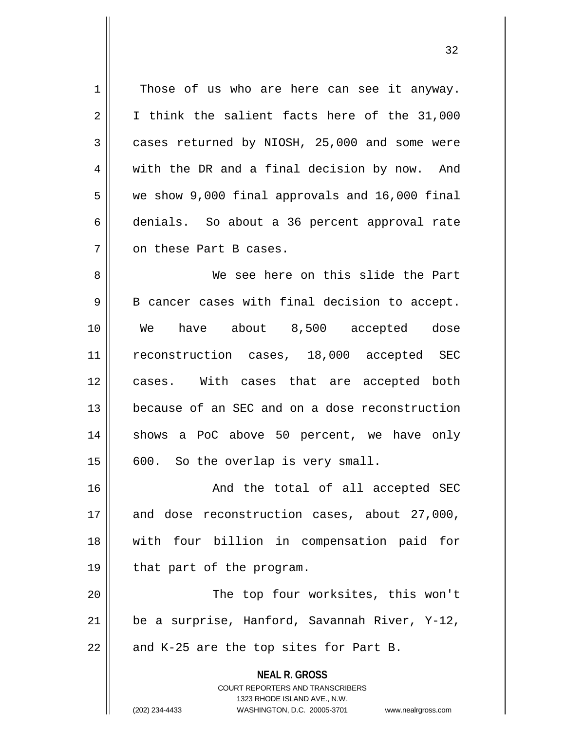1 || Those of us who are here can see it anyway.  $2 \parallel$  I think the salient facts here of the 31,000  $3 \parallel$  cases returned by NIOSH, 25,000 and some were 4 with the DR and a final decision by now. And  $5 \parallel$  we show 9,000 final approvals and 16,000 final 6 denials. So about a 36 percent approval rate 7 || on these Part B cases.

 We see here on this slide the Part  $9 \parallel$  B cancer cases with final decision to accept. We have about 8,500 accepted dose reconstruction cases, 18,000 accepted SEC cases. With cases that are accepted both because of an SEC and on a dose reconstruction 14 || shows a PoC above 50 percent, we have only  $15 \parallel 600$ . So the overlap is very small.

16 || And the total of all accepted SEC 17 || and dose reconstruction cases, about 27,000, 18 with four billion in compensation paid for 19 | that part of the program.

20 The top four worksites, this won't 21  $\parallel$  be a surprise, Hanford, Savannah River, Y-12,  $22$  | and K-25 are the top sites for Part B.

> **NEAL R. GROSS** COURT REPORTERS AND TRANSCRIBERS 1323 RHODE ISLAND AVE., N.W. (202) 234-4433 WASHINGTON, D.C. 20005-3701 www.nealrgross.com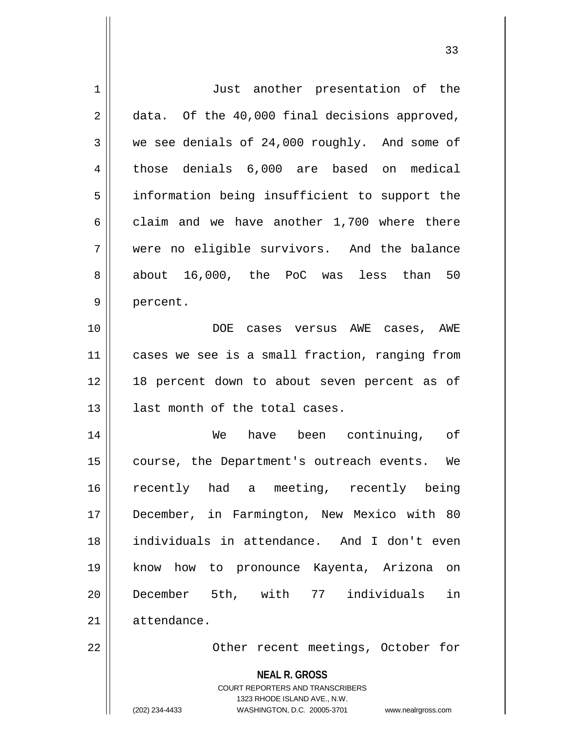| $\mathbf 1$ | Just another presentation of the                                                                                                                                       |
|-------------|------------------------------------------------------------------------------------------------------------------------------------------------------------------------|
| 2           | data. Of the 40,000 final decisions approved,                                                                                                                          |
| 3           | we see denials of 24,000 roughly. And some of                                                                                                                          |
| 4           | those denials 6,000 are based on medical                                                                                                                               |
| 5           | information being insufficient to support the                                                                                                                          |
| 6           | claim and we have another 1,700 where there                                                                                                                            |
| 7           | were no eligible survivors. And the balance                                                                                                                            |
| 8           | about 16,000, the PoC was less than 50                                                                                                                                 |
| 9           | percent.                                                                                                                                                               |
| 10          | DOE cases versus AWE cases, AWE                                                                                                                                        |
| 11          | cases we see is a small fraction, ranging from                                                                                                                         |
| 12          | 18 percent down to about seven percent as of                                                                                                                           |
| 13          | last month of the total cases.                                                                                                                                         |
| 14          | have been continuing, of<br>We                                                                                                                                         |
| 15          | course, the Department's outreach events.<br>We                                                                                                                        |
| 16          | recently had a meeting, recently being                                                                                                                                 |
| 17          | December, in Farmington, New Mexico with 80                                                                                                                            |
| 18          | individuals in attendance. And I don't even                                                                                                                            |
| 19          | know how to pronounce Kayenta, Arizona<br>on                                                                                                                           |
| 20          | December 5th, with 77 individuals<br>in                                                                                                                                |
| 21          | attendance.                                                                                                                                                            |
| 22          | Other recent meetings, October for                                                                                                                                     |
|             | <b>NEAL R. GROSS</b><br><b>COURT REPORTERS AND TRANSCRIBERS</b><br>1323 RHODE ISLAND AVE., N.W.<br>(202) 234-4433<br>WASHINGTON, D.C. 20005-3701<br>www.nealrgross.com |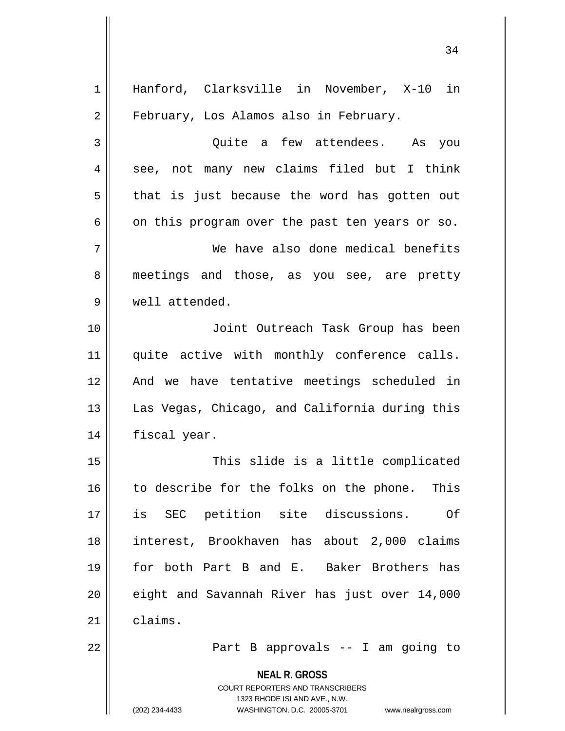| Hanford, Clarksville in November, X-10 in<br>Quite a few attendees. As you<br>see, not many new claims filed but I think<br>that is just because the word has gotten out |
|--------------------------------------------------------------------------------------------------------------------------------------------------------------------------|
|                                                                                                                                                                          |
|                                                                                                                                                                          |
|                                                                                                                                                                          |
|                                                                                                                                                                          |
|                                                                                                                                                                          |
| on this program over the past ten years or so.                                                                                                                           |
| We have also done medical benefits                                                                                                                                       |
| meetings and those, as you see, are pretty                                                                                                                               |
|                                                                                                                                                                          |
| Joint Outreach Task Group has been                                                                                                                                       |
| quite active with monthly conference calls.                                                                                                                              |
| And we have tentative meetings scheduled in                                                                                                                              |
| Las Vegas, Chicago, and California during this                                                                                                                           |
|                                                                                                                                                                          |
| This slide is a little complicated                                                                                                                                       |
| This                                                                                                                                                                     |
| Of                                                                                                                                                                       |
|                                                                                                                                                                          |
| interest, Brookhaven has about 2,000 claims                                                                                                                              |
| for both Part B and E. Baker Brothers has                                                                                                                                |
| eight and Savannah River has just over 14,000                                                                                                                            |
|                                                                                                                                                                          |
| Part B approvals -- I am going to                                                                                                                                        |
|                                                                                                                                                                          |
|                                                                                                                                                                          |
| www.nealrgross.com                                                                                                                                                       |
|                                                                                                                                                                          |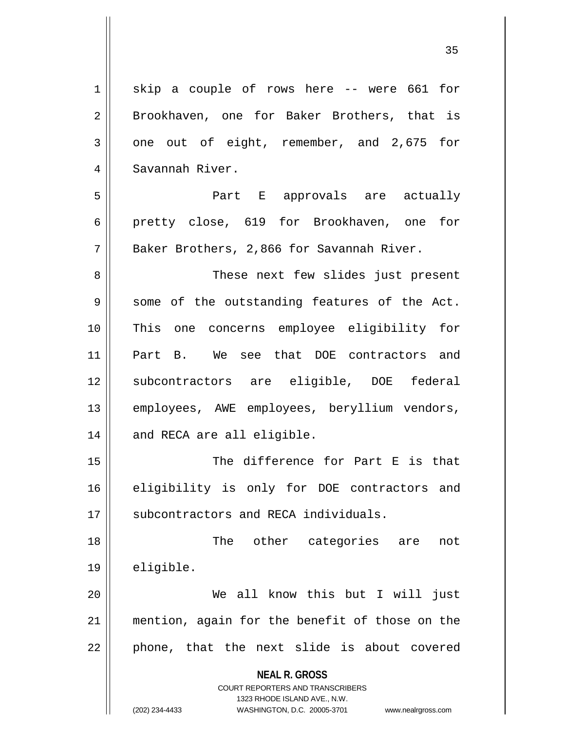$1 \parallel$  skip a couple of rows here -- were 661 for 2 || Brookhaven, one for Baker Brothers, that is  $3 \parallel$  one out of eight, remember, and 2,675 for 4 Savannah River. 5 Part E approvals are actually 6 pretty close, 619 for Brookhaven, one for  $7$  | Baker Brothers, 2,866 for Savannah River. 8 These next few slides just present  $9 \parallel$  some of the outstanding features of the Act. 10 This one concerns employee eligibility for 11 Part B. We see that DOE contractors and 12 subcontractors are eligible, DOE federal 13 || employees, AWE employees, beryllium vendors, 14 || and RECA are all eligible. 15 || The difference for Part E is that 16 eligibility is only for DOE contractors and 17 || subcontractors and RECA individuals. 18 The other categories are not 19 eligible. 20 || We all know this but I will just 21 mention, again for the benefit of those on the  $22$  || phone, that the next slide is about covered

> **NEAL R. GROSS** COURT REPORTERS AND TRANSCRIBERS

1323 RHODE ISLAND AVE., N.W. (202) 234-4433 WASHINGTON, D.C. 20005-3701 www.nealrgross.com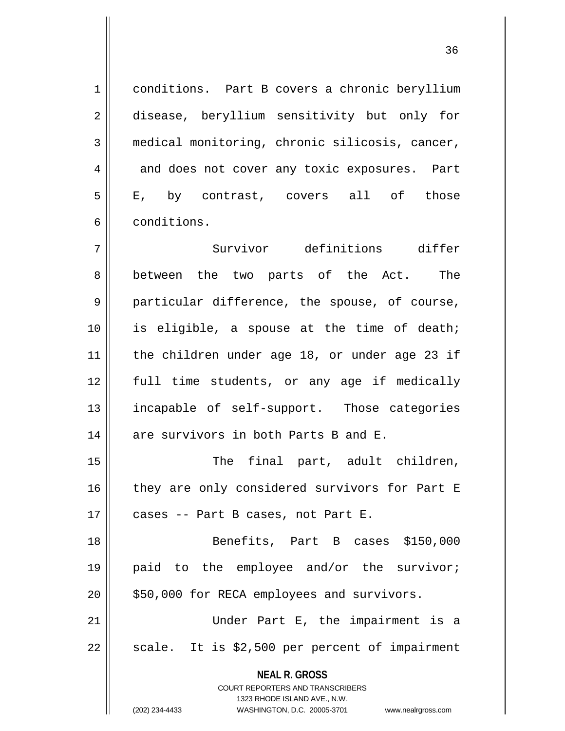1 conditions. Part B covers a chronic beryllium 2 disease, beryllium sensitivity but only for 3 medical monitoring, chronic silicosis, cancer, 4 and does not cover any toxic exposures. Part 5 E, by contrast, covers all of those 6 | conditions. 7 Survivor definitions differ 8 between the two parts of the Act. The 9 || particular difference, the spouse, of course, 10 is eligible, a spouse at the time of death; 11 the children under age 18, or under age 23 if 12 full time students, or any age if medically 13 || incapable of self-support. Those categories 14  $\parallel$  are survivors in both Parts B and E. 15 || The final part, adult children, 16 || they are only considered survivors for Part E  $17$  | cases -- Part B cases, not Part E. 18 Benefits, Part B cases \$150,000 19 || paid to the employee and/or the survivor;

21 Under Part E, the impairment is a  $22 \parallel$  scale. It is \$2,500 per percent of impairment

 $20$  | \$50,000 for RECA employees and survivors.

**NEAL R. GROSS**

COURT REPORTERS AND TRANSCRIBERS 1323 RHODE ISLAND AVE., N.W.

(202) 234-4433 WASHINGTON, D.C. 20005-3701 www.nealrgross.com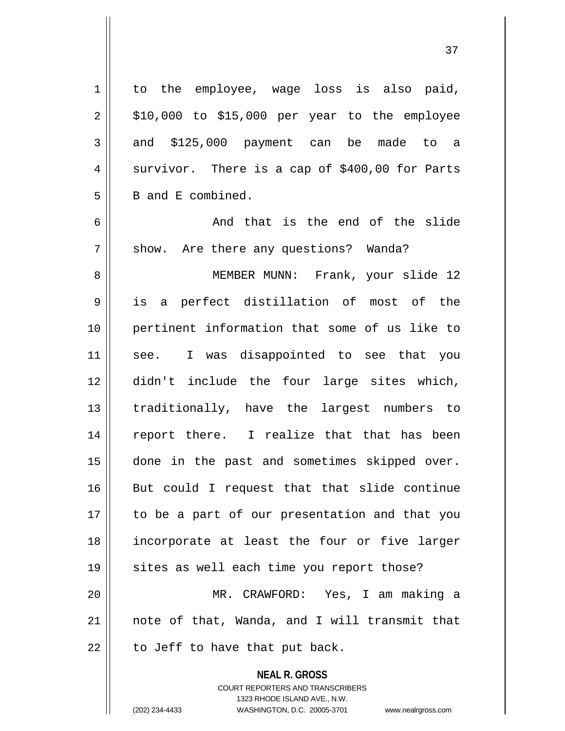1 || to the employee, wage loss is also paid,  $2 \parallel$  \$10,000 to \$15,000 per year to the employee  $3 \parallel$  and \$125,000 payment can be made to a  $4 \parallel$  survivor. There is a cap of \$400,00 for Parts  $5 \parallel$  B and E combined.  $6 \parallel$  and that is the end of the slide 7 || show. Are there any questions? Wanda? 8 MEMBER MUNN: Frank, your slide 12 9 is a perfect distillation of most of the 10 pertinent information that some of us like to 11 || see. I was disappointed to see that you 12 didn't include the four large sites which, 13 traditionally, have the largest numbers to 14 || report there. I realize that that has been 15 done in the past and sometimes skipped over. 16 But could I request that that slide continue 17 || to be a part of our presentation and that you 18 incorporate at least the four or five larger 19 || sites as well each time you report those? 20 MR. CRAWFORD: Yes, I am making a 21 note of that, Wanda, and I will transmit that  $22$  | to Jeff to have that put back.

> **NEAL R. GROSS** COURT REPORTERS AND TRANSCRIBERS 1323 RHODE ISLAND AVE., N.W.

(202) 234-4433 WASHINGTON, D.C. 20005-3701 www.nealrgross.com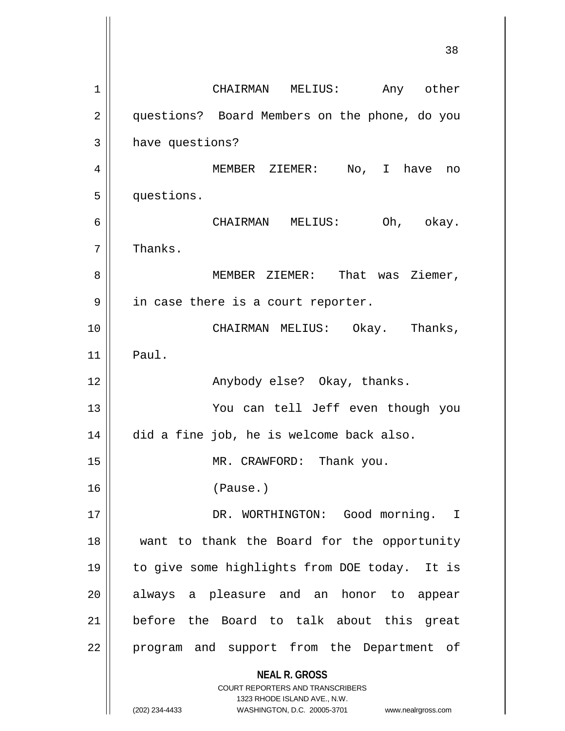**NEAL R. GROSS** COURT REPORTERS AND TRANSCRIBERS 1323 RHODE ISLAND AVE., N.W. 1 CHAIRMAN MELIUS: Any other 2 | questions? Board Members on the phone, do you 3 | have questions? 4 MEMBER ZIEMER: No, I have no 5 questions. 6 CHAIRMAN MELIUS: Oh, okay. 7 | Thanks. 8 MEMBER ZIEMER: That was Ziemer, 9 || in case there is a court reporter. 10 CHAIRMAN MELIUS: Okay. Thanks,  $11$  Paul. 12 || Anybody else? Okay, thanks. 13 You can tell Jeff even though you 14 did a fine job, he is welcome back also. 15 || MR. CRAWFORD: Thank you. 16 (Pause.) 17 DR. WORTHINGTON: Good morning. I 18 want to thank the Board for the opportunity 19 to give some highlights from DOE today. It is 20 || always a pleasure and an honor to appear 21 || before the Board to talk about this great 22 || program and support from the Department of

(202) 234-4433 WASHINGTON, D.C. 20005-3701 www.nealrgross.com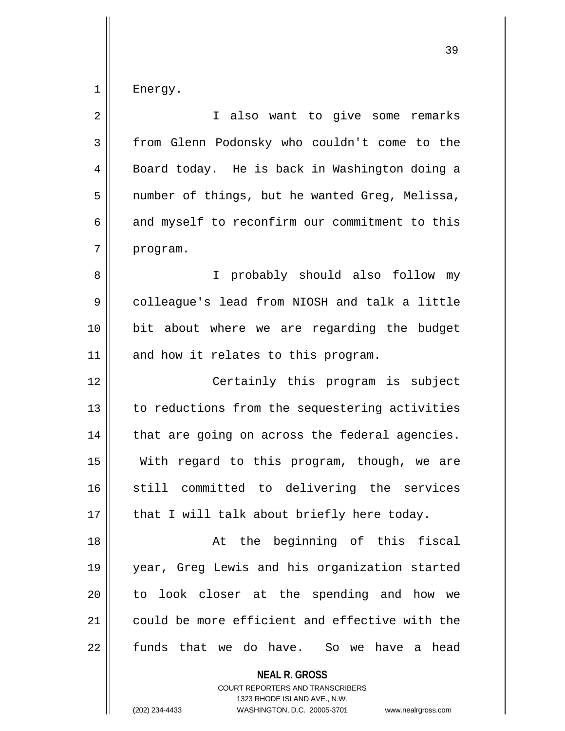$1 \parallel$  Energy.

| $\overline{2}$ | I also want to give some remarks               |
|----------------|------------------------------------------------|
| 3              | from Glenn Podonsky who couldn't come to the   |
| 4              | Board today. He is back in Washington doing a  |
| 5              | number of things, but he wanted Greg, Melissa, |
| 6              | and myself to reconfirm our commitment to this |
| 7              | program.                                       |
| 8              | I probably should also follow my               |
| 9              | colleague's lead from NIOSH and talk a little  |
| 10             | bit about where we are regarding the budget    |
| 11             | and how it relates to this program.            |
| 12             | Certainly this program is subject              |
| 13             | to reductions from the sequestering activities |
| 14             | that are going on across the federal agencies. |
| 15             | With regard to this program, though, we are    |
| 16             | still committed to delivering the services     |
| 17             | that I will talk about briefly here today.     |
| 18             | At the beginning of this fiscal                |
| 19             | year, Greg Lewis and his organization started  |
| 20             | look closer at the spending and how we<br>to   |
| 21             | could be more efficient and effective with the |
| 22             | funds that we do have. So we have a head       |
|                | <b>NEAL R. GROSS</b>                           |

COURT REPORTERS AND TRANSCRIBERS 1323 RHODE ISLAND AVE., N.W.

(202) 234-4433 WASHINGTON, D.C. 20005-3701 www.nealrgross.com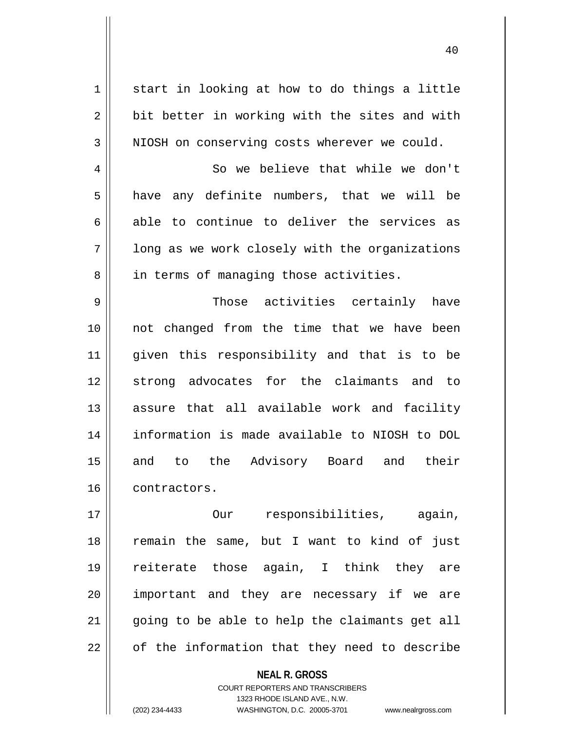$1 \parallel$  start in looking at how to do things a little  $2 \parallel$  bit better in working with the sites and with  $3$  NIOSH on conserving costs wherever we could.

4 || So we believe that while we don't  $5$  have any definite numbers, that we will be  $6 \parallel$  able to continue to deliver the services as  $7 \parallel$  long as we work closely with the organizations 8 || in terms of managing those activities.

 Those activities certainly have not changed from the time that we have been given this responsibility and that is to be 12 strong advocates for the claimants and to assure that all available work and facility information is made available to NIOSH to DOL 15 || and to the Advisory Board and their 16 contractors.

17 || **Construment Construment Construment** Construction and a construction of the construction of the construction of  $\frac{1}{2}$  and  $\frac{1}{2}$  and  $\frac{1}{2}$  construction of the construction of the construction of the const remain the same, but I want to kind of just reiterate those again, I think they are 20 || important and they are necessary if we are going to be able to help the claimants get all | of the information that they need to describe

> **NEAL R. GROSS** COURT REPORTERS AND TRANSCRIBERS 1323 RHODE ISLAND AVE., N.W. (202) 234-4433 WASHINGTON, D.C. 20005-3701 www.nealrgross.com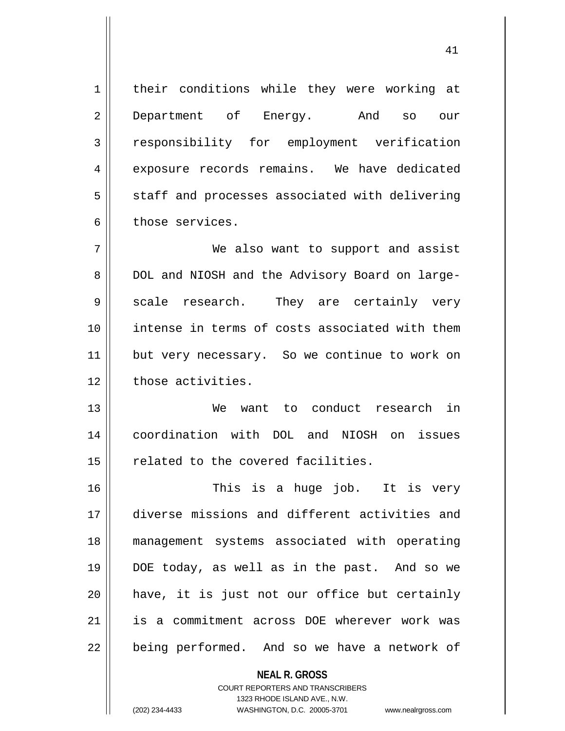**NEAL R. GROSS** 1 || their conditions while they were working at 2 Department of Energy. And so our 3 cresponsibility for employment verification 4 exposure records remains. We have dedicated  $5 \parallel$  staff and processes associated with delivering 6 those services. 7 We also want to support and assist 8 || DOL and NIOSH and the Advisory Board on large-9 || scale research. They are certainly very 10 intense in terms of costs associated with them 11 || but very necessary. So we continue to work on 12 | those activities. 13 We want to conduct research in 14 coordination with DOL and NIOSH on issues 15 || related to the covered facilities. 16 This is a huge job. It is very 17 diverse missions and different activities and 18 management systems associated with operating 19 DOE today, as well as in the past. And so we 20 have, it is just not our office but certainly 21 is a commitment across DOE wherever work was 22 || being performed. And so we have a network of

> COURT REPORTERS AND TRANSCRIBERS 1323 RHODE ISLAND AVE., N.W.

(202) 234-4433 WASHINGTON, D.C. 20005-3701 www.nealrgross.com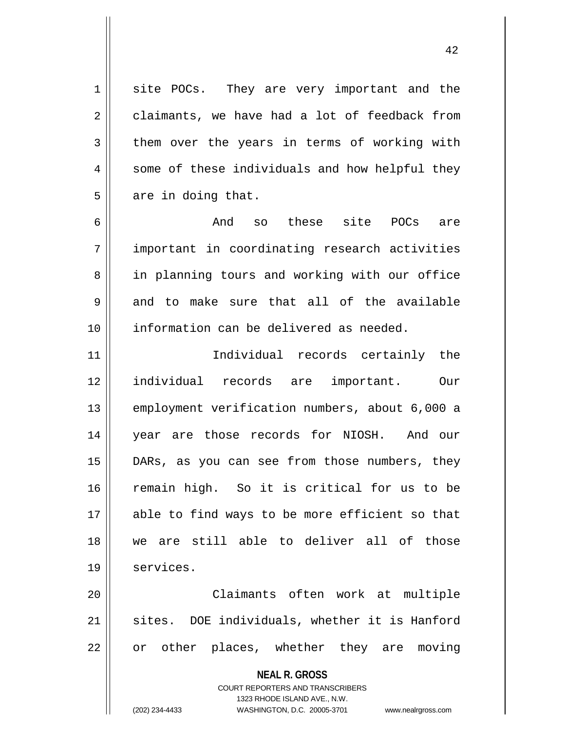1 site POCs. They are very important and the  $2 \parallel$  claimants, we have had a lot of feedback from  $3 \parallel$  them over the years in terms of working with  $4 \parallel$  some of these individuals and how helpful they  $5 \parallel$  are in doing that.

6 And so these site POCs are 7 important in coordinating research activities 8 || in planning tours and working with our office  $9 \parallel$  and to make sure that all of the available 10 information can be delivered as needed.

 Individual records certainly the individual records are important. Our employment verification numbers, about 6,000 a year are those records for NIOSH. And our DARs, as you can see from those numbers, they remain high. So it is critical for us to be able to find ways to be more efficient so that we are still able to deliver all of those 19 | services.

20 Claimants often work at multiple  $21$  sites. DOE individuals, whether it is Hanford  $22 \parallel$  or other places, whether they are moving

> **NEAL R. GROSS** COURT REPORTERS AND TRANSCRIBERS 1323 RHODE ISLAND AVE., N.W. (202) 234-4433 WASHINGTON, D.C. 20005-3701 www.nealrgross.com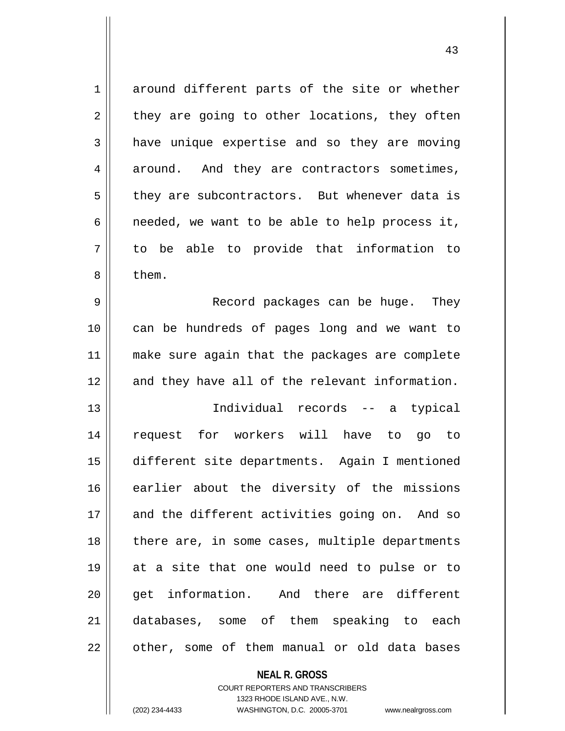1 around different parts of the site or whether  $2 \parallel$  they are going to other locations, they often 3 a have unique expertise and so they are moving  $4 \parallel$  around. And they are contractors sometimes, 5 || they are subcontractors. But whenever data is  $6 \parallel$  needed, we want to be able to help process it, 7 to be able to provide that information to 8 b them. 9 Record packages can be huge. They 10 can be hundreds of pages long and we want to 11 make sure again that the packages are complete 12 and they have all of the relevant information. 13 Individual records -- a typical 14 request for workers will have to go to 15 different site departments. Again I mentioned 16 earlier about the diversity of the missions 17 and the different activities going on. And so 18 || there are, in some cases, multiple departments 19 at a site that one would need to pulse or to 20 || qet information. And there are different 21 databases, some of them speaking to each  $22$  || other, some of them manual or old data bases

> **NEAL R. GROSS** COURT REPORTERS AND TRANSCRIBERS 1323 RHODE ISLAND AVE., N.W.

(202) 234-4433 WASHINGTON, D.C. 20005-3701 www.nealrgross.com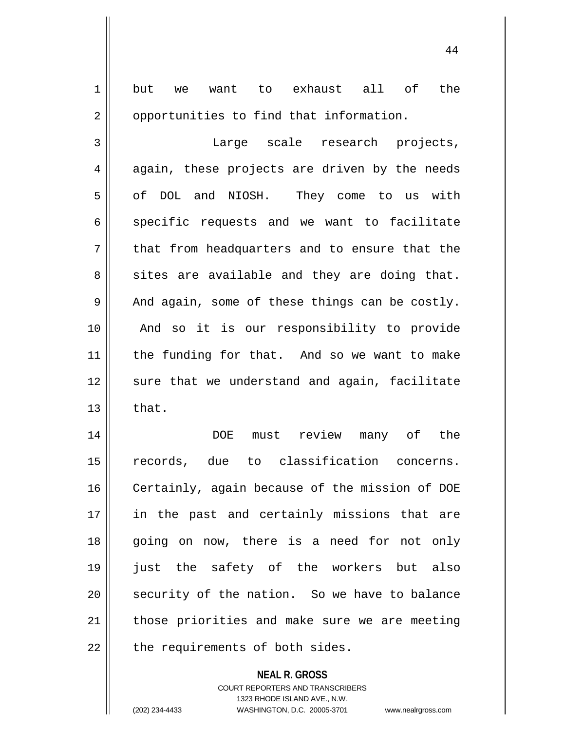| $\mathbf 1$ | want to exhaust all of the<br>but<br>we                  |
|-------------|----------------------------------------------------------|
| 2           | opportunities to find that information.                  |
| 3           | Large scale research projects,                           |
| 4           | again, these projects are driven by the needs            |
| 5           | of DOL and NIOSH. They come to us with                   |
| 6           | specific requests and we want to facilitate              |
| 7           | that from headquarters and to ensure that the            |
| 8           | sites are available and they are doing that.             |
| 9           | And again, some of these things can be costly.           |
| 10          | And so it is our responsibility to provide               |
| 11          | the funding for that. And so we want to make             |
| 12          | sure that we understand and again, facilitate            |
| 13          | that.                                                    |
| 14          | review<br><b>DOE</b><br>must<br>many of<br>the           |
| 15          | records, due to classification concerns.                 |
| 16          | Certainly, again because of the mission of DOE           |
| 17          | in the past and certainly missions that are              |
| 18          | going on now, there is a need for not only               |
| 19          | just the safety of the workers but also                  |
| 20          | security of the nation. So we have to balance            |
| 21          | those priorities and make sure we are meeting            |
| 22          | the requirements of both sides.                          |
|             | <b>NEAL R. GROSS</b><br>COURT REPORTERS AND TRANSCRIBERS |

1323 RHODE ISLAND AVE., N.W.

 $\mathop{\text{||}}$ 

(202) 234-4433 WASHINGTON, D.C. 20005-3701 www.nealrgross.com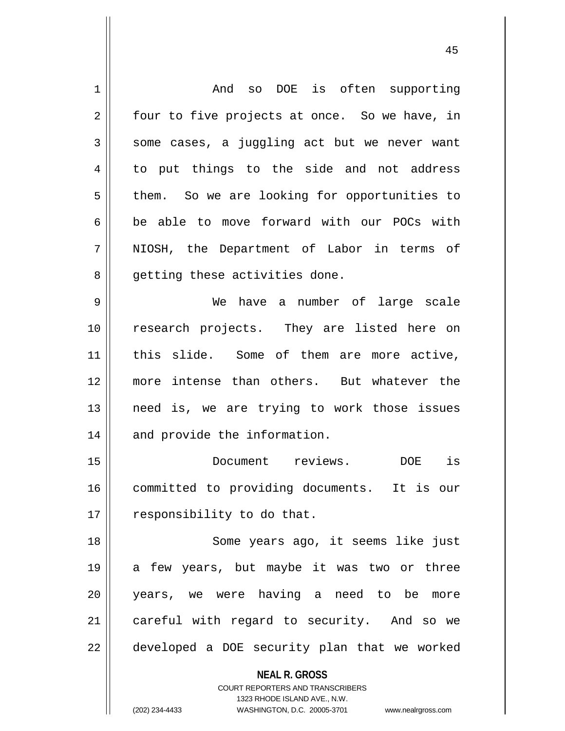| $\mathbf 1$ | so DOE is often supporting<br>And                                   |
|-------------|---------------------------------------------------------------------|
| 2           | four to five projects at once. So we have, in                       |
| 3           | some cases, a juggling act but we never want                        |
| 4           | to put things to the side and not address                           |
| 5           | them. So we are looking for opportunities to                        |
| 6           | be able to move forward with our POCs with                          |
| 7           | NIOSH, the Department of Labor in terms of                          |
| 8           | getting these activities done.                                      |
| 9           | have a number of large scale<br>We                                  |
| 10          | research projects. They are listed here on                          |
| 11          | this slide. Some of them are more active,                           |
| 12          | more intense than others. But whatever the                          |
| 13          | need is, we are trying to work those issues                         |
| 14          | and provide the information.                                        |
| 15          | Document reviews.<br>is<br>DOE                                      |
| 16          | committed to providing documents.<br>It is our                      |
| 17          | responsibility to do that.                                          |
| 18          | Some years ago, it seems like just                                  |
| 19          | a few years, but maybe it was two or three                          |
| 20          | years, we were having a need to be<br>more                          |
| 21          | careful with regard to security. And so we                          |
| 22          | developed a DOE security plan that we worked                        |
|             | <b>NEAL R. GROSS</b>                                                |
|             | <b>COURT REPORTERS AND TRANSCRIBERS</b>                             |
|             | 1323 RHODE ISLAND AVE., N.W.                                        |
|             | (202) 234-4433<br>WASHINGTON, D.C. 20005-3701<br>www.nealrgross.com |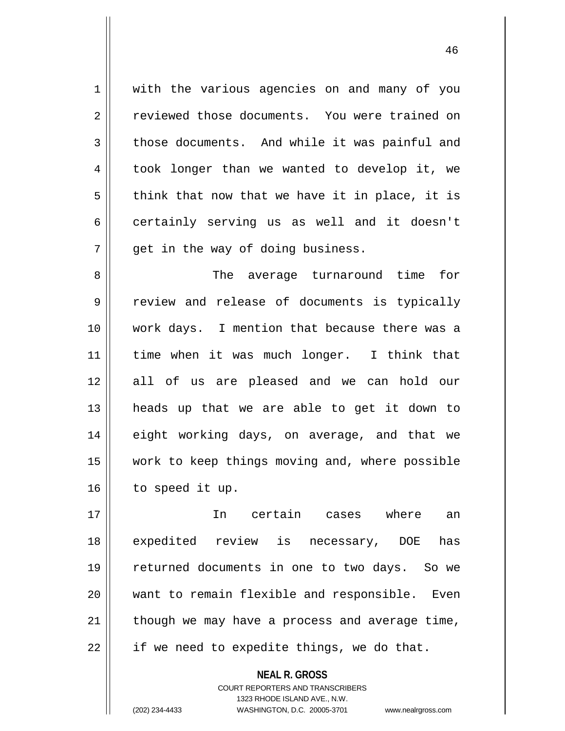1 || with the various agencies on and many of you 2 Feviewed those documents. You were trained on  $3 \parallel$  those documents. And while it was painful and 4 | took longer than we wanted to develop it, we  $5 \parallel$  think that now that we have it in place, it is 6 || certainly serving us as well and it doesn't  $7 \parallel$  qet in the way of doing business.

 The average turnaround time for 9 Teview and release of documents is typically work days. I mention that because there was a time when it was much longer. I think that all of us are pleased and we can hold our heads up that we are able to get it down to 14 || eight working days, on average, and that we work to keep things moving and, where possible | to speed it up.

 In certain cases where an expedited review is necessary, DOE has returned documents in one to two days. So we want to remain flexible and responsible. Even | though we may have a process and average time,  $22 \parallel$  if we need to expedite things, we do that.

> **NEAL R. GROSS** COURT REPORTERS AND TRANSCRIBERS 1323 RHODE ISLAND AVE., N.W. (202) 234-4433 WASHINGTON, D.C. 20005-3701 www.nealrgross.com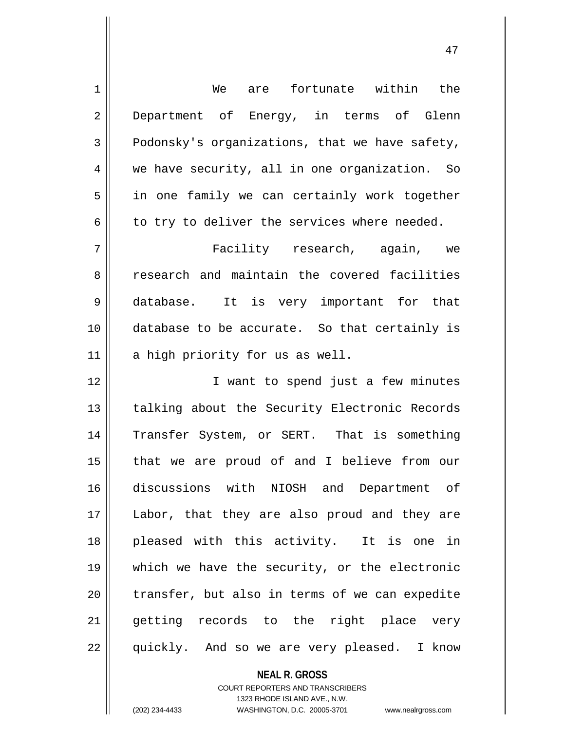| $\mathbf 1$    | are fortunate within the<br>We                 |
|----------------|------------------------------------------------|
| $\overline{2}$ | Department of Energy, in terms of Glenn        |
| 3              | Podonsky's organizations, that we have safety, |
| 4              | we have security, all in one organization. So  |
| 5              | in one family we can certainly work together   |
| 6              | to try to deliver the services where needed.   |
| 7              | Facility research, again, we                   |
| 8              | research and maintain the covered facilities   |
| 9              | database. It is very important for that        |
| 10             | database to be accurate. So that certainly is  |
| 11             | a high priority for us as well.                |
| 12             | I want to spend just a few minutes             |
| 13             | talking about the Security Electronic Records  |
| 14             | Transfer System, or SERT. That is something    |
| 15             | that we are proud of and I believe from our    |
| 16             | discussions with NIOSH and Department of       |
| 17             |                                                |
|                | Labor, that they are also proud and they are   |
| 18             | pleased with this activity. It is one in       |
| 19             | which we have the security, or the electronic  |
| 20             | transfer, but also in terms of we can expedite |
| 21             | getting records to the right place very        |

**NEAL R. GROSS** COURT REPORTERS AND TRANSCRIBERS

1323 RHODE ISLAND AVE., N.W.

(202) 234-4433 WASHINGTON, D.C. 20005-3701 www.nealrgross.com

 $\mathsf{I}$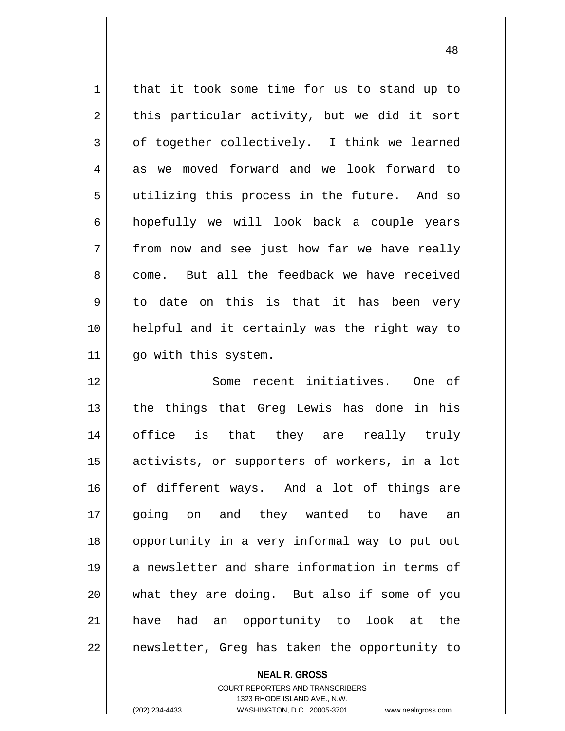1 | that it took some time for us to stand up to  $2 \parallel$  this particular activity, but we did it sort  $3 \parallel$  of together collectively. I think we learned 4 as we moved forward and we look forward to 5 utilizing this process in the future. And so  $6 \parallel$  hopefully we will look back a couple years  $7 \parallel$  from now and see just how far we have really 8 come. But all the feedback we have received  $9 \parallel$  to date on this is that it has been very 10 helpful and it certainly was the right way to 11 | go with this system.

 Some recent initiatives. One of 13 || the things that Greg Lewis has done in his office is that they are really truly activists, or supporters of workers, in a lot of different ways. And a lot of things are 17 || going on and they wanted to have an opportunity in a very informal way to put out 19 || a newsletter and share information in terms of what they are doing. But also if some of you have had an opportunity to look at the 22 || newsletter, Greg has taken the opportunity to

## **NEAL R. GROSS**

COURT REPORTERS AND TRANSCRIBERS 1323 RHODE ISLAND AVE., N.W. (202) 234-4433 WASHINGTON, D.C. 20005-3701 www.nealrgross.com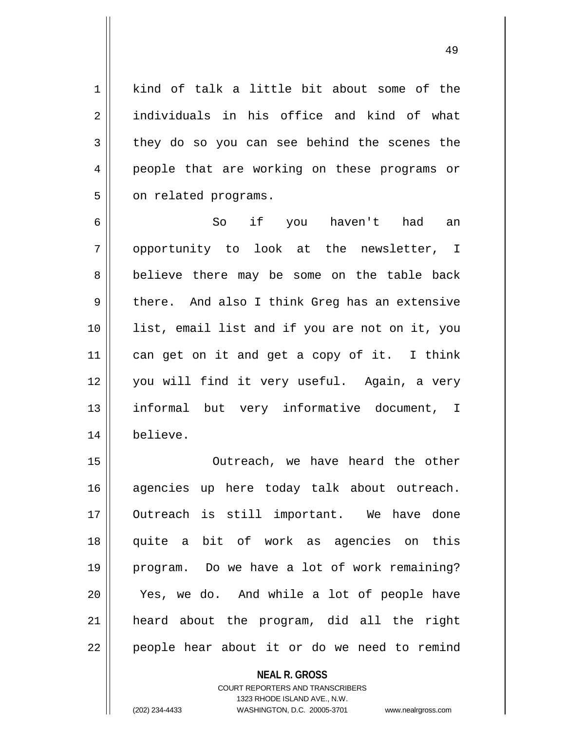1 kind of talk a little bit about some of the 2 individuals in his office and kind of what  $3 \parallel$  they do so you can see behind the scenes the 4 people that are working on these programs or 5 | on related programs.

6 So if you haven't had an 7 || opportunity to look at the newsletter, I 8 believe there may be some on the table back  $9 \parallel$  there. And also I think Greg has an extensive 10 list, email list and if you are not on it, you 11 can get on it and get a copy of it. I think 12 you will find it very useful. Again, a very 13 informal but very informative document, I 14 believe.

 Outreach, we have heard the other 16 agencies up here today talk about outreach. Outreach is still important. We have done quite a bit of work as agencies on this program. Do we have a lot of work remaining? Yes, we do. And while a lot of people have heard about the program, did all the right 22 || people hear about it or do we need to remind

> **NEAL R. GROSS** COURT REPORTERS AND TRANSCRIBERS 1323 RHODE ISLAND AVE., N.W. (202) 234-4433 WASHINGTON, D.C. 20005-3701 www.nealrgross.com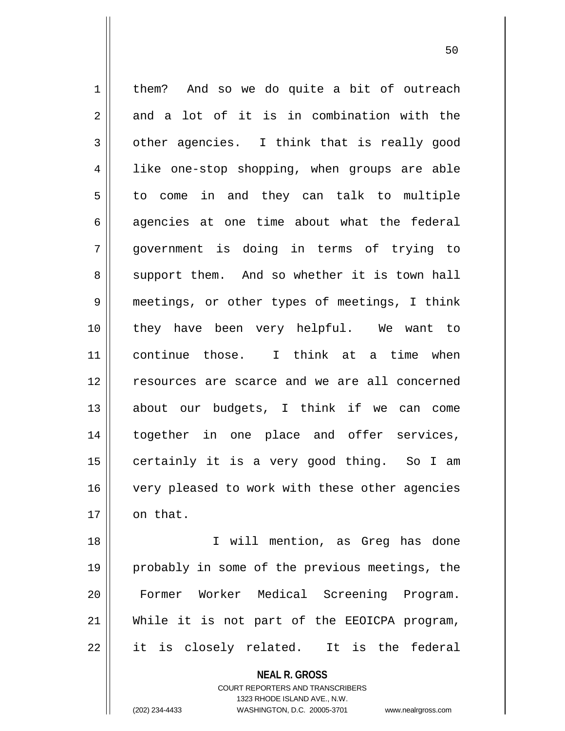1 | them? And so we do quite a bit of outreach  $2 \parallel$  and a lot of it is in combination with the  $3 \parallel$  other agencies. I think that is really good 4 || like one-stop shopping, when groups are able  $5 \parallel$  to come in and they can talk to multiple  $6 \parallel$  agencies at one time about what the federal 7 government is doing in terms of trying to  $8 \parallel$  support them. And so whether it is town hall 9 meetings, or other types of meetings, I think 10 they have been very helpful. We want to 11 continue those. I think at a time when 12 resources are scarce and we are all concerned 13 || about our budgets, I think if we can come 14 together in one place and offer services, 15 || certainly it is a very good thing. So I am 16 || very pleased to work with these other agencies  $17$  | on that.

 I will mention, as Greg has done probably in some of the previous meetings, the Former Worker Medical Screening Program. While it is not part of the EEOICPA program, || it is closely related. It is the federal

> **NEAL R. GROSS** COURT REPORTERS AND TRANSCRIBERS

> > 1323 RHODE ISLAND AVE., N.W.

(202) 234-4433 WASHINGTON, D.C. 20005-3701 www.nealrgross.com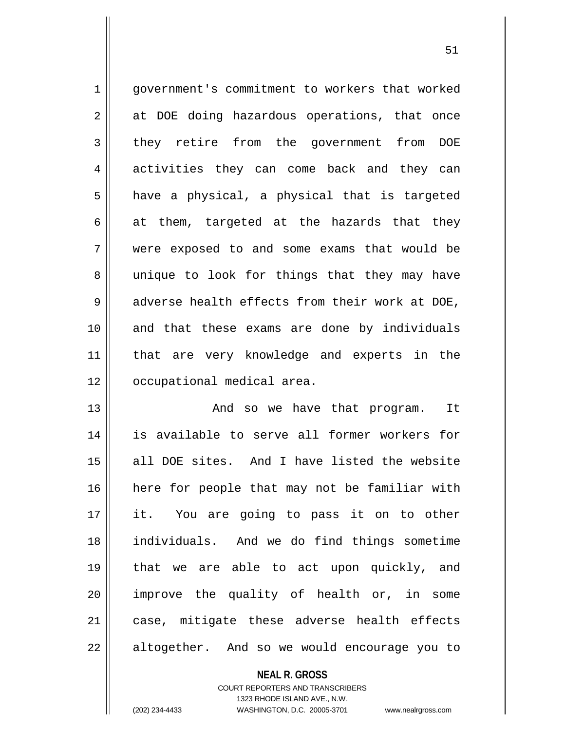1 government's commitment to workers that worked  $2 \parallel$  at DOE doing hazardous operations, that once 3 they retire from the government from DOE 4 activities they can come back and they can  $5 \parallel$  have a physical, a physical that is targeted  $6 \parallel$  at them, targeted at the hazards that they 7 were exposed to and some exams that would be 8 || unique to look for things that they may have  $9 \parallel$  adverse health effects from their work at DOE, 10 and that these exams are done by individuals 11 that are very knowledge and experts in the 12 | occupational medical area.

 And so we have that program. It is available to serve all former workers for all DOE sites. And I have listed the website here for people that may not be familiar with it. You are going to pass it on to other individuals. And we do find things sometime that we are able to act upon quickly, and improve the quality of health or, in some 21 || case, mitigate these adverse health effects 22 || altogether. And so we would encourage you to

## **NEAL R. GROSS**

COURT REPORTERS AND TRANSCRIBERS 1323 RHODE ISLAND AVE., N.W. (202) 234-4433 WASHINGTON, D.C. 20005-3701 www.nealrgross.com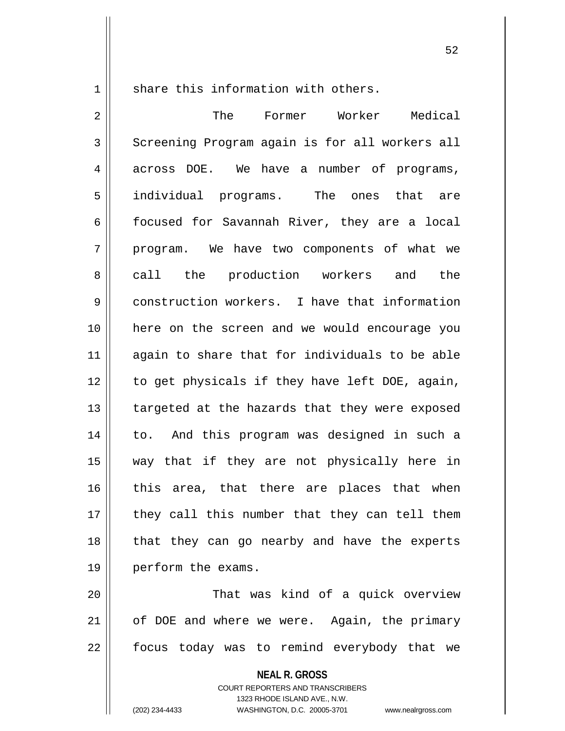1 share this information with others.

2 The Former Worker Medical 3 Screening Program again is for all workers all 4 across DOE. We have a number of programs, 5 || individual programs. The ones that are 6 | focused for Savannah River, they are a local 7 || program. We have two components of what we 8 call the production workers and the 9 construction workers. I have that information 10 here on the screen and we would encourage you 11 || again to share that for individuals to be able  $12$  | to get physicals if they have left DOE, again,  $13$  | targeted at the hazards that they were exposed 14 to. And this program was designed in such a 15 way that if they are not physically here in 16 || this area, that there are places that when  $17$  || they call this number that they can tell them 18 || that they can go nearby and have the experts 19 perform the exams. 20 || That was kind of a quick overview  $21$  | of DOE and where we were. Again, the primary

 $22$  | focus today was to remind everybody that we

**NEAL R. GROSS**

COURT REPORTERS AND TRANSCRIBERS 1323 RHODE ISLAND AVE., N.W. (202) 234-4433 WASHINGTON, D.C. 20005-3701 www.nealrgross.com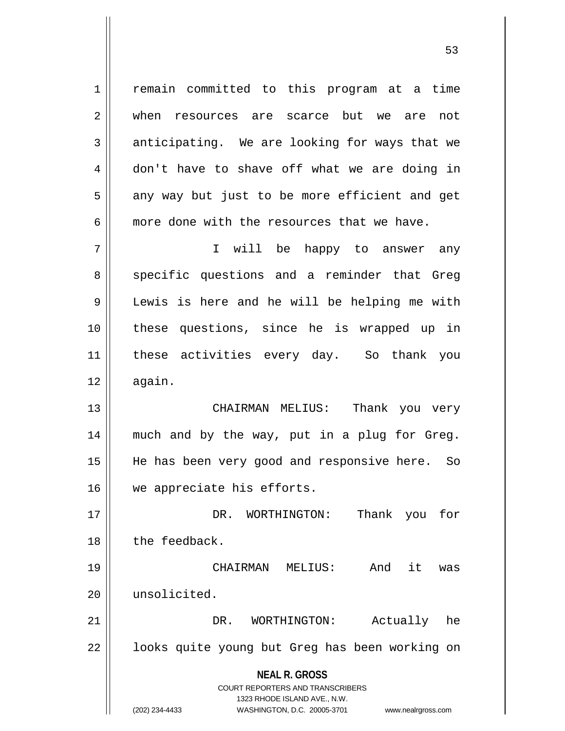1 || remain committed to this program at a time 2 || when resources are scarce but we are not  $3 \parallel$  anticipating. We are looking for ways that we 4 don't have to shave off what we are doing in  $5 \parallel$  any way but just to be more efficient and get  $6 \parallel$  more done with the resources that we have.

7 I will be happy to answer any 8 specific questions and a reminder that Greg 9 Lewis is here and he will be helping me with 10 these questions, since he is wrapped up in 11 || these activities every day. So thank you  $12 \parallel$  again.

 CHAIRMAN MELIUS: Thank you very much and by the way, put in a plug for Greg. He has been very good and responsive here. So 16 we appreciate his efforts.

17 DR. WORTHINGTON: Thank you for 18 | the feedback.

19 CHAIRMAN MELIUS: And it was 20 unsolicited.

21 DR. WORTHINGTON: Actually he 22 || looks quite young but Greg has been working on

## **NEAL R. GROSS**

COURT REPORTERS AND TRANSCRIBERS 1323 RHODE ISLAND AVE., N.W. (202) 234-4433 WASHINGTON, D.C. 20005-3701 www.nealrgross.com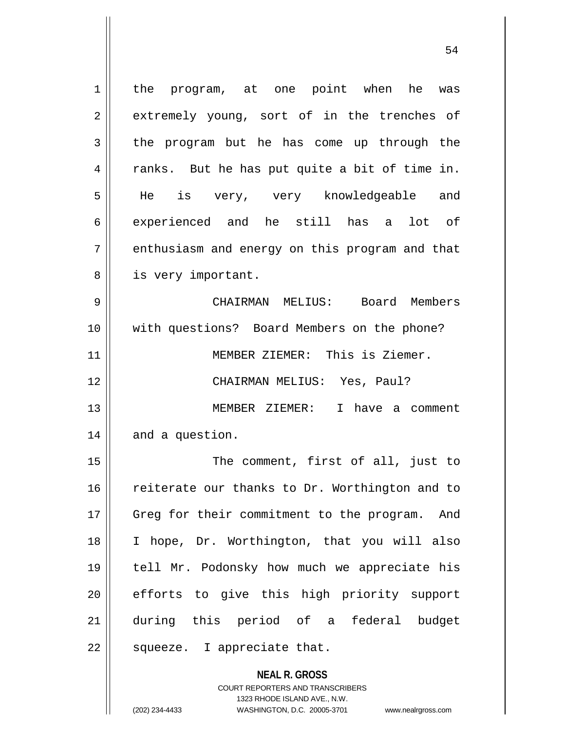1 | the program, at one point when he was 2 extremely young, sort of in the trenches of  $3 \parallel$  the program but he has come up through the 4 || ranks. But he has put quite a bit of time in. 5 || He is very, very knowledgeable and  $6 \parallel$  experienced and he still has a lot of 7 || enthusiasm and energy on this program and that 8 || is very important. 9 CHAIRMAN MELIUS: Board Members 10 with questions? Board Members on the phone? 11 || MEMBER ZIEMER: This is Ziemer. 12 CHAIRMAN MELIUS: Yes, Paul? 13 MEMBER ZIEMER: I have a comment  $14$  || and a question. 15 || The comment, first of all, just to 16 || reiterate our thanks to Dr. Worthington and to 17 || Greg for their commitment to the program. And 18 I hope, Dr. Worthington, that you will also 19 || tell Mr. Podonsky how much we appreciate his 20 efforts to give this high priority support 21 during this period of a federal budget 22  $\parallel$  squeeze. I appreciate that.

> **NEAL R. GROSS** COURT REPORTERS AND TRANSCRIBERS 1323 RHODE ISLAND AVE., N.W.

(202) 234-4433 WASHINGTON, D.C. 20005-3701 www.nealrgross.com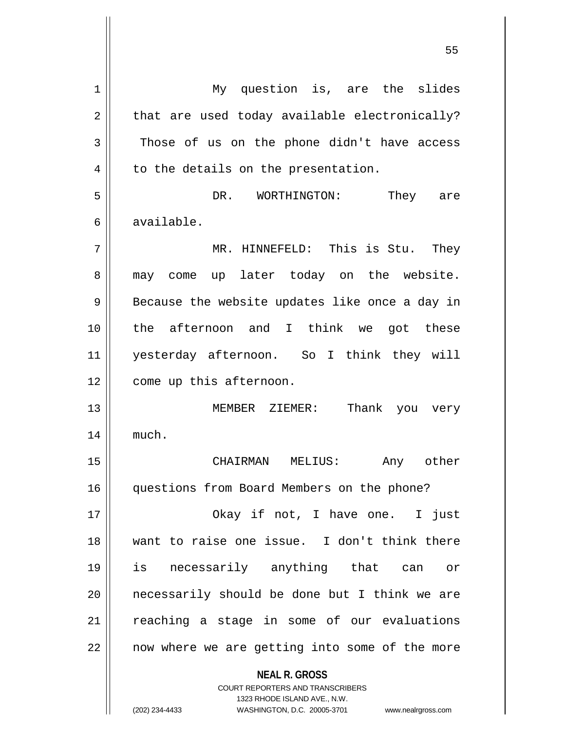**NEAL R. GROSS** COURT REPORTERS AND TRANSCRIBERS 1323 RHODE ISLAND AVE., N.W. 1 | My question is, are the slides  $2 \parallel$  that are used today available electronically?  $3 \parallel$  Those of us on the phone didn't have access  $4 \parallel$  to the details on the presentation. 5 DR. WORTHINGTON: They are 6 available. 7 MR. HINNEFELD: This is Stu. They 8 || may come up later today on the website.  $9 \parallel$  Because the website updates like once a day in 10 the afternoon and I think we got these 11 yesterday afternoon. So I think they will 12 | come up this afternoon. 13 MEMBER ZIEMER: Thank you very 14 | much. 15 CHAIRMAN MELIUS: Any other 16 | questions from Board Members on the phone? 17 Okay if not, I have one. I just 18 want to raise one issue. I don't think there 19 is necessarily anything that can or  $20$  || necessarily should be done but I think we are 21 || reaching a stage in some of our evaluations 22 || now where we are getting into some of the more

(202) 234-4433 WASHINGTON, D.C. 20005-3701 www.nealrgross.com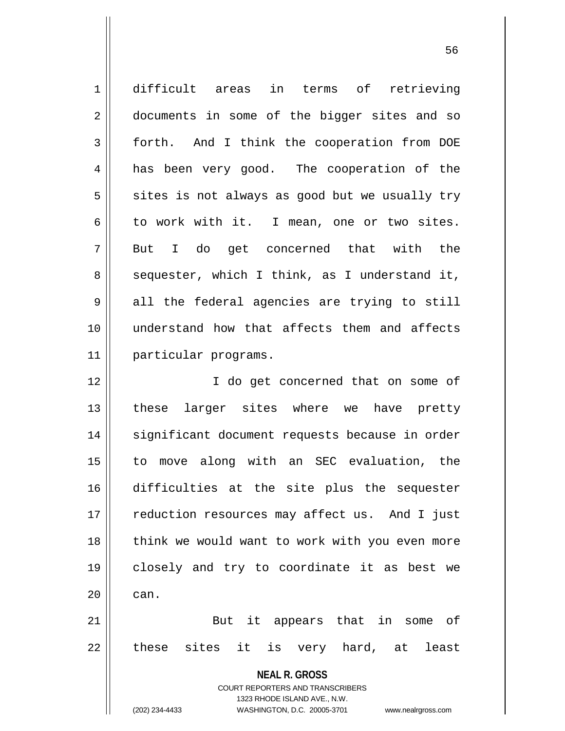| $\mathbf 1$ | difficult areas<br>in terms of retrieving                           |
|-------------|---------------------------------------------------------------------|
| 2           | documents in some of the bigger sites and so                        |
| 3           | forth. And I think the cooperation from DOE                         |
| 4           | has been very good. The cooperation of the                          |
| 5           | sites is not always as good but we usually try                      |
| 6           | to work with it. I mean, one or two sites.                          |
| 7           | But I do get concerned that with the                                |
| 8           | sequester, which I think, as I understand it,                       |
| 9           | all the federal agencies are trying to still                        |
| 10          | understand how that affects them and affects                        |
| 11          | particular programs.                                                |
| 12          | I do get concerned that on some of                                  |
| 13          | these larger sites where we have pretty                             |
| 14          | significant document requests because in order                      |
| 15          | to move along with an SEC evaluation, the                           |
| 16          | difficulties at the site plus the sequester                         |
| 17          | reduction resources may affect us. And I just                       |
| 18          | think we would want to work with you even more                      |
| 19          | closely and try to coordinate it as best we                         |
| 20          | can.                                                                |
| 21          | But it appears that in some of                                      |
| 22          | these sites it is very hard, at least                               |
|             | <b>NEAL R. GROSS</b>                                                |
|             | <b>COURT REPORTERS AND TRANSCRIBERS</b>                             |
|             | 1323 RHODE ISLAND AVE., N.W.                                        |
|             | (202) 234-4433<br>WASHINGTON, D.C. 20005-3701<br>www.nealrgross.com |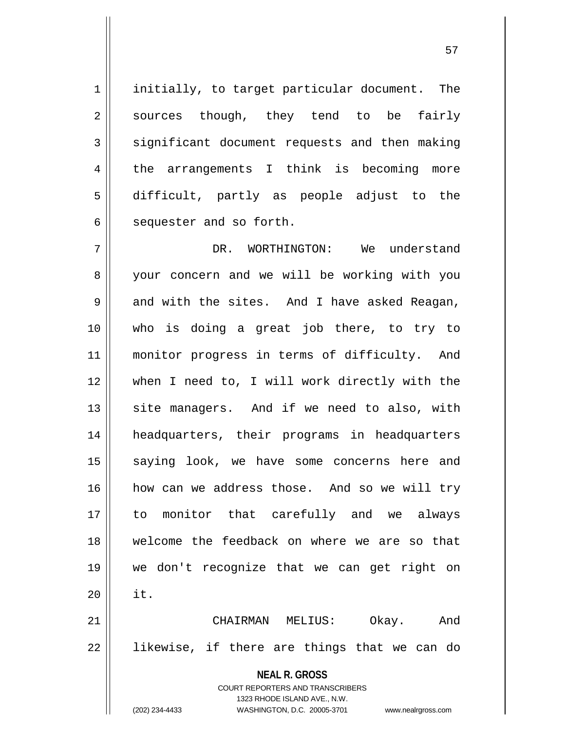1 | initially, to target particular document. The  $2 \parallel$  sources though, they tend to be fairly  $3 \parallel$  significant document requests and then making 4 || the arrangements I think is becoming more 5 difficult, partly as people adjust to the  $6 \parallel$  sequester and so forth.

**NEAL R. GROSS** DR. WORTHINGTON: We understand 8 || your concern and we will be working with you  $9 \parallel$  and with the sites. And I have asked Reagan, who is doing a great job there, to try to monitor progress in terms of difficulty. And when I need to, I will work directly with the site managers. And if we need to also, with headquarters, their programs in headquarters 15 || saying look, we have some concerns here and how can we address those. And so we will try to monitor that carefully and we always welcome the feedback on where we are so that we don't recognize that we can get right on  $20$  | it. CHAIRMAN MELIUS: Okay. And 22 || likewise, if there are things that we can do

(202) 234-4433 WASHINGTON, D.C. 20005-3701 www.nealrgross.com

1323 RHODE ISLAND AVE., N.W.

COURT REPORTERS AND TRANSCRIBERS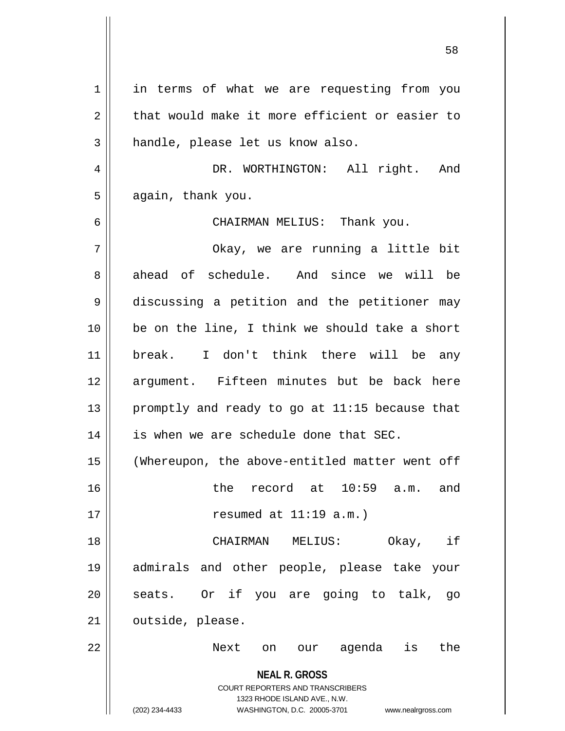**NEAL R. GROSS** COURT REPORTERS AND TRANSCRIBERS 1323 RHODE ISLAND AVE., N.W. (202) 234-4433 WASHINGTON, D.C. 20005-3701 www.nealrgross.com 1 || in terms of what we are requesting from you  $2 \parallel$  that would make it more efficient or easier to 3 | handle, please let us know also. 4 || DR. WORTHINGTON: All right. And  $5 \parallel$  again, thank you. 6 CHAIRMAN MELIUS: Thank you. 7 Okay, we are running a little bit 8 ahead of schedule. And since we will be 9 discussing a petition and the petitioner may 10 be on the line, I think we should take a short 11 break. I don't think there will be any 12 argument. Fifteen minutes but be back here 13  $\parallel$  promptly and ready to go at 11:15 because that  $14$  | is when we are schedule done that SEC. 15 (Whereupon, the above-entitled matter went off 16 the record at 10:59 a.m. and  $17 \parallel$  resumed at  $11:19$  a.m.) 18 CHAIRMAN MELIUS: Okay, if 19 admirals and other people, please take your  $20$  seats. Or if you are going to talk, go  $21$   $\parallel$  outside, please. 22 || Next on our agenda is the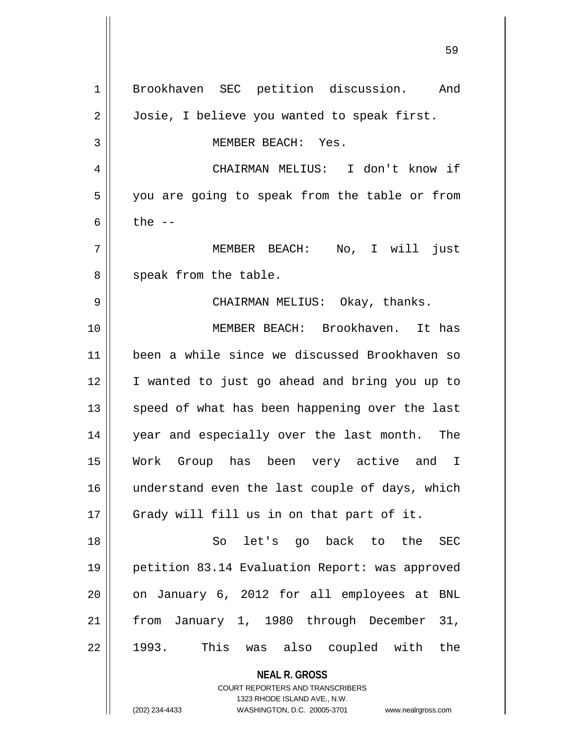**NEAL R. GROSS** 1 Brookhaven SEC petition discussion. And 2 | Josie, I believe you wanted to speak first. MEMBER BEACH: Yes. CHAIRMAN MELIUS: I don't know if 5 || you are going to speak from the table or from  $\parallel$  the  $-$  MEMBER BEACH: No, I will just  $8 \parallel$  speak from the table. CHAIRMAN MELIUS: Okay, thanks. MEMBER BEACH: Brookhaven. It has been a while since we discussed Brookhaven so I wanted to just go ahead and bring you up to 13 || speed of what has been happening over the last year and especially over the last month. The Work Group has been very active and I 16 || understand even the last couple of days, which 17 || Grady will fill us in on that part of it. So let's go back to the SEC petition 83.14 Evaluation Report: was approved | on January 6, 2012 for all employees at BNL from January 1, 1980 through December 31, 1993. This was also coupled with the

> COURT REPORTERS AND TRANSCRIBERS 1323 RHODE ISLAND AVE., N.W. (202) 234-4433 WASHINGTON, D.C. 20005-3701 www.nealrgross.com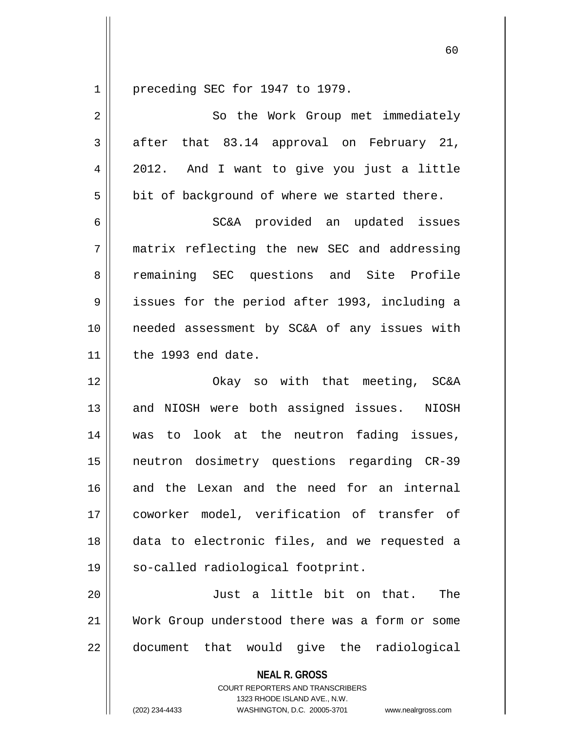preceding SEC for 1947 to 1979.

| $\overline{2}$ | So the Work Group met immediately                                                                                                                                      |
|----------------|------------------------------------------------------------------------------------------------------------------------------------------------------------------------|
| 3              | after that 83.14 approval on February 21,                                                                                                                              |
| 4              | 2012. And I want to give you just a little                                                                                                                             |
| 5              | bit of background of where we started there.                                                                                                                           |
| 6              | SC&A provided an updated issues                                                                                                                                        |
| 7              | matrix reflecting the new SEC and addressing                                                                                                                           |
| 8              | remaining SEC questions and Site Profile                                                                                                                               |
| $\mathsf 9$    | issues for the period after 1993, including a                                                                                                                          |
| 10             | needed assessment by SC&A of any issues with                                                                                                                           |
| 11             | the 1993 end date.                                                                                                                                                     |
| 12             | Okay so with that meeting, SC&A                                                                                                                                        |
| 13             | and NIOSH were both assigned issues. NIOSH                                                                                                                             |
| 14             | was to look at the neutron fading issues,                                                                                                                              |
| 15             | neutron dosimetry questions regarding CR-39                                                                                                                            |
| 16             | and the Lexan and the need for an internal                                                                                                                             |
| 17             | coworker model, verification of transfer of                                                                                                                            |
| 18             | data to electronic files, and we requested a                                                                                                                           |
| 19             | so-called radiological footprint.                                                                                                                                      |
| 20             | Just a little bit on that.<br>The                                                                                                                                      |
| 21             | Work Group understood there was a form or some                                                                                                                         |
| 22             | document that would give the radiological                                                                                                                              |
|                | <b>NEAL R. GROSS</b><br><b>COURT REPORTERS AND TRANSCRIBERS</b><br>1323 RHODE ISLAND AVE., N.W.<br>(202) 234-4433<br>WASHINGTON, D.C. 20005-3701<br>www.nealrgross.com |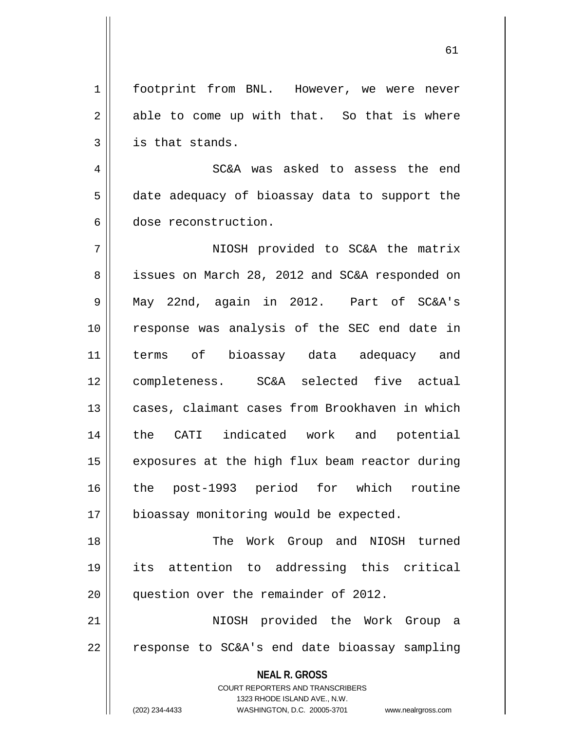61

1 | footprint from BNL. However, we were never  $2 \parallel$  able to come up with that. So that is where  $3 \parallel$  is that stands.

4 SC&A was asked to assess the end 5 date adequacy of bioassay data to support the 6 dose reconstruction.

 NIOSH provided to SC&A the matrix 8 || issues on March 28, 2012 and SC&A responded on May 22nd, again in 2012. Part of SC&A's 10 || response was analysis of the SEC end date in terms of bioassay data adequacy and completeness. SC&A selected five actual 13 || cases, claimant cases from Brookhaven in which the CATI indicated work and potential  $\parallel$  exposures at the high flux beam reactor during the post-1993 period for which routine 17 | bioassay monitoring would be expected.

18 The Work Group and NIOSH turned 19 its attention to addressing this critical 20 | question over the remainder of 2012.

21 NIOSH provided the Work Group a  $22 \parallel$  response to SC&A's end date bioassay sampling

> **NEAL R. GROSS** COURT REPORTERS AND TRANSCRIBERS

1323 RHODE ISLAND AVE., N.W. (202) 234-4433 WASHINGTON, D.C. 20005-3701 www.nealrgross.com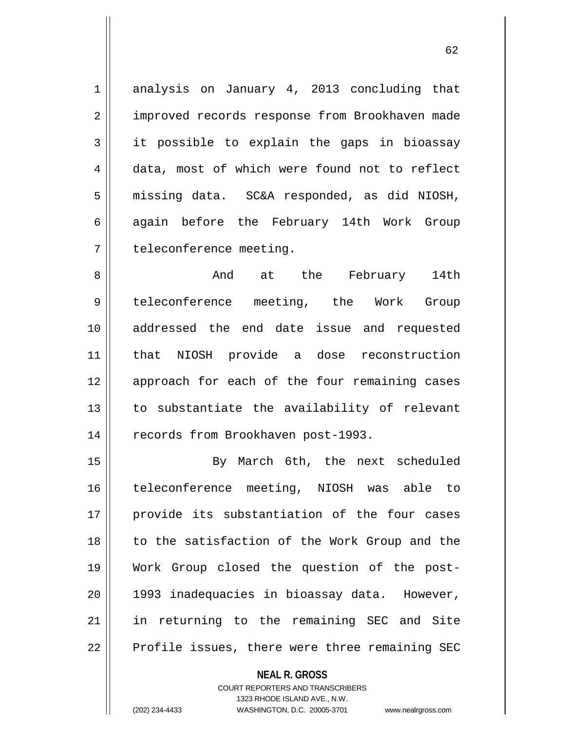1 analysis on January 4, 2013 concluding that 2 | improved records response from Brookhaven made 3 it possible to explain the gaps in bioassay 4 data, most of which were found not to reflect 5 | missing data. SC&A responded, as did NIOSH, 6 again before the February 14th Work Group 7 | teleconference meeting.

8 and at the February 14th 9 teleconference meeting, the Work Group 10 addressed the end date issue and requested 11 that NIOSH provide a dose reconstruction 12 || approach for each of the four remaining cases 13 to substantiate the availability of relevant 14 | records from Brookhaven post-1993.

15 || By March 6th, the next scheduled teleconference meeting, NIOSH was able to provide its substantiation of the four cases 18 || to the satisfaction of the Work Group and the Work Group closed the question of the post- 1993 inadequacies in bioassay data. However, in returning to the remaining SEC and Site 22 || Profile issues, there were three remaining SEC

## **NEAL R. GROSS**

COURT REPORTERS AND TRANSCRIBERS 1323 RHODE ISLAND AVE., N.W. (202) 234-4433 WASHINGTON, D.C. 20005-3701 www.nealrgross.com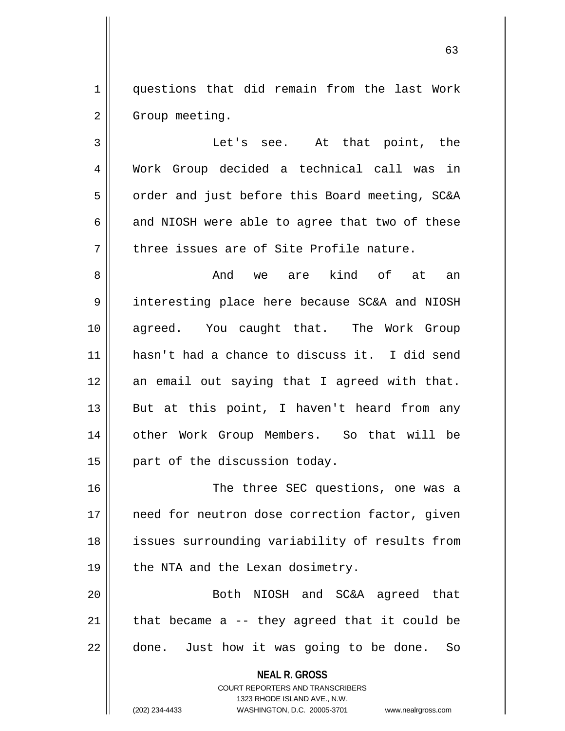1 questions that did remain from the last Work 2 | Group meeting.

3 Let's see. At that point, the 4 Work Group decided a technical call was in 5 | order and just before this Board meeting, SC&A 6  $\parallel$  and NIOSH were able to agree that two of these  $7 \parallel$  three issues are of Site Profile nature.

 And we are kind of at an 9 || interesting place here because SC&A and NIOSH agreed. You caught that. The Work Group hasn't had a chance to discuss it. I did send 12 || an email out saying that I agreed with that.  $\parallel$  But at this point, I haven't heard from any 14 || other Work Group Members. So that will be | part of the discussion today.

16 The three SEC questions, one was a 17 || need for neutron dose correction factor, given 18 || issues surrounding variability of results from 19 || the NTA and the Lexan dosimetry.

20 Both NIOSH and SC&A agreed that 21  $\parallel$  that became a -- they agreed that it could be  $22$  || done. Just how it was going to be done. So

> **NEAL R. GROSS** COURT REPORTERS AND TRANSCRIBERS

> > 1323 RHODE ISLAND AVE., N.W.

(202) 234-4433 WASHINGTON, D.C. 20005-3701 www.nealrgross.com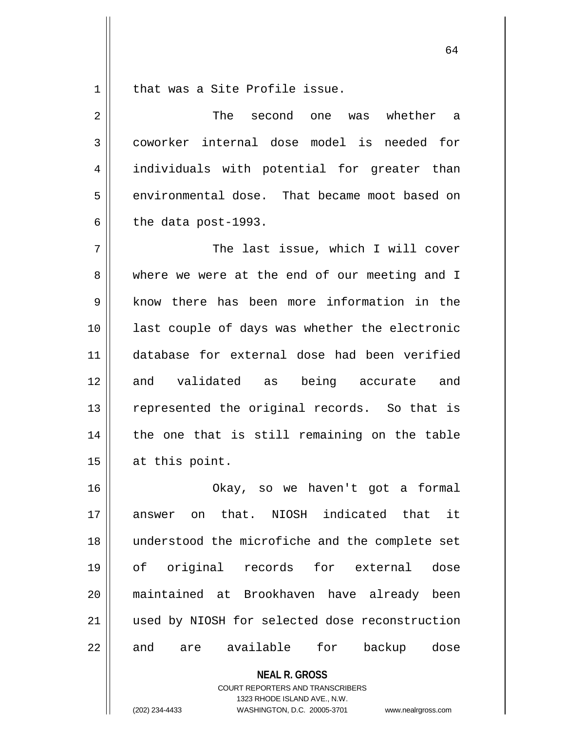1 || that was a Site Profile issue.

2 The second one was whether a 3 coworker internal dose model is needed for 4 || individuals with potential for greater than 5 | environmental dose. That became moot based on  $6 \parallel$  the data post-1993. 7 The last issue, which I will cover 8 where we were at the end of our meeting and I 9 know there has been more information in the 10 last couple of days was whether the electronic 11 database for external dose had been verified 12 and validated as being accurate and 13 || represented the original records. So that is 14 || the one that is still remaining on the table  $15$  at this point. 16 Okay, so we haven't got a formal 17 answer on that. NIOSH indicated that it 18 understood the microfiche and the complete set 19 of original records for external dose

> **NEAL R. GROSS** COURT REPORTERS AND TRANSCRIBERS 1323 RHODE ISLAND AVE., N.W.

20 maintained at Brookhaven have already been

21 || used by NIOSH for selected dose reconstruction

22 and are available for backup dose

(202) 234-4433 WASHINGTON, D.C. 20005-3701 www.nealrgross.com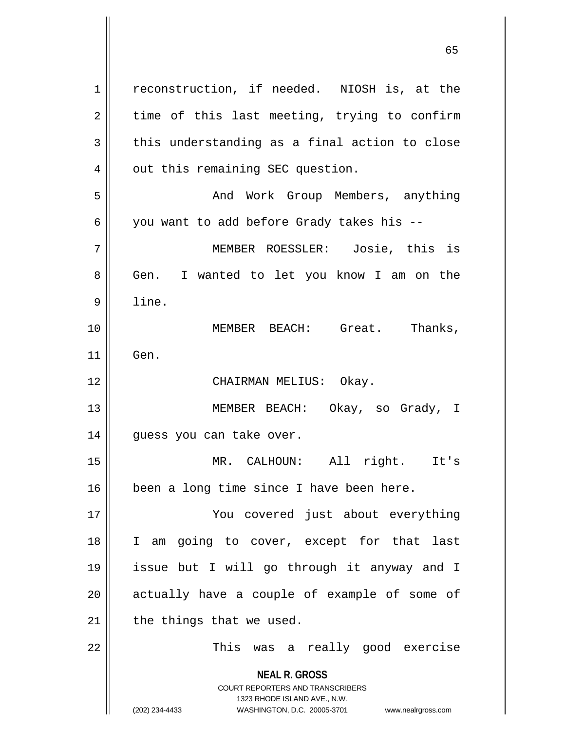**NEAL R. GROSS** COURT REPORTERS AND TRANSCRIBERS 1323 RHODE ISLAND AVE., N.W. (202) 234-4433 WASHINGTON, D.C. 20005-3701 www.nealrgross.com 1 | reconstruction, if needed. NIOSH is, at the  $2 \parallel$  time of this last meeting, trying to confirm  $3 \parallel$  this understanding as a final action to close 4 | out this remaining SEC question. 5 And Work Group Members, anything 6 || you want to add before Grady takes his --7 MEMBER ROESSLER: Josie, this is 8 || Gen. I wanted to let you know I am on the 9 line. 10 MEMBER BEACH: Great. Thanks, 11 Gen. 12 || CHAIRMAN MELIUS: Okay. 13 MEMBER BEACH: Okay, so Grady, I 14 || guess you can take over. 15 MR. CALHOUN: All right. It's 16 || been a long time since I have been here. 17 You covered just about everything 18 I am going to cover, except for that last 19 issue but I will go through it anyway and I 20 || actually have a couple of example of some of  $21$  | the things that we used. 22 This was a really good exercise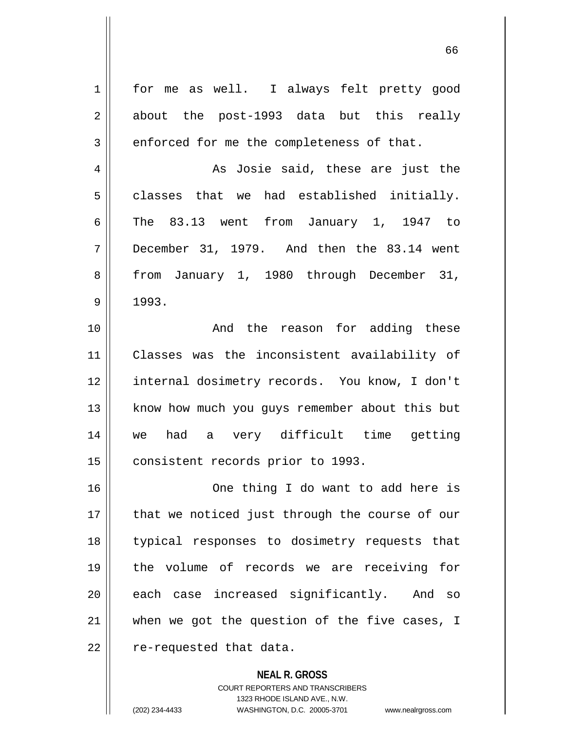| $\mathbf 1$ | for me as well. I always felt pretty good      |
|-------------|------------------------------------------------|
| 2           | about the post-1993 data but this really       |
| 3           | enforced for me the completeness of that.      |
| 4           | As Josie said, these are just the              |
| 5           | classes that we had established initially.     |
| 6           | The 83.13 went from January 1, 1947 to         |
| 7           | December 31, 1979. And then the 83.14 went     |
| 8           | from January 1, 1980 through December 31,      |
| 9           | 1993.                                          |
| 10          | And the reason for adding these                |
| 11          | Classes was the inconsistent availability of   |
| 12          | internal dosimetry records. You know, I don't  |
| 13          | know how much you guys remember about this but |
| 14          | we had a very difficult time getting           |
| 15          | consistent records prior to 1993.              |
| 16          | One thing I do want to add here is             |
| 17          | that we noticed just through the course of our |
| 18          | typical responses to dosimetry requests that   |
| 19          | the volume of records we are receiving for     |
| 20          | each case increased significantly. And so      |
| 21          | when we got the question of the five cases, I  |
| 22          | re-requested that data.                        |
|             | <b>NEAL R. GROSS</b>                           |

COURT REPORTERS AND TRANSCRIBERS 1323 RHODE ISLAND AVE., N.W.

(202) 234-4433 WASHINGTON, D.C. 20005-3701 www.nealrgross.com

 $\mathsf{I}$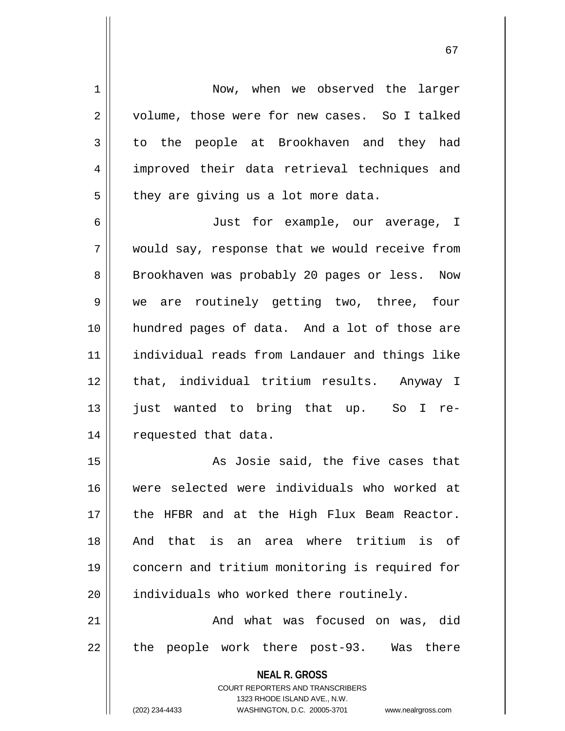**NEAL R. GROSS** COURT REPORTERS AND TRANSCRIBERS 1323 RHODE ISLAND AVE., N.W. (202) 234-4433 WASHINGTON, D.C. 20005-3701 www.nealrgross.com 1 | Now, when we observed the larger 2 | volume, those were for new cases. So I talked 3 to the people at Brookhaven and they had 4 improved their data retrieval techniques and  $5 \parallel$  they are giving us a lot more data. 6 Just for example, our average, I 7 would say, response that we would receive from 8 || Brookhaven was probably 20 pages or less. Now 9 We are routinely getting two, three, four 10 hundred pages of data. And a lot of those are 11 individual reads from Landauer and things like 12 || that, individual tritium results. Anyway I 13 just wanted to bring that up. So I re-14 | requested that data. 15 || As Josie said, the five cases that 16 were selected were individuals who worked at 17 || the HFBR and at the High Flux Beam Reactor. 18 And that is an area where tritium is of 19 concern and tritium monitoring is required for 20 | individuals who worked there routinely. 21 And what was focused on was, did 22 || the people work there post-93. Was there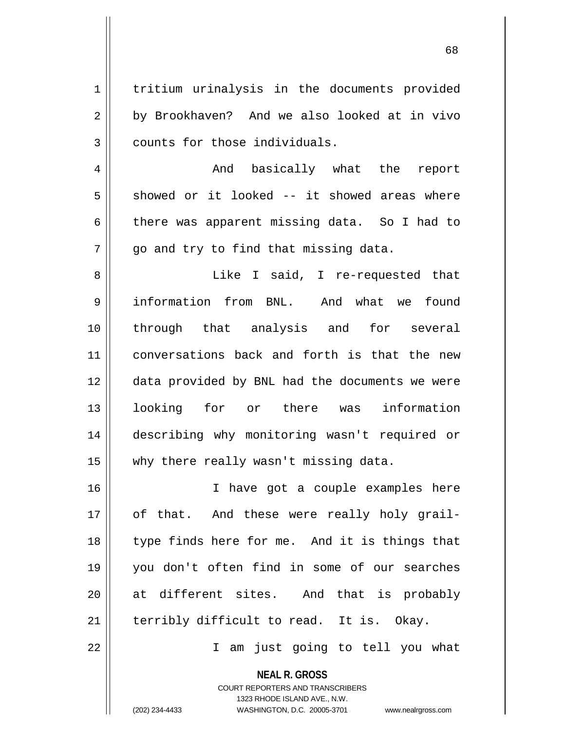1 | tritium urinalysis in the documents provided 2 by Brookhaven? And we also looked at in vivo  $3$  | counts for those individuals.

4 And basically what the report  $5 \parallel$  showed or it looked -- it showed areas where 6 there was apparent missing data. So I had to  $7 \parallel$  go and try to find that missing data.

8 || Like I said, I re-requested that information from BNL. And what we found through that analysis and for several conversations back and forth is that the new data provided by BNL had the documents we were looking for or there was information describing why monitoring wasn't required or why there really wasn't missing data.

16 || I have got a couple examples here 17 || of that. And these were really holy grail-18 || type finds here for me. And it is things that 19 you don't often find in some of our searches 20 at different sites. And that is probably 21  $\parallel$  terribly difficult to read. It is. Okay.

22 I am just going to tell you what

**NEAL R. GROSS** COURT REPORTERS AND TRANSCRIBERS

1323 RHODE ISLAND AVE., N.W.

(202) 234-4433 WASHINGTON, D.C. 20005-3701 www.nealrgross.com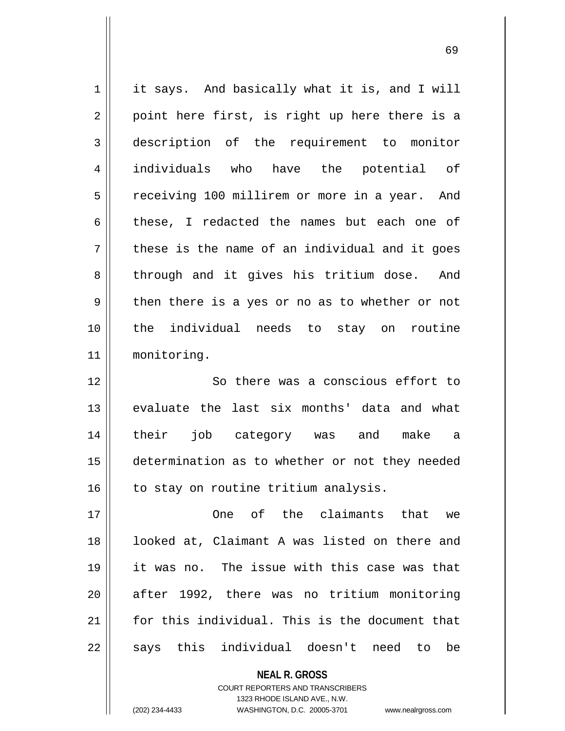$1 \parallel$  it says. And basically what it is, and I will  $2 \parallel$  point here first, is right up here there is a 3 description of the requirement to monitor 4 individuals who have the potential of 5 | receiving 100 millirem or more in a year. And 6 these, I redacted the names but each one of  $7 \parallel$  these is the name of an individual and it goes 8 || through and it gives his tritium dose. And  $9 \parallel$  then there is a yes or no as to whether or not 10 the individual needs to stay on routine 11 monitoring. 12 || So there was a conscious effort to 13 evaluate the last six months' data and what 14 their job category was and make a 15 determination as to whether or not they needed  $16$  to stay on routine tritium analysis. 17 One of the claimants that we 18 || looked at, Claimant A was listed on there and 19 it was no. The issue with this case was that 20 after 1992, there was no tritium monitoring 21 for this individual. This is the document that  $22$  || says this individual doesn't need to be

> **NEAL R. GROSS** COURT REPORTERS AND TRANSCRIBERS

1323 RHODE ISLAND AVE., N.W. (202) 234-4433 WASHINGTON, D.C. 20005-3701 www.nealrgross.com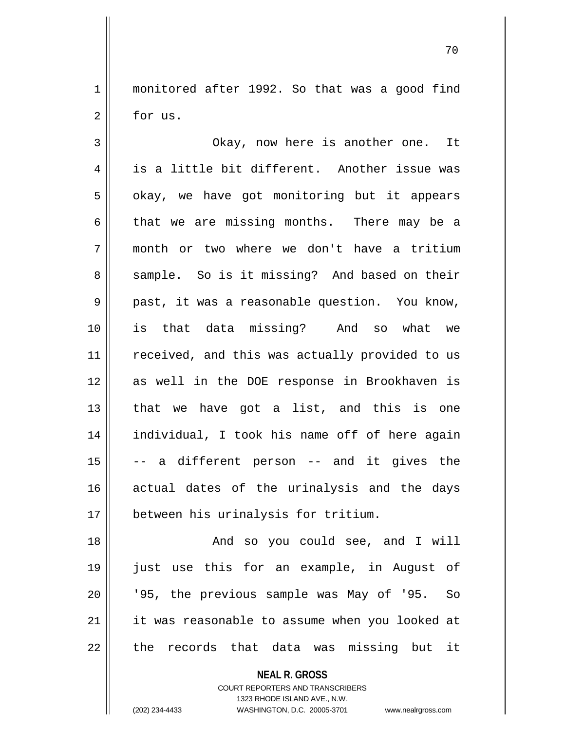1 monitored after 1992. So that was a good find  $2 \parallel$  for us.

3 Okay, now here is another one. It  $4 \parallel$  is a little bit different. Another issue was  $5 \parallel$  okay, we have got monitoring but it appears 6 that we are missing months. There may be a 7 month or two where we don't have a tritium 8 || sample. So is it missing? And based on their  $9 \parallel$  past, it was a reasonable question. You know, 10 is that data missing? And so what we 11 || received, and this was actually provided to us 12 as well in the DOE response in Brookhaven is  $13$  || that we have got a list, and this is one 14 individual, I took his name off of here again  $15$   $\vert$  -- a different person -- and it gives the 16 actual dates of the urinalysis and the days 17 || between his urinalysis for tritium.

 And so you could see, and I will just use this for an example, in August of 20 || '95, the previous sample was May of '95. So it was reasonable to assume when you looked at || the records that data was missing but it

**NEAL R. GROSS**

COURT REPORTERS AND TRANSCRIBERS 1323 RHODE ISLAND AVE., N.W. (202) 234-4433 WASHINGTON, D.C. 20005-3701 www.nealrgross.com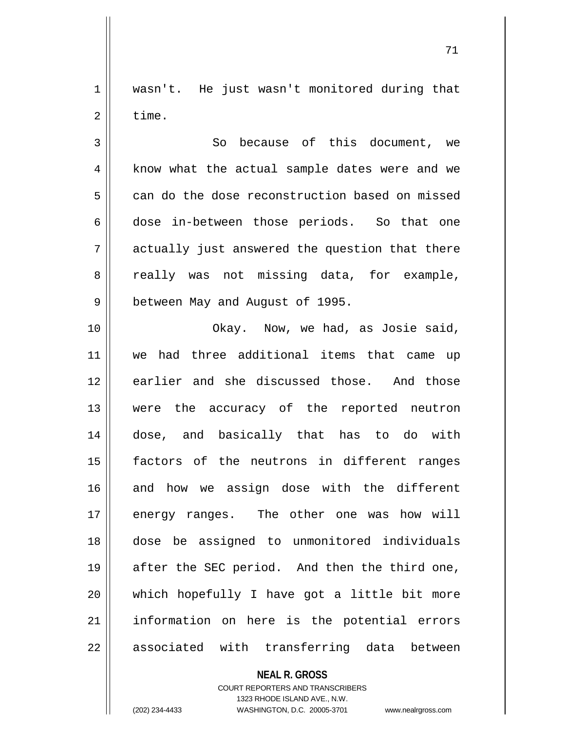1 || wasn't. He just wasn't monitored during that  $2 \parallel$  time.

3 || So because of this document, we 4 || know what the actual sample dates were and we 5 can do the dose reconstruction based on missed 6 dose in-between those periods. So that one  $7 \parallel$  actually just answered the question that there 8 a really was not missing data, for example, 9 || between May and August of 1995.

10 || Chay. Now, we had, as Josie said, 11 we had three additional items that came up 12 earlier and she discussed those. And those 13 were the accuracy of the reported neutron 14 dose, and basically that has to do with 15 factors of the neutrons in different ranges 16 and how we assign dose with the different 17 energy ranges. The other one was how will 18 dose be assigned to unmonitored individuals 19 || after the SEC period. And then the third one,  $20$  || which hopefully I have got a little bit more 21 || information on here is the potential errors 22 || associated with transferring data between

**NEAL R. GROSS**

COURT REPORTERS AND TRANSCRIBERS 1323 RHODE ISLAND AVE., N.W. (202) 234-4433 WASHINGTON, D.C. 20005-3701 www.nealrgross.com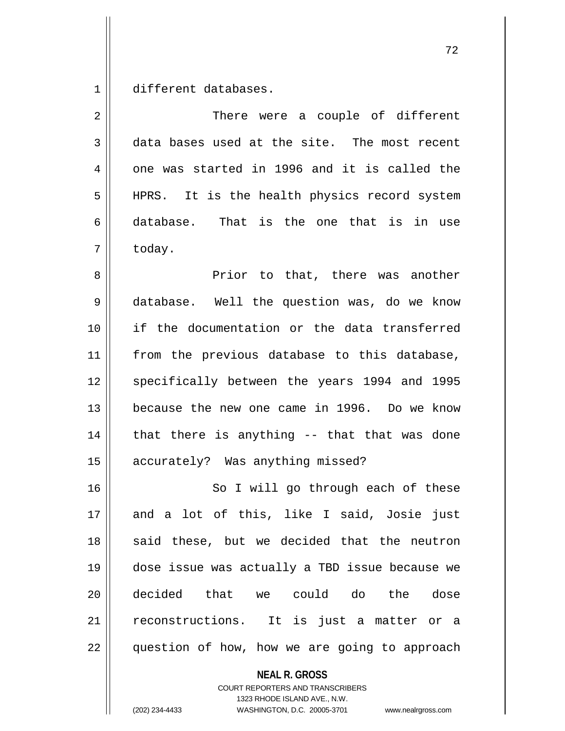1 different databases.

| $\overline{2}$ | There were a couple of different               |
|----------------|------------------------------------------------|
| 3              | data bases used at the site. The most recent   |
| 4              | one was started in 1996 and it is called the   |
| 5              | HPRS. It is the health physics record system   |
| 6              | database. That is the one that is in use       |
| 7              | today.                                         |
| 8              | Prior to that, there was another               |
| 9              | database. Well the question was, do we know    |
| 10             | if the documentation or the data transferred   |
| 11             | from the previous database to this database,   |
| 12             | specifically between the years 1994 and 1995   |
| 13             | because the new one came in 1996. Do we know   |
| 14             | that there is anything -- that that was done   |
| 15             | accurately? Was anything missed?               |
| 16             | So I will go through each of these             |
| 17             | and a lot of this, like I said, Josie just     |
| 18             | said these, but we decided that the neutron    |
| 19             | dose issue was actually a TBD issue because we |
| 20             | decided that we could do the dose              |
| 21             | reconstructions. It is just a matter or a      |
| 22             | question of how, how we are going to approach  |

**NEAL R. GROSS**

COURT REPORTERS AND TRANSCRIBERS 1323 RHODE ISLAND AVE., N.W. (202) 234-4433 WASHINGTON, D.C. 20005-3701 www.nealrgross.com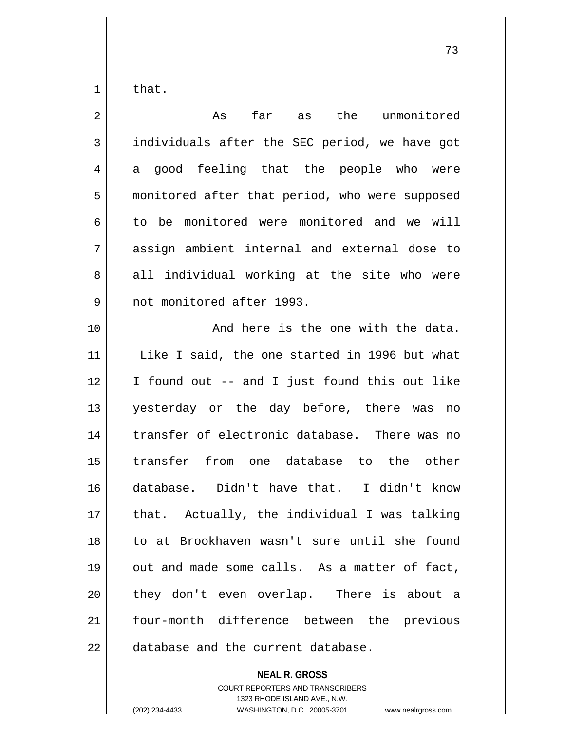that.

| $\overline{2}$ | far<br>as the<br>As<br>unmonitored             |
|----------------|------------------------------------------------|
| 3              | individuals after the SEC period, we have got  |
| 4              | a good feeling that the people who were        |
| 5              | monitored after that period, who were supposed |
| 6              | to be monitored were monitored and we will     |
| 7              | assign ambient internal and external dose to   |
| 8              | all individual working at the site who were    |
| 9              | not monitored after 1993.                      |
| 10             | And here is the one with the data.             |
| 11             | Like I said, the one started in 1996 but what  |
| 12             | I found out -- and I just found this out like  |
| 13             | yesterday or the day before, there was no      |
| 14             | transfer of electronic database. There was no  |
| 15             | transfer from one database to the other        |
| 16             | database. Didn't have that. I didn't know      |
| 17             | that. Actually, the individual I was talking   |
| 18             | to at Brookhaven wasn't sure until she found   |
| 19             | out and made some calls. As a matter of fact,  |
| 20             | they don't even overlap. There is about a      |
| 21             | four-month difference between the previous     |
| 22             | database and the current database.             |

**NEAL R. GROSS**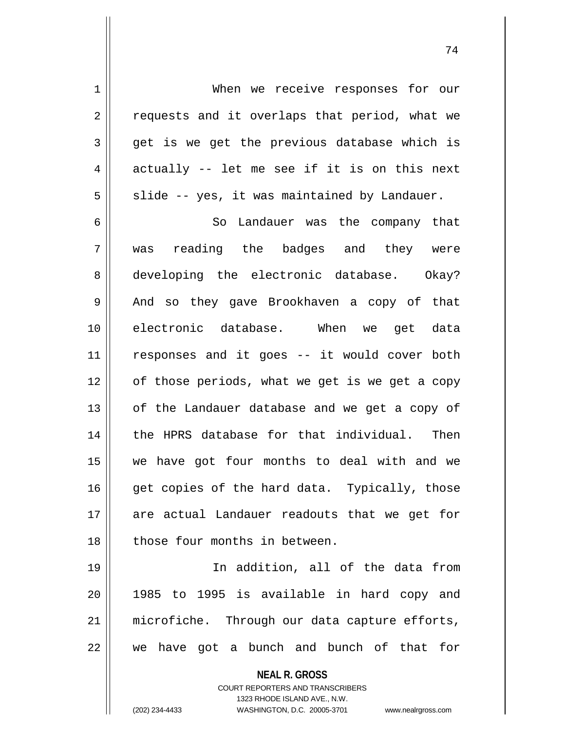1 When we receive responses for our 2 || requests and it overlaps that period, what we  $3 \parallel$  get is we get the previous database which is  $4 \parallel$  actually -- let me see if it is on this next  $5 \parallel$  slide -- yes, it was maintained by Landauer.

6 || So Landauer was the company that 7 was reading the badges and they were 8 developing the electronic database. Okay? 9 || And so they gave Brookhaven a copy of that 10 electronic database. When we get data 11 responses and it goes -- it would cover both 12 || of those periods, what we get is we get a copy  $13$  | of the Landauer database and we get a copy of 14 || the HPRS database for that individual. Then 15 we have got four months to deal with and we  $16$  || get copies of the hard data. Typically, those 17 are actual Landauer readouts that we get for 18 || those four months in between.

 In addition, all of the data from 1985 to 1995 is available in hard copy and 21 || microfiche. Through our data capture efforts, || we have got a bunch and bunch of that for

> **NEAL R. GROSS** COURT REPORTERS AND TRANSCRIBERS 1323 RHODE ISLAND AVE., N.W. (202) 234-4433 WASHINGTON, D.C. 20005-3701 www.nealrgross.com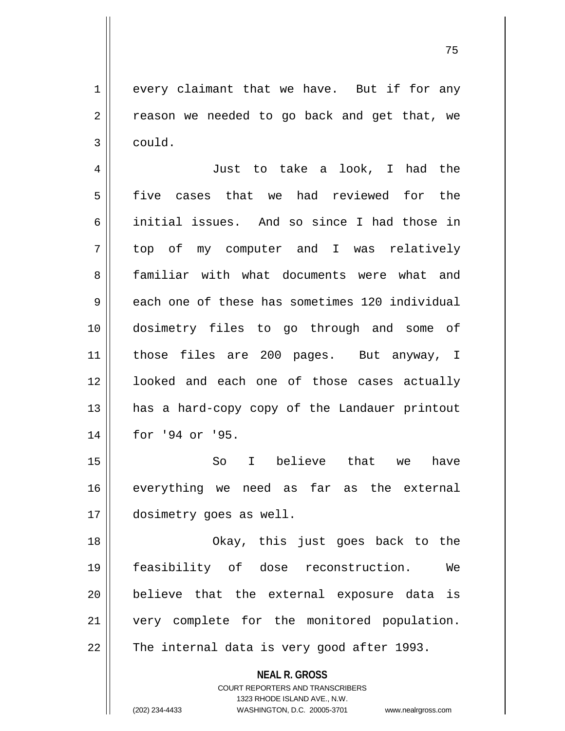$1 \parallel$  every claimant that we have. But if for any  $2 \parallel$  reason we needed to go back and get that, we  $3 \parallel$  could.

4 || Just to take a look, I had the 5 five cases that we had reviewed for the 6 initial issues. And so since I had those in 7 top of my computer and I was relatively 8 familiar with what documents were what and 9 each one of these has sometimes 120 individual 10 dosimetry files to go through and some of 11 those files are 200 pages. But anyway, I 12 || looked and each one of those cases actually 13 || has a hard-copy copy of the Landauer printout 14 || for '94 or '95.

15 So I believe that we have 16 || everything we need as far as the external 17 dosimetry goes as well.

18 Okay, this just goes back to the 19 feasibility of dose reconstruction. We 20 || believe that the external exposure data is 21 || very complete for the monitored population.  $22$  | The internal data is very good after 1993.

**NEAL R. GROSS**

COURT REPORTERS AND TRANSCRIBERS 1323 RHODE ISLAND AVE., N.W. (202) 234-4433 WASHINGTON, D.C. 20005-3701 www.nealrgross.com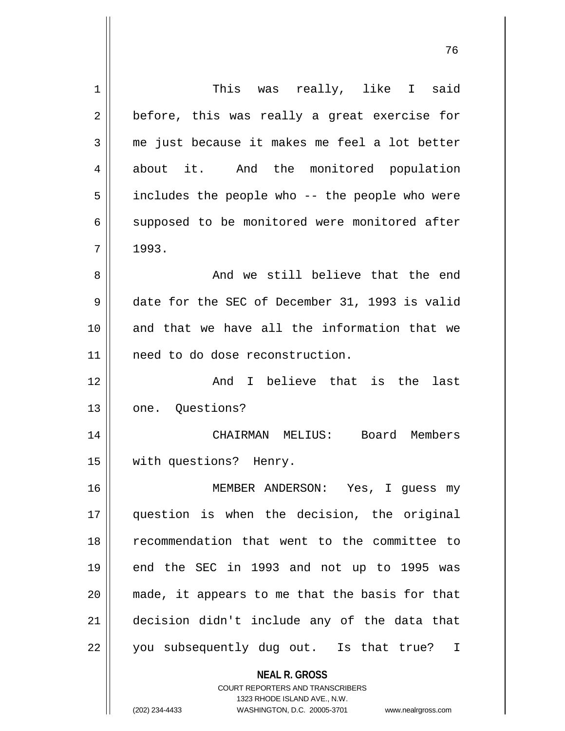| 1  | This was really, like I said                                        |
|----|---------------------------------------------------------------------|
| 2  | before, this was really a great exercise for                        |
| 3  | me just because it makes me feel a lot better                       |
| 4  | about it. And the monitored population                              |
| 5  | includes the people who -- the people who were                      |
| 6  | supposed to be monitored were monitored after                       |
| 7  | 1993.                                                               |
| 8  | And we still believe that the end                                   |
| 9  | date for the SEC of December 31, 1993 is valid                      |
| 10 | and that we have all the information that we                        |
| 11 | need to do dose reconstruction.                                     |
| 12 | And I believe that is the<br>last                                   |
| 13 | one. Questions?                                                     |
| 14 | CHAIRMAN MELIUS:<br>Board Members                                   |
| 15 | with questions? Henry.                                              |
| 16 | MEMBER ANDERSON: Yes, I quess my                                    |
| 17 | question is when the decision, the original                         |
| 18 | recommendation that went to the committee to                        |
| 19 | end the SEC in 1993 and not up to 1995 was                          |
| 20 | made, it appears to me that the basis for that                      |
| 21 | decision didn't include any of the data that                        |
| 22 | you subsequently dug out. Is that true?<br>I                        |
|    | <b>NEAL R. GROSS</b>                                                |
|    | COURT REPORTERS AND TRANSCRIBERS                                    |
|    | 1323 RHODE ISLAND AVE., N.W.                                        |
|    | (202) 234-4433<br>WASHINGTON, D.C. 20005-3701<br>www.nealrgross.com |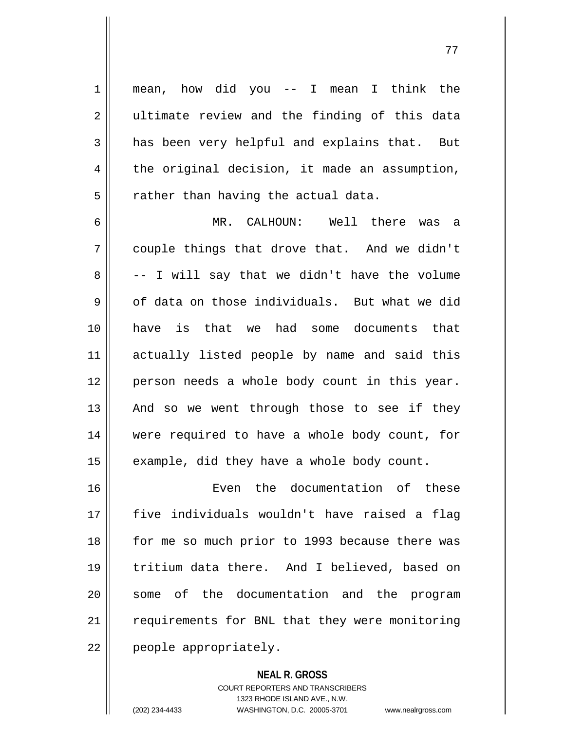1 mean, how did you -- I mean I think the 2 || ultimate review and the finding of this data  $3 \parallel$  has been very helpful and explains that. But  $4 \parallel$  the original decision, it made an assumption,  $5$  || rather than having the actual data.

 MR. CALHOUN: Well there was a  $7 \parallel$  couple things that drove that. And we didn't  $8 \parallel$  -- I will say that we didn't have the volume  $9 \parallel$  of data on those individuals. But what we did have is that we had some documents that actually listed people by name and said this person needs a whole body count in this year. || And so we went through those to see if they were required to have a whole body count, for | example, did they have a whole body count.

16 Even the documentation of these 17 five individuals wouldn't have raised a flag 18 || for me so much prior to 1993 because there was 19 tritium data there. And I believed, based on 20 || some of the documentation and the program 21 | requirements for BNL that they were monitoring 22 | people appropriately.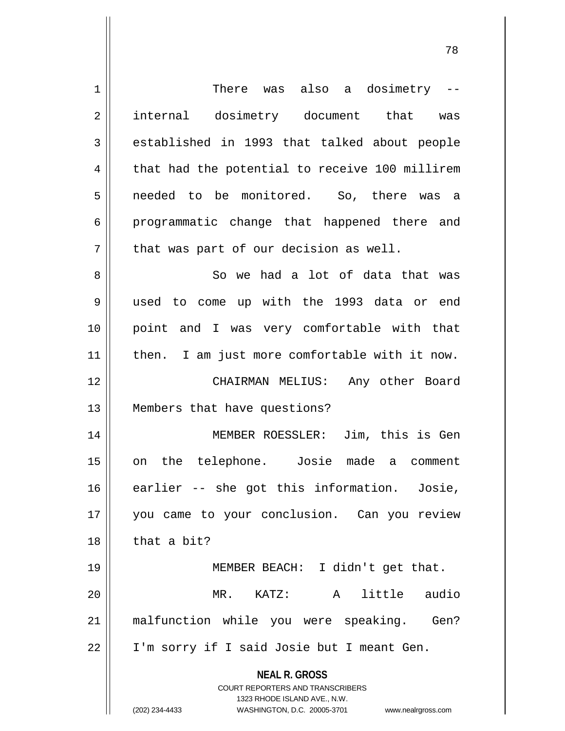| $\mathbf 1$    | There was also a dosimetry $-$                                                                                                                                         |
|----------------|------------------------------------------------------------------------------------------------------------------------------------------------------------------------|
| $\overline{2}$ | internal dosimetry document that was                                                                                                                                   |
|                |                                                                                                                                                                        |
| 3              | established in 1993 that talked about people                                                                                                                           |
| $\overline{4}$ | that had the potential to receive 100 millirem                                                                                                                         |
| 5              | needed to be monitored. So, there was<br>- a                                                                                                                           |
| 6              | programmatic change that happened there and                                                                                                                            |
| 7              | that was part of our decision as well.                                                                                                                                 |
| 8              | So we had a lot of data that was                                                                                                                                       |
| 9              | used to come up with the 1993 data or end                                                                                                                              |
| 10             | point and I was very comfortable with that                                                                                                                             |
| 11             | then. I am just more comfortable with it now.                                                                                                                          |
| 12             | CHAIRMAN MELIUS: Any other Board                                                                                                                                       |
| 13             | Members that have questions?                                                                                                                                           |
| 14             | MEMBER ROESSLER: Jim, this is Gen                                                                                                                                      |
|                |                                                                                                                                                                        |
| 15             | the telephone. Josie made a comment<br>on                                                                                                                              |
| 16             | earlier -- she got this information. Josie,                                                                                                                            |
| 17             | you came to your conclusion. Can you review                                                                                                                            |
| 18             | that a bit?                                                                                                                                                            |
| 19             | MEMBER BEACH: I didn't get that.                                                                                                                                       |
| 20             | MR. KATZ: A<br>little audio                                                                                                                                            |
| 21             | malfunction while you were speaking. Gen?                                                                                                                              |
| 22             | I'm sorry if I said Josie but I meant Gen.                                                                                                                             |
|                | <b>NEAL R. GROSS</b><br><b>COURT REPORTERS AND TRANSCRIBERS</b><br>1323 RHODE ISLAND AVE., N.W.<br>(202) 234-4433<br>WASHINGTON, D.C. 20005-3701<br>www.nealrgross.com |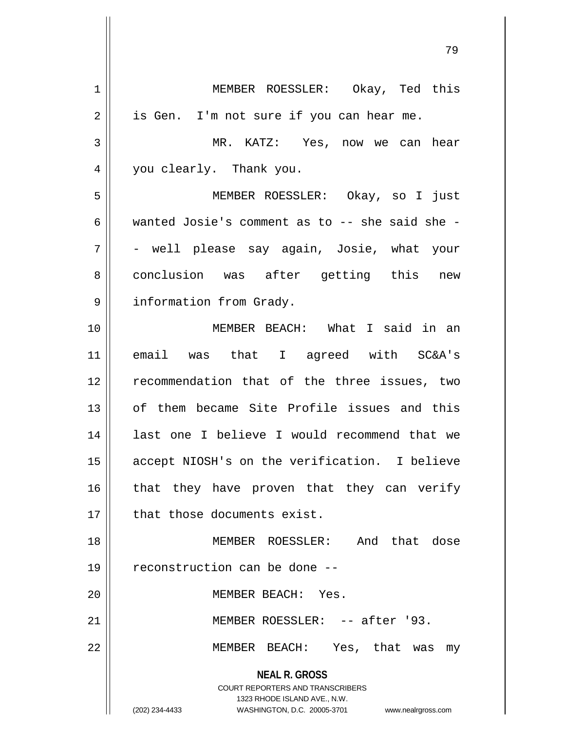**NEAL R. GROSS** COURT REPORTERS AND TRANSCRIBERS 1323 RHODE ISLAND AVE., N.W. (202) 234-4433 WASHINGTON, D.C. 20005-3701 www.nealrgross.com 1 MEMBER ROESSLER: Okay, Ted this  $2 \parallel$  is Gen. I'm not sure if you can hear me. 3 MR. KATZ: Yes, now we can hear 4 || you clearly. Thank you. 5 MEMBER ROESSLER: Okay, so I just 6 wanted Josie's comment as to -- she said she -7 - well please say again, Josie, what your 8 conclusion was after getting this new 9 | information from Grady. 10 MEMBER BEACH: What I said in an 11 email was that I agreed with SC&A's 12 || recommendation that of the three issues, two 13 || of them became Site Profile issues and this 14 || last one I believe I would recommend that we 15 accept NIOSH's on the verification. I believe 16 that they have proven that they can verify 17 || that those documents exist. 18 MEMBER ROESSLER: And that dose 19 reconstruction can be done -- 20 MEMBER BEACH: Yes. 21 MEMBER ROESSLER: -- after '93. 22 MEMBER BEACH: Yes, that was my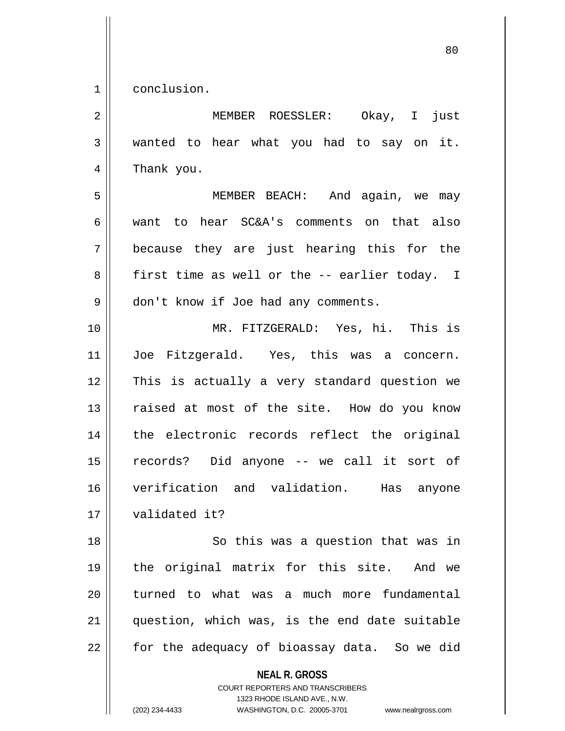1 conclusion.

| $\sqrt{2}$ | MEMBER ROESSLER: Okay, I<br>just                                                                                                                                       |
|------------|------------------------------------------------------------------------------------------------------------------------------------------------------------------------|
| 3          | wanted to hear what you had to say on it.                                                                                                                              |
| 4          | Thank you.                                                                                                                                                             |
| 5          | MEMBER BEACH: And again, we may                                                                                                                                        |
| 6          | to hear SC&A's comments on that also<br>want                                                                                                                           |
| 7          | because they are just hearing this for the                                                                                                                             |
| 8          | first time as well or the -- earlier today. I                                                                                                                          |
| 9          | don't know if Joe had any comments.                                                                                                                                    |
| 10         | MR. FITZGERALD: Yes, hi. This is                                                                                                                                       |
| 11         | Joe Fitzgerald. Yes, this was a concern.                                                                                                                               |
| 12         | This is actually a very standard question we                                                                                                                           |
| 13         | raised at most of the site. How do you know                                                                                                                            |
| 14         | the electronic records reflect the original                                                                                                                            |
| 15         | records? Did anyone -- we call it sort of                                                                                                                              |
| 16         | verification and validation.<br>Has<br>anyone                                                                                                                          |
| 17         | validated it?                                                                                                                                                          |
| 18         | So this was a question that was in                                                                                                                                     |
| 19         | the original matrix for this site. And we                                                                                                                              |
| 20         | turned to what was a much more fundamental                                                                                                                             |
| 21         | question, which was, is the end date suitable                                                                                                                          |
| 22         | for the adequacy of bioassay data. So we did                                                                                                                           |
|            | <b>NEAL R. GROSS</b><br><b>COURT REPORTERS AND TRANSCRIBERS</b><br>1323 RHODE ISLAND AVE., N.W.<br>(202) 234-4433<br>WASHINGTON, D.C. 20005-3701<br>www.nealrgross.com |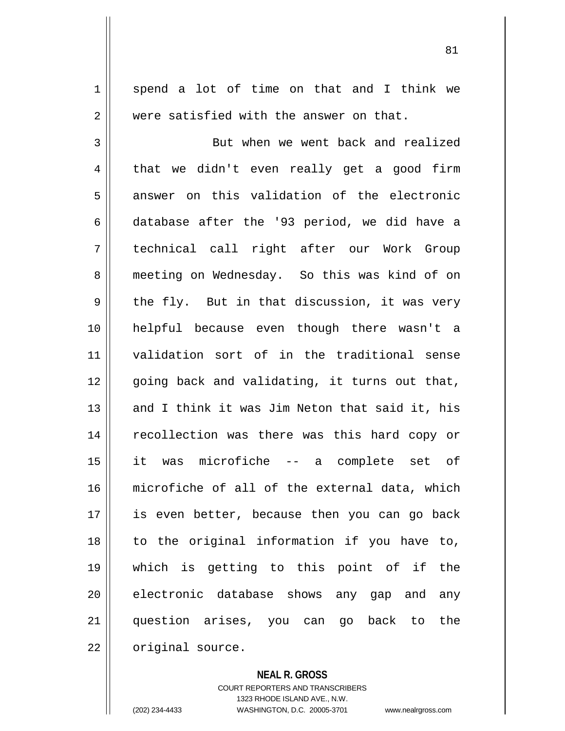1 spend a lot of time on that and I think we 2 Were satisfied with the answer on that. 3 || But when we went back and realized  $4 \parallel$  that we didn't even really get a good firm 5 answer on this validation of the electronic 6 database after the '93 period, we did have a 7 technical call right after our Work Group 8 meeting on Wednesday. So this was kind of on  $9 \parallel$  the fly. But in that discussion, it was very 10 helpful because even though there wasn't a 11 validation sort of in the traditional sense  $12$  | going back and validating, it turns out that, 13 || and I think it was Jim Neton that said it, his 14 || recollection was there was this hard copy or 15 it was microfiche -- a complete set of 16 microfiche of all of the external data, which 17 || is even better, because then you can go back  $18$  to the original information if you have to, 19 which is getting to this point of if the 20 electronic database shows any gap and any 21 question arises, you can go back to the 22 | original source.

**NEAL R. GROSS**

COURT REPORTERS AND TRANSCRIBERS 1323 RHODE ISLAND AVE., N.W. (202) 234-4433 WASHINGTON, D.C. 20005-3701 www.nealrgross.com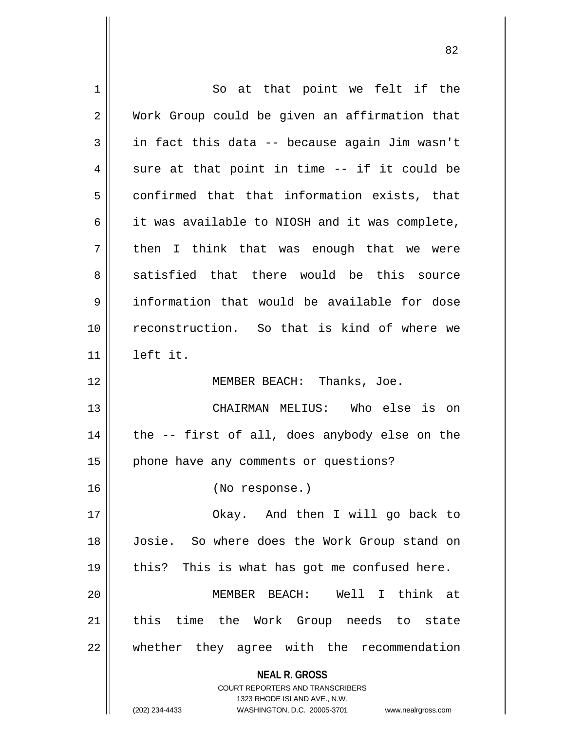| So at that point we felt if the                                                                                                                                 |
|-----------------------------------------------------------------------------------------------------------------------------------------------------------------|
| Work Group could be given an affirmation that                                                                                                                   |
| in fact this data -- because again Jim wasn't                                                                                                                   |
| sure at that point in time -- if it could be                                                                                                                    |
| confirmed that that information exists, that                                                                                                                    |
| it was available to NIOSH and it was complete,                                                                                                                  |
| then I think that was enough that we were                                                                                                                       |
| satisfied that there would be this source                                                                                                                       |
| information that would be available for dose                                                                                                                    |
| reconstruction. So that is kind of where we                                                                                                                     |
| left it.                                                                                                                                                        |
| MEMBER BEACH: Thanks, Joe.                                                                                                                                      |
| CHAIRMAN MELIUS: Who else is on                                                                                                                                 |
| the -- first of all, does anybody else on the                                                                                                                   |
| phone have any comments or questions?                                                                                                                           |
| (No response.)                                                                                                                                                  |
| Okay. And then I will go back to                                                                                                                                |
| Josie. So where does the Work Group stand on                                                                                                                    |
| this? This is what has got me confused here.                                                                                                                    |
| MEMBER BEACH: Well I think at                                                                                                                                   |
| this time the Work Group needs to state                                                                                                                         |
| whether they agree with the recommendation                                                                                                                      |
| <b>NEAL R. GROSS</b><br>COURT REPORTERS AND TRANSCRIBERS<br>1323 RHODE ISLAND AVE., N.W.<br>(202) 234-4433<br>WASHINGTON, D.C. 20005-3701<br>www.nealrgross.com |
|                                                                                                                                                                 |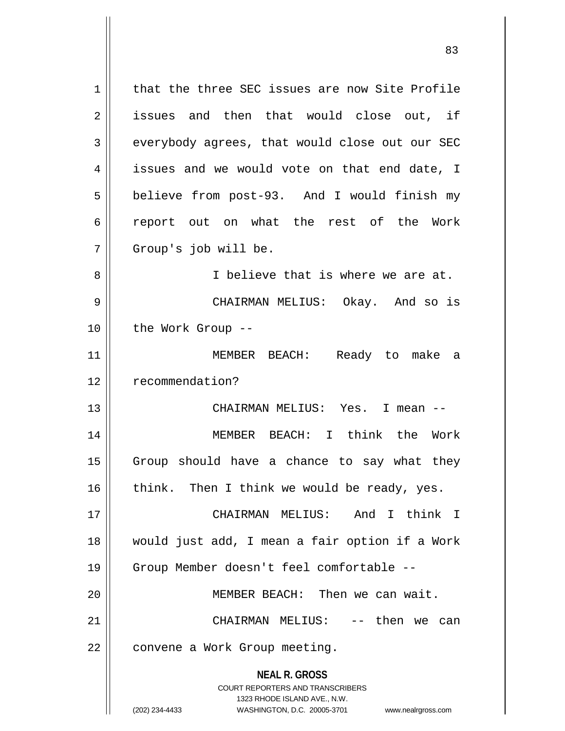**NEAL R. GROSS** COURT REPORTERS AND TRANSCRIBERS 1323 RHODE ISLAND AVE., N.W. (202) 234-4433 WASHINGTON, D.C. 20005-3701 www.nealrgross.com 1 | that the three SEC issues are now Site Profile 2 || issues and then that would close out, if 3 everybody agrees, that would close out our SEC  $4 \parallel$  issues and we would vote on that end date, I 5 | believe from post-93. And I would finish my 6 contract out on what the rest of the Work 7 Group's job will be. 8 || I believe that is where we are at. 9 CHAIRMAN MELIUS: Okay. And so is 10 || the Work Group --11 MEMBER BEACH: Ready to make a 12 | recommendation? 13 CHAIRMAN MELIUS: Yes. I mean -- 14 || MEMBER BEACH: I think the Work 15 || Group should have a chance to say what they 16  $\parallel$  think. Then I think we would be ready, yes. 17 CHAIRMAN MELIUS: And I think I 18 would just add, I mean a fair option if a Work 19 Group Member doesn't feel comfortable -- 20 MEMBER BEACH: Then we can wait. 21 CHAIRMAN MELIUS: -- then we can 22 | convene a Work Group meeting.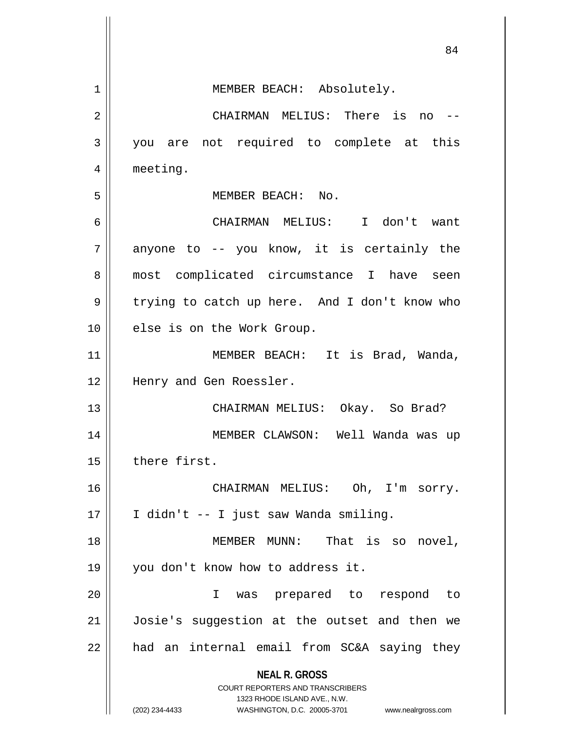|    | 84                                                                      |
|----|-------------------------------------------------------------------------|
|    |                                                                         |
| 1  | MEMBER BEACH: Absolutely.                                               |
| 2  | CHAIRMAN MELIUS: There is no                                            |
| 3  | you are not required to complete at this                                |
| 4  | meeting.                                                                |
| 5  | MEMBER BEACH: No.                                                       |
| 6  | CHAIRMAN MELIUS: I don't want                                           |
| 7  | anyone to -- you know, it is certainly the                              |
| 8  | most complicated circumstance I have seen                               |
| 9  | trying to catch up here. And I don't know who                           |
| 10 | else is on the Work Group.                                              |
| 11 | MEMBER BEACH: It is Brad, Wanda,                                        |
| 12 | Henry and Gen Roessler.                                                 |
| 13 | CHAIRMAN MELIUS: Okay. So Brad?                                         |
| 14 | MEMBER CLAWSON: Well Wanda was up                                       |
| 15 | there first.                                                            |
| 16 | CHAIRMAN MELIUS: Oh, I'm sorry.                                         |
| 17 | I didn't -- I just saw Wanda smiling.                                   |
| 18 | MEMBER MUNN: That is so novel,                                          |
| 19 | you don't know how to address it.                                       |
| 20 | was prepared to respond to<br>$\mathbf{I}$                              |
| 21 | Josie's suggestion at the outset and then we                            |
| 22 | had an internal email from SC&A saying they                             |
|    | <b>NEAL R. GROSS</b>                                                    |
|    | <b>COURT REPORTERS AND TRANSCRIBERS</b><br>1323 RHODE ISLAND AVE., N.W. |
|    | (202) 234-4433<br>WASHINGTON, D.C. 20005-3701<br>www.nealrgross.com     |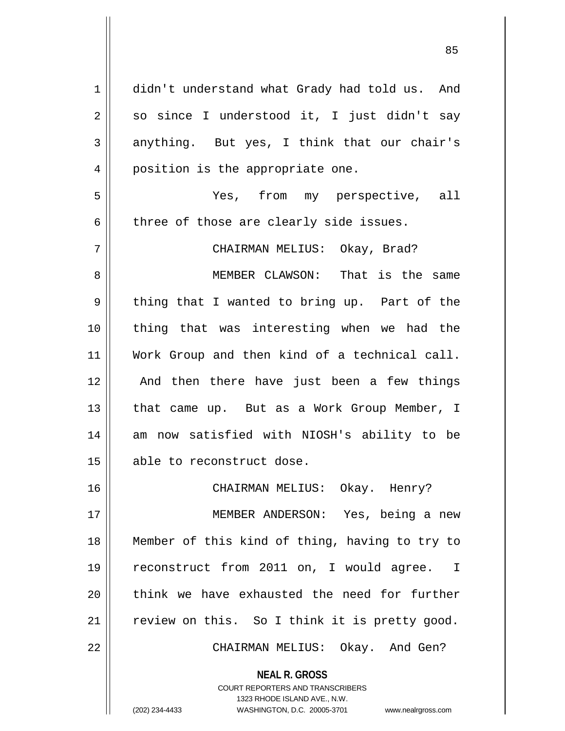1 didn't understand what Grady had told us. And  $2 \parallel$  so since I understood it, I just didn't say  $3 \parallel$  anything. But yes, I think that our chair's 4 || position is the appropriate one. 5 Yes, from my perspective, all  $6$  || three of those are clearly side issues. 7 CHAIRMAN MELIUS: Okay, Brad? 8 MEMBER CLAWSON: That is the same  $9 \parallel$  thing that I wanted to bring up. Part of the 10 thing that was interesting when we had the 11 Work Group and then kind of a technical call. 12 || And then there have just been a few things 13 || that came up. But as a Work Group Member, I 14 am now satisfied with NIOSH's ability to be 15 || able to reconstruct dose. 16 CHAIRMAN MELIUS: Okay. Henry? 17 MEMBER ANDERSON: Yes, being a new 18 Member of this kind of thing, having to try to 19 reconstruct from 2011 on, I would agree. I  $20$  || think we have exhausted the need for further 21 | review on this. So I think it is pretty good. 22 CHAIRMAN MELIUS: Okay. And Gen?

> COURT REPORTERS AND TRANSCRIBERS 1323 RHODE ISLAND AVE., N.W. (202) 234-4433 WASHINGTON, D.C. 20005-3701 www.nealrgross.com

**NEAL R. GROSS**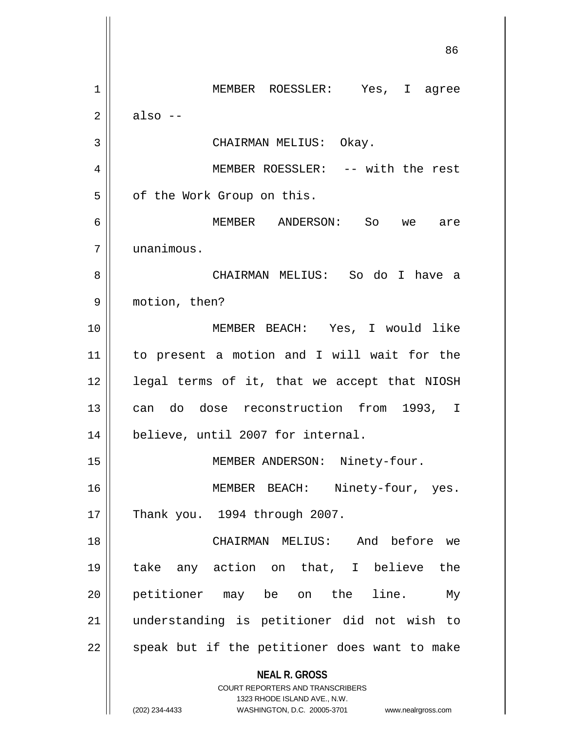**NEAL R. GROSS** COURT REPORTERS AND TRANSCRIBERS 1323 RHODE ISLAND AVE., N.W. (202) 234-4433 WASHINGTON, D.C. 20005-3701 www.nealrgross.com 86 1 MEMBER ROESSLER: Yes, I agree  $2 \parallel$  also --3 || CHAIRMAN MELIUS: Okay. 4 MEMBER ROESSLER: -- with the rest 5 | of the Work Group on this. 6 MEMBER ANDERSON: So we are 7 unanimous. 8 CHAIRMAN MELIUS: So do I have a 9 motion, then? 10 MEMBER BEACH: Yes, I would like 11 to present a motion and I will wait for the 12 || legal terms of it, that we accept that NIOSH 13 || can do dose reconstruction from 1993, I 14 || believe, until 2007 for internal. 15 || MEMBER ANDERSON: Ninety-four. 16 || MEMBER BEACH: Ninety-four, yes. 17 || Thank you. 1994 through 2007. 18 CHAIRMAN MELIUS: And before we 19 take any action on that, I believe the 20 || petitioner may be on the line. My 21 understanding is petitioner did not wish to  $22$  || speak but if the petitioner does want to make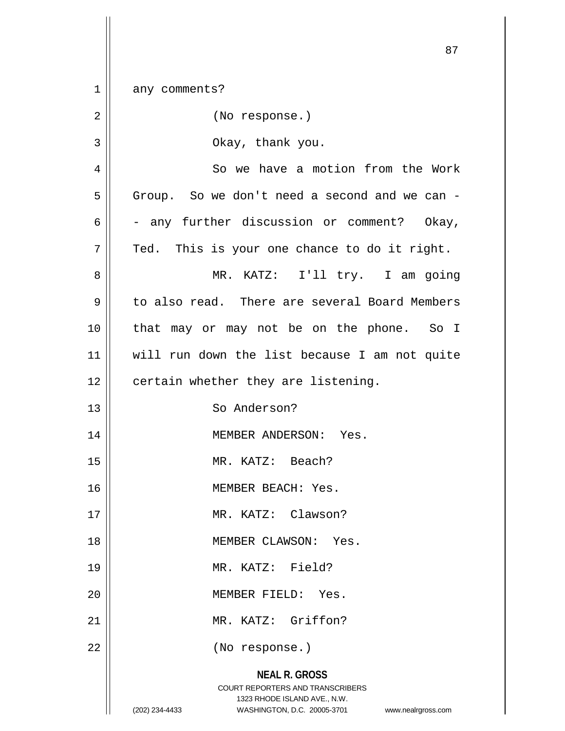| $1\,$          | any comments?                                                                                                                                                          |
|----------------|------------------------------------------------------------------------------------------------------------------------------------------------------------------------|
| $\overline{2}$ | (No response.)                                                                                                                                                         |
| 3              | Okay, thank you.                                                                                                                                                       |
| 4              | So we have a motion from the Work                                                                                                                                      |
| 5              | Group. So we don't need a second and we can -                                                                                                                          |
| 6              | - any further discussion or comment? Okay,                                                                                                                             |
| 7              | Ted. This is your one chance to do it right.                                                                                                                           |
| 8              | MR. KATZ: I'll try. I am going                                                                                                                                         |
| 9              | to also read. There are several Board Members                                                                                                                          |
| 10             | that may or may not be on the phone. So I                                                                                                                              |
| 11             | will run down the list because I am not quite                                                                                                                          |
| 12             | certain whether they are listening.                                                                                                                                    |
| 13             | So Anderson?                                                                                                                                                           |
| 14             | MEMBER ANDERSON: Yes.                                                                                                                                                  |
| 15             | MR. KATZ: Beach?                                                                                                                                                       |
| 16             | MEMBER BEACH: Yes.                                                                                                                                                     |
| 17             | MR. KATZ: Clawson?                                                                                                                                                     |
| 18             | MEMBER CLAWSON: Yes.                                                                                                                                                   |
| 19             | MR. KATZ: Field?                                                                                                                                                       |
| 20             | MEMBER FIELD: Yes.                                                                                                                                                     |
| 21             | MR. KATZ: Griffon?                                                                                                                                                     |
| 22             | (No response.)                                                                                                                                                         |
|                | <b>NEAL R. GROSS</b><br><b>COURT REPORTERS AND TRANSCRIBERS</b><br>1323 RHODE ISLAND AVE., N.W.<br>WASHINGTON, D.C. 20005-3701<br>(202) 234-4433<br>www.nealrgross.com |

 $\overline{11}$ 

 $\mathbf{\mathcal{H}}$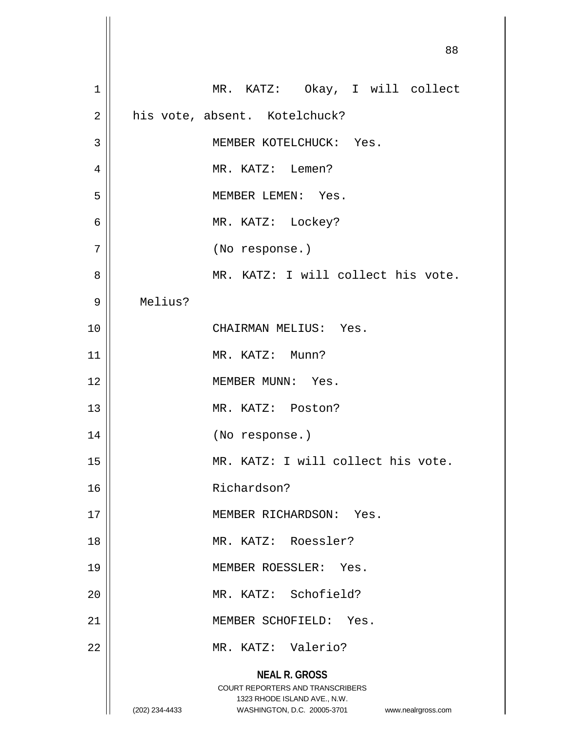| $\mathbf 1$    | MR. KATZ: Okay, I will collect                                                                                                                                         |
|----------------|------------------------------------------------------------------------------------------------------------------------------------------------------------------------|
| $\overline{2}$ | his vote, absent. Kotelchuck?                                                                                                                                          |
| $\mathfrak{Z}$ | MEMBER KOTELCHUCK: Yes.                                                                                                                                                |
| $\overline{4}$ | MR. KATZ: Lemen?                                                                                                                                                       |
| 5              | MEMBER LEMEN: Yes.                                                                                                                                                     |
| 6              | MR. KATZ: Lockey?                                                                                                                                                      |
| 7              | (No response.)                                                                                                                                                         |
| 8              | MR. KATZ: I will collect his vote.                                                                                                                                     |
| 9              | Melius?                                                                                                                                                                |
| 10             | CHAIRMAN MELIUS: Yes.                                                                                                                                                  |
| 11             | MR. KATZ: Munn?                                                                                                                                                        |
| 12             | MEMBER MUNN: Yes.                                                                                                                                                      |
| 13             | MR. KATZ: Poston?                                                                                                                                                      |
| 14             | (No response.)                                                                                                                                                         |
| 15             | MR. KATZ: I will collect his vote.                                                                                                                                     |
| 16             | Richardson?                                                                                                                                                            |
| 17             | MEMBER RICHARDSON: Yes.                                                                                                                                                |
| 18             | MR. KATZ: Roessler?                                                                                                                                                    |
| 19             | MEMBER ROESSLER: Yes.                                                                                                                                                  |
| 20             | MR. KATZ: Schofield?                                                                                                                                                   |
| 21             | MEMBER SCHOFIELD: Yes.                                                                                                                                                 |
| 22             | MR. KATZ: Valerio?                                                                                                                                                     |
|                | <b>NEAL R. GROSS</b><br><b>COURT REPORTERS AND TRANSCRIBERS</b><br>1323 RHODE ISLAND AVE., N.W.<br>WASHINGTON, D.C. 20005-3701<br>(202) 234-4433<br>www.nealrgross.com |
|                |                                                                                                                                                                        |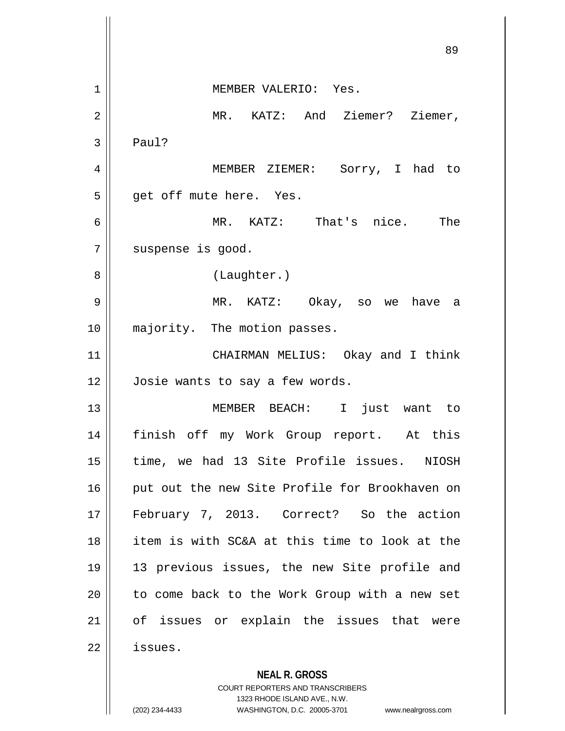**NEAL R. GROSS** 89 1 MEMBER VALERIO: Yes. 2 MR. KATZ: And Ziemer? Ziemer,  $3 \parallel$  Paul? 4 MEMBER ZIEMER: Sorry, I had to 5 || get off mute here. Yes. 6 MR. KATZ: That's nice. The 7 | suspense is good. 8 || (Laughter.) 9 MR. KATZ: Okay, so we have a 10 majority. The motion passes. 11 || CHAIRMAN MELIUS: Okay and I think 12 | Josie wants to say a few words. 13 MEMBER BEACH: I just want to 14 finish off my Work Group report. At this 15 || time, we had 13 Site Profile issues. NIOSH 16 || put out the new Site Profile for Brookhaven on 17 February 7, 2013. Correct? So the action 18 item is with SC&A at this time to look at the 19 13 previous issues, the new Site profile and  $20$  | to come back to the Work Group with a new set 21 || of issues or explain the issues that were 22 | issues.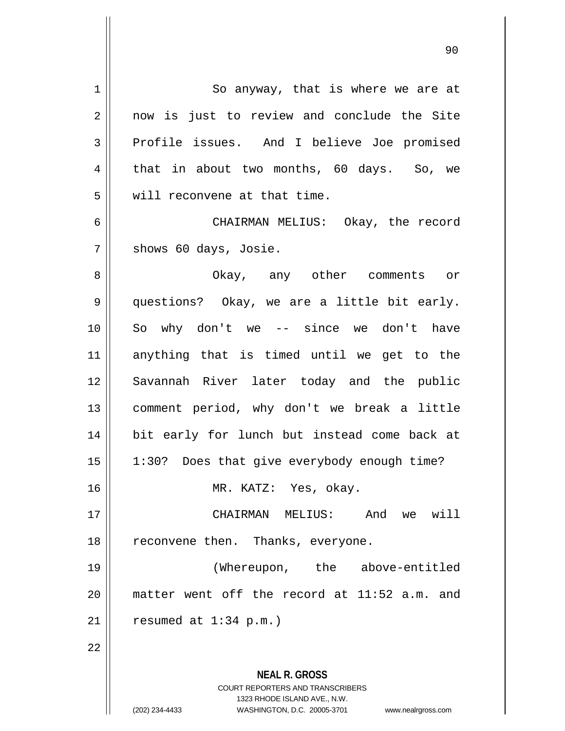| $\mathbf 1$    | So anyway, that is where we are at                                  |
|----------------|---------------------------------------------------------------------|
| $\overline{2}$ | now is just to review and conclude the Site                         |
| 3              | Profile issues. And I believe Joe promised                          |
| 4              | that in about two months, 60 days. So, we                           |
| 5              | will reconvene at that time.                                        |
| $\epsilon$     | CHAIRMAN MELIUS: Okay, the record                                   |
| 7              | shows 60 days, Josie.                                               |
| 8              | Okay, any other comments or                                         |
| 9              | questions? Okay, we are a little bit early.                         |
| 10             | So why don't we $-$ since we don't have                             |
| 11             | anything that is timed until we get to the                          |
|                |                                                                     |
| 12             | Savannah River later today and the public                           |
| 13             | comment period, why don't we break a little                         |
| 14             | bit early for lunch but instead come back at                        |
| 15             | 1:30? Does that give everybody enough time?                         |
| 16             | MR. KATZ: Yes, okay.                                                |
| 17             | we will<br>CHAIRMAN MELIUS:<br>And                                  |
| 18             | reconvene then. Thanks, everyone.                                   |
| 19             | (Whereupon, the above-entitled                                      |
| 20             | matter went off the record at 11:52 a.m. and                        |
| 21             | resumed at $1:34$ p.m.)                                             |
| 22             |                                                                     |
|                |                                                                     |
|                | <b>NEAL R. GROSS</b>                                                |
|                | COURT REPORTERS AND TRANSCRIBERS                                    |
|                | 1323 RHODE ISLAND AVE., N.W.                                        |
|                | (202) 234-4433<br>WASHINGTON, D.C. 20005-3701<br>www.nealrgross.com |

 $\mathsf{I}$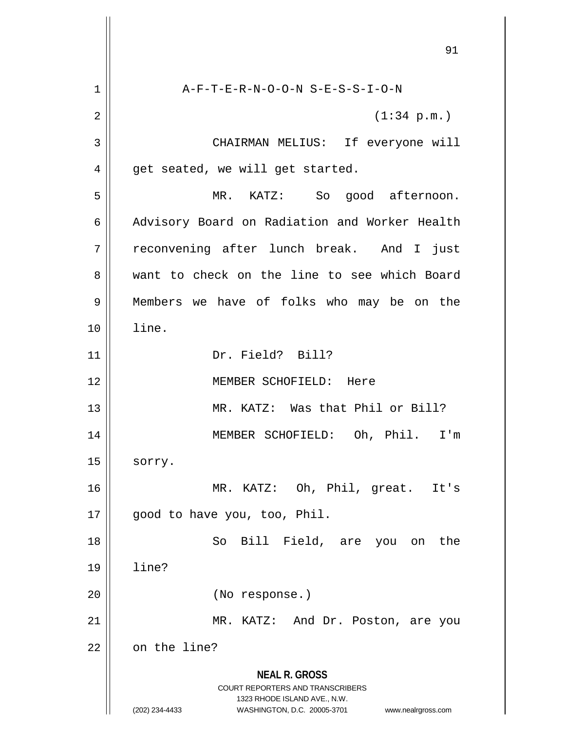**NEAL R. GROSS** COURT REPORTERS AND TRANSCRIBERS 1323 RHODE ISLAND AVE., N.W. (202) 234-4433 WASHINGTON, D.C. 20005-3701 www.nealrgross.com 1 A-F-T-E-R-N-O-O-N S-E-S-S-I-O-N  $2 \parallel$  (1:34 p.m.) 3 CHAIRMAN MELIUS: If everyone will  $4 \parallel$  get seated, we will get started. 5 MR. KATZ: So good afternoon. 6 | Advisory Board on Radiation and Worker Health 7 || reconvening after lunch break. And I just 8 want to check on the line to see which Board 9 Members we have of folks who may be on the 10 line. 11 Dr. Field? Bill? 12 MEMBER SCHOFIELD: Here 13 || MR. KATZ: Was that Phil or Bill? 14 MEMBER SCHOFIELD: Oh, Phil. I'm  $15$  sorry. 16 MR. KATZ: Oh, Phil, great. It's 17 || good to have you, too, Phil. 18 || So Bill Field, are you on the 19 line? 20 (No response.) 21 || MR. KATZ: And Dr. Poston, are you 22 | on the line?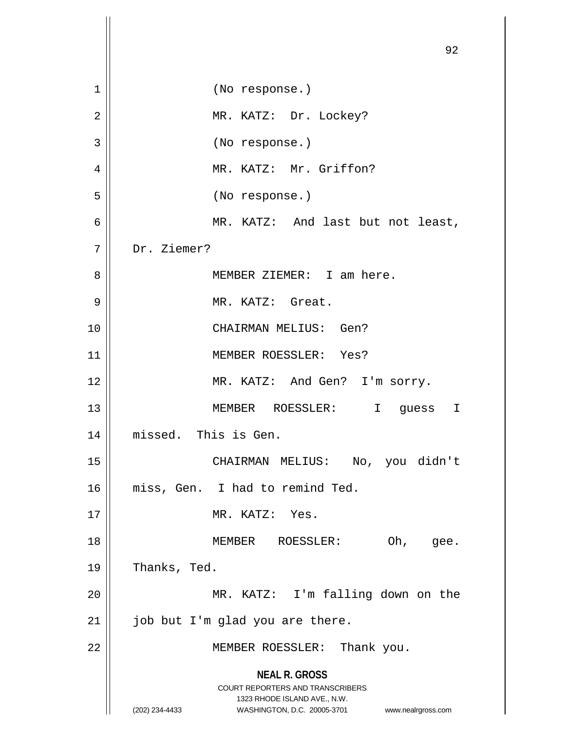|             | 92                                                                                                                                                                     |
|-------------|------------------------------------------------------------------------------------------------------------------------------------------------------------------------|
| $\mathbf 1$ | (No response.)                                                                                                                                                         |
| 2           | MR. KATZ: Dr. Lockey?                                                                                                                                                  |
| 3           | (No response.)                                                                                                                                                         |
| 4           | MR. KATZ: Mr. Griffon?                                                                                                                                                 |
| 5           | (No response.)                                                                                                                                                         |
| 6           | MR. KATZ: And last but not least,                                                                                                                                      |
| 7           | Dr. Ziemer?                                                                                                                                                            |
| 8           | MEMBER ZIEMER: I am here.                                                                                                                                              |
| 9           | MR. KATZ: Great.                                                                                                                                                       |
| 10          | CHAIRMAN MELIUS: Gen?                                                                                                                                                  |
| 11          | MEMBER ROESSLER: Yes?                                                                                                                                                  |
| 12          | MR. KATZ: And Gen? I'm sorry.                                                                                                                                          |
| 13          | MEMBER ROESSLER:<br>I guess<br>I                                                                                                                                       |
| 14          | missed. This is Gen.                                                                                                                                                   |
| 15          | CHAIRMAN MELIUS: No, you didn't                                                                                                                                        |
| 16          | miss, Gen. I had to remind Ted.                                                                                                                                        |
| 17          | MR. KATZ: Yes.                                                                                                                                                         |
| 18          | MEMBER ROESSLER:<br>Oh, gee.                                                                                                                                           |
| 19          | Thanks, Ted.                                                                                                                                                           |
| 20          | MR. KATZ: I'm falling down on the                                                                                                                                      |
| 21          | job but I'm glad you are there.                                                                                                                                        |
| 22          | MEMBER ROESSLER: Thank you.                                                                                                                                            |
|             | <b>NEAL R. GROSS</b><br><b>COURT REPORTERS AND TRANSCRIBERS</b><br>1323 RHODE ISLAND AVE., N.W.<br>(202) 234-4433<br>WASHINGTON, D.C. 20005-3701<br>www.nealrgross.com |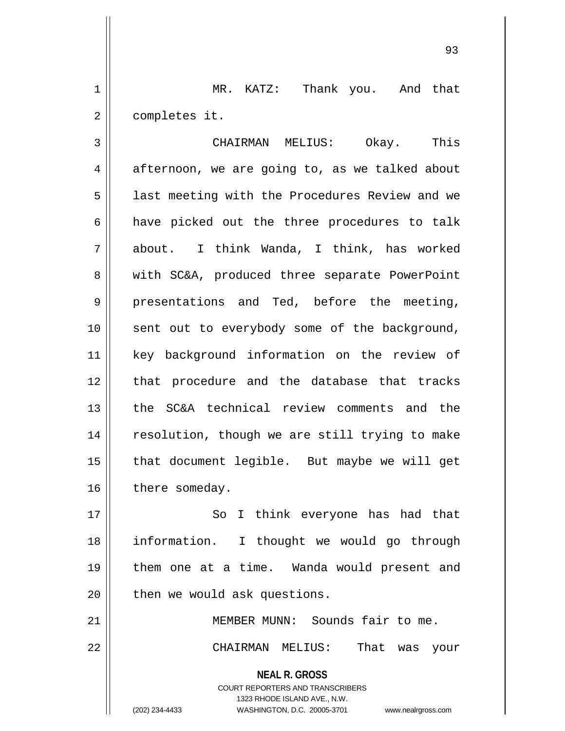1 || MR. KATZ: Thank you. And that 2 | completes it.

3 CHAIRMAN MELIUS: Okay. This  $4 \parallel$  afternoon, we are going to, as we talked about 5 || last meeting with the Procedures Review and we 6 || have picked out the three procedures to talk 7 about. I think Wanda, I think, has worked 8 || with SC&A, produced three separate PowerPoint  $9 \parallel$  presentations and Ted, before the meeting, 10 || sent out to everybody some of the background, 11 key background information on the review of 12 || that procedure and the database that tracks 13 the SC&A technical review comments and the 14 || resolution, though we are still trying to make 15 || that document legible. But maybe we will get  $16$  | there someday.

17 || So I think everyone has had that information. I thought we would go through them one at a time. Wanda would present and | then we would ask questions.

21 || MEMBER MUNN: Sounds fair to me. 22 CHAIRMAN MELIUS: That was your

> **NEAL R. GROSS** COURT REPORTERS AND TRANSCRIBERS 1323 RHODE ISLAND AVE., N.W.

(202) 234-4433 WASHINGTON, D.C. 20005-3701 www.nealrgross.com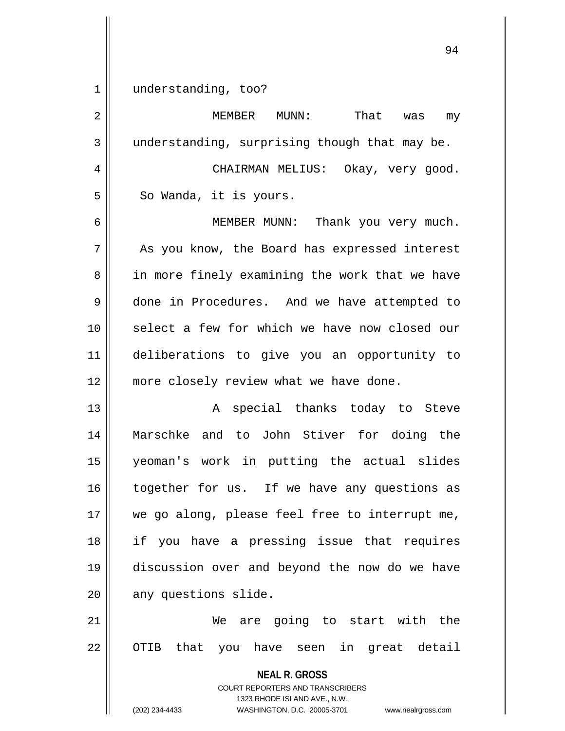1 understanding, too?

| $\overline{2}$ | That<br>MEMBER<br>$MUNN$ :<br>was<br>my                                                                                                                                |
|----------------|------------------------------------------------------------------------------------------------------------------------------------------------------------------------|
| 3              | understanding, surprising though that may be.                                                                                                                          |
| 4              | CHAIRMAN MELIUS: Okay, very good.                                                                                                                                      |
| 5              | So Wanda, it is yours.                                                                                                                                                 |
| 6              | MEMBER MUNN: Thank you very much.                                                                                                                                      |
| 7              | As you know, the Board has expressed interest                                                                                                                          |
| 8              | in more finely examining the work that we have                                                                                                                         |
| $\mathsf 9$    | done in Procedures. And we have attempted to                                                                                                                           |
| 10             | select a few for which we have now closed our                                                                                                                          |
| 11             | deliberations to give you an opportunity to                                                                                                                            |
| 12             | more closely review what we have done.                                                                                                                                 |
| 13             | special thanks today to Steve<br>Α                                                                                                                                     |
| 14             | Marschke and to John Stiver for doing the                                                                                                                              |
| 15             | yeoman's work in putting the actual slides                                                                                                                             |
| 16             | together for us. If we have any questions as                                                                                                                           |
| 17             | we go along, please feel free to interrupt me,                                                                                                                         |
| 18             | if you have a pressing issue that requires                                                                                                                             |
| 19             | discussion over and beyond the now do we have                                                                                                                          |
| 20             | any questions slide.                                                                                                                                                   |
| 21             | We are going to start with the                                                                                                                                         |
| 22             | OTIB that you have seen in great detail                                                                                                                                |
|                | <b>NEAL R. GROSS</b><br><b>COURT REPORTERS AND TRANSCRIBERS</b><br>1323 RHODE ISLAND AVE., N.W.<br>(202) 234-4433<br>WASHINGTON, D.C. 20005-3701<br>www.nealrgross.com |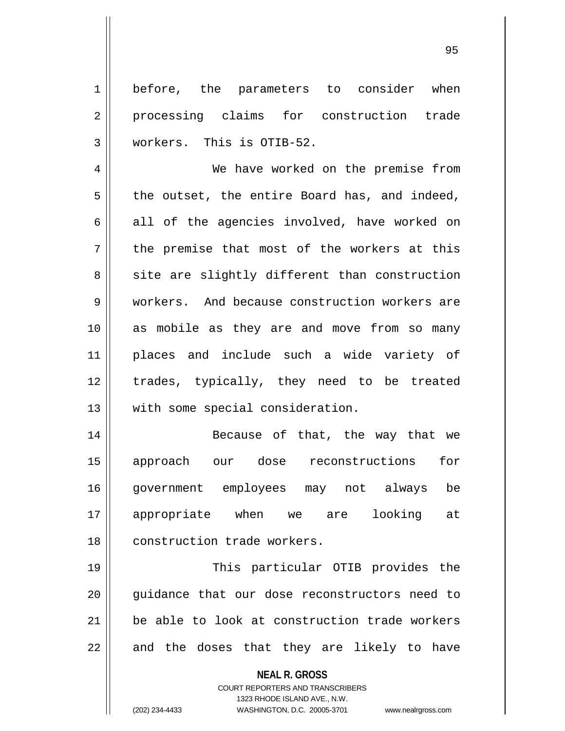1 before, the parameters to consider when 2 processing claims for construction trade 3 workers. This is OTIB-52.

4 || We have worked on the premise from  $5 \parallel$  the outset, the entire Board has, and indeed, 6 all of the agencies involved, have worked on  $7 \parallel$  the premise that most of the workers at this 8 || site are slightly different than construction 9 Workers. And because construction workers are 10 as mobile as they are and move from so many 11 places and include such a wide variety of 12 trades, typically, they need to be treated 13 || with some special consideration.

14 || Because of that, the way that we 15 approach our dose reconstructions for 16 government employees may not always be 17 appropriate when we are looking at 18 || construction trade workers.

 This particular OTIB provides the 20 || quidance that our dose reconstructors need to be able to look at construction trade workers || and the doses that they are likely to have

**NEAL R. GROSS**

COURT REPORTERS AND TRANSCRIBERS 1323 RHODE ISLAND AVE., N.W. (202) 234-4433 WASHINGTON, D.C. 20005-3701 www.nealrgross.com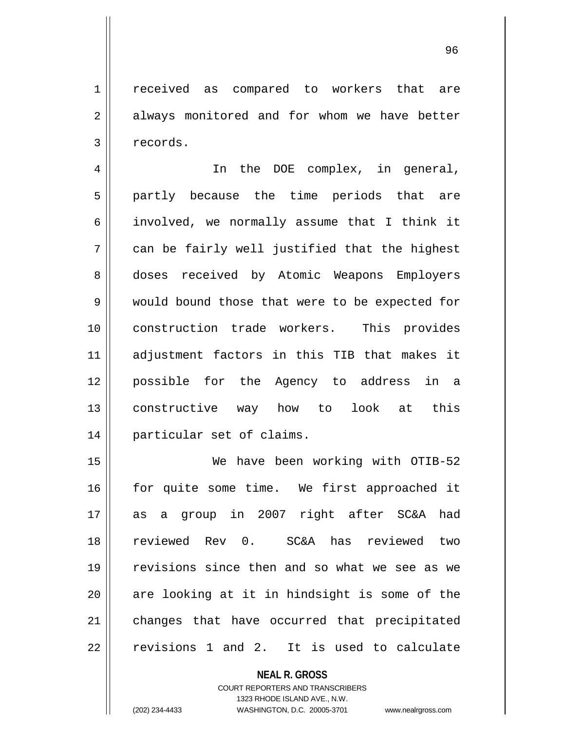1 || received as compared to workers that are  $2 \parallel$  always monitored and for whom we have better 3 | records.

4 || In the DOE complex, in general, 5 || partly because the time periods that are 6 involved, we normally assume that I think it  $7 \parallel$  can be fairly well justified that the highest 8 doses received by Atomic Weapons Employers 9 would bound those that were to be expected for 10 construction trade workers. This provides 11 adjustment factors in this TIB that makes it 12 possible for the Agency to address in a 13 constructive way how to look at this 14 particular set of claims.

 We have been working with OTIB-52 16 || for quite some time. We first approached it as a group in 2007 right after SC&A had reviewed Rev 0. SC&A has reviewed two revisions since then and so what we see as we are looking at it in hindsight is some of the 21 || changes that have occurred that precipitated  $22 \parallel$  revisions 1 and 2. It is used to calculate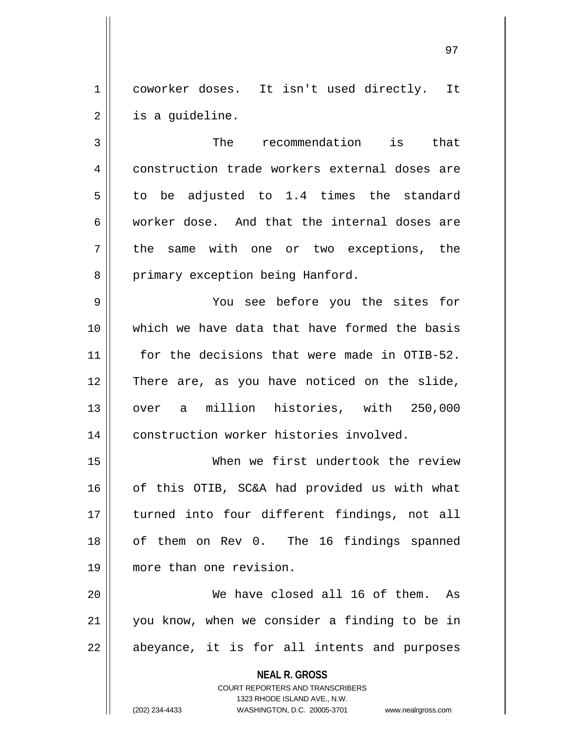1 || coworker doses. It isn't used directly. It  $2 \parallel$  is a guideline.

3 || The recommendation is that 4 construction trade workers external doses are  $5 \parallel$  to be adjusted to 1.4 times the standard 6 worker dose. And that the internal doses are 7 || the same with one or two exceptions, the 8 | primary exception being Hanford.

9 You see before you the sites for 10 which we have data that have formed the basis 11 || for the decisions that were made in OTIB-52. 12 There are, as you have noticed on the slide, 13 over a million histories, with 250,000 14 | construction worker histories involved.

15 When we first undertook the review 16 || of this OTIB, SC&A had provided us with what 17 turned into four different findings, not all 18 || of them on Rev 0. The 16 findings spanned 19 more than one revision.

20 We have closed all 16 of them. As 21 you know, when we consider a finding to be in  $22$  || abeyance, it is for all intents and purposes

> **NEAL R. GROSS** COURT REPORTERS AND TRANSCRIBERS 1323 RHODE ISLAND AVE., N.W. (202) 234-4433 WASHINGTON, D.C. 20005-3701 www.nealrgross.com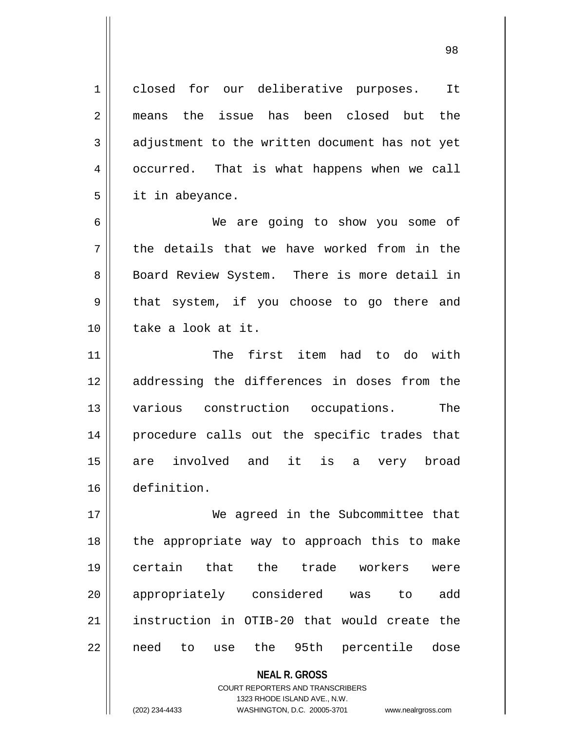1 || closed for our deliberative purposes. It 2 means the issue has been closed but the  $3 \parallel$  adjustment to the written document has not yet 4 | occurred. That is what happens when we call  $5 \parallel$  it in abeyance.

6 We are going to show you some of  $7 \parallel$  the details that we have worked from in the 8 || Board Review System. There is more detail in  $9 \parallel$  that system, if you choose to go there and 10 || take a look at it.

 The first item had to do with 12 || addressing the differences in doses from the various construction occupations. The procedure calls out the specific trades that 15 || are involved and it is a very broad definition.

17 We agreed in the Subcommittee that 18 || the appropriate way to approach this to make 19 certain that the trade workers were 20 || appropriately considered was to add 21 instruction in OTIB-20 that would create the 22 || need to use the 95th percentile dose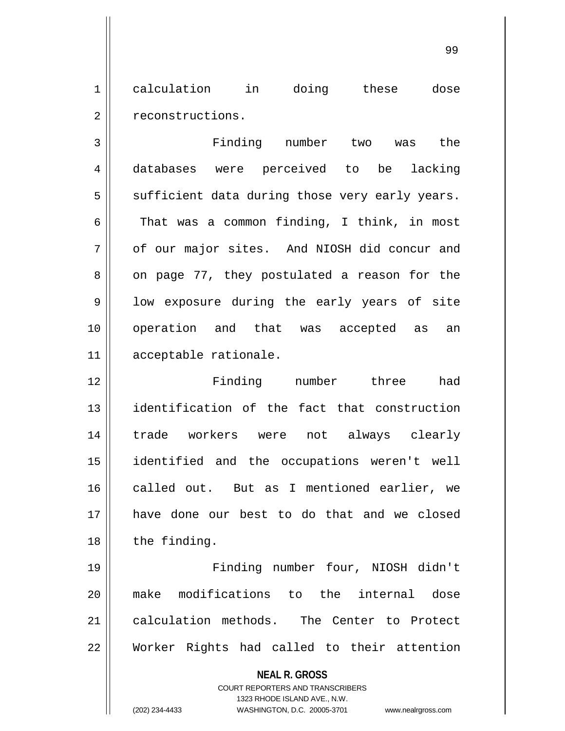1 calculation in doing these dose 2 | reconstructions.

 Finding number two was the databases were perceived to be lacking sufficient data during those very early years.  $\parallel$  That was a common finding, I think, in most 7 | of our major sites. And NIOSH did concur and  $8 \parallel$  on page 77, they postulated a reason for the  $9 \parallel$  low exposure during the early years of site operation and that was accepted as an acceptable rationale.

12 || Finding number three had identification of the fact that construction trade workers were not always clearly identified and the occupations weren't well 16 called out. But as I mentioned earlier, we have done our best to do that and we closed | the finding.

 Finding number four, NIOSH didn't make modifications to the internal dose 21 calculation methods. The Center to Protect Worker Rights had called to their attention

<sup>99</sup>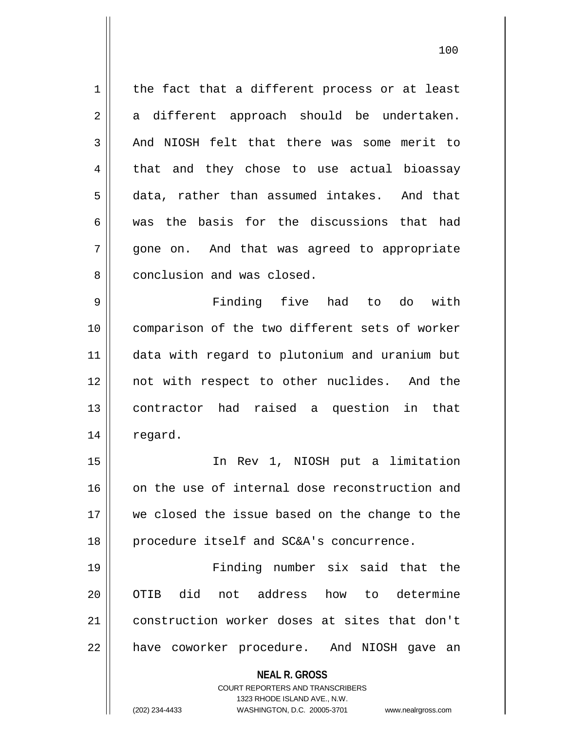$1$  the fact that a different process or at least  $2 \parallel$  a different approach should be undertaken.  $3$  | And NIOSH felt that there was some merit to 4 that and they chose to use actual bioassay 5 data, rather than assumed intakes. And that 6 was the basis for the discussions that had 7 qone on. And that was agreed to appropriate 8 || conclusion and was closed. 9 Finding five had to do with 10 comparison of the two different sets of worker

 data with regard to plutonium and uranium but not with respect to other nuclides. And the contractor had raised a question in that 14 | regard.

15 In Rev 1, NIOSH put a limitation 16 on the use of internal dose reconstruction and 17 we closed the issue based on the change to the 18 || procedure itself and SC&A's concurrence.

19 Finding number six said that the 20 || OTIB did not address how to determine 21 construction worker doses at sites that don't 22 || have coworker procedure. And NIOSH gave an

**NEAL R. GROSS**

COURT REPORTERS AND TRANSCRIBERS 1323 RHODE ISLAND AVE., N.W. (202) 234-4433 WASHINGTON, D.C. 20005-3701 www.nealrgross.com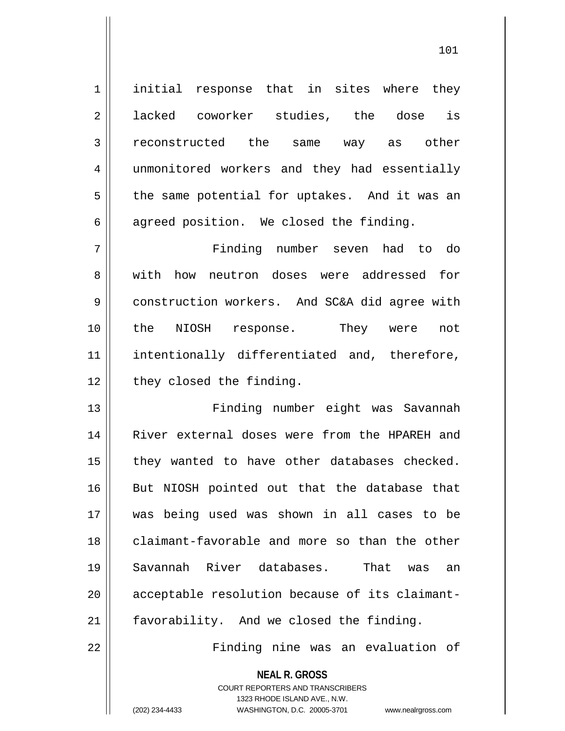1 | initial response that in sites where they 2 acked coworker studies, the dose is 3 reconstructed the same way as other 4 | unmonitored workers and they had essentially  $5 \parallel$  the same potential for uptakes. And it was an  $6 \parallel$  agreed position. We closed the finding. 7 Finding number seven had to do 8 with how neutron doses were addressed for 9 | construction workers. And SC&A did agree with 10 the NIOSH response. They were not 11 || intentionally differentiated and, therefore, 12 | they closed the finding. 13 Finding number eight was Savannah 14 || River external doses were from the HPAREH and  $15$  | they wanted to have other databases checked. 16 || But NIOSH pointed out that the database that 17 was being used was shown in all cases to be 18 claimant-favorable and more so than the other 19 Savannah River databases. That was an 20 || acceptable resolution because of its claimant-21 | favorability. And we closed the finding.

22 Finding nine was an evaluation of

**NEAL R. GROSS** COURT REPORTERS AND TRANSCRIBERS

1323 RHODE ISLAND AVE., N.W.

(202) 234-4433 WASHINGTON, D.C. 20005-3701 www.nealrgross.com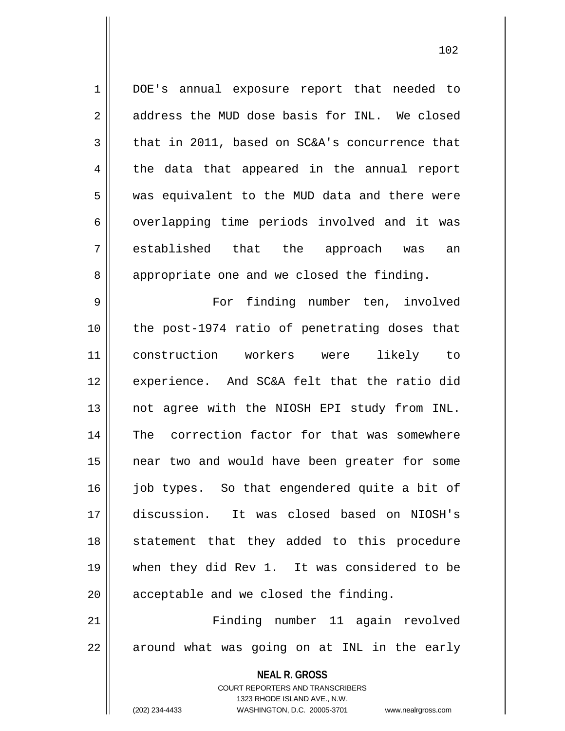1 DOE's annual exposure report that needed to 2 address the MUD dose basis for INL. We closed  $3 \parallel$  that in 2011, based on SC&A's concurrence that 4 || the data that appeared in the annual report 5 || was equivalent to the MUD data and there were 6 | overlapping time periods involved and it was 7 established that the approach was an 8 appropriate one and we closed the finding.

9 For finding number ten, involved 10 || the post-1974 ratio of penetrating doses that 11 construction workers were likely to 12 experience. And SC&A felt that the ratio did 13 || not agree with the NIOSH EPI study from INL. 14 || The correction factor for that was somewhere 15 near two and would have been greater for some 16 || job types. So that engendered quite a bit of 17 discussion. It was closed based on NIOSH's 18 || statement that they added to this procedure 19 when they did Rev 1. It was considered to be  $20$  || acceptable and we closed the finding.

21 Finding number 11 again revolved  $22 \parallel$  around what was going on at INL in the early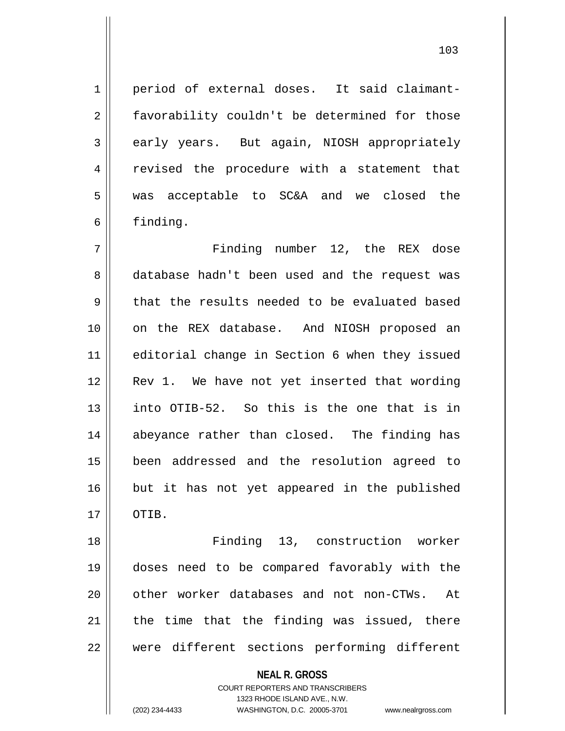1 period of external doses. It said claimant-2 || favorability couldn't be determined for those 3 early years. But again, NIOSH appropriately 4 || revised the procedure with a statement that 5 was acceptable to SC&A and we closed the 6 finding.

7 Finding number 12, the REX dose 8 database hadn't been used and the request was  $9 \parallel$  that the results needed to be evaluated based 10 on the REX database. And NIOSH proposed an 11 editorial change in Section 6 when they issued 12 || Rev 1. We have not yet inserted that wording 13 into OTIB-52. So this is the one that is in 14 || abeyance rather than closed. The finding has 15 been addressed and the resolution agreed to 16 || but it has not yet appeared in the published 17 || OTIB.

18 Finding 13, construction worker 19 doses need to be compared favorably with the 20 || other worker databases and not non-CTWs. At  $21$  the time that the finding was issued, there 22 || were different sections performing different

> **NEAL R. GROSS** COURT REPORTERS AND TRANSCRIBERS

1323 RHODE ISLAND AVE., N.W. (202) 234-4433 WASHINGTON, D.C. 20005-3701 www.nealrgross.com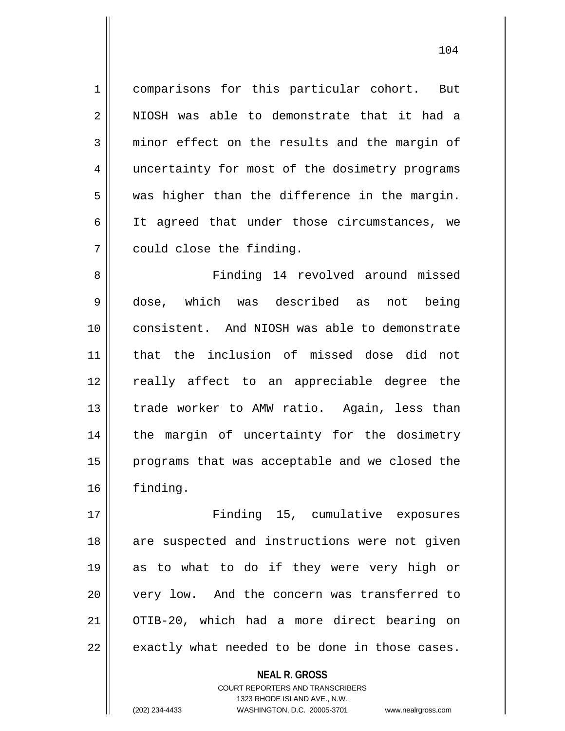1 comparisons for this particular cohort. But 2 NIOSH was able to demonstrate that it had a 3 minor effect on the results and the margin of 4 || uncertainty for most of the dosimetry programs  $5 \parallel$  was higher than the difference in the margin. 6 || It agreed that under those circumstances, we 7 | could close the finding.

8 Finding 14 revolved around missed 9 dose, which was described as not being 10 consistent. And NIOSH was able to demonstrate 11 that the inclusion of missed dose did not 12 || really affect to an appreciable degree the 13 || trade worker to AMW ratio. Again, less than 14 || the margin of uncertainty for the dosimetry 15 || programs that was acceptable and we closed the 16 finding.

 Finding 15, cumulative exposures 18 || are suspected and instructions were not given as to what to do if they were very high or 20 || very low. And the concern was transferred to OTIB-20, which had a more direct bearing on || exactly what needed to be done in those cases.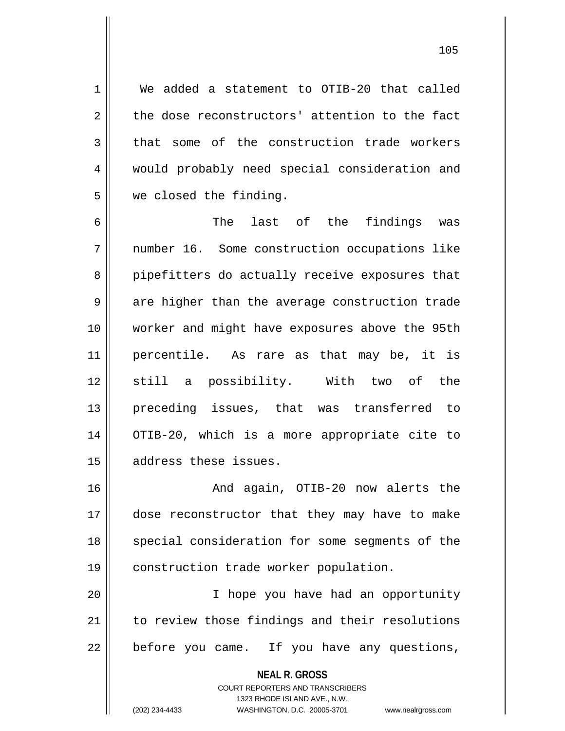1 We added a statement to OTIB-20 that called  $2 \parallel$  the dose reconstructors' attention to the fact  $3 \parallel$  that some of the construction trade workers 4 | would probably need special consideration and 5 we closed the finding.

6 The last of the findings was 7 number 16. Some construction occupations like 8 pipefitters do actually receive exposures that  $9 \parallel$  are higher than the average construction trade 10 worker and might have exposures above the 95th 11 percentile. As rare as that may be, it is 12 still a possibility. With two of the 13 preceding issues, that was transferred to 14 OTIB-20, which is a more appropriate cite to 15 | address these issues.

 And again, OTIB-20 now alerts the dose reconstructor that they may have to make 18 || special consideration for some segments of the construction trade worker population.

20 I hope you have had an opportunity 21 || to review those findings and their resolutions  $22$  | before you came. If you have any questions,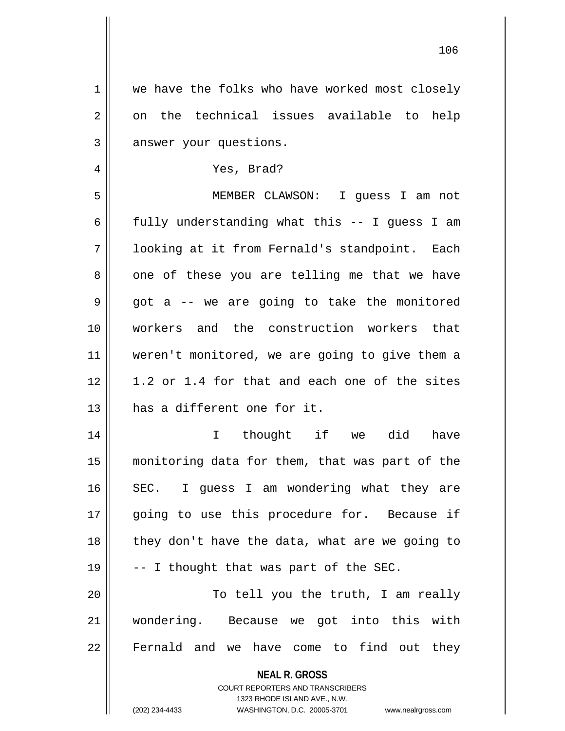| $\mathbf 1$  | we have the folks who have worked most closely                      |
|--------------|---------------------------------------------------------------------|
| 2            | on the technical issues available to help                           |
| $\mathbf{3}$ | answer your questions.                                              |
| 4            | Yes, Brad?                                                          |
| 5            | MEMBER CLAWSON: I guess I am not                                    |
| 6            | fully understanding what this -- I guess I am                       |
| 7            | looking at it from Fernald's standpoint. Each                       |
| 8            | one of these you are telling me that we have                        |
| 9            | got a -- we are going to take the monitored                         |
| 10           | workers and the construction workers that                           |
| 11           | weren't monitored, we are going to give them a                      |
| 12           | 1.2 or 1.4 for that and each one of the sites                       |
| 13           | has a different one for it.                                         |
| 14           | thought if we did<br>$\mathbf{I}$<br>have                           |
| 15           | monitoring data for them, that was part of the                      |
| 16           | SEC. I guess I am wondering what they are                           |
| 17           | going to use this procedure for. Because if                         |
| 18           | they don't have the data, what are we going to                      |
| 19           | -- I thought that was part of the SEC.                              |
| 20           | To tell you the truth, I am really                                  |
| 21           | wondering. Because we got into this with                            |
| 22           | Fernald and we have come to find out they                           |
|              | <b>NEAL R. GROSS</b>                                                |
|              | <b>COURT REPORTERS AND TRANSCRIBERS</b>                             |
|              | 1323 RHODE ISLAND AVE., N.W.                                        |
|              | (202) 234-4433<br>WASHINGTON, D.C. 20005-3701<br>www.nealrgross.com |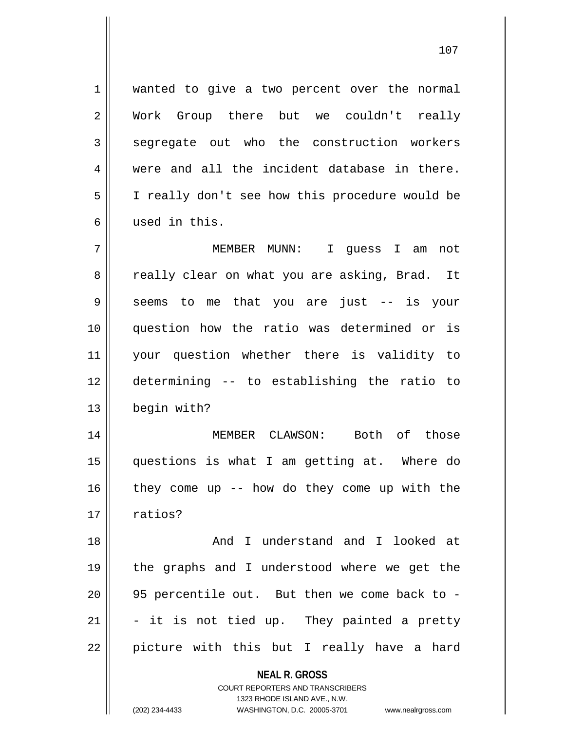1 wanted to give a two percent over the normal 2 Work Group there but we couldn't really 3 seqreqate out who the construction workers  $4 \parallel$  were and all the incident database in there. 5 | I really don't see how this procedure would be 6 used in this.

 MEMBER MUNN: I guess I am not 8 || really clear on what you are asking, Brad. It 9 Seems to me that you are just -- is your question how the ratio was determined or is your question whether there is validity to determining -- to establishing the ratio to begin with?

 MEMBER CLAWSON: Both of those questions is what I am getting at. Where do they come up -- how do they come up with the  $17 \parallel$  ratios?

 And I understand and I looked at the graphs and I understood where we get the || 95 percentile out. But then we come back to -  $\parallel$  - it is not tied up. They painted a pretty 22 || picture with this but I really have a hard

**NEAL R. GROSS**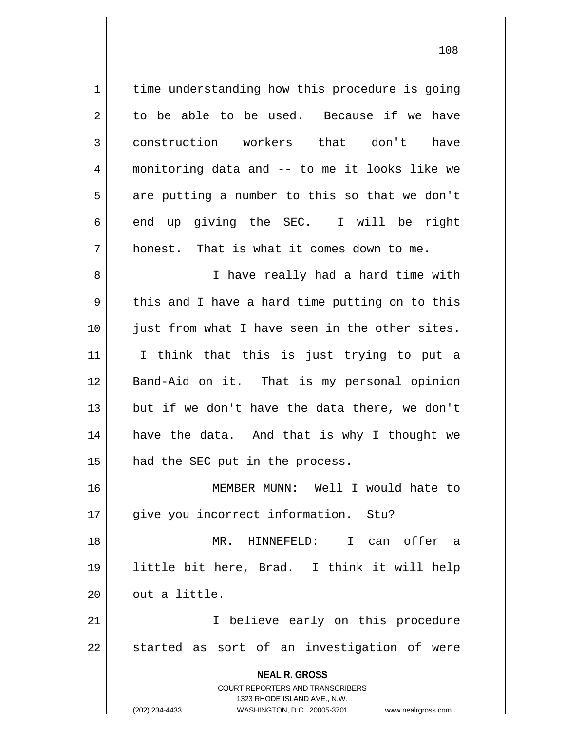**NEAL R. GROSS** COURT REPORTERS AND TRANSCRIBERS 1323 RHODE ISLAND AVE., N.W. (202) 234-4433 WASHINGTON, D.C. 20005-3701 www.nealrgross.com 1 | time understanding how this procedure is going  $2 \parallel$  to be able to be used. Because if we have 3 construction workers that don't have 4 monitoring data and -- to me it looks like we  $5 \parallel$  are putting a number to this so that we don't  $6 \parallel$  end up giving the SEC. I will be right  $7 \parallel$  honest. That is what it comes down to me. 8 || I have really had a hard time with  $9 \parallel$  this and I have a hard time putting on to this 10 just from what I have seen in the other sites. 11 I think that this is just trying to put a 12 Band-Aid on it. That is my personal opinion 13 || but if we don't have the data there, we don't 14 || have the data. And that is why I thought we 15 || had the SEC put in the process. 16 MEMBER MUNN: Well I would hate to 17 || give you incorrect information. Stu? 18 MR. HINNEFELD: I can offer a 19 little bit here, Brad. I think it will help  $20$   $\parallel$  out a little. 21 || Thelieve early on this procedure  $22$   $\parallel$  started as sort of an investigation of were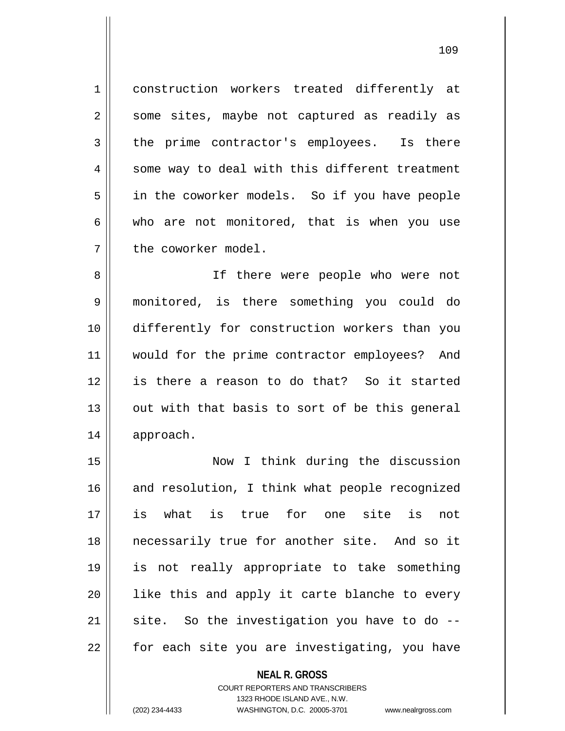1 construction workers treated differently at 2 || some sites, maybe not captured as readily as 3 the prime contractor's employees. Is there 4 || some way to deal with this different treatment 5 in the coworker models. So if you have people  $6 \parallel$  who are not monitored, that is when you use 7 the coworker model.

8 || If there were people who were not 9 monitored, is there something you could do 10 differently for construction workers than you 11 || would for the prime contractor employees? And 12 is there a reason to do that? So it started 13 || out with that basis to sort of be this general 14 approach.

 Now I think during the discussion 16 and resolution, I think what people recognized is what is true for one site is not necessarily true for another site. And so it is not really appropriate to take something || like this and apply it carte blanche to every site. So the investigation you have to do  $-$ 22 || for each site you are investigating, you have

## **NEAL R. GROSS** COURT REPORTERS AND TRANSCRIBERS 1323 RHODE ISLAND AVE., N.W. (202) 234-4433 WASHINGTON, D.C. 20005-3701 www.nealrgross.com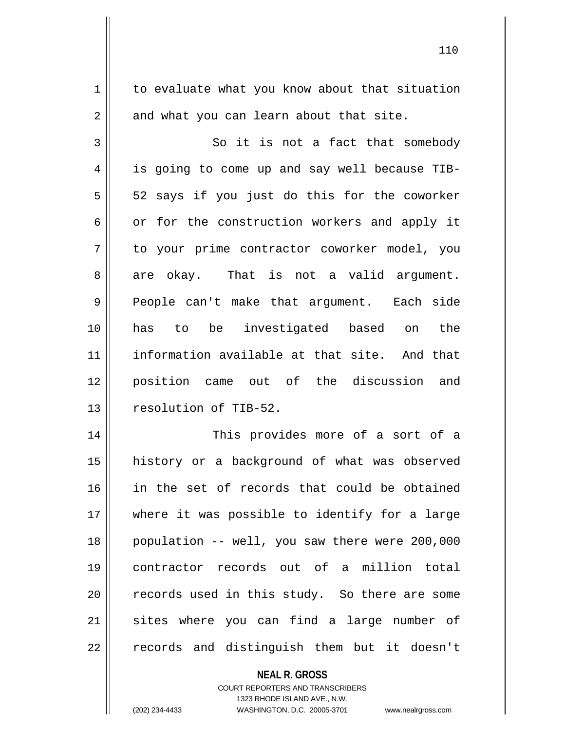1 to evaluate what you know about that situation  $2 \parallel$  and what you can learn about that site. 3 || So it is not a fact that somebody 4 || is going to come up and say well because TIB- $5 \parallel$  52 says if you just do this for the coworker  $6 \parallel$  or for the construction workers and apply it 7 to your prime contractor coworker model, you  $8 \parallel$  are okay. That is not a valid argument. 9 People can't make that argument. Each side 10 has to be investigated based on the 11 information available at that site. And that 12 position came out of the discussion and 13 || resolution of TIB-52. 14 This provides more of a sort of a 15 history or a background of what was observed 16 in the set of records that could be obtained 17 || where it was possible to identify for a large 18 population -- well, you saw there were 200,000 19 contractor records out of a million total  $20$  || records used in this study. So there are some  $21$  sites where you can find a large number of 22 || records and distinguish them but it doesn't

> **NEAL R. GROSS** COURT REPORTERS AND TRANSCRIBERS

1323 RHODE ISLAND AVE., N.W.

(202) 234-4433 WASHINGTON, D.C. 20005-3701 www.nealrgross.com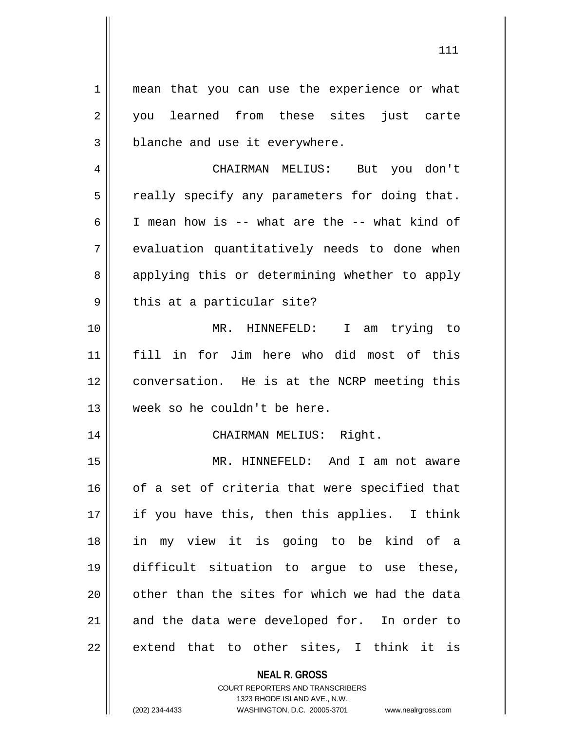1 || mean that you can use the experience or what 2 you learned from these sites just carte 3 | blanche and use it everywhere.

4 CHAIRMAN MELIUS: But you don't  $5$  | really specify any parameters for doing that.  $6 \parallel$  I mean how is -- what are the -- what kind of 7 || evaluation quantitatively needs to done when 8 applying this or determining whether to apply  $9 \parallel$  this at a particular site?

 MR. HINNEFELD: I am trying to fill in for Jim here who did most of this conversation. He is at the NCRP meeting this week so he couldn't be here.

## 14 CHAIRMAN MELIUS: Right.

 MR. HINNEFELD: And I am not aware | of a set of criteria that were specified that 17 || if you have this, then this applies. I think in my view it is going to be kind of a difficult situation to argue to use these, || other than the sites for which we had the data and the data were developed for. In order to  $22 \parallel$  extend that to other sites, I think it is

**NEAL R. GROSS**

COURT REPORTERS AND TRANSCRIBERS 1323 RHODE ISLAND AVE., N.W. (202) 234-4433 WASHINGTON, D.C. 20005-3701 www.nealrgross.com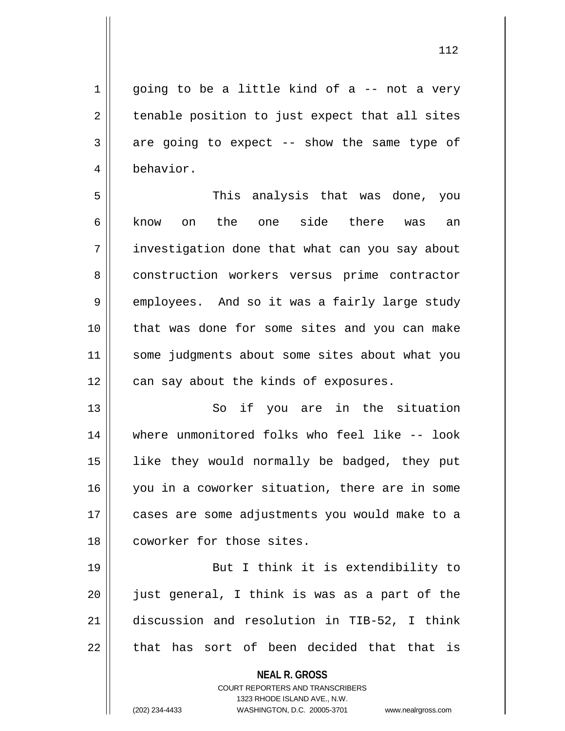112

 $1 \parallel$  going to be a little kind of a -- not a very  $2 \parallel$  tenable position to just expect that all sites  $3 \parallel$  are going to expect -- show the same type of 4 behavior.

5 This analysis that was done, you 6 || know on the one side there was an 7 | investigation done that what can you say about 8 construction workers versus prime contractor 9 employees. And so it was a fairly large study 10 that was done for some sites and you can make 11 || some judgments about some sites about what you  $12$  | can say about the kinds of exposures.

13 || So if you are in the situation where unmonitored folks who feel like -- look like they would normally be badged, they put you in a coworker situation, there are in some cases are some adjustments you would make to a 18 || coworker for those sites.

19 || But I think it is extendibility to || just general, I think is was as a part of the discussion and resolution in TIB-52, I think || that has sort of been decided that that is

> **NEAL R. GROSS** COURT REPORTERS AND TRANSCRIBERS

> > 1323 RHODE ISLAND AVE., N.W.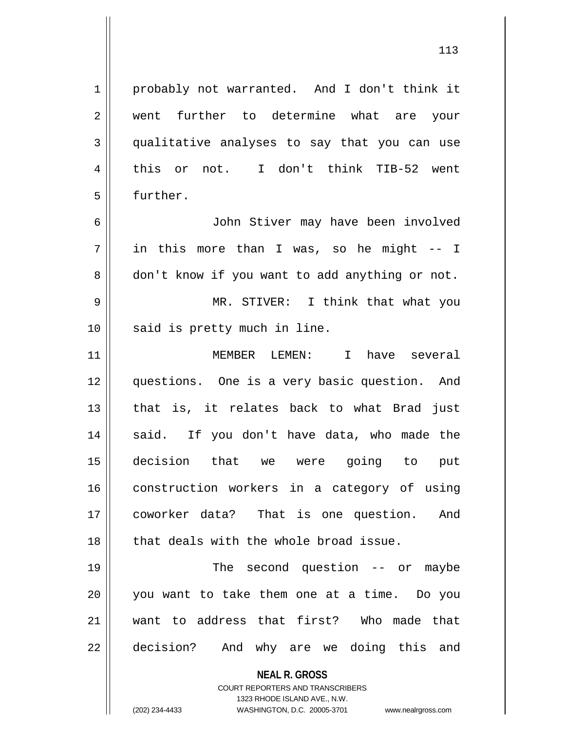113

**NEAL R. GROSS** COURT REPORTERS AND TRANSCRIBERS 1323 RHODE ISLAND AVE., N.W. 1 probably not warranted. And I don't think it 2 || went further to determine what are your 3 qualitative analyses to say that you can use 4 || this or not. I don't think TIB-52 went 5 | further. 6 John Stiver may have been involved  $7 \parallel$  in this more than I was, so he might -- I 8 don't know if you want to add anything or not. 9 MR. STIVER: I think that what you 10 || said is pretty much in line. 11 MEMBER LEMEN: I have several 12 questions. One is a very basic question. And  $13$  || that is, it relates back to what Brad just 14 || said. If you don't have data, who made the 15 decision that we were going to put 16 construction workers in a category of using 17 coworker data? That is one question. And 18 || that deals with the whole broad issue. 19 || The second question -- or maybe 20 you want to take them one at a time. Do you 21 want to address that first? Who made that 22 || decision? And why are we doing this and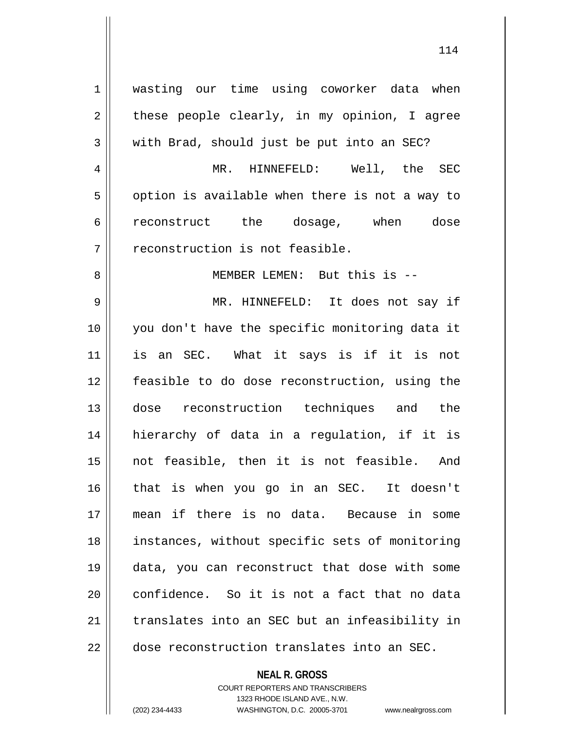| $\mathbf 1$    | wasting our time using coworker data when      |
|----------------|------------------------------------------------|
|                |                                                |
| $\overline{2}$ | these people clearly, in my opinion, I agree   |
| 3              | with Brad, should just be put into an SEC?     |
| $\overline{4}$ | MR. HINNEFELD: Well, the SEC                   |
| 5              | option is available when there is not a way to |
| 6              | reconstruct the dosage, when dose              |
| 7              | reconstruction is not feasible.                |
| 8              | MEMBER LEMEN: But this is --                   |
| $\mathsf 9$    | MR. HINNEFELD: It does not say if              |
| 10             | you don't have the specific monitoring data it |
| 11             | is an SEC. What it says is if it is not        |
| 12             | feasible to do dose reconstruction, using the  |
| 13             | dose reconstruction techniques and the         |
| 14             | hierarchy of data in a regulation, if it is    |
| 15             | not feasible, then it is not feasible. And     |
| 16             | that is when you go in an SEC. It doesn't      |
| 17             | mean if there is no data. Because in some      |
| 18             | instances, without specific sets of monitoring |
| 19             | data, you can reconstruct that dose with some  |
| 20             | confidence. So it is not a fact that no data   |
| 21             | translates into an SEC but an infeasibility in |
| 22             | dose reconstruction translates into an SEC.    |

**NEAL R. GROSS** COURT REPORTERS AND TRANSCRIBERS

1323 RHODE ISLAND AVE., N.W.

(202) 234-4433 WASHINGTON, D.C. 20005-3701 www.nealrgross.com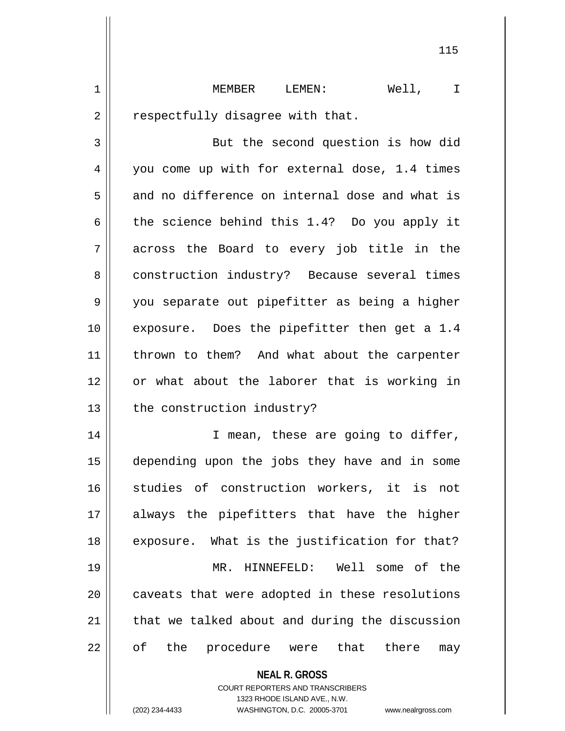1 MEMBER LEMEN: Well, I  $2 \parallel$  respectfully disagree with that.

3 | But the second question is how did 4 || you come up with for external dose, 1.4 times  $5 \parallel$  and no difference on internal dose and what is 6 the science behind this 1.4? Do you apply it 7 across the Board to every job title in the 8 construction industry? Because several times 9 || you separate out pipefitter as being a higher 10 || exposure. Does the pipefitter then get a 1.4 11 || thrown to them? And what about the carpenter 12 or what about the laborer that is working in 13 | the construction industry?

14 || T mean, these are going to differ, 15 depending upon the jobs they have and in some 16 studies of construction workers, it is not 17 always the pipefitters that have the higher  $18$  || exposure. What is the justification for that? 19 MR. HINNEFELD: Well some of the 20 || caveats that were adopted in these resolutions 21 || that we talked about and during the discussion 22 || of the procedure were that there may

**NEAL R. GROSS**

COURT REPORTERS AND TRANSCRIBERS 1323 RHODE ISLAND AVE., N.W. (202) 234-4433 WASHINGTON, D.C. 20005-3701 www.nealrgross.com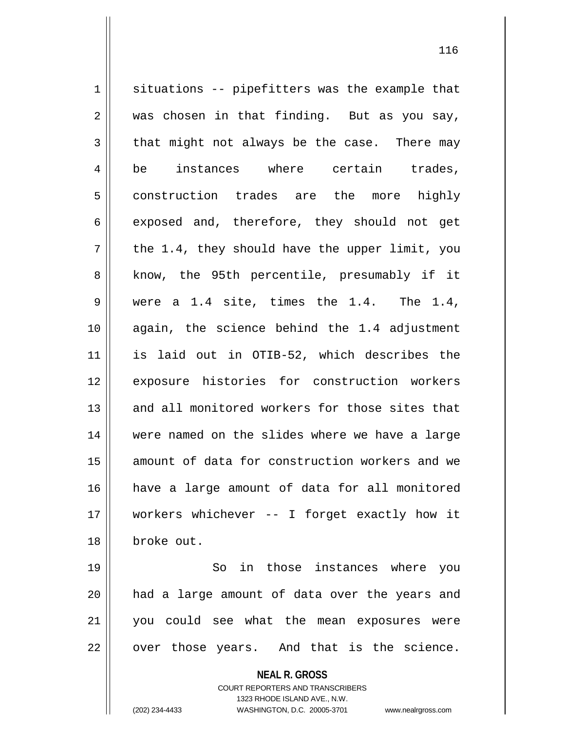$1$  situations -- pipefitters was the example that  $2 \parallel$  was chosen in that finding. But as you say,  $3 \parallel$  that might not always be the case. There may 4 be instances where certain trades, 5 construction trades are the more highly  $6 \parallel$  exposed and, therefore, they should not get  $7 ||$  the 1.4, they should have the upper limit, you 8 || know, the 95th percentile, presumably if it 9 were a 1.4 site, times the 1.4. The 1.4, 10 again, the science behind the 1.4 adjustment 11 is laid out in OTIB-52, which describes the 12 exposure histories for construction workers 13 and all monitored workers for those sites that 14 were named on the slides where we have a large 15 || amount of data for construction workers and we 16 have a large amount of data for all monitored 17 workers whichever -- I forget exactly how it 18 broke out. 19 || So in those instances where you 20 had a large amount of data over the years and 21 you could see what the mean exposures were  $22$  || over those years. And that is the science.

> **NEAL R. GROSS** COURT REPORTERS AND TRANSCRIBERS 1323 RHODE ISLAND AVE., N.W.

(202) 234-4433 WASHINGTON, D.C. 20005-3701 www.nealrgross.com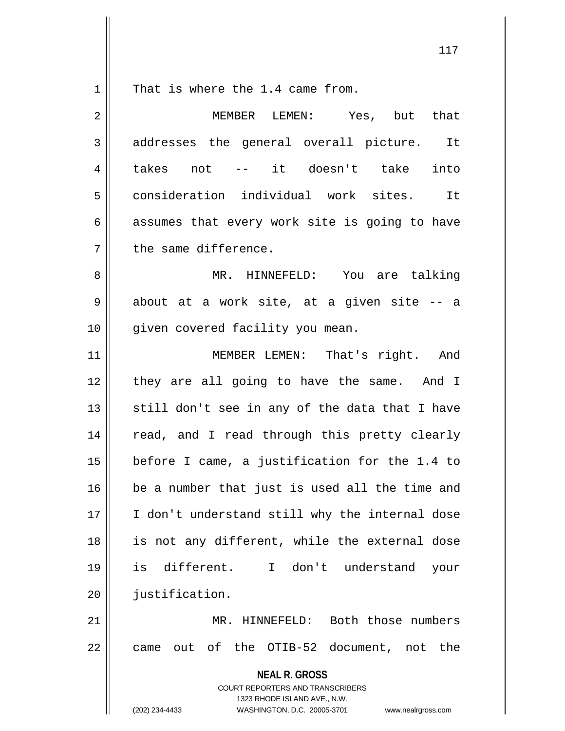$1 \parallel$  That is where the 1.4 came from.

| 2  | MEMBER LEMEN: Yes, but that                                                                                                                                            |
|----|------------------------------------------------------------------------------------------------------------------------------------------------------------------------|
| 3  | addresses the general overall picture. It                                                                                                                              |
| 4  | takes not -- it doesn't take<br>into                                                                                                                                   |
| 5  | consideration individual work sites. It                                                                                                                                |
| 6  | assumes that every work site is going to have                                                                                                                          |
| 7  | the same difference.                                                                                                                                                   |
| 8  | MR. HINNEFELD: You are talking                                                                                                                                         |
| 9  | about at a work site, at a given site -- a                                                                                                                             |
| 10 | given covered facility you mean.                                                                                                                                       |
| 11 | MEMBER LEMEN: That's right. And                                                                                                                                        |
| 12 | they are all going to have the same. And I                                                                                                                             |
| 13 | still don't see in any of the data that I have                                                                                                                         |
| 14 | read, and I read through this pretty clearly                                                                                                                           |
| 15 | before I came, a justification for the 1.4 to                                                                                                                          |
| 16 | be a number that just is used all the time and                                                                                                                         |
| 17 | I don't understand still why the internal dose                                                                                                                         |
| 18 | is not any different, while the external dose                                                                                                                          |
| 19 | is different.<br>I don't understand<br>your                                                                                                                            |
| 20 | justification.                                                                                                                                                         |
| 21 | MR. HINNEFELD: Both those numbers                                                                                                                                      |
| 22 | came out of the OTIB-52 document, not the                                                                                                                              |
|    | <b>NEAL R. GROSS</b><br><b>COURT REPORTERS AND TRANSCRIBERS</b><br>1323 RHODE ISLAND AVE., N.W.<br>(202) 234-4433<br>WASHINGTON, D.C. 20005-3701<br>www.nealrgross.com |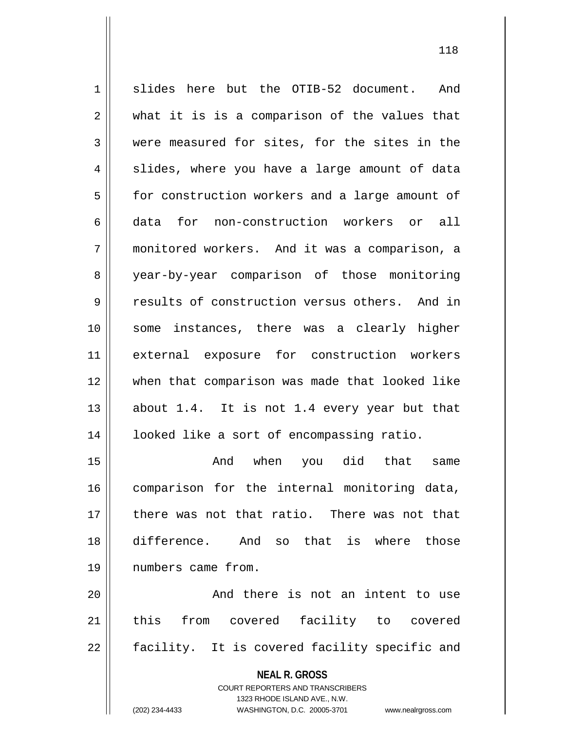1 slides here but the OTIB-52 document. And  $2 \parallel$  what it is is a comparison of the values that 3 were measured for sites, for the sites in the  $4 \parallel$  slides, where you have a large amount of data 5 | for construction workers and a large amount of 6 data for non-construction workers or all 7 monitored workers. And it was a comparison, a 8 year-by-year comparison of those monitoring 9 results of construction versus others. And in 10 some instances, there was a clearly higher 11 external exposure for construction workers 12 when that comparison was made that looked like 13  $\parallel$  about 1.4. It is not 1.4 every year but that 14 | looked like a sort of encompassing ratio. 15 And when you did that same

16 comparison for the internal monitoring data, 17 there was not that ratio. There was not that 18 difference. And so that is where those 19 numbers came from.

20 || And there is not an intent to use 21 || this from covered facility to covered 22 || facility. It is covered facility specific and

**NEAL R. GROSS**

COURT REPORTERS AND TRANSCRIBERS 1323 RHODE ISLAND AVE., N.W. (202) 234-4433 WASHINGTON, D.C. 20005-3701 www.nealrgross.com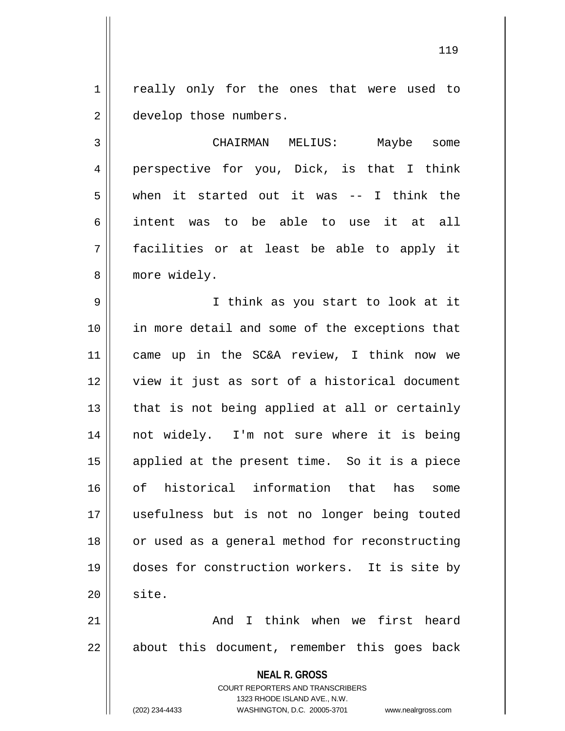1 || really only for the ones that were used to 2 | develop those numbers.

3 CHAIRMAN MELIUS: Maybe some 4 || perspective for you, Dick, is that I think  $5 \parallel$  when it started out it was -- I think the 6 intent was to be able to use it at all 7 facilities or at least be able to apply it 8 || more widely.

9 || I think as you start to look at it 10 || in more detail and some of the exceptions that came up in the SC&A review, I think now we view it just as sort of a historical document || that is not being applied at all or certainly not widely. I'm not sure where it is being applied at the present time. So it is a piece of historical information that has some usefulness but is not no longer being touted 18 || or used as a general method for reconstructing doses for construction workers. It is site by  $\parallel$  site.

21 And I think when we first heard  $22$  || about this document, remember this goes back

> **NEAL R. GROSS** COURT REPORTERS AND TRANSCRIBERS 1323 RHODE ISLAND AVE., N.W.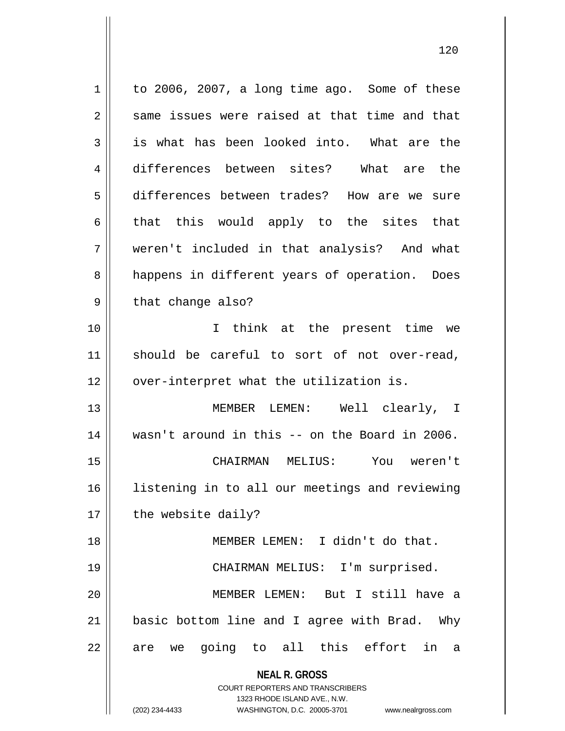| 1  | to 2006, 2007, a long time ago. Some of these                       |
|----|---------------------------------------------------------------------|
| 2  | same issues were raised at that time and that                       |
| 3  | is what has been looked into. What are the                          |
| 4  | differences between sites? What are the                             |
| 5  | differences between trades? How are we sure                         |
| 6  | that this would apply to the sites that                             |
| 7  | weren't included in that analysis? And what                         |
| 8  | happens in different years of operation. Does                       |
| 9  | that change also?                                                   |
| 10 | I think at the present time we                                      |
| 11 | should be careful to sort of not over-read,                         |
| 12 | over-interpret what the utilization is.                             |
| 13 | MEMBER LEMEN: Well clearly, I                                       |
| 14 | wasn't around in this -- on the Board in 2006.                      |
| 15 | CHAIRMAN MELIUS:<br>You weren't                                     |
| 16 | listening in to all our meetings and reviewing                      |
| 17 | the website daily?                                                  |
| 18 | MEMBER LEMEN: I didn't do that.                                     |
| 19 | CHAIRMAN MELIUS: I'm surprised.                                     |
| 20 | MEMBER LEMEN: But I still have a                                    |
| 21 | basic bottom line and I agree with Brad. Why                        |
| 22 | are we going to all this effort<br>in<br>- a                        |
|    | <b>NEAL R. GROSS</b>                                                |
|    | COURT REPORTERS AND TRANSCRIBERS                                    |
|    | 1323 RHODE ISLAND AVE., N.W.                                        |
|    | (202) 234-4433<br>WASHINGTON, D.C. 20005-3701<br>www.nealrgross.com |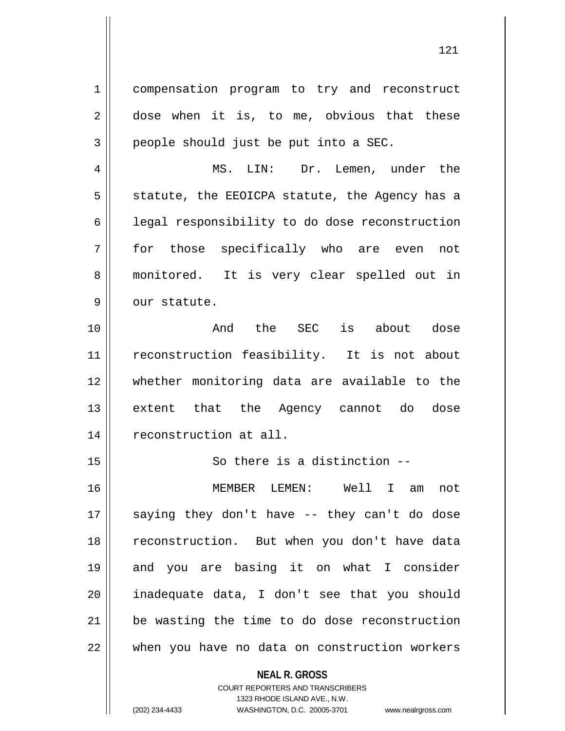1 compensation program to try and reconstruct  $2 \parallel$  dose when it is, to me, obvious that these  $3 \parallel$  people should just be put into a SEC.

4 MS. LIN: Dr. Lemen, under the  $5 \parallel$  statute, the EEOICPA statute, the Agency has a 6 | legal responsibility to do dose reconstruction 7 for those specifically who are even not 8 || monitored. It is very clear spelled out in  $9$  |  $0$  our statute.

10 And the SEC is about dose 11 || reconstruction feasibility. It is not about 12 whether monitoring data are available to the 13 extent that the Agency cannot do dose 14 | reconstruction at all.

15 || So there is a distinction --

 MEMBER LEMEN: Well I am not saying they don't have -- they can't do dose 18 || reconstruction. But when you don't have data and you are basing it on what I consider inadequate data, I don't see that you should be wasting the time to do dose reconstruction when you have no data on construction workers

> **NEAL R. GROSS** COURT REPORTERS AND TRANSCRIBERS 1323 RHODE ISLAND AVE., N.W. (202) 234-4433 WASHINGTON, D.C. 20005-3701 www.nealrgross.com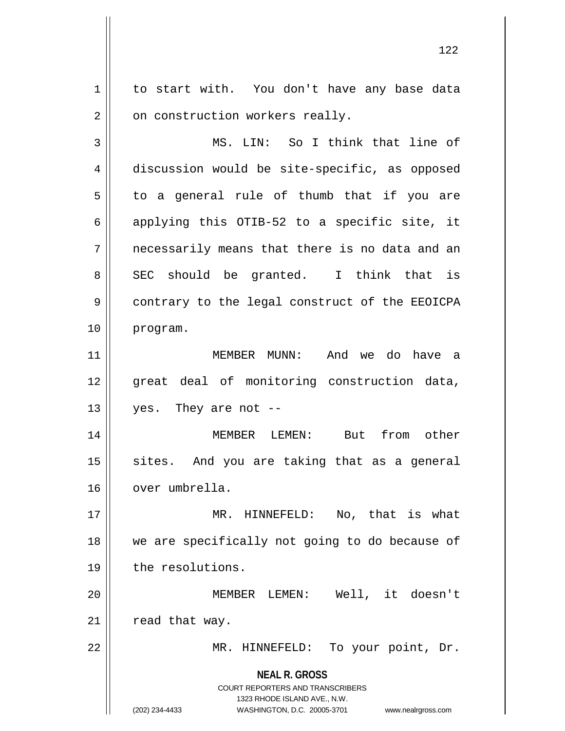1 | to start with. You don't have any base data  $2 \parallel$  on construction workers really.

3 || MS. LIN: So I think that line of 4 discussion would be site-specific, as opposed  $5 \parallel$  to a general rule of thumb that if you are 6 applying this OTIB-52 to a specific site, it  $7 \parallel$  necessarily means that there is no data and an  $8 \parallel$  SEC should be granted. I think that is 9 || contrary to the legal construct of the EEOICPA 10 program.

11 MEMBER MUNN: And we do have a 12 great deal of monitoring construction data,  $13 \parallel$  yes. They are not --

14 MEMBER LEMEN: But from other  $15$  sites. And you are taking that as a general 16 | over umbrella.

17 MR. HINNEFELD: No, that is what 18 we are specifically not going to do because of 19 | the resolutions.

20 MEMBER LEMEN: Well, it doesn't  $21$  | read that way.

22 || MR. HINNEFELD: To your point, Dr.

**NEAL R. GROSS** COURT REPORTERS AND TRANSCRIBERS

1323 RHODE ISLAND AVE., N.W.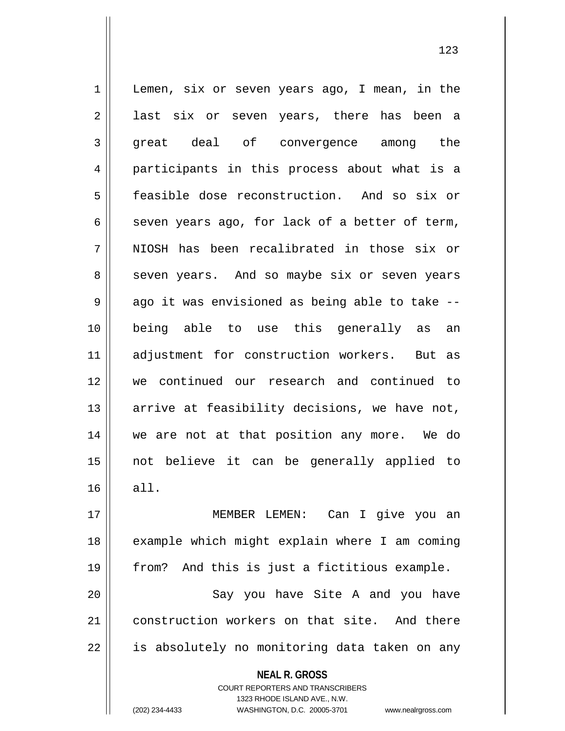**NEAL R. GROSS** COURT REPORTERS AND TRANSCRIBERS 1 | Lemen, six or seven years ago, I mean, in the 2 || last six or seven years, there has been a 3 great deal of convergence among the 4 participants in this process about what is a 5 feasible dose reconstruction. And so six or 6 seven years ago, for lack of a better of term, 7 || NIOSH has been recalibrated in those six or 8 || seven years. And so maybe six or seven years  $9 \parallel$  ago it was envisioned as being able to take --10 being able to use this generally as an 11 adjustment for construction workers. But as 12 we continued our research and continued to 13  $\parallel$  arrive at feasibility decisions, we have not, 14 we are not at that position any more. We do 15 not believe it can be generally applied to  $16 \parallel$  all. 17 MEMBER LEMEN: Can I give you an 18 || example which might explain where I am coming 19 from? And this is just a fictitious example. 20 || Say you have Site A and you have 21 construction workers on that site. And there 22 || is absolutely no monitoring data taken on any

1323 RHODE ISLAND AVE., N.W.

(202) 234-4433 WASHINGTON, D.C. 20005-3701 www.nealrgross.com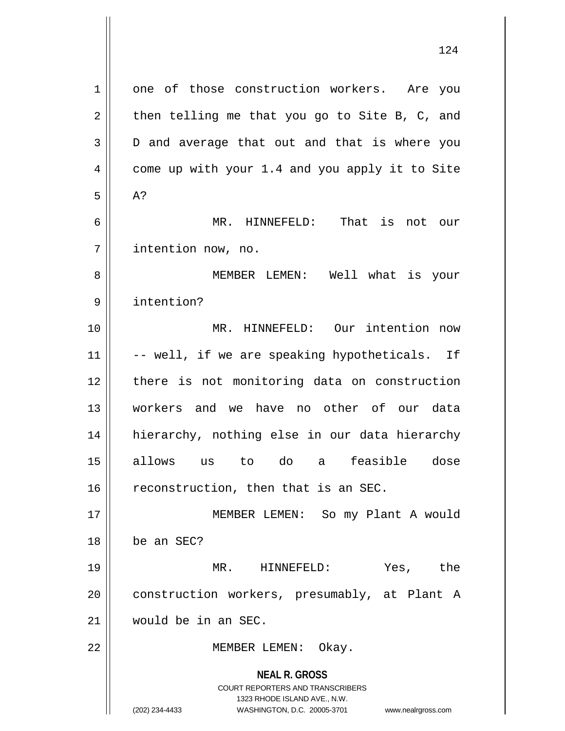| 1  | one of those construction workers. Are you                                                                                                                          |
|----|---------------------------------------------------------------------------------------------------------------------------------------------------------------------|
| 2  | then telling me that you go to Site B, C, and                                                                                                                       |
| 3  | D and average that out and that is where you                                                                                                                        |
| 4  | come up with your 1.4 and you apply it to Site                                                                                                                      |
| 5  | A?                                                                                                                                                                  |
| 6  | That is not our<br>MR. HINNEFELD:                                                                                                                                   |
| 7  | intention now, no.                                                                                                                                                  |
| 8  | MEMBER LEMEN: Well what is your                                                                                                                                     |
| 9  | intention?                                                                                                                                                          |
| 10 | MR. HINNEFELD: Our intention now                                                                                                                                    |
| 11 | -- well, if we are speaking hypotheticals. If                                                                                                                       |
| 12 | there is not monitoring data on construction                                                                                                                        |
| 13 | workers and we have no other of our data                                                                                                                            |
| 14 | hierarchy, nothing else in our data hierarchy                                                                                                                       |
| 15 | feasible dose<br>allows us<br>to do<br>a                                                                                                                            |
| 16 | reconstruction, then that is an SEC.                                                                                                                                |
| 17 | MEMBER LEMEN: So my Plant A would                                                                                                                                   |
| 18 | be an SEC?                                                                                                                                                          |
| 19 | MR. HINNEFELD:<br>Yes, the                                                                                                                                          |
| 20 | construction workers, presumably, at Plant A                                                                                                                        |
| 21 | would be in an SEC.                                                                                                                                                 |
| 22 | MEMBER LEMEN: Okay.                                                                                                                                                 |
|    | <b>NEAL R. GROSS</b><br><b>COURT REPORTERS AND TRANSCRIBERS</b><br>1323 RHODE ISLAND AVE., N.W.<br>(202) 234-4433<br>WASHINGTON, D.C. 20005-3701 www.nealrgross.com |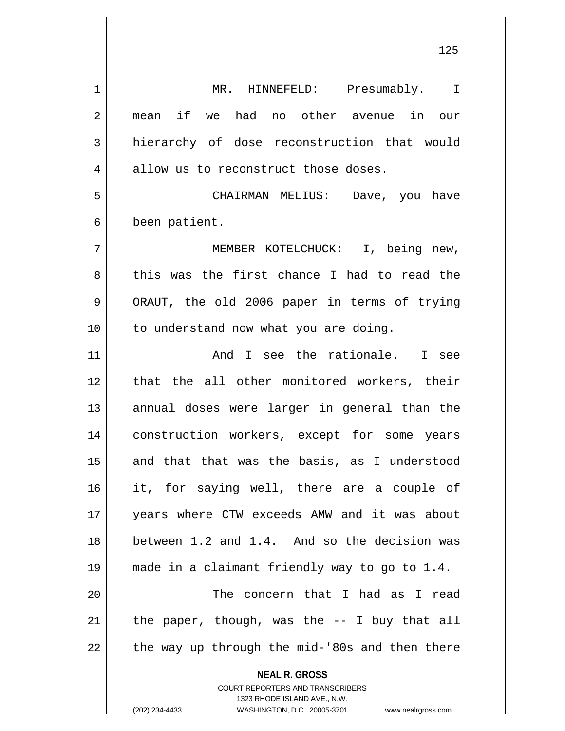**NEAL R. GROSS** 1 || MR. HINNEFELD: Presumably. I 2 mean if we had no other avenue in our 3 hierarchy of dose reconstruction that would 4 | allow us to reconstruct those doses. 5 CHAIRMAN MELIUS: Dave, you have 6 | been patient. 7 MEMBER KOTELCHUCK: I, being new, 8 this was the first chance I had to read the 9 || ORAUT, the old 2006 paper in terms of trying 10 || to understand now what you are doing. 11 || The Rand I see the rationale. I see 12 || that the all other monitored workers, their 13 || annual doses were larger in general than the 14 || construction workers, except for some years  $15$  and that that was the basis, as I understood 16 it, for saying well, there are a couple of 17 years where CTW exceeds AMW and it was about 18 between 1.2 and 1.4. And so the decision was 19 made in a claimant friendly way to go to 1.4. 20 The concern that I had as I read 21  $\parallel$  the paper, though, was the -- I buy that all  $22$  || the way up through the mid-'80s and then there

> COURT REPORTERS AND TRANSCRIBERS 1323 RHODE ISLAND AVE., N.W.

(202) 234-4433 WASHINGTON, D.C. 20005-3701 www.nealrgross.com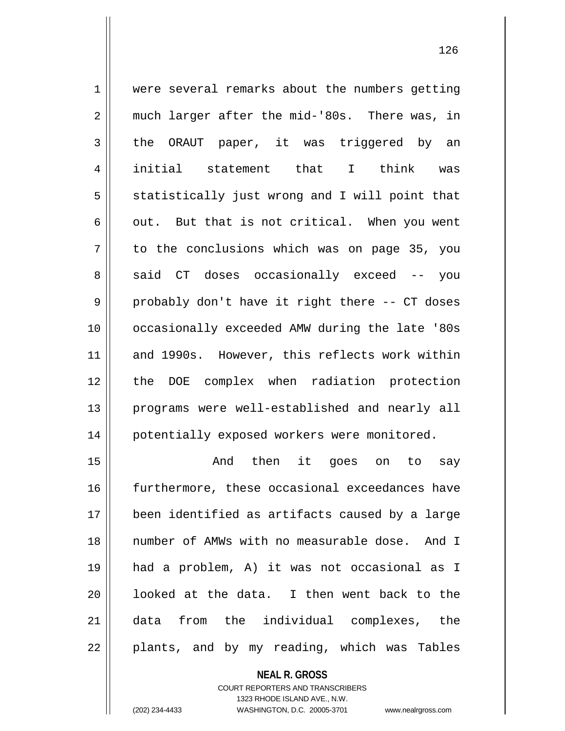| $\mathbf 1$ | were several remarks about the numbers getting   |
|-------------|--------------------------------------------------|
| 2           | much larger after the mid-'80s. There was, in    |
| 3           | the ORAUT paper, it was triggered by an          |
| 4           | initial statement that I think<br>was            |
| 5           | statistically just wrong and I will point that   |
| 6           | out. But that is not critical. When you went     |
| 7           | to the conclusions which was on page 35, you     |
| 8           | said CT doses occasionally exceed -- you         |
| 9           | probably don't have it right there -- CT doses   |
| 10          | occasionally exceeded AMW during the late '80s   |
| 11          | and 1990s. However, this reflects work within    |
| 12          | the DOE complex when radiation protection        |
| 13          | programs were well-established and nearly all    |
| 14          | potentially exposed workers were monitored.      |
| 15          | then it goes on to<br>And<br>say                 |
| 16          | furthermore, these occasional exceedances have   |
| 17          | been identified as artifacts caused by a large   |
| 18          | number of AMWs with no measurable dose.<br>And I |
| 19          | had a problem, A) it was not occasional as I     |

 | looked at the data. I then went back to the 21 data from the individual complexes, the

| plants, and by my reading, which was Tables

**NEAL R. GROSS** COURT REPORTERS AND TRANSCRIBERS 1323 RHODE ISLAND AVE., N.W.

(202) 234-4433 WASHINGTON, D.C. 20005-3701 www.nealrgross.com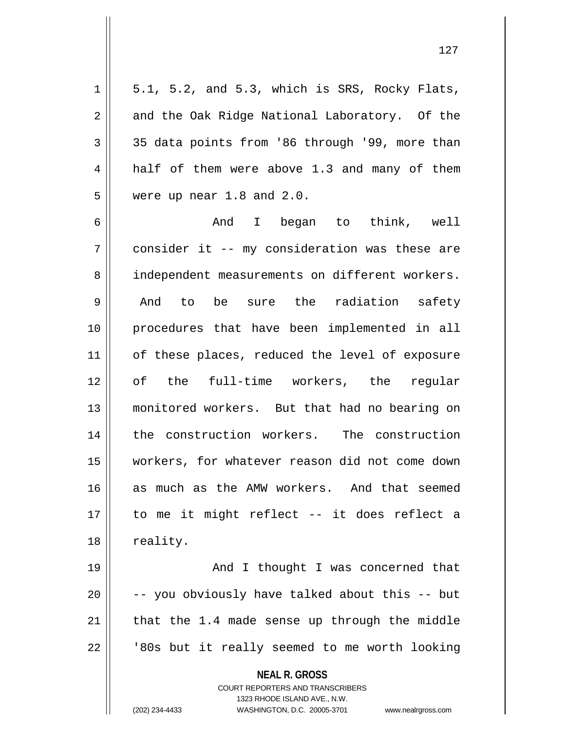| $\mathbf 1$    | 5.1, 5.2, and 5.3, which is SRS, Rocky Flats,  |
|----------------|------------------------------------------------|
| $\mathbf 2$    | and the Oak Ridge National Laboratory. Of the  |
| 3              | 35 data points from '86 through '99, more than |
| $\overline{4}$ | half of them were above 1.3 and many of them   |
| 5              | were up near $1.8$ and $2.0$ .                 |
| 6              | And I began to think, well                     |
| 7              | consider it -- my consideration was these are  |
| 8              | independent measurements on different workers. |
| $\mathsf 9$    | be sure the radiation safety<br>And to         |
| 10             | procedures that have been implemented in all   |
| 11             | of these places, reduced the level of exposure |
| 12             | of the full-time workers, the regular          |
| 13             | monitored workers. But that had no bearing on  |
| 14             | the construction workers. The construction     |
| 15             | workers, for whatever reason did not come down |
| 16             | as much as the AMW workers. And that seemed    |
| 17             | to me it might reflect -- it does reflect a    |
| 18             | reality.                                       |
| 19             | And I thought I was concerned that             |
| 20             | -- you obviously have talked about this -- but |
| 21             | that the 1.4 made sense up through the middle  |
| 22             | '80s but it really seemed to me worth looking  |
|                | <b>NEAL R. GROSS</b>                           |

COURT REPORTERS AND TRANSCRIBERS 1323 RHODE ISLAND AVE., N.W.

(202) 234-4433 WASHINGTON, D.C. 20005-3701 www.nealrgross.com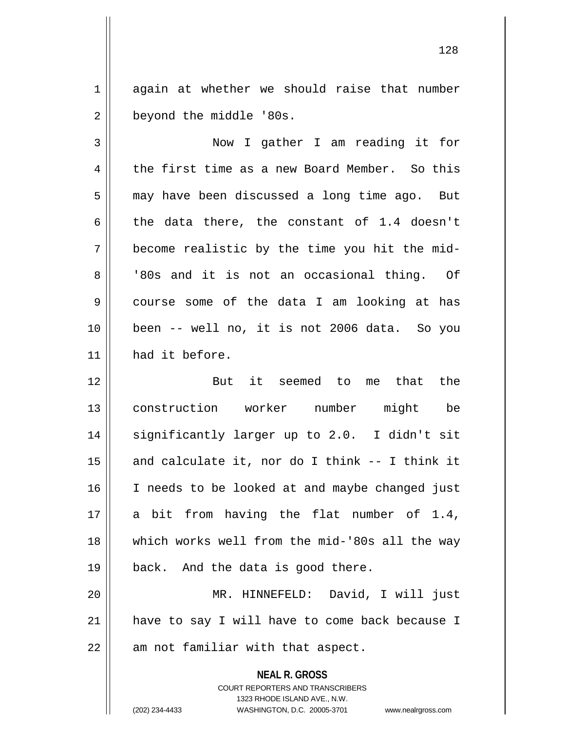1 again at whether we should raise that number 2 | beyond the middle '80s.

3 Now I gather I am reading it for 4 the first time as a new Board Member. So this 5 | may have been discussed a long time ago. But 6 the data there, the constant of 1.4 doesn't  $7 \parallel$  become realistic by the time you hit the mid-8 || '80s and it is not an occasional thing. Of 9 course some of the data I am looking at has 10 been -- well no, it is not 2006 data. So you 11 | had it before.

12 But it seemed to me that the 13 construction worker number might be 14 || significantly larger up to 2.0. I didn't sit  $15$  and calculate it, nor do I think -- I think it 16 || I needs to be looked at and maybe changed just 17 || a bit from having the flat number of  $1.4$ , 18 || which works well from the mid-'80s all the way 19 || back. And the data is good there.

20 MR. HINNEFELD: David, I will just 21 || have to say I will have to come back because I  $22$  || am not familiar with that aspect.

> **NEAL R. GROSS** COURT REPORTERS AND TRANSCRIBERS 1323 RHODE ISLAND AVE., N.W.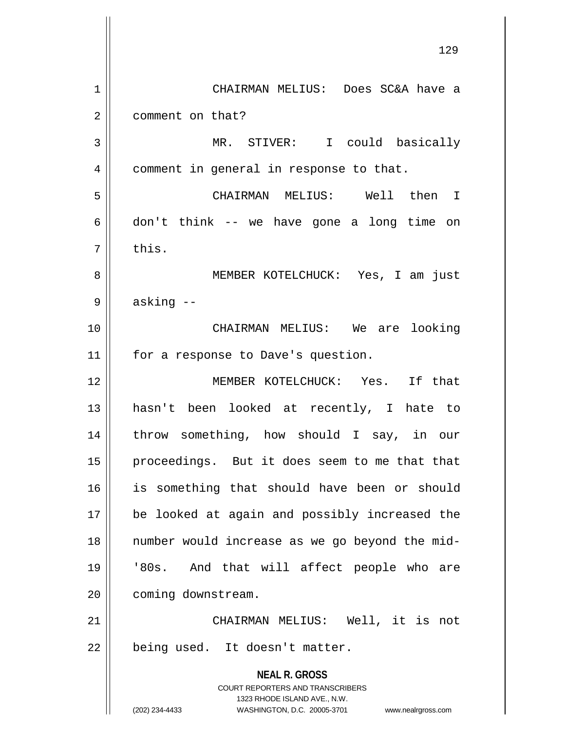**NEAL R. GROSS** COURT REPORTERS AND TRANSCRIBERS 1323 RHODE ISLAND AVE., N.W. (202) 234-4433 WASHINGTON, D.C. 20005-3701 www.nealrgross.com 129 1 CHAIRMAN MELIUS: Does SC&A have a 2 | comment on that? 3 || MR. STIVER: I could basically 4 | comment in general in response to that. 5 CHAIRMAN MELIUS: Well then I  $6 \parallel$  don't think -- we have gone a long time on  $7 \parallel$  this. 8 MEMBER KOTELCHUCK: Yes, I am just  $9 \parallel$  asking  $-$ 10 CHAIRMAN MELIUS: We are looking 11 || for a response to Dave's question. 12 MEMBER KOTELCHUCK: Yes. If that 13 hasn't been looked at recently, I hate to 14 || throw something, how should I say, in our 15 || proceedings. But it does seem to me that that 16 is something that should have been or should 17 be looked at again and possibly increased the 18 number would increase as we go beyond the mid-19 '80s. And that will affect people who are 20 | coming downstream. 21 || CHAIRMAN MELIUS: Well, it is not  $22$  | being used. It doesn't matter.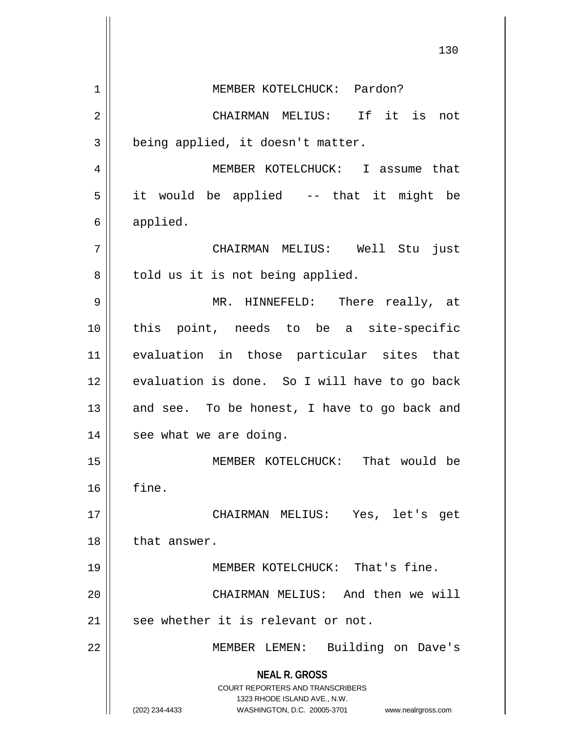|    | 130                                                                                                                                                                    |
|----|------------------------------------------------------------------------------------------------------------------------------------------------------------------------|
| 1  | MEMBER KOTELCHUCK: Pardon?                                                                                                                                             |
| 2  | CHAIRMAN MELIUS: If it is not                                                                                                                                          |
| 3  | being applied, it doesn't matter.                                                                                                                                      |
| 4  | MEMBER KOTELCHUCK: I assume that                                                                                                                                       |
| 5  | it would be applied -- that it might be                                                                                                                                |
| 6  | applied.                                                                                                                                                               |
| 7  | CHAIRMAN MELIUS: Well Stu just                                                                                                                                         |
| 8  | told us it is not being applied.                                                                                                                                       |
| 9  | MR. HINNEFELD: There really, at                                                                                                                                        |
| 10 | this point, needs to be a site-specific                                                                                                                                |
| 11 | evaluation in those particular sites that                                                                                                                              |
| 12 | evaluation is done. So I will have to go back                                                                                                                          |
| 13 | and see. To be honest, I have to go back and                                                                                                                           |
| 14 | see what we are doing.                                                                                                                                                 |
| 15 | That would be<br>MEMBER KOTELCHUCK:                                                                                                                                    |
| 16 | fine.                                                                                                                                                                  |
| 17 | CHAIRMAN MELIUS: Yes, let's<br>get                                                                                                                                     |
| 18 | that answer.                                                                                                                                                           |
| 19 | MEMBER KOTELCHUCK: That's fine.                                                                                                                                        |
| 20 | CHAIRMAN MELIUS: And then we will                                                                                                                                      |
| 21 | see whether it is relevant or not.                                                                                                                                     |
| 22 | Building on Dave's<br>MEMBER LEMEN:                                                                                                                                    |
|    | <b>NEAL R. GROSS</b><br><b>COURT REPORTERS AND TRANSCRIBERS</b><br>1323 RHODE ISLAND AVE., N.W.<br>(202) 234-4433<br>WASHINGTON, D.C. 20005-3701<br>www.nealrgross.com |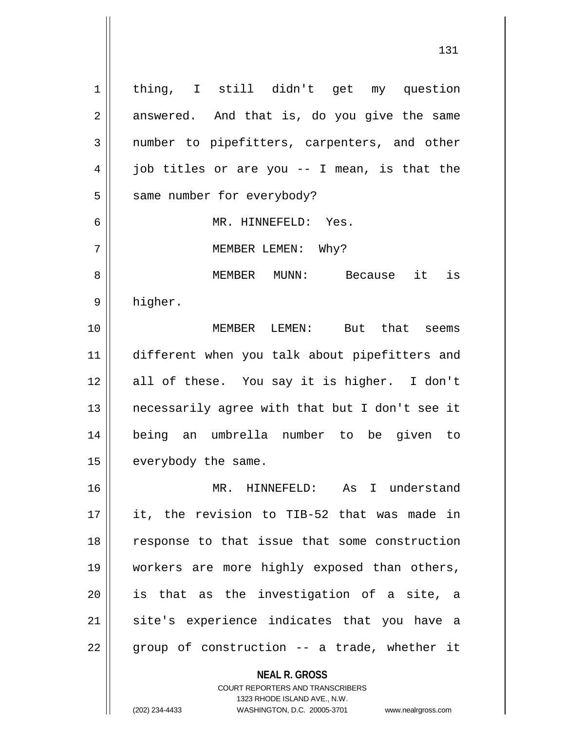**NEAL R. GROSS** 1 || thing, I still didn't get my question  $2 \parallel$  answered. And that is, do you give the same 3 mumber to pipefitters, carpenters, and other  $4 \parallel$  job titles or are you -- I mean, is that the | same number for everybody? MR. HINNEFELD: Yes. 7 || MEMBER LEMEN: Why? MEMBER MUNN: Because it is 9 higher. MEMBER LEMEN: But that seems different when you talk about pipefitters and all of these. You say it is higher. I don't necessarily agree with that but I don't see it being an umbrella number to be given to | everybody the same. MR. HINNEFELD: As I understand it, the revision to TIB-52 that was made in 18 || response to that issue that some construction workers are more highly exposed than others, is that as the investigation of a site, a 21 || site's experience indicates that you have a || group of construction -- a trade, whether it

> COURT REPORTERS AND TRANSCRIBERS 1323 RHODE ISLAND AVE., N.W.

(202) 234-4433 WASHINGTON, D.C. 20005-3701 www.nealrgross.com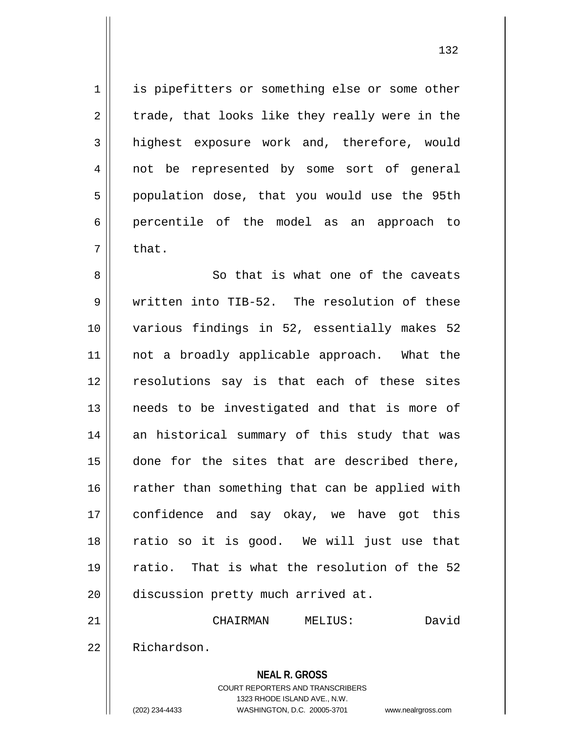1 || is pipefitters or something else or some other  $2 \parallel$  trade, that looks like they really were in the 3 highest exposure work and, therefore, would 4 || not be represented by some sort of general 5 | population dose, that you would use the 95th 6 percentile of the model as an approach to  $7 \parallel$  that.

8 So that is what one of the caveats 9 written into TIB-52. The resolution of these 10 various findings in 52, essentially makes 52 11 || not a broadly applicable approach. What the 12 || resolutions say is that each of these sites 13 || needs to be investigated and that is more of 14 an historical summary of this study that was 15 done for the sites that are described there,  $16$  rather than something that can be applied with 17 || confidence and say okay, we have got this 18 || ratio so it is good. We will just use that 19 ratio. That is what the resolution of the 52 20 discussion pretty much arrived at.

21 CHAIRMAN MELIUS: David

22 Richardson.

**NEAL R. GROSS** COURT REPORTERS AND TRANSCRIBERS

1323 RHODE ISLAND AVE., N.W.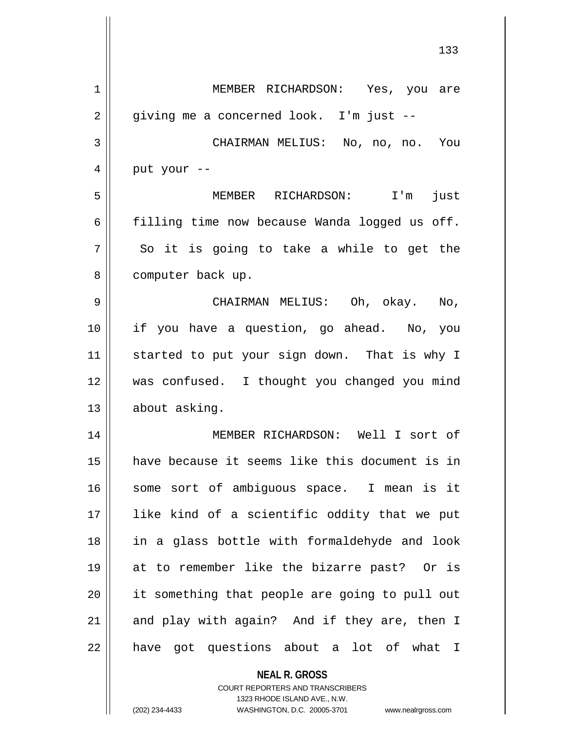|    | 133                                            |
|----|------------------------------------------------|
| 1  | MEMBER RICHARDSON: Yes, you are                |
| 2  | giving me a concerned look. I'm just --        |
| 3  | CHAIRMAN MELIUS: No, no, no. You               |
| 4  | put your --                                    |
| 5  | MEMBER RICHARDSON: I'm<br>just                 |
| 6  | filling time now because Wanda logged us off.  |
| 7  | So it is going to take a while to get the      |
| 8  | computer back up.                              |
| 9  | CHAIRMAN MELIUS: Oh, okay. No,                 |
| 10 | if you have a question, go ahead. No, you      |
| 11 | started to put your sign down. That is why I   |
| 12 | was confused. I thought you changed you mind   |
| 13 | about asking.                                  |
| 14 | MEMBER RICHARDSON: Well I sort of              |
| 15 | have because it seems like this document is in |
| 16 | some sort of ambiguous space. I mean is it     |
| 17 | like kind of a scientific oddity that we put   |
| 18 | in a glass bottle with formaldehyde and look   |
| 19 | at to remember like the bizarre past? Or is    |
| 20 | it something that people are going to pull out |
| 21 | and play with again? And if they are, then I   |
| 22 | have got questions about a lot of what I       |
|    | <b>NEAL R. GROSS</b>                           |

COURT REPORTERS AND TRANSCRIBERS 1323 RHODE ISLAND AVE., N.W.

 $\mathsf{I}$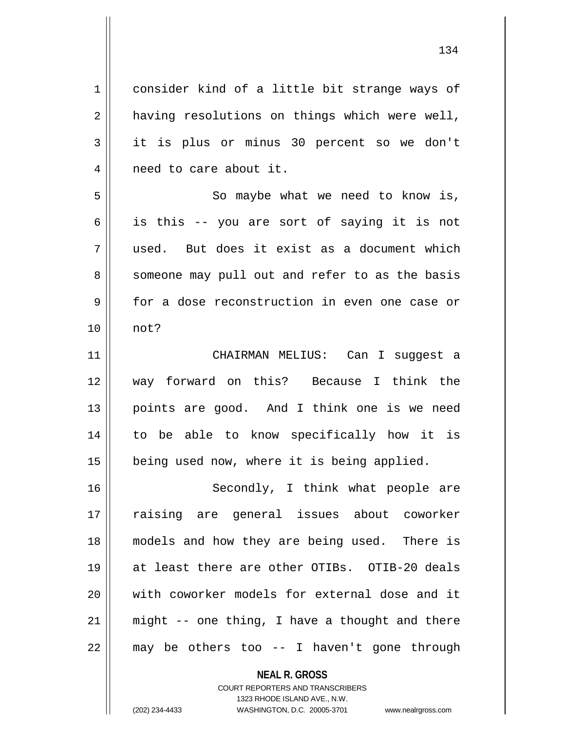1 consider kind of a little bit strange ways of  $2 \parallel$  having resolutions on things which were well, 3 it is plus or minus 30 percent so we don't 4 || need to care about it. 5 || So maybe what we need to know is,  $6 \parallel$  is this -- you are sort of saying it is not 7 used. But does it exist as a document which 8 || someone may pull out and refer to as the basis 9 for a dose reconstruction in even one case or 10 not? 11 CHAIRMAN MELIUS: Can I suggest a 12 way forward on this? Because I think the 13 || points are good. And I think one is we need 14 to be able to know specifically how it is 15 | being used now, where it is being applied. 16 || Secondly, I think what people are 17 raising are general issues about coworker 18 models and how they are being used. There is 19 at least there are other OTIBs. OTIB-20 deals 20 With coworker models for external dose and it 21  $\parallel$  might -- one thing, I have a thought and there  $22$  || may be others too -- I haven't gone through

> **NEAL R. GROSS** COURT REPORTERS AND TRANSCRIBERS 1323 RHODE ISLAND AVE., N.W.

(202) 234-4433 WASHINGTON, D.C. 20005-3701 www.nealrgross.com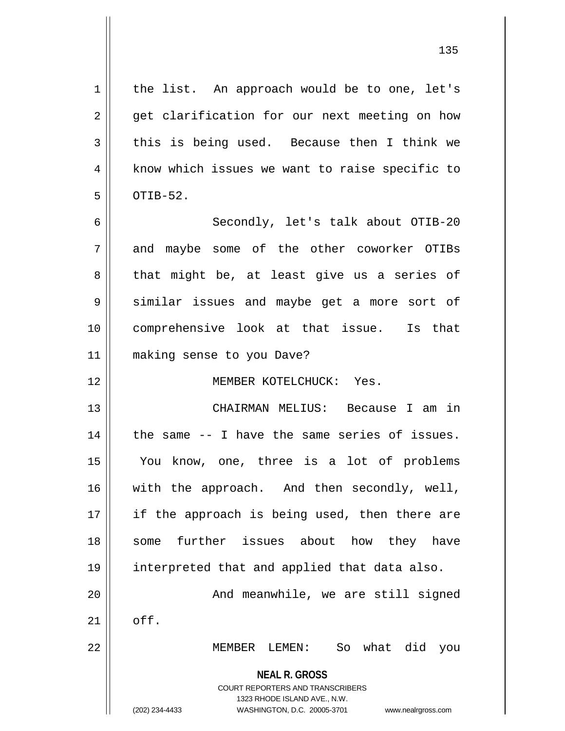**NEAL R. GROSS** COURT REPORTERS AND TRANSCRIBERS 1323 RHODE ISLAND AVE., N.W. (202) 234-4433 WASHINGTON, D.C. 20005-3701 www.nealrgross.com  $1 \parallel$  the list. An approach would be to one, let's  $2 \parallel$  get clarification for our next meeting on how  $3 \parallel$  this is being used. Because then I think we 4 | know which issues we want to raise specific to  $5 \parallel$  OTIB-52. 6 Secondly, let's talk about OTIB-20 7 and maybe some of the other coworker OTIBs  $8 \parallel$  that might be, at least give us a series of 9 Similar issues and maybe get a more sort of 10 comprehensive look at that issue. Is that 11 making sense to you Dave? 12 MEMBER KOTELCHUCK: Yes. 13 CHAIRMAN MELIUS: Because I am in  $14$  | the same  $-$  I have the same series of issues. 15 You know, one, three is a lot of problems 16 || with the approach. And then secondly, well, 17 || if the approach is being used, then there are 18 Some further issues about how they have 19 interpreted that and applied that data also. 20 || The Mode meanwhile, we are still signed  $21$  off. 22 MEMBER LEMEN: So what did you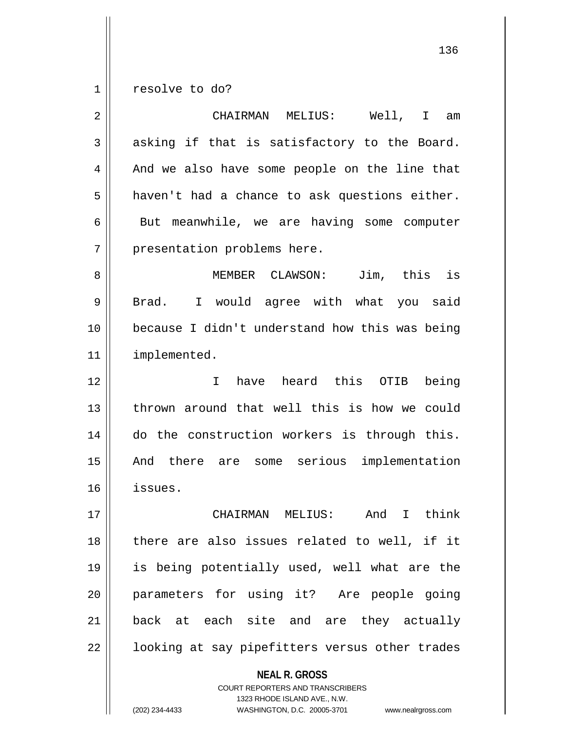1 | resolve to do?

| 2  | CHAIRMAN MELIUS:<br>Well,<br>I.<br>am                    |
|----|----------------------------------------------------------|
| 3  | asking if that is satisfactory to the Board.             |
| 4  | And we also have some people on the line that            |
| 5  | haven't had a chance to ask questions either.            |
| 6  | But meanwhile, we are having some computer               |
| 7  | presentation problems here.                              |
| 8  | MEMBER CLAWSON: Jim, this is                             |
| 9  | I would agree with what you said<br>Brad.                |
| 10 | because I didn't understand how this was being           |
| 11 | implemented.                                             |
| 12 | have heard this<br>being<br>I.<br>OTIB                   |
| 13 | thrown around that well this is how we could             |
| 14 | do the construction workers is through this.             |
| 15 | there are some serious implementation<br>And             |
| 16 | issues.                                                  |
| 17 | think<br>MELIUS:<br>And<br>$\mathbf{I}$<br>CHAIRMAN      |
| 18 | there are also issues related to well, if it             |
| 19 | is being potentially used, well what are the             |
| 20 | parameters for using it? Are people going                |
| 21 | back at each site and are they actually                  |
| 22 | looking at say pipefitters versus other trades           |
|    | <b>NEAL R. GROSS</b><br>COURT REPORTERS AND TRANSCRIBERS |

1323 RHODE ISLAND AVE., N.W.

 $\overline{\phantom{a}}$  $\mathop{\text{||}}$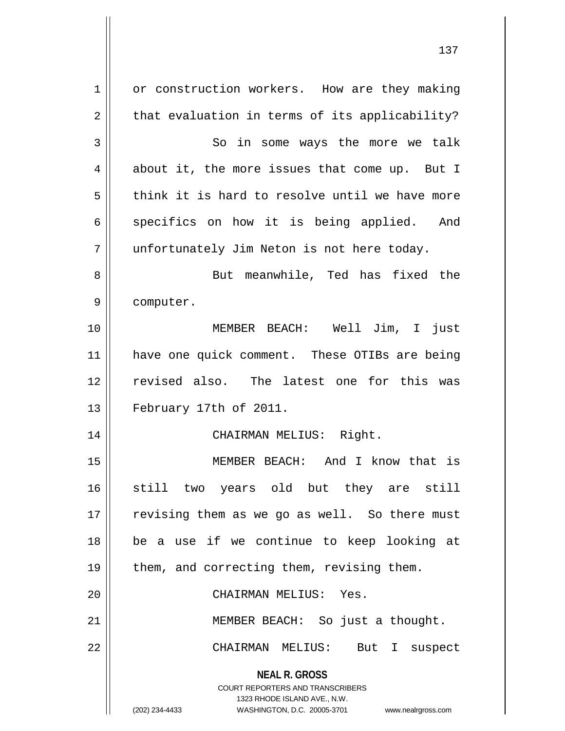**NEAL R. GROSS** COURT REPORTERS AND TRANSCRIBERS 1323 RHODE ISLAND AVE., N.W. (202) 234-4433 WASHINGTON, D.C. 20005-3701 www.nealrgross.com 1 | or construction workers. How are they making  $2 \parallel$  that evaluation in terms of its applicability? 3 || So in some ways the more we talk  $4 \parallel$  about it, the more issues that come up. But I  $5 \parallel$  think it is hard to resolve until we have more  $6 \parallel$  specifics on how it is being applied. And 7 || unfortunately Jim Neton is not here today. 8 || But meanwhile, Ted has fixed the 9 | computer. 10 MEMBER BEACH: Well Jim, I just 11 || have one quick comment. These OTIBs are being 12 revised also. The latest one for this was 13 || February 17th of 2011. 14 || CHAIRMAN MELIUS: Right. 15 MEMBER BEACH: And I know that is 16 still two years old but they are still 17 || revising them as we go as well. So there must 18 be a use if we continue to keep looking at 19 || them, and correcting them, revising them. 20 CHAIRMAN MELIUS: Yes. 21 || MEMBER BEACH: So just a thought. 22 CHAIRMAN MELIUS: But I suspect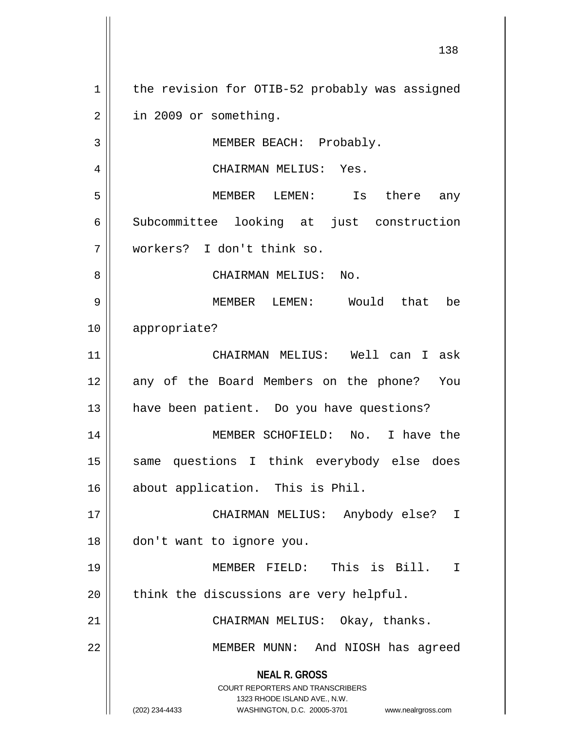**NEAL R. GROSS** COURT REPORTERS AND TRANSCRIBERS 1323 RHODE ISLAND AVE., N.W. (202) 234-4433 WASHINGTON, D.C. 20005-3701 www.nealrgross.com 1 | the revision for OTIB-52 probably was assigned  $2 \parallel$  in 2009 or something. 3 || MEMBER BEACH: Probably. 4 CHAIRMAN MELIUS: Yes. 5 MEMBER LEMEN: Is there any 6 Subcommittee looking at just construction 7 workers? I don't think so. 8 CHAIRMAN MELIUS: No. 9 MEMBER LEMEN: Would that be 10 appropriate? 11 CHAIRMAN MELIUS: Well can I ask 12 || any of the Board Members on the phone? You 13 have been patient. Do you have questions? 14 MEMBER SCHOFIELD: No. I have the 15 || same questions I think everybody else does 16 || about application. This is Phil. 17 CHAIRMAN MELIUS: Anybody else? I 18 don't want to ignore you. 19 MEMBER FIELD: This is Bill. I  $20$  || think the discussions are very helpful. 21 || CHAIRMAN MELIUS: Okay, thanks. 22 MEMBER MUNN: And NIOSH has agreed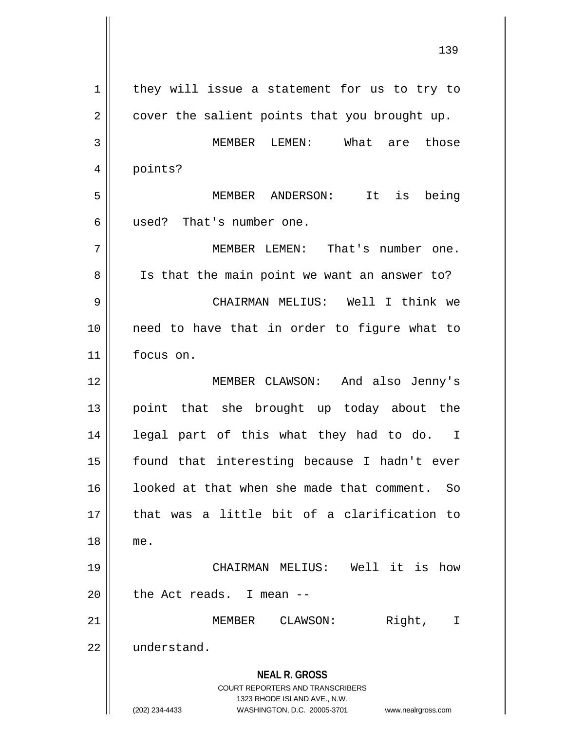**NEAL R. GROSS** COURT REPORTERS AND TRANSCRIBERS 1323 RHODE ISLAND AVE., N.W. (202) 234-4433 WASHINGTON, D.C. 20005-3701 www.nealrgross.com  $1$  they will issue a statement for us to try to  $2 \parallel$  cover the salient points that you brought up. 3 MEMBER LEMEN: What are those 4 | points? 5 MEMBER ANDERSON: It is being 6 used? That's number one. 7 MEMBER LEMEN: That's number one. 8 || Is that the main point we want an answer to? 9 CHAIRMAN MELIUS: Well I think we 10 need to have that in order to figure what to 11 focus on. 12 MEMBER CLAWSON: And also Jenny's 13 point that she brought up today about the 14 || legal part of this what they had to do. I 15 || found that interesting because I hadn't ever 16 || looked at that when she made that comment. So 17 that was a little bit of a clarification to 18 me. 19 CHAIRMAN MELIUS: Well it is how  $20$  | the Act reads. I mean  $-$ 21 MEMBER CLAWSON: Right, I 22 | understand.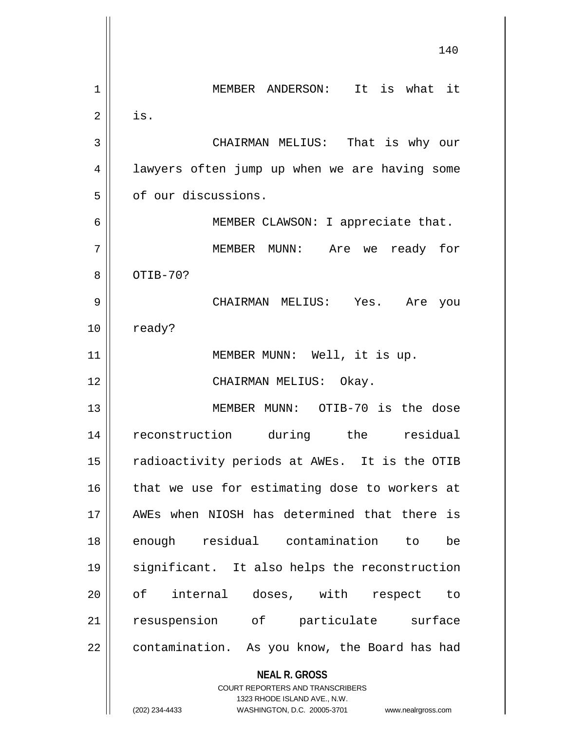|    | 140                                                                     |
|----|-------------------------------------------------------------------------|
| 1  | MEMBER ANDERSON: It is what it                                          |
| 2  | is.                                                                     |
|    |                                                                         |
| 3  | CHAIRMAN MELIUS: That is why our                                        |
| 4  | lawyers often jump up when we are having some                           |
| 5  | of our discussions.                                                     |
| 6  | MEMBER CLAWSON: I appreciate that.                                      |
| 7  | MEMBER MUNN:<br>ready for<br>Are we                                     |
| 8  | OTIB-70?                                                                |
| 9  | CHAIRMAN MELIUS: Yes. Are<br>you                                        |
| 10 | ready?                                                                  |
| 11 | MEMBER MUNN: Well, it is up.                                            |
| 12 | CHAIRMAN MELIUS: Okay.                                                  |
| 13 | MEMBER MUNN: OTIB-70 is the dose                                        |
| 14 | reconstruction during the<br>residual                                   |
| 15 | radioactivity periods at AWEs. It is the OTIB                           |
| 16 | that we use for estimating dose to workers at                           |
| 17 | AWEs when NIOSH has determined that there is                            |
| 18 | enough residual contamination to<br>be                                  |
| 19 | significant. It also helps the reconstruction                           |
| 20 | of internal doses, with<br>respect to                                   |
| 21 | resuspension of particulate surface                                     |
| 22 | contamination. As you know, the Board has had                           |
|    | <b>NEAL R. GROSS</b>                                                    |
|    | <b>COURT REPORTERS AND TRANSCRIBERS</b><br>1323 RHODE ISLAND AVE., N.W. |
|    | (202) 234-4433<br>WASHINGTON, D.C. 20005-3701<br>www.nealrgross.com     |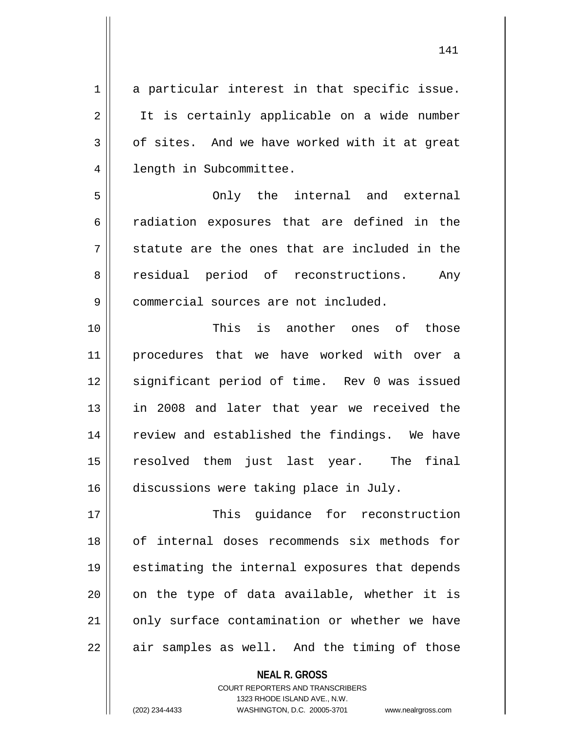1 a particular interest in that specific issue. 2 || It is certainly applicable on a wide number  $3 \parallel$  of sites. And we have worked with it at great 4 | length in Subcommittee.

5 Only the internal and external 6 accordiation exposures that are defined in the  $7 \parallel$  statute are the ones that are included in the 8 residual period of reconstructions. Any 9 | commercial sources are not included.

10 This is another ones of those 11 procedures that we have worked with over a 12 || significant period of time. Rev 0 was issued 13 || in 2008 and later that year we received the 14 || review and established the findings. We have 15 resolved them just last year. The final 16 discussions were taking place in July.

17 || This quidance for reconstruction of internal doses recommends six methods for estimating the internal exposures that depends || on the type of data available, whether it is 21 || only surface contamination or whether we have || air samples as well. And the timing of those

> **NEAL R. GROSS** COURT REPORTERS AND TRANSCRIBERS 1323 RHODE ISLAND AVE., N.W. (202) 234-4433 WASHINGTON, D.C. 20005-3701 www.nealrgross.com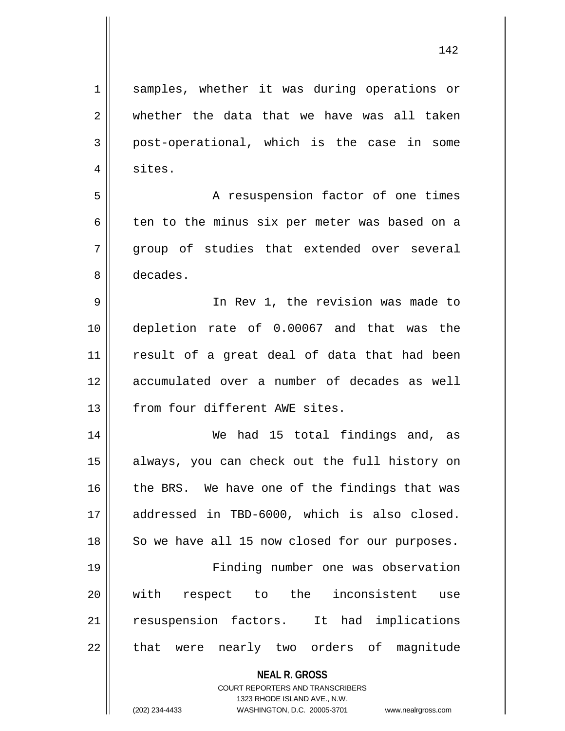**NEAL R. GROSS** COURT REPORTERS AND TRANSCRIBERS 1 || samples, whether it was during operations or  $2 \parallel$  whether the data that we have was all taken 3 post-operational, which is the case in some 4 | sites. 5 | A resuspension factor of one times 6  $\parallel$  ten to the minus six per meter was based on a 7 group of studies that extended over several 8 decades. 9 In Rev 1, the revision was made to 10 depletion rate of 0.00067 and that was the 11 || result of a great deal of data that had been 12 accumulated over a number of decades as well 13 from four different AWE sites. 14 We had 15 total findings and, as 15 always, you can check out the full history on 16 || the BRS. We have one of the findings that was 17 addressed in TBD-6000, which is also closed.  $18$  So we have all 15 now closed for our purposes. 19 Finding number one was observation 20 with respect to the inconsistent use 21 || resuspension factors. It had implications 22 || that were nearly two orders of magnitude

1323 RHODE ISLAND AVE., N.W.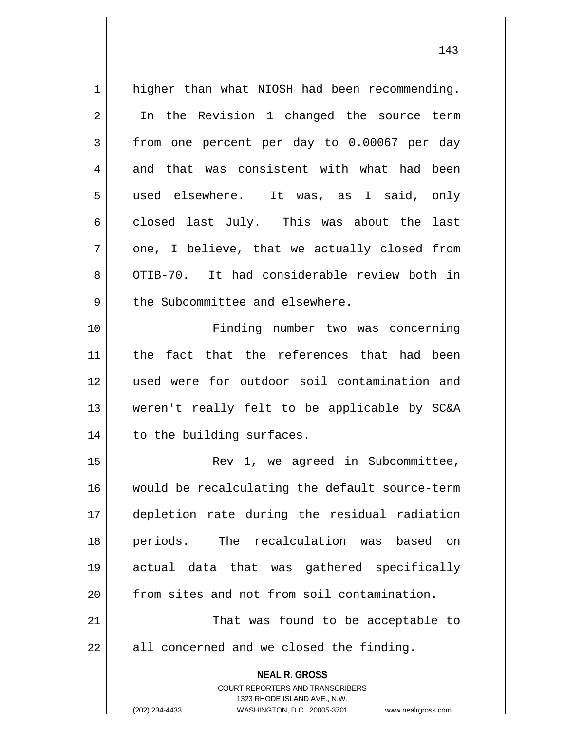| 1  | higher than what NIOSH had been recommending.                       |
|----|---------------------------------------------------------------------|
| 2  | In the Revision 1 changed the source term                           |
| 3  | from one percent per day to 0.00067 per day                         |
| 4  | and that was consistent with what had been                          |
| 5  | used elsewhere. It was, as I said, only                             |
| 6  | closed last July. This was about the last                           |
| 7  | one, I believe, that we actually closed from                        |
| 8  | OTIB-70. It had considerable review both in                         |
| 9  | the Subcommittee and elsewhere.                                     |
| 10 | Finding number two was concerning                                   |
| 11 | the fact that the references that had been                          |
| 12 | used were for outdoor soil contamination and                        |
| 13 | weren't really felt to be applicable by SC&A                        |
| 14 | to the building surfaces.                                           |
| 15 | Rev 1, we agreed in Subcommittee,                                   |
| 16 | would be recalculating the default source-term                      |
| 17 | depletion rate during the residual radiation                        |
| 18 | periods.<br>The recalculation was based<br>on                       |
| 19 | actual data that was gathered specifically                          |
| 20 | from sites and not from soil contamination.                         |
| 21 | That was found to be acceptable to                                  |
| 22 | all concerned and we closed the finding.                            |
|    | <b>NEAL R. GROSS</b>                                                |
|    | <b>COURT REPORTERS AND TRANSCRIBERS</b>                             |
|    | 1323 RHODE ISLAND AVE., N.W.                                        |
|    | (202) 234-4433<br>WASHINGTON, D.C. 20005-3701<br>www.nealrgross.com |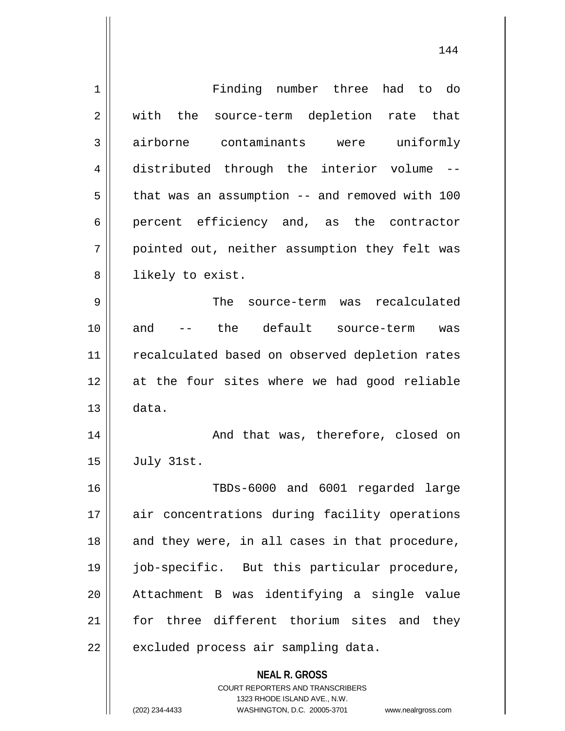| 1              | Finding number three had to do                                      |
|----------------|---------------------------------------------------------------------|
| 2              | with the source-term depletion rate that                            |
| 3              | airborne contaminants were uniformly                                |
| $\overline{4}$ | distributed through the interior volume --                          |
| 5              | that was an assumption -- and removed with 100                      |
| 6              | percent efficiency and, as the contractor                           |
| 7              | pointed out, neither assumption they felt was                       |
| 8              | likely to exist.                                                    |
| 9              | The source-term was recalculated                                    |
| 10             | -- the default source-term was<br>and                               |
| 11             | recalculated based on observed depletion rates                      |
| 12             | at the four sites where we had good reliable                        |
| 13             | data.                                                               |
| 14             | And that was, therefore, closed on                                  |
| 15             | July 31st.                                                          |
| 16             | TBDs-6000 and 6001 regarded large                                   |
| 17             | air concentrations during facility operations                       |
|                |                                                                     |
| 18             | and they were, in all cases in that procedure,                      |
| 19             | job-specific. But this particular procedure,                        |
| 20             | Attachment B was identifying a single value                         |
| 21             | for three different thorium sites and they                          |
| 22             | excluded process air sampling data.                                 |
|                | <b>NEAL R. GROSS</b>                                                |
|                | COURT REPORTERS AND TRANSCRIBERS                                    |
|                | 1323 RHODE ISLAND AVE., N.W.                                        |
|                | (202) 234-4433<br>WASHINGTON, D.C. 20005-3701<br>www.nealrgross.com |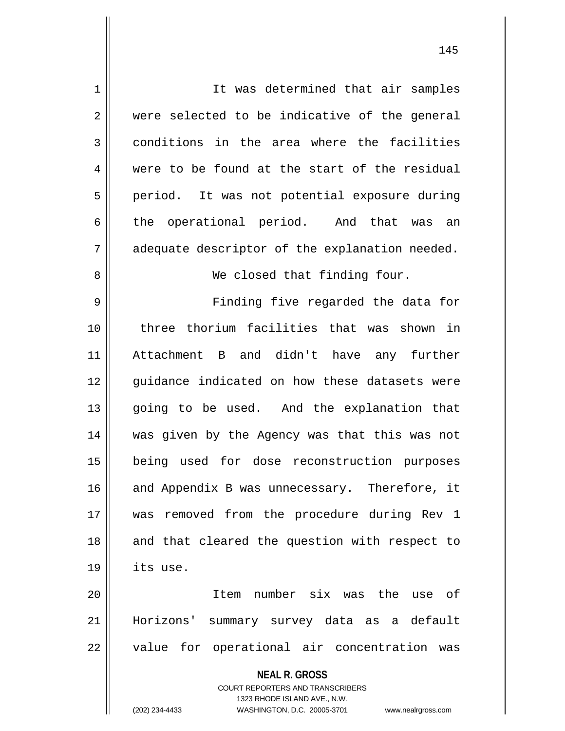| $\mathbf 1$ | It was determined that air samples                                  |
|-------------|---------------------------------------------------------------------|
|             |                                                                     |
| 2           | were selected to be indicative of the general                       |
| 3           | conditions in the area where the facilities                         |
| 4           | were to be found at the start of the residual                       |
| 5           | period. It was not potential exposure during                        |
| 6           | the operational period. And that was an                             |
| 7           | adequate descriptor of the explanation needed.                      |
| 8           | We closed that finding four.                                        |
| 9           | Finding five regarded the data for                                  |
| 10          | three thorium facilities that was shown in                          |
| 11          | Attachment B and didn't have any further                            |
| 12          | guidance indicated on how these datasets were                       |
| 13          | going to be used. And the explanation that                          |
| 14          | was given by the Agency was that this was not                       |
| 15          | being used for dose reconstruction purposes                         |
| 16          | and Appendix B was unnecessary. Therefore, it                       |
| 17          | was removed from the procedure during Rev 1                         |
| 18          | and that cleared the question with respect to                       |
| 19          | its use.                                                            |
| 20          | Item number six was the use of                                      |
| 21          | Horizons' summary survey data as a default                          |
| 22          | value for operational air concentration was                         |
|             | <b>NEAL R. GROSS</b>                                                |
|             | <b>COURT REPORTERS AND TRANSCRIBERS</b>                             |
|             | 1323 RHODE ISLAND AVE., N.W.                                        |
|             | (202) 234-4433<br>WASHINGTON, D.C. 20005-3701<br>www.nealrgross.com |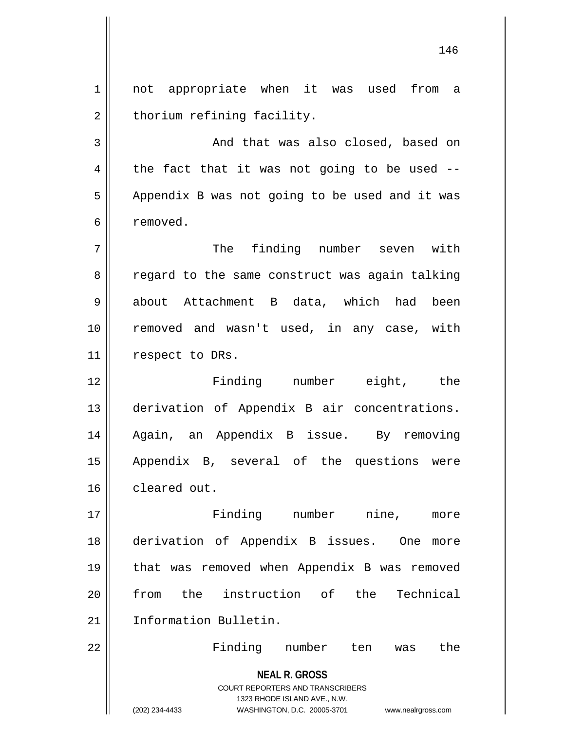1 || not appropriate when it was used from a  $2 \parallel$  thorium refining facility.

3 And that was also closed, based on  $4 \parallel$  the fact that it was not going to be used -- $5 \parallel$  Appendix B was not going to be used and it was 6 removed.

7 || The finding number seven with 8 || regard to the same construct was again talking 9 about Attachment B data, which had been 10 || removed and wasn't used, in any case, with 11 || respect to DRs.

 Finding number eight, the derivation of Appendix B air concentrations. Again, an Appendix B issue. By removing Appendix B, several of the questions were cleared out.

17 Finding number nine, more 18 derivation of Appendix B issues. One more 19 || that was removed when Appendix B was removed 20 from the instruction of the Technical 21 | Information Bulletin.

22 Finding number ten was the

**NEAL R. GROSS** COURT REPORTERS AND TRANSCRIBERS 1323 RHODE ISLAND AVE., N.W. (202) 234-4433 WASHINGTON, D.C. 20005-3701 www.nealrgross.com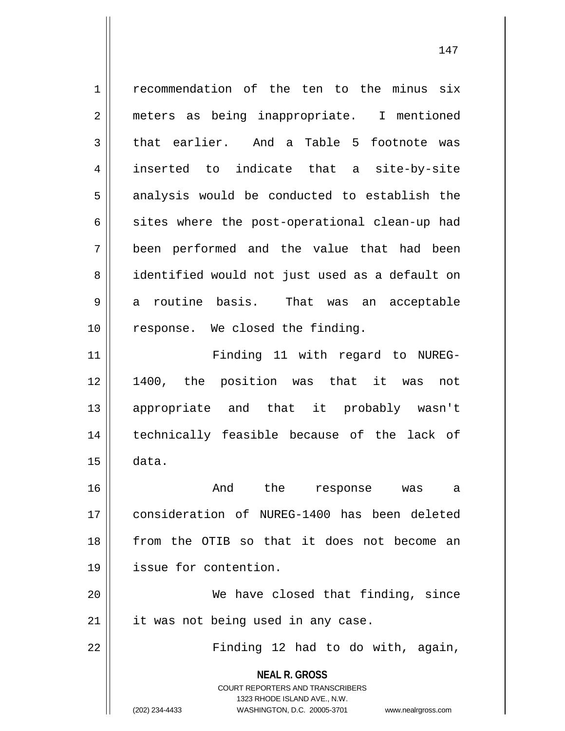**NEAL R. GROSS** COURT REPORTERS AND TRANSCRIBERS 1323 RHODE ISLAND AVE., N.W. (202) 234-4433 WASHINGTON, D.C. 20005-3701 www.nealrgross.com 1 | recommendation of the ten to the minus six 2 || meters as being inappropriate. I mentioned  $3 \parallel$  that earlier. And a Table 5 footnote was 4 inserted to indicate that a site-by-site  $5 \parallel$  analysis would be conducted to establish the  $6 \parallel$  sites where the post-operational clean-up had 7 been performed and the value that had been 8 || identified would not just used as a default on  $9 \parallel$  a routine basis. That was an acceptable 10 || response. We closed the finding. 11 || Finding 11 with regard to NUREG-12 1400, the position was that it was not 13 appropriate and that it probably wasn't 14 technically feasible because of the lack of  $15 \parallel$  data. 16 And the response was a 17 consideration of NUREG-1400 has been deleted 18 from the OTIB so that it does not become an 19 issue for contention. 20 We have closed that finding, since  $21$  | it was not being used in any case. 22 || Finding 12 had to do with, again,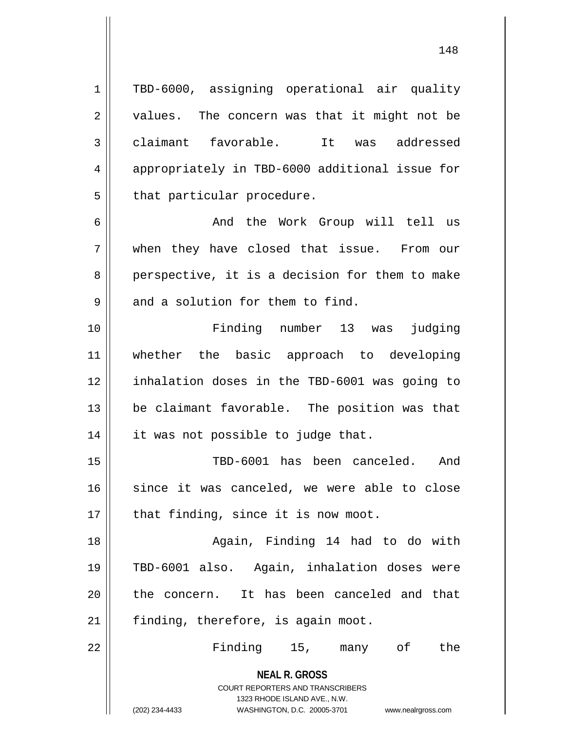1 TBD-6000, assigning operational air quality  $2 \parallel$  values. The concern was that it might not be 3 || claimant favorable. It was addressed 4 appropriately in TBD-6000 additional issue for  $5$  || that particular procedure. 6 And the Work Group will tell us

7 when they have closed that issue. From our  $8 \parallel$  perspective, it is a decision for them to make  $9 \parallel$  and a solution for them to find.

 Finding number 13 was judging whether the basic approach to developing inhalation doses in the TBD-6001 was going to be claimant favorable. The position was that 14 || it was not possible to judge that.

15 TBD-6001 has been canceled. And 16 || since it was canceled, we were able to close  $17$  | that finding, since it is now moot.

18 Again, Finding 14 had to do with 19 TBD-6001 also. Again, inhalation doses were 20 the concern. It has been canceled and that 21 || finding, therefore, is again moot.

22 Finding 15, many of the

**NEAL R. GROSS** COURT REPORTERS AND TRANSCRIBERS

1323 RHODE ISLAND AVE., N.W.

(202) 234-4433 WASHINGTON, D.C. 20005-3701 www.nealrgross.com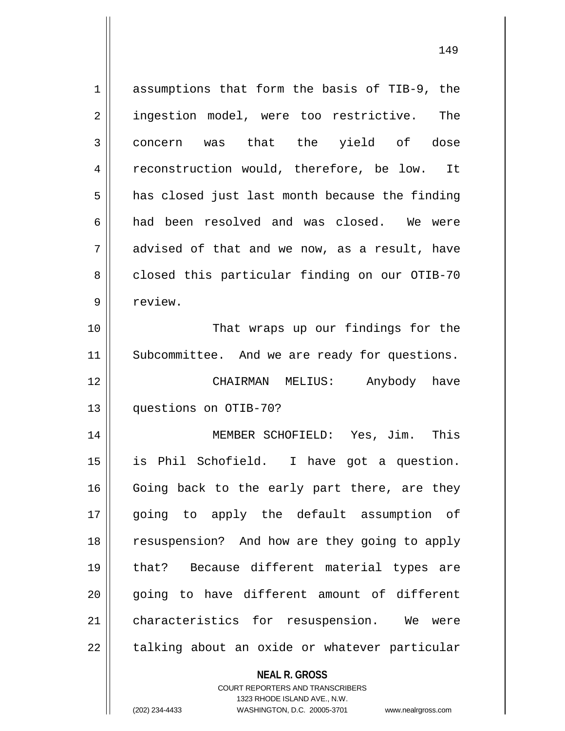| $\mathbf 1$ | assumptions that form the basis of TIB-9, the  |
|-------------|------------------------------------------------|
| 2           | ingestion model, were too restrictive.<br>The  |
| 3           | concern was that the yield of dose             |
| 4           | reconstruction would, therefore, be low. It    |
| 5           | has closed just last month because the finding |
| 6           | had been resolved and was closed. We were      |
| 7           | advised of that and we now, as a result, have  |
| 8           | closed this particular finding on our OTIB-70  |
| 9           | review.                                        |
| 10          | That wraps up our findings for the             |
| 11          | Subcommittee. And we are ready for questions.  |
| 12          | CHAIRMAN MELIUS: Anybody have                  |
| 13          | questions on OTIB-70?                          |
| 14          | MEMBER SCHOFIELD: Yes, Jim. This               |
| 15          | is Phil Schofield. I have got a question.      |
| 16          | Going back to the early part there, are they   |
| 17          | going to apply the default assumption of       |
| 18          | resuspension? And how are they going to apply  |
| 19          | that? Because different material types are     |
| 20          | going to have different amount of different    |
| 21          | characteristics for resuspension. We<br>were   |
| 22          | talking about an oxide or whatever particular  |
|             | <b>NEAL R. GROSS</b>                           |

COURT REPORTERS AND TRANSCRIBERS 1323 RHODE ISLAND AVE., N.W.

 $\mathsf{II}$ 

(202) 234-4433 WASHINGTON, D.C. 20005-3701 www.nealrgross.com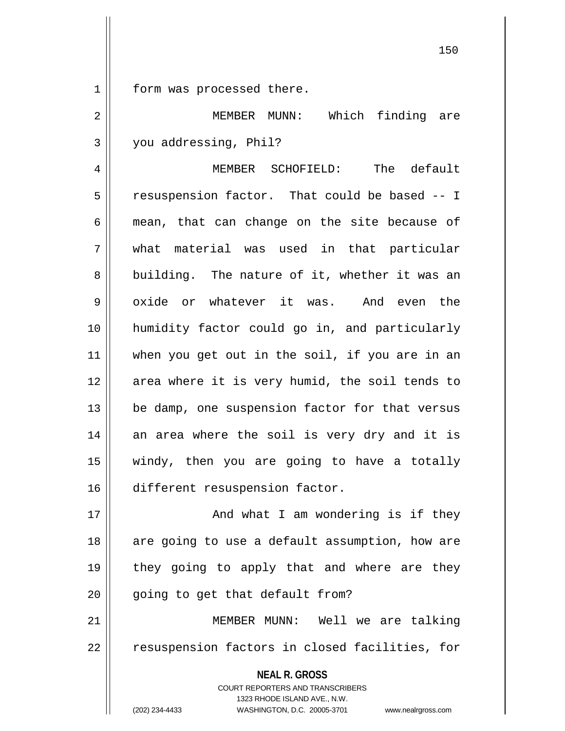1 || form was processed there.

2 MEMBER MUNN: Which finding are 3 | you addressing, Phil?

4 MEMBER SCHOFIELD: The default 5 | resuspension factor. That could be based -- I  $6 \parallel$  mean, that can change on the site because of 7 what material was used in that particular 8 building. The nature of it, whether it was an  $9 \parallel$  oxide or whatever it was. And even the 10 humidity factor could go in, and particularly 11 when you get out in the soil, if you are in an 12 || area where it is very humid, the soil tends to  $13$  | be damp, one suspension factor for that versus 14 an area where the soil is very dry and it is 15 windy, then you are going to have a totally 16 different resuspension factor.

17 || And what I am wondering is if they 18 || are going to use a default assumption, how are 19 || they going to apply that and where are they  $20$  | qoing to get that default from?

21 MEMBER MUNN: Well we are talking 22 || resuspension factors in closed facilities, for

**NEAL R. GROSS**

COURT REPORTERS AND TRANSCRIBERS 1323 RHODE ISLAND AVE., N.W. (202) 234-4433 WASHINGTON, D.C. 20005-3701 www.nealrgross.com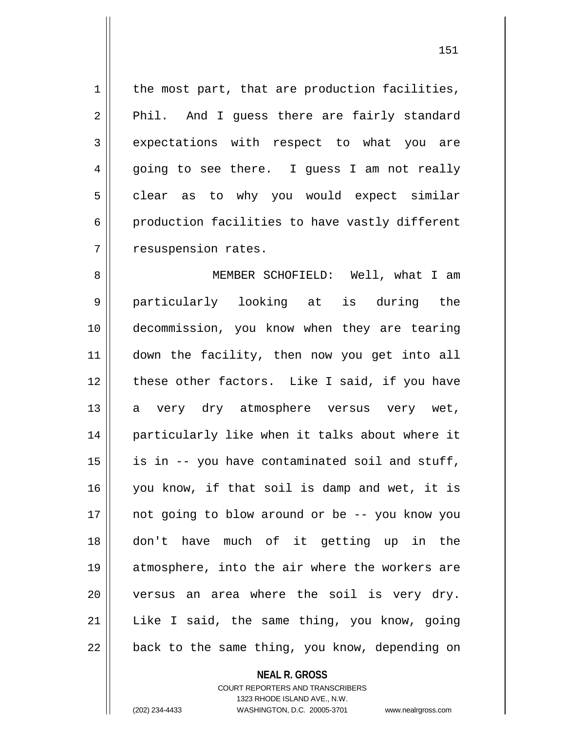$1$  the most part, that are production facilities, 2 || Phil. And I guess there are fairly standard 3 expectations with respect to what you are  $4 \parallel$  going to see there. I guess I am not really  $5 \parallel$  clear as to why you would expect similar 6 production facilities to have vastly different 7 | resuspension rates.

8 || MEMBER SCHOFIELD: Well, what I am particularly looking at is during the decommission, you know when they are tearing down the facility, then now you get into all 12 || these other factors. Like I said, if you have 13 a very dry atmosphere versus very wet, 14 || particularly like when it talks about where it || is in -- you have contaminated soil and stuff, you know, if that soil is damp and wet, it is not going to blow around or be -- you know you don't have much of it getting up in the atmosphere, into the air where the workers are | versus an area where the soil is very dry. Like I said, the same thing, you know, going | back to the same thing, you know, depending on

## **NEAL R. GROSS**

COURT REPORTERS AND TRANSCRIBERS 1323 RHODE ISLAND AVE., N.W. (202) 234-4433 WASHINGTON, D.C. 20005-3701 www.nealrgross.com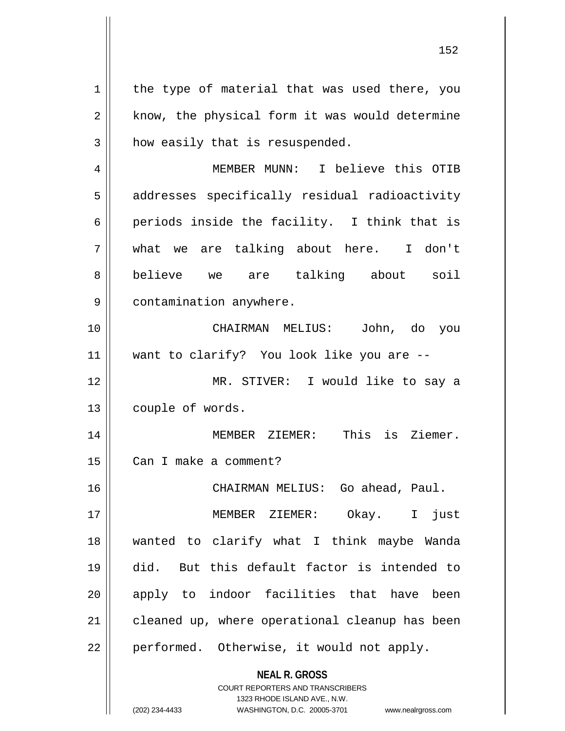$1$  the type of material that was used there, you  $2 \parallel$  know, the physical form it was would determine  $3$  | how easily that is resuspended.

4 MEMBER MUNN: I believe this OTIB 5 || addresses specifically residual radioactivity 6 | periods inside the facility. I think that is 7 what we are talking about here. I don't 8 believe we are talking about soil 9 | contamination anywhere.

10 CHAIRMAN MELIUS: John, do you 11 want to clarify? You look like you are --

12 MR. STIVER: I would like to say a 13 | couple of words.

14 MEMBER ZIEMER: This is Ziemer. 15 | Can I make a comment?

16 CHAIRMAN MELIUS: Go ahead, Paul.

 MEMBER ZIEMER: Okay. I just wanted to clarify what I think maybe Wanda did. But this default factor is intended to 20 || apply to indoor facilities that have been 21 || cleaned up, where operational cleanup has been | performed. Otherwise, it would not apply.

> **NEAL R. GROSS** COURT REPORTERS AND TRANSCRIBERS

> > 1323 RHODE ISLAND AVE., N.W.

(202) 234-4433 WASHINGTON, D.C. 20005-3701 www.nealrgross.com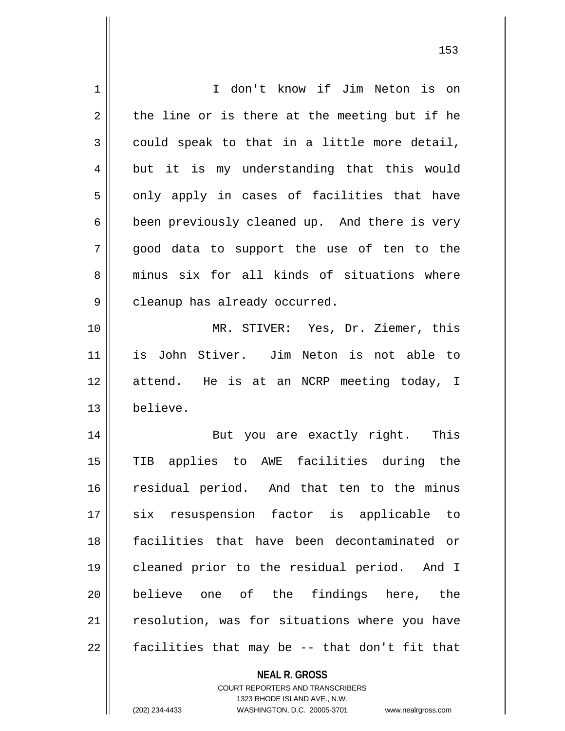| 1  | I don't know if Jim Neton is on               |
|----|-----------------------------------------------|
| 2  | the line or is there at the meeting but if he |
| 3  | could speak to that in a little more detail,  |
| 4  | but it is my understanding that this would    |
| 5  | only apply in cases of facilities that have   |
| 6  | been previously cleaned up. And there is very |
| 7  | good data to support the use of ten to the    |
| 8  | minus six for all kinds of situations where   |
| 9  | cleanup has already occurred.                 |
| 10 | MR. STIVER: Yes, Dr. Ziemer, this             |
| 11 | is John Stiver. Jim Neton is not able to      |
| 12 | attend. He is at an NCRP meeting today, I     |
| 13 | believe.                                      |
| 14 | But you are exactly right. This               |
| 15 | TIB applies to AWE facilities during the      |
| 16 | residual period. And that ten to the minus    |
| 17 | six resuspension factor is applicable to      |
| 18 | facilities that have been decontaminated or   |
| 19 | cleaned prior to the residual period. And I   |
| 20 | believe one of the findings here, the         |
| 21 | resolution, was for situations where you have |
| 22 | facilities that may be -- that don't fit that |
|    | <b>NEAL R. GROSS</b>                          |

COURT REPORTERS AND TRANSCRIBERS 1323 RHODE ISLAND AVE., N.W.

 $\mathsf{II}$ 

(202) 234-4433 WASHINGTON, D.C. 20005-3701 www.nealrgross.com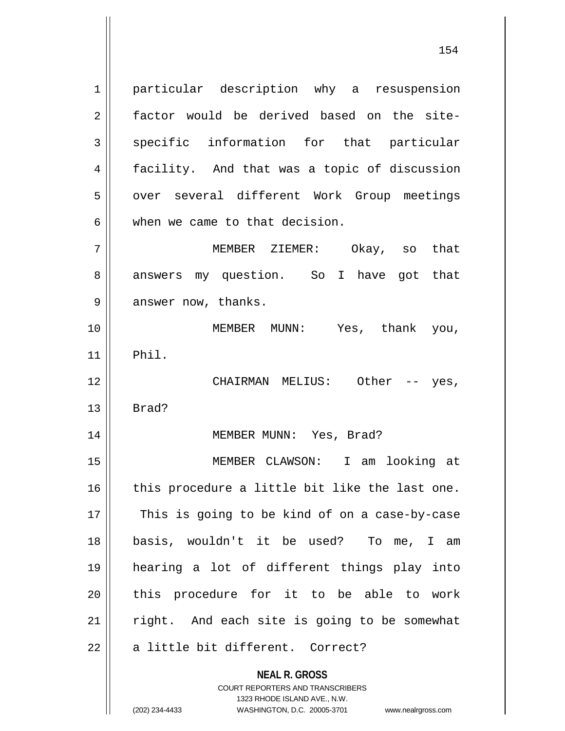1 | particular description why a resuspension 2 factor would be derived based on the site-3 specific information for that particular 4 || facility. And that was a topic of discussion 5 | over several different Work Group meetings  $6$  || when we came to that decision. 7 MEMBER ZIEMER: Okay, so that 8 answers my question. So I have got that

 $9 \parallel$  answer now, thanks.

10 MEMBER MUNN: Yes, thank you,  $11$  Phil.

12 CHAIRMAN MELIUS: Other -- yes,  $13 \parallel$  Brad?

14 || MEMBER MUNN: Yes, Brad?

 MEMBER CLAWSON: I am looking at | this procedure a little bit like the last one.  $\parallel$  This is going to be kind of on a case-by-case basis, wouldn't it be used? To me, I am hearing a lot of different things play into 20 || this procedure for it to be able to work right. And each site is going to be somewhat  $\parallel$  a little bit different. Correct?

> **NEAL R. GROSS** COURT REPORTERS AND TRANSCRIBERS 1323 RHODE ISLAND AVE., N.W.

(202) 234-4433 WASHINGTON, D.C. 20005-3701 www.nealrgross.com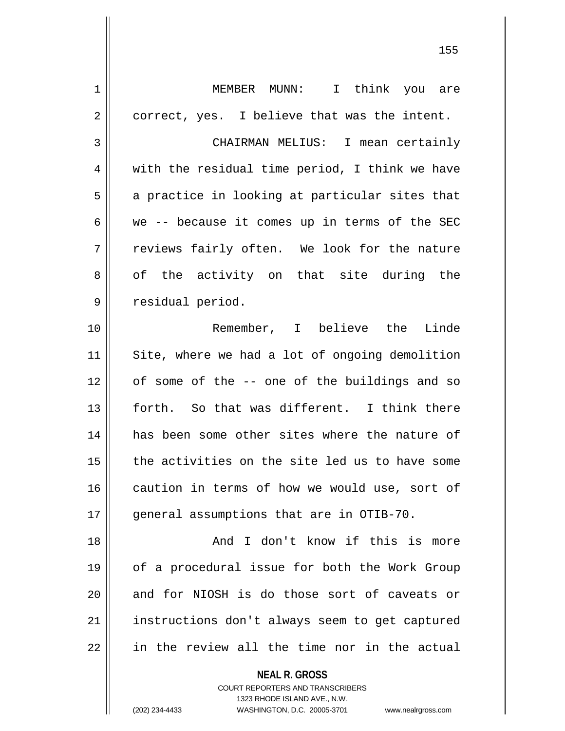**NEAL R. GROSS** COURT REPORTERS AND TRANSCRIBERS 1323 RHODE ISLAND AVE., N.W. 1 MEMBER MUNN: I think you are  $2 \parallel$  correct, yes. I believe that was the intent. 3 CHAIRMAN MELIUS: I mean certainly  $4 \parallel$  with the residual time period, I think we have  $5 \parallel$  a practice in looking at particular sites that 6 we -- because it comes up in terms of the SEC  $7 \parallel$  reviews fairly often. We look for the nature 8 of the activity on that site during the 9 | residual period. 10 Remember, I believe the Linde 11 || Site, where we had a lot of ongoing demolition 12 || of some of the -- one of the buildings and so 13 forth. So that was different. I think there 14 has been some other sites where the nature of 15 || the activities on the site led us to have some 16 caution in terms of how we would use, sort of 17 || qeneral assumptions that are in OTIB-70. 18 || The South Control Row if this is more 19 || of a procedural issue for both the Work Group 20 || and for NIOSH is do those sort of caveats or 21 | instructions don't always seem to get captured  $22$  | in the review all the time nor in the actual

(202) 234-4433 WASHINGTON, D.C. 20005-3701 www.nealrgross.com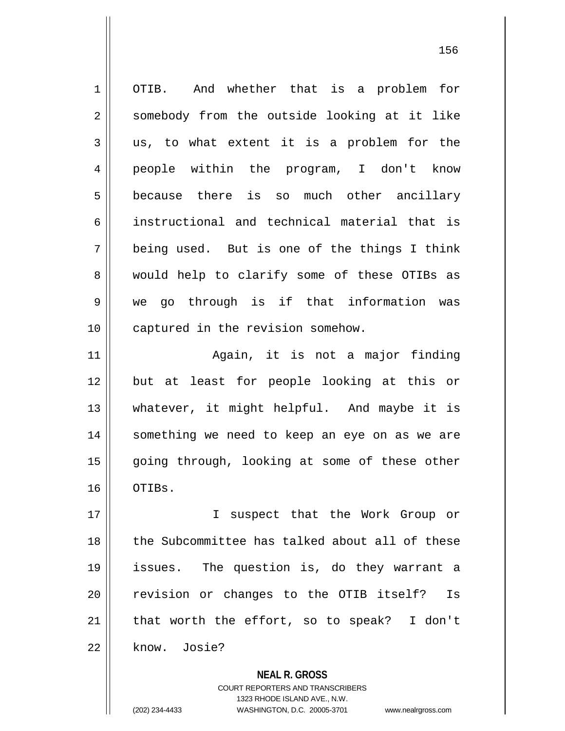1 | OTIB. And whether that is a problem for 2 || somebody from the outside looking at it like  $3 \parallel$  us, to what extent it is a problem for the 4 people within the program, I don't know 5 because there is so much other ancillary 6 instructional and technical material that is  $7 \parallel$  being used. But is one of the things I think 8 would help to clarify some of these OTIBs as 9 we go through is if that information was 10 || captured in the revision somehow. 11 || **Again**, it is not a major finding 12 but at least for people looking at this or 13 whatever, it might helpful. And maybe it is 14 || something we need to keep an eye on as we are 15 || going through, looking at some of these other 16 OTIBs. 17 || I suspect that the Work Group or 18 the Subcommittee has talked about all of these 19 issues. The question is, do they warrant a 20 || revision or changes to the OTIB itself? Is 21  $\parallel$  that worth the effort, so to speak? I don't 22 know. Josie?

> **NEAL R. GROSS** COURT REPORTERS AND TRANSCRIBERS 1323 RHODE ISLAND AVE., N.W. (202) 234-4433 WASHINGTON, D.C. 20005-3701 www.nealrgross.com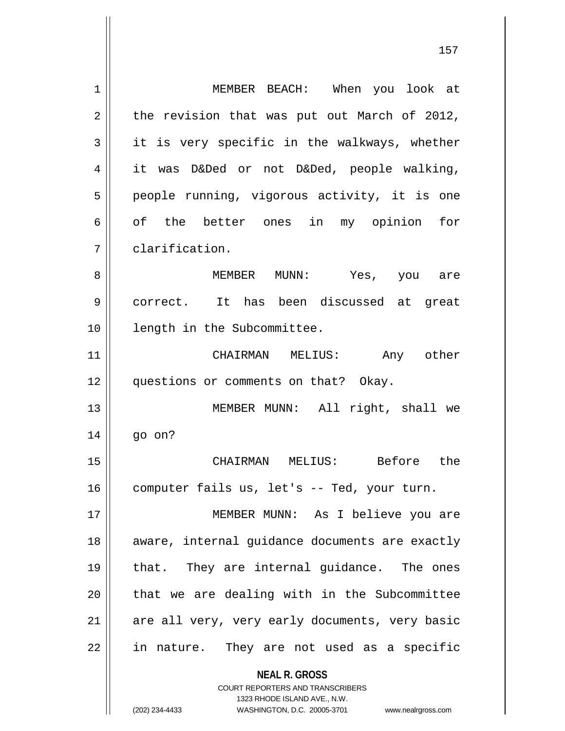| 1  | MEMBER BEACH: When you look at                                                                                                                                  |
|----|-----------------------------------------------------------------------------------------------------------------------------------------------------------------|
| 2  | the revision that was put out March of 2012,                                                                                                                    |
| 3  | it is very specific in the walkways, whether                                                                                                                    |
| 4  | it was D&Ded or not D&Ded, people walking,                                                                                                                      |
| 5  | people running, vigorous activity, it is one                                                                                                                    |
| 6  | of the better ones in my opinion<br>for                                                                                                                         |
| 7  | clarification.                                                                                                                                                  |
| 8  | MEMBER MUNN: Yes, you are                                                                                                                                       |
| 9  | correct. It has been discussed at great                                                                                                                         |
| 10 | length in the Subcommittee.                                                                                                                                     |
| 11 | CHAIRMAN MELIUS:<br>Any other                                                                                                                                   |
| 12 | questions or comments on that? Okay.                                                                                                                            |
| 13 | MEMBER MUNN: All right, shall we                                                                                                                                |
| 14 | go on?                                                                                                                                                          |
| 15 | CHAIRMAN MELIUS: Before<br>the                                                                                                                                  |
| 16 | computer fails us, let's -- Ted, your turn.                                                                                                                     |
| 17 | MEMBER MUNN: As I believe you are                                                                                                                               |
| 18 | aware, internal guidance documents are exactly                                                                                                                  |
| 19 | that. They are internal guidance. The ones                                                                                                                      |
| 20 | that we are dealing with in the Subcommittee                                                                                                                    |
| 21 | are all very, very early documents, very basic                                                                                                                  |
| 22 | in nature. They are not used as a specific                                                                                                                      |
|    | <b>NEAL R. GROSS</b><br>COURT REPORTERS AND TRANSCRIBERS<br>1323 RHODE ISLAND AVE., N.W.<br>(202) 234-4433<br>WASHINGTON, D.C. 20005-3701<br>www.nealrgross.com |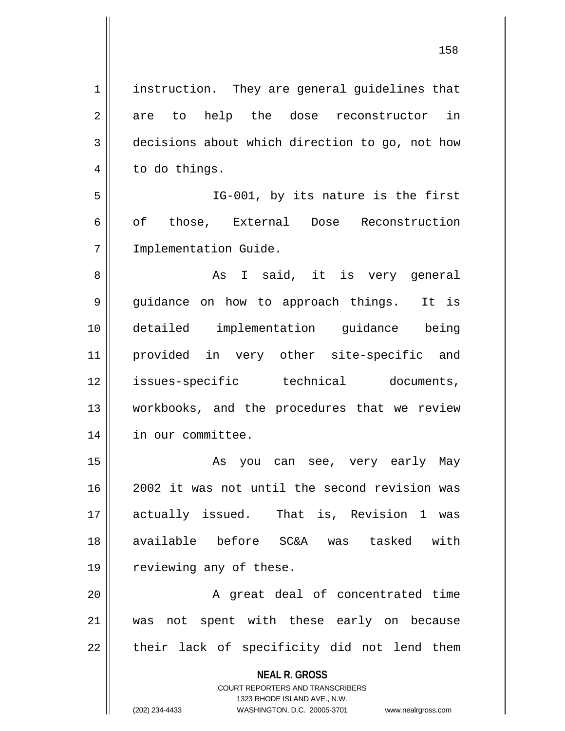**NEAL R. GROSS** COURT REPORTERS AND TRANSCRIBERS 1323 RHODE ISLAND AVE., N.W. 1 || instruction. They are general guidelines that 2 are to help the dose reconstructor in 3 decisions about which direction to go, not how  $4 \parallel$  to do things. 5 IG-001, by its nature is the first 6 || of those, External Dose Reconstruction 7 Implementation Guide. 8 As I said, it is very general 9 || guidance on how to approach things. It is 10 detailed implementation guidance being 11 provided in very other site-specific and 12 || issues-specific technical documents, 13 workbooks, and the procedures that we review 14 in our committee. 15 As you can see, very early May 16 2002 it was not until the second revision was 17 actually issued. That is, Revision 1 was 18 available before SC&A was tasked with 19 || reviewing any of these. 20 || A great deal of concentrated time 21 was not spent with these early on because  $22$  || their lack of specificity did not lend them

(202) 234-4433 WASHINGTON, D.C. 20005-3701 www.nealrgross.com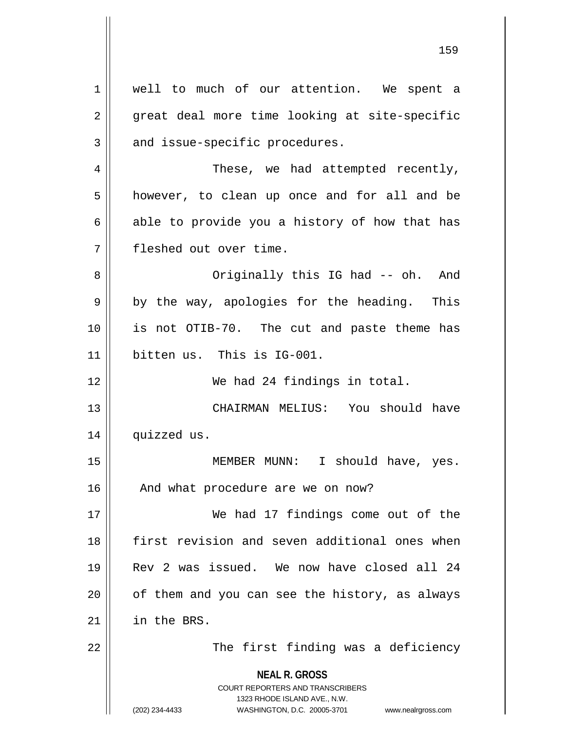**NEAL R. GROSS** COURT REPORTERS AND TRANSCRIBERS 1323 RHODE ISLAND AVE., N.W. (202) 234-4433 WASHINGTON, D.C. 20005-3701 www.nealrgross.com 1 || well to much of our attention. We spent a 2 || great deal more time looking at site-specific  $3$  | and issue-specific procedures. 4 | These, we had attempted recently, 5 | however, to clean up once and for all and be  $6 \parallel$  able to provide you a history of how that has 7 fleshed out over time. 8 || Originally this IG had -- oh. And  $9 \parallel$  by the way, apologies for the heading. This 10 || is not OTIB-70. The cut and paste theme has 11 bitten us. This is IG-001. 12 We had 24 findings in total. 13 CHAIRMAN MELIUS: You should have 14 quizzed us. 15 || MEMBER MUNN: I should have, yes. 16 || And what procedure are we on now? 17 We had 17 findings come out of the 18 first revision and seven additional ones when 19 Rev 2 was issued. We now have closed all 24  $20$  | of them and you can see the history, as always 21 in the BRS. 22 || The first finding was a deficiency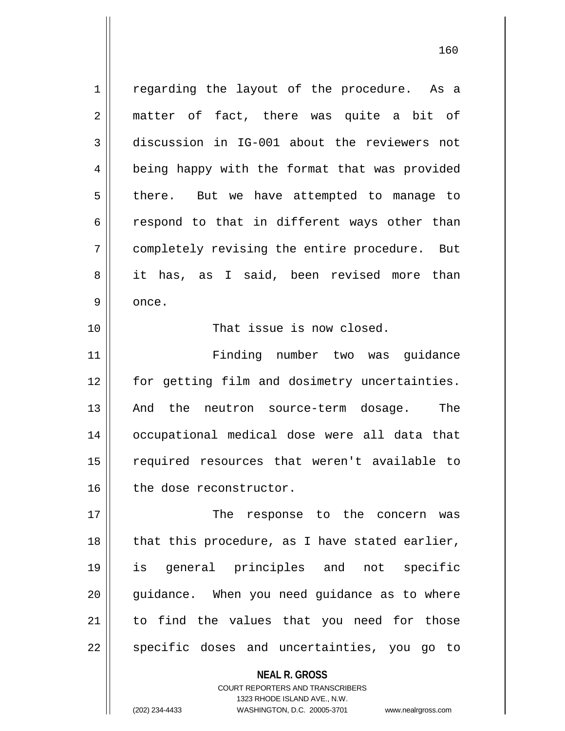1 || regarding the layout of the procedure. As a 2 || matter of fact, there was quite a bit of 3 discussion in IG-001 about the reviewers not 4 || being happy with the format that was provided  $5 \parallel$  there. But we have attempted to manage to  $6 \parallel$  respond to that in different ways other than 7 completely revising the entire procedure. But 8 it has, as I said, been revised more than 9 | once.

10 || That issue is now closed.

11 Finding number two was guidance 12 || for getting film and dosimetry uncertainties. 13 || And the neutron source-term dosage. The 14 occupational medical dose were all data that 15 || required resources that weren't available to 16 || the dose reconstructor.

17 The response to the concern was 18 || that this procedure, as I have stated earlier, 19 is general principles and not specific 20 || guidance. When you need guidance as to where 21 to find the values that you need for those 22 || specific doses and uncertainties, you go to

> **NEAL R. GROSS** COURT REPORTERS AND TRANSCRIBERS 1323 RHODE ISLAND AVE., N.W. (202) 234-4433 WASHINGTON, D.C. 20005-3701 www.nealrgross.com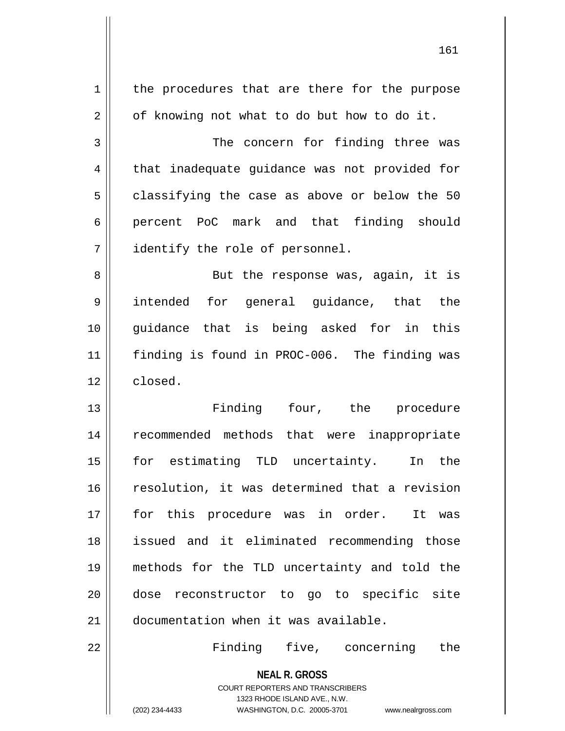| $\mathbf 1$    | the procedures that are there for the purpose                                                       |
|----------------|-----------------------------------------------------------------------------------------------------|
| $\overline{2}$ | of knowing not what to do but how to do it.                                                         |
| 3              | The concern for finding three was                                                                   |
| 4              | that inadequate guidance was not provided for                                                       |
| 5              | classifying the case as above or below the 50                                                       |
| 6              | percent PoC mark and that finding should                                                            |
| 7              | identify the role of personnel.                                                                     |
| 8              | But the response was, again, it is                                                                  |
| 9              | intended for general guidance, that the                                                             |
| 10             | guidance that is being asked for in this                                                            |
| 11             | finding is found in PROC-006. The finding was                                                       |
| 12             | closed.                                                                                             |
| 13             | Finding four, the procedure                                                                         |
| 14             | recommended methods that were inappropriate                                                         |
| 15             | for estimating TLD uncertainty.<br>In the                                                           |
| 16             | resolution, it was determined that a revision                                                       |
| 17             | for this procedure was in order. It was                                                             |
| 18             | issued and it eliminated recommending those                                                         |
| 19             | methods for the TLD uncertainty and told the                                                        |
| 20             | dose reconstructor to go to specific site                                                           |
| 21             | documentation when it was available.                                                                |
| 22             | Finding five, concerning<br>the                                                                     |
|                | <b>NEAL R. GROSS</b>                                                                                |
|                | <b>COURT REPORTERS AND TRANSCRIBERS</b>                                                             |
|                | 1323 RHODE ISLAND AVE., N.W.<br>(202) 234-4433<br>WASHINGTON, D.C. 20005-3701<br>www.nealrgross.com |
|                |                                                                                                     |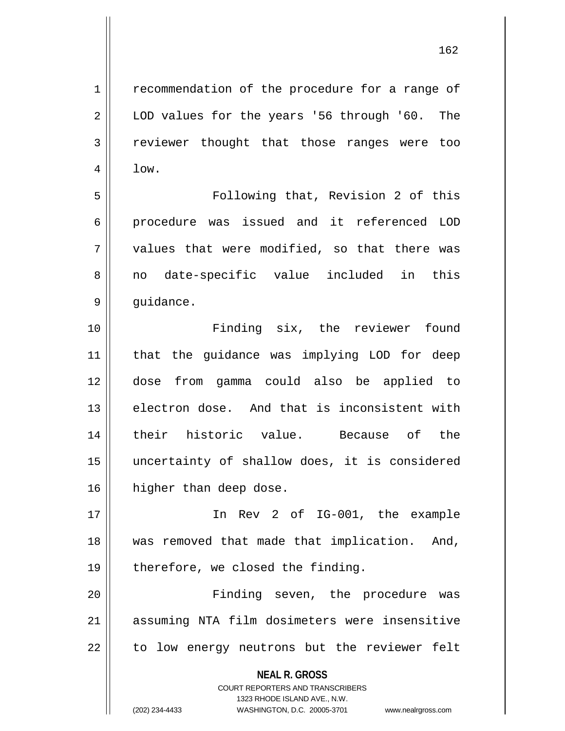1 recommendation of the procedure for a range of 2 || LOD values for the years '56 through '60. The 3 || reviewer thought that those ranges were too

5 Following that, Revision 2 of this 6 procedure was issued and it referenced LOD  $7 \parallel$  values that were modified, so that there was 8 no date-specific value included in this 9 | guidance.

 Finding six, the reviewer found that the guidance was implying LOD for deep dose from gamma could also be applied to 13 electron dose. And that is inconsistent with their historic value. Because of the uncertainty of shallow does, it is considered 16 | higher than deep dose.

17 In Rev 2 of IG-001, the example 18 was removed that made that implication. And,  $19$  | therefore, we closed the finding.

20 Finding seven, the procedure was 21 assuming NTA film dosimeters were insensitive 22 || to low energy neutrons but the reviewer felt

> **NEAL R. GROSS** COURT REPORTERS AND TRANSCRIBERS 1323 RHODE ISLAND AVE., N.W. (202) 234-4433 WASHINGTON, D.C. 20005-3701 www.nealrgross.com

 $4 \parallel$  low.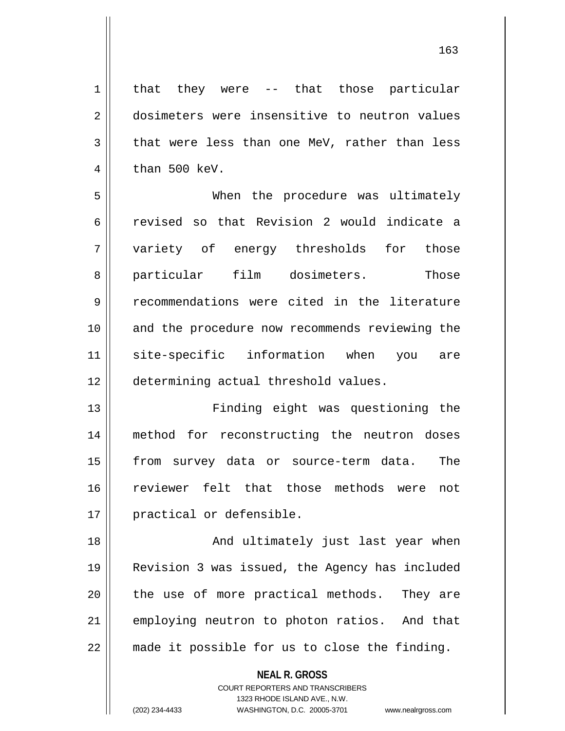1 | that they were -- that those particular 2 dosimeters were insensitive to neutron values 3 || that were less than one MeV, rather than less  $4 \parallel$  than 500 keV. 5 When the procedure was ultimately 6 || revised so that Revision 2 would indicate a 7 variety of energy thresholds for those 8 particular film dosimeters. Those 9 Tecommendations were cited in the literature 10 and the procedure now recommends reviewing the 11 site-specific information when you are 12 determining actual threshold values.

 Finding eight was questioning the method for reconstructing the neutron doses from survey data or source-term data. The reviewer felt that those methods were not 17 || practical or defensible.

18 || And ultimately just last year when 19 Revision 3 was issued, the Agency has included 20 || the use of more practical methods. They are 21 || employing neutron to photon ratios. And that 22 made it possible for us to close the finding.

**NEAL R. GROSS**

COURT REPORTERS AND TRANSCRIBERS 1323 RHODE ISLAND AVE., N.W. (202) 234-4433 WASHINGTON, D.C. 20005-3701 www.nealrgross.com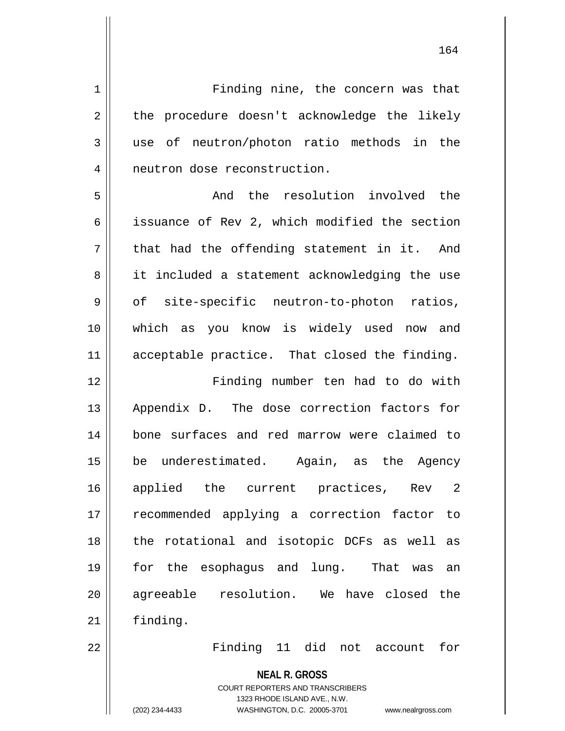1 | Finding nine, the concern was that  $2 \parallel$  the procedure doesn't acknowledge the likely 3 use of neutron/photon ratio methods in the 4 | neutron dose reconstruction. 5 Solution involved the resolution involved the 6 | issuance of Rev 2, which modified the section  $7$  || that had the offending statement in it. And 8 || it included a statement acknowledging the use  $9 \parallel$  of site-specific neutron-to-photon ratios, 10 which as you know is widely used now and 11 acceptable practice. That closed the finding. 12 Finding number ten had to do with 13 Appendix D. The dose correction factors for 14 bone surfaces and red marrow were claimed to 15 be underestimated. Again, as the Agency 16 applied the current practices, Rev 2 17 || recommended applying a correction factor to 18 || the rotational and isotopic DCFs as well as 19 for the esophagus and lung. That was an 20 agreeable resolution. We have closed the 21 | finding.

22 Finding 11 did not account for

**NEAL R. GROSS** COURT REPORTERS AND TRANSCRIBERS 1323 RHODE ISLAND AVE., N.W.

(202) 234-4433 WASHINGTON, D.C. 20005-3701 www.nealrgross.com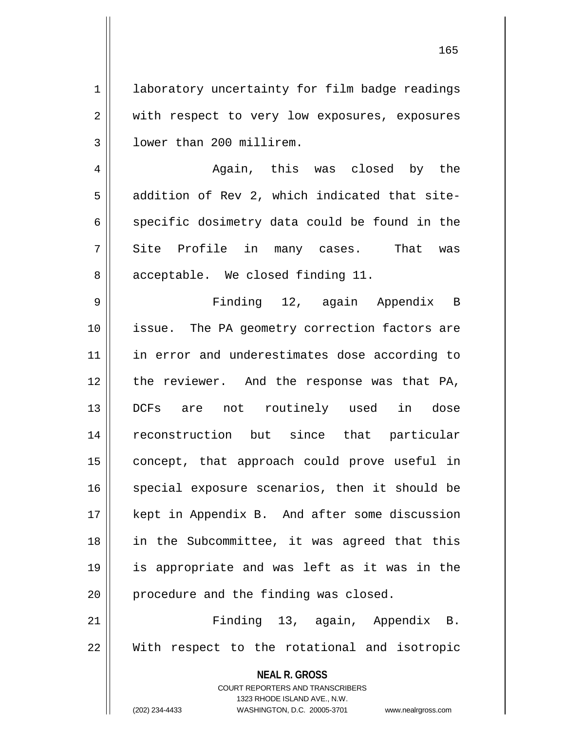1 | laboratory uncertainty for film badge readings 2 || with respect to very low exposures, exposures 3 | lower than 200 millirem.

4 Again, this was closed by the  $5 \parallel$  addition of Rev 2, which indicated that site- $6 \parallel$  specific dosimetry data could be found in the  $7 \parallel$  Site Profile in many cases. That was 8 acceptable. We closed finding 11.

 Finding 12, again Appendix B issue. The PA geometry correction factors are 11 || in error and underestimates dose according to 12 || the reviewer. And the response was that PA, DCFs are not routinely used in dose reconstruction but since that particular 15 || concept, that approach could prove useful in 16 || special exposure scenarios, then it should be kept in Appendix B. And after some discussion in the Subcommittee, it was agreed that this is appropriate and was left as it was in the || procedure and the finding was closed.

21 Finding 13, again, Appendix B. 22 With respect to the rotational and isotropic

> **NEAL R. GROSS** COURT REPORTERS AND TRANSCRIBERS 1323 RHODE ISLAND AVE., N.W. (202) 234-4433 WASHINGTON, D.C. 20005-3701 www.nealrgross.com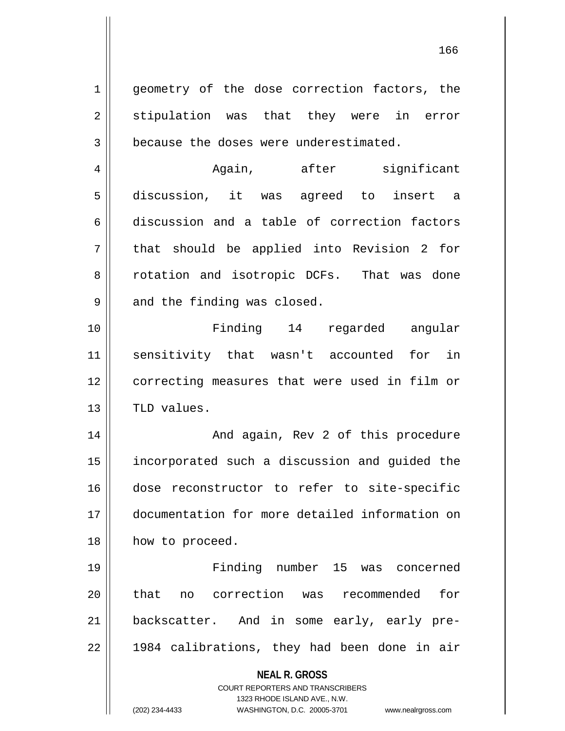**NEAL R. GROSS** COURT REPORTERS AND TRANSCRIBERS 1323 RHODE ISLAND AVE., N.W. 1 || geometry of the dose correction factors, the  $2 \parallel$  stipulation was that they were in error 3 || because the doses were underestimated. 4 Again, after significant 5 discussion, it was agreed to insert a 6 discussion and a table of correction factors  $7 \parallel$  that should be applied into Revision 2 for 8 || rotation and isotropic DCFs. That was done  $9 \parallel$  and the finding was closed. 10 Finding 14 regarded angular 11 sensitivity that wasn't accounted for in 12 || correcting measures that were used in film or  $13$  | TLD values. 14 And again, Rev 2 of this procedure 15 | incorporated such a discussion and guided the 16 dose reconstructor to refer to site-specific 17 documentation for more detailed information on 18 || how to proceed. 19 Finding number 15 was concerned 20 that no correction was recommended for 21 backscatter. And in some early, early pre- $22 \parallel$  1984 calibrations, they had been done in air

(202) 234-4433 WASHINGTON, D.C. 20005-3701 www.nealrgross.com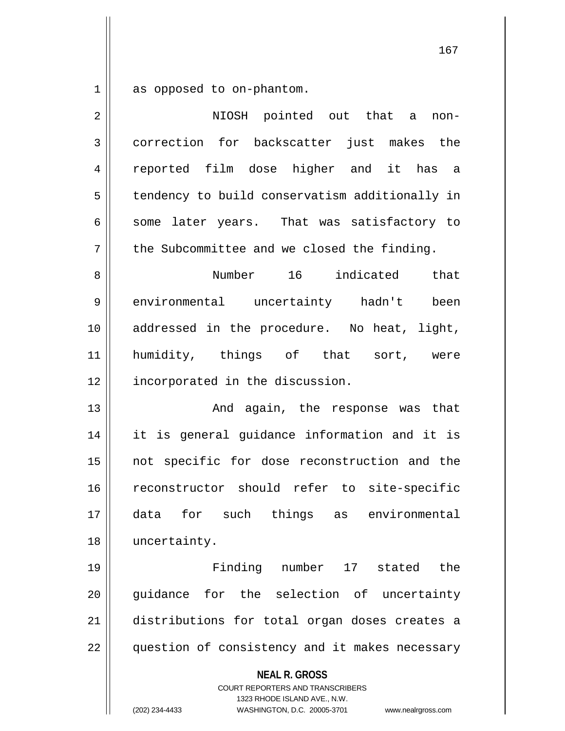$1 \parallel$  as opposed to on-phantom.

| $\overline{2}$ | NIOSH pointed out that a<br>non-                                                                                                                                       |
|----------------|------------------------------------------------------------------------------------------------------------------------------------------------------------------------|
| 3              | correction for backscatter just makes the                                                                                                                              |
| 4              | reported film dose higher and it has a                                                                                                                                 |
| 5              | tendency to build conservatism additionally in                                                                                                                         |
| 6              | some later years. That was satisfactory to                                                                                                                             |
| 7              | the Subcommittee and we closed the finding.                                                                                                                            |
| 8              | Number 16 indicated that                                                                                                                                               |
| 9              | environmental uncertainty hadn't<br>been                                                                                                                               |
| 10             | addressed in the procedure. No heat, light,                                                                                                                            |
| 11             | humidity, things of that sort, were                                                                                                                                    |
| 12             | incorporated in the discussion.                                                                                                                                        |
| 13             | And again, the response was that                                                                                                                                       |
| 14             | it is general guidance information and it is                                                                                                                           |
| 15             | not specific for dose reconstruction and the                                                                                                                           |
| 16             | reconstructor should refer to site-specific                                                                                                                            |
| 17             | for such things as environmental<br>data                                                                                                                               |
| 18             | uncertainty.                                                                                                                                                           |
| 19             | Finding number 17 stated the                                                                                                                                           |
| 20             | guidance for the selection of uncertainty                                                                                                                              |
| 21             | distributions for total organ doses creates a                                                                                                                          |
| 22             | question of consistency and it makes necessary                                                                                                                         |
|                | <b>NEAL R. GROSS</b><br><b>COURT REPORTERS AND TRANSCRIBERS</b><br>1323 RHODE ISLAND AVE., N.W.<br>(202) 234-4433<br>WASHINGTON, D.C. 20005-3701<br>www.nealrgross.com |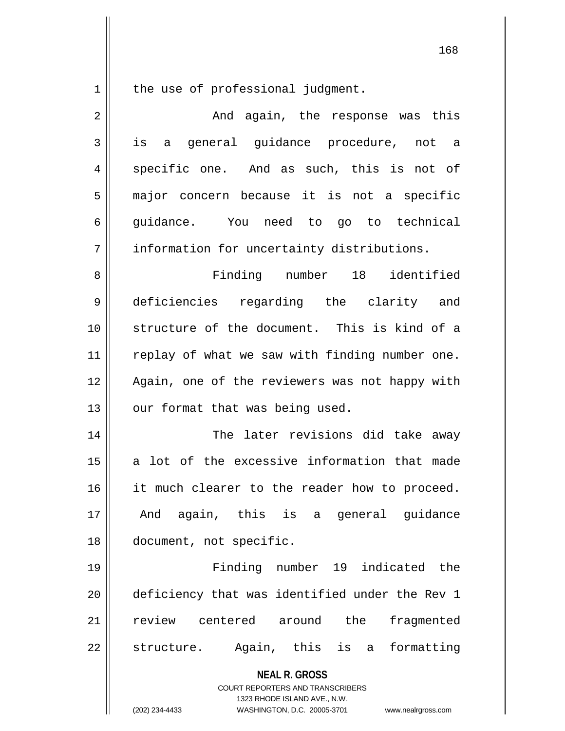the use of professional judgment.

| $\overline{2}$ | And again, the response was this                                                                                                                                |
|----------------|-----------------------------------------------------------------------------------------------------------------------------------------------------------------|
| 3              | general guidance procedure, not a<br>is a                                                                                                                       |
| 4              | specific one. And as such, this is not of                                                                                                                       |
| 5              | major concern because it is not a specific                                                                                                                      |
| 6              | guidance. You need to go to technical                                                                                                                           |
| 7              | information for uncertainty distributions.                                                                                                                      |
| 8              | Finding number 18 identified                                                                                                                                    |
| 9              | deficiencies regarding the clarity and                                                                                                                          |
| 10             | structure of the document. This is kind of a                                                                                                                    |
| 11             | replay of what we saw with finding number one.                                                                                                                  |
| 12             | Again, one of the reviewers was not happy with                                                                                                                  |
| 13             | our format that was being used.                                                                                                                                 |
| 14             | The later revisions did take away                                                                                                                               |
| 15             | a lot of the excessive information that made                                                                                                                    |
| 16             | it much clearer to the reader how to proceed.                                                                                                                   |
| 17             | And again, this is a general guidance                                                                                                                           |
| 18             | document, not specific.                                                                                                                                         |
| 19             | Finding number 19 indicated the                                                                                                                                 |
| 20             | deficiency that was identified under the Rev 1                                                                                                                  |
| 21             | review<br>centered around<br>the<br>fragmented                                                                                                                  |
| 22             | Again, this is a<br>formatting<br>structure.                                                                                                                    |
|                | <b>NEAL R. GROSS</b><br>COURT REPORTERS AND TRANSCRIBERS<br>1323 RHODE ISLAND AVE., N.W.<br>(202) 234-4433<br>WASHINGTON, D.C. 20005-3701<br>www.nealrgross.com |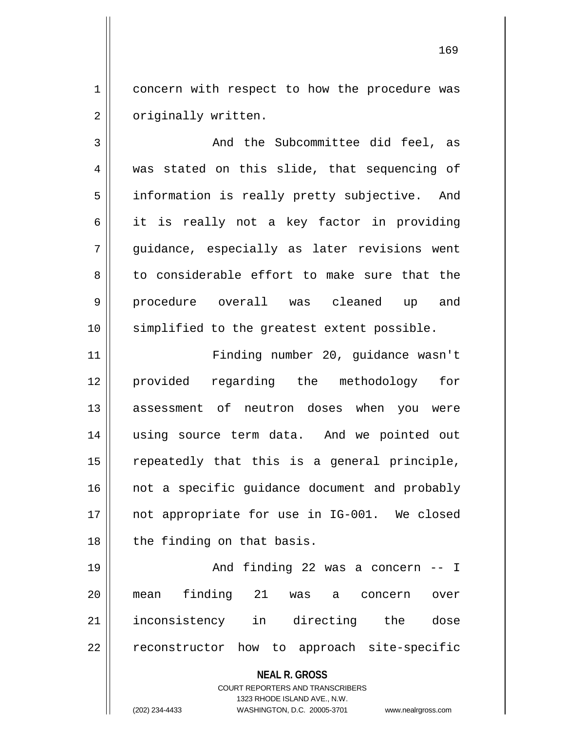1 | concern with respect to how the procedure was 2 | originally written.

3 And the Subcommittee did feel, as 4 was stated on this slide, that sequencing of 5 | information is really pretty subjective. And 6 it is really not a key factor in providing 7 || quidance, especially as later revisions went  $8 \parallel$  to considerable effort to make sure that the 9 || procedure overall was cleaned up and 10 simplified to the greatest extent possible.

 Finding number 20, guidance wasn't provided regarding the methodology for 13 assessment of neutron doses when you were using source term data. And we pointed out repeatedly that this is a general principle, 16 || not a specific guidance document and probably 17 || not appropriate for use in IG-001. We closed | the finding on that basis.

 And finding 22 was a concern -- I mean finding 21 was a concern over inconsistency in directing the dose 22 || reconstructor how to approach site-specific

> **NEAL R. GROSS** COURT REPORTERS AND TRANSCRIBERS 1323 RHODE ISLAND AVE., N.W. (202) 234-4433 WASHINGTON, D.C. 20005-3701 www.nealrgross.com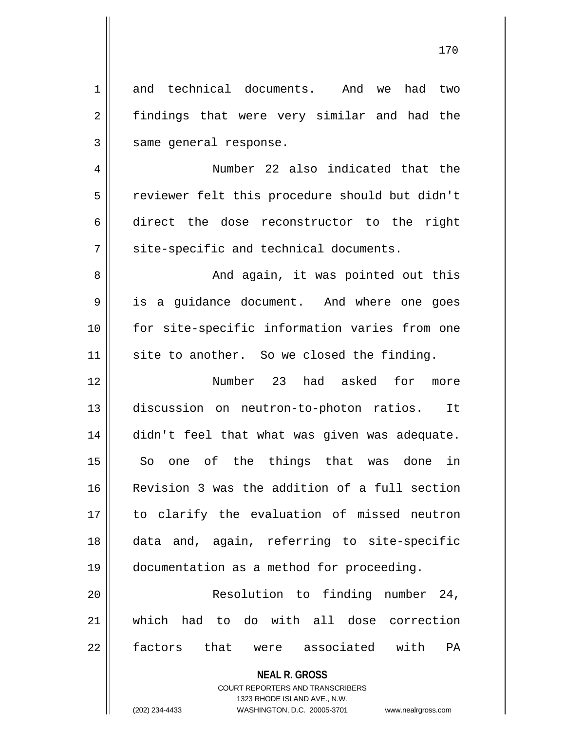| 1  | and technical documents. And we<br>had<br>two  |
|----|------------------------------------------------|
| 2  | findings that were very similar and had the    |
| 3  | same general response.                         |
| 4  | Number 22 also indicated that the              |
| 5  | reviewer felt this procedure should but didn't |
| 6  | direct the dose reconstructor to the right     |
| 7  | site-specific and technical documents.         |
| 8  | And again, it was pointed out this             |
| 9  | is a guidance document. And where one goes     |
| 10 | for site-specific information varies from one  |
| 11 | site to another. So we closed the finding.     |
| 12 | Number 23 had asked for<br>more                |
| 13 | discussion on neutron-to-photon ratios. It     |
| 14 | didn't feel that what was given was adequate.  |
| 15 | one of the<br>things that was done in<br>So    |
| 16 | Revision 3 was the addition of a full section  |
| 17 | to clarify the evaluation of missed neutron    |
| 18 | data and, again, referring to site-specific    |
| 19 | documentation as a method for proceeding.      |
| 20 | Resolution to finding number 24,               |
| 21 | which had to do with all dose correction       |
| 22 | that were associated with<br>PA<br>factors     |
|    | <b>NEAL R. GROSS</b>                           |

COURT REPORTERS AND TRANSCRIBERS 1323 RHODE ISLAND AVE., N.W.

 $\mathsf{II}$ 

(202) 234-4433 WASHINGTON, D.C. 20005-3701 www.nealrgross.com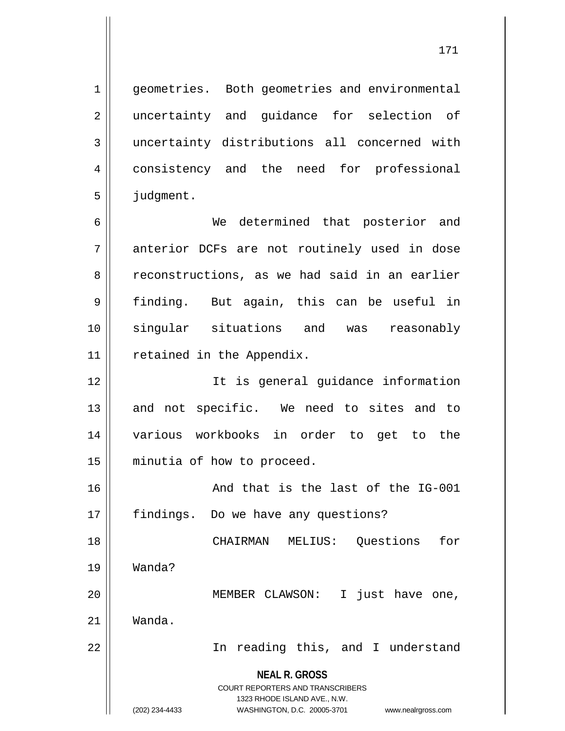1 | geometries. Both geometries and environmental 2 || uncertainty and guidance for selection of 3 uncertainty distributions all concerned with 4 consistency and the need for professional 5 | judgment.

6 We determined that posterior and 7 anterior DCFs are not routinely used in dose 8 reconstructions, as we had said in an earlier 9 || finding. But again, this can be useful in 10 singular situations and was reasonably 11 | retained in the Appendix.

 It is general guidance information 13 || and not specific. We need to sites and to various workbooks in order to get to the minutia of how to proceed.

16 || The Sand that is the last of the IG-001 17 | findings. Do we have any questions?

18 CHAIRMAN MELIUS: Questions for 19 Wanda? 20 MEMBER CLAWSON: I just have one,

21 Wanda.

22 || In reading this, and I understand

**NEAL R. GROSS** COURT REPORTERS AND TRANSCRIBERS

1323 RHODE ISLAND AVE., N.W.

(202) 234-4433 WASHINGTON, D.C. 20005-3701 www.nealrgross.com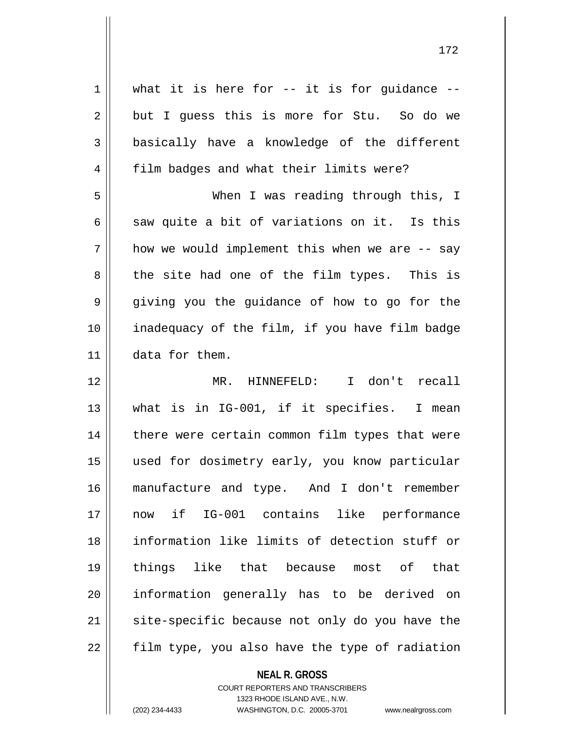| 1  | what it is here for $--$ it is for guidance $--$ |
|----|--------------------------------------------------|
| 2  | but I guess this is more for Stu. So do we       |
| 3  | basically have a knowledge of the different      |
| 4  | film badges and what their limits were?          |
| 5  | When I was reading through this, I               |
| 6  | saw quite a bit of variations on it. Is this     |
| 7  | how we would implement this when we are -- say   |
| 8  | the site had one of the film types. This is      |
| 9  | giving you the guidance of how to go for the     |
| 10 | inadequacy of the film, if you have film badge   |
| 11 | data for them.                                   |
|    |                                                  |
| 12 | MR. HINNEFELD: I don't recall                    |
| 13 | what is in IG-001, if it specifies. I mean       |
| 14 | there were certain common film types that were   |
| 15 | used for dosimetry early, you know particular    |
| 16 | manufacture and type. And I don't remember       |
| 17 | if IG-001 contains like performance<br>now       |
| 18 | information like limits of detection stuff or    |
| 19 | things like that because most of<br>that         |
| 20 | information generally has to be derived on       |
| 21 | site-specific because not only do you have the   |

**NEAL R. GROSS**

COURT REPORTERS AND TRANSCRIBERS 1323 RHODE ISLAND AVE., N.W. (202) 234-4433 WASHINGTON, D.C. 20005-3701 www.nealrgross.com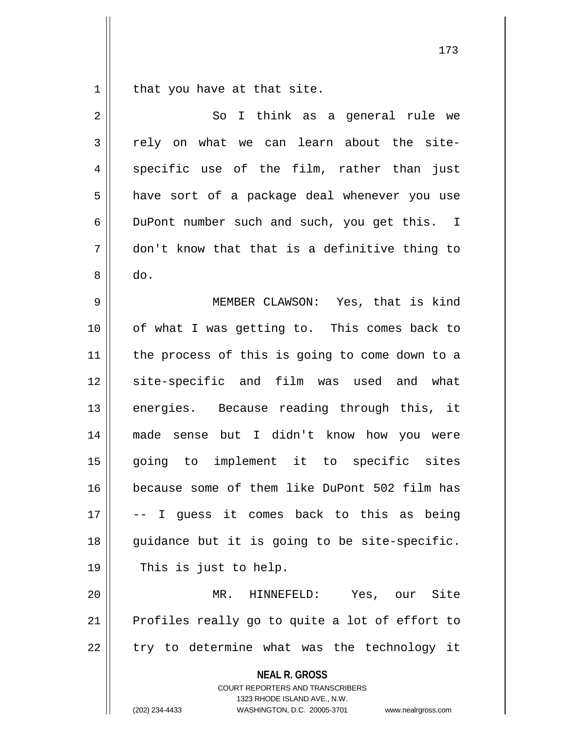that you have at that site.

| $\overline{2}$ | I think as a general rule we<br>So                                                                                                                                     |
|----------------|------------------------------------------------------------------------------------------------------------------------------------------------------------------------|
| 3              | rely on what we can learn about the site-                                                                                                                              |
| 4              | specific use of the film, rather than<br>just                                                                                                                          |
| 5              | have sort of a package deal whenever you use                                                                                                                           |
| 6              | DuPont number such and such, you get this. I                                                                                                                           |
| 7              | don't know that that is a definitive thing to                                                                                                                          |
| 8              | do.                                                                                                                                                                    |
| 9              | MEMBER CLAWSON: Yes, that is kind                                                                                                                                      |
| 10             | of what I was getting to. This comes back to                                                                                                                           |
| 11             | the process of this is going to come down to a                                                                                                                         |
| 12             | site-specific and film was used and what                                                                                                                               |
| 13             | energies. Because reading through this, it                                                                                                                             |
| 14             | made sense but I didn't know how you were                                                                                                                              |
| 15             | going to implement it to specific sites                                                                                                                                |
| 16             | because some of them like DuPont 502 film has                                                                                                                          |
| 17             | -- I guess it comes back to this as being                                                                                                                              |
| 18             | guidance but it is going to be site-specific.                                                                                                                          |
| 19             | This is just to help.                                                                                                                                                  |
| 20             | Yes, our Site<br>MR. HINNEFELD:                                                                                                                                        |
| 21             | Profiles really go to quite a lot of effort to                                                                                                                         |
| 22             | try to determine what was the technology it                                                                                                                            |
|                | <b>NEAL R. GROSS</b><br><b>COURT REPORTERS AND TRANSCRIBERS</b><br>1323 RHODE ISLAND AVE., N.W.<br>(202) 234-4433<br>WASHINGTON, D.C. 20005-3701<br>www.nealrgross.com |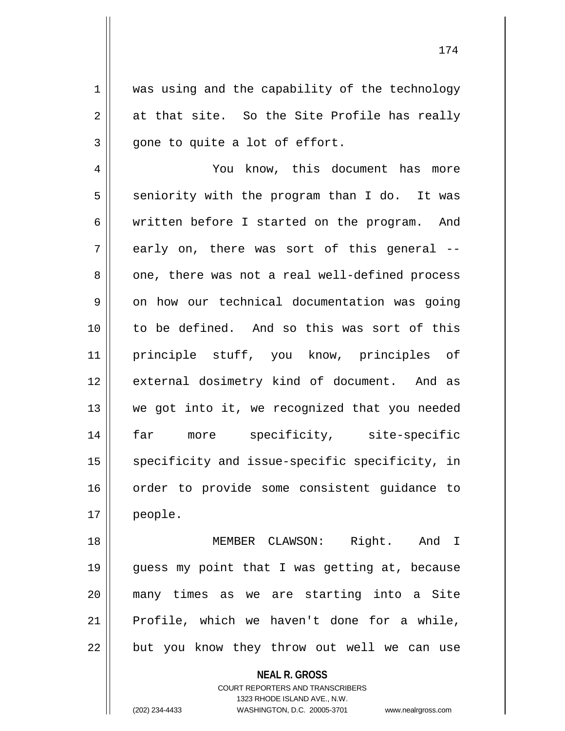1 || was using and the capability of the technology  $2 \parallel$  at that site. So the Site Profile has really  $3 \parallel$  gone to quite a lot of effort.

4 | You know, this document has more  $5 \parallel$  seniority with the program than I do. It was 6 | written before I started on the program. And  $7 \parallel$  early on, there was sort of this general --8 one, there was not a real well-defined process  $9 \parallel$  on how our technical documentation was going 10 to be defined. And so this was sort of this 11 principle stuff, you know, principles of 12 || external dosimetry kind of document. And as 13 || we got into it, we recognized that you needed 14 far more specificity, site-specific 15 || specificity and issue-specific specificity, in 16 || order to provide some consistent quidance to 17 people.

18 || **MEMBER CLAWSON:** Right. And I 19 guess my point that I was getting at, because 20 many times as we are starting into a Site 21 Profile, which we haven't done for a while, 22 || but you know they throw out well we can use

> **NEAL R. GROSS** COURT REPORTERS AND TRANSCRIBERS 1323 RHODE ISLAND AVE., N.W. (202) 234-4433 WASHINGTON, D.C. 20005-3701 www.nealrgross.com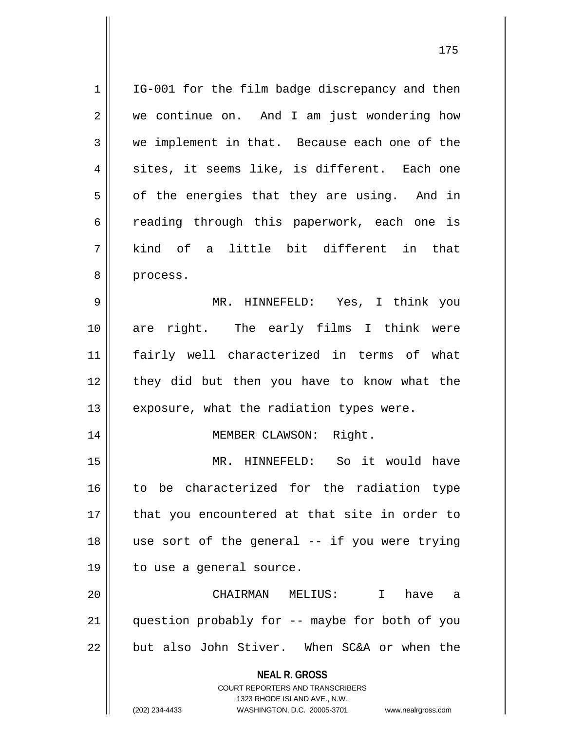| 1  | IG-001 for the film badge discrepancy and then                                           |
|----|------------------------------------------------------------------------------------------|
| 2  | we continue on. And I am just wondering how                                              |
| 3  | we implement in that. Because each one of the                                            |
| 4  | sites, it seems like, is different. Each one                                             |
| 5  | of the energies that they are using. And in                                              |
| 6  | reading through this paperwork, each one is                                              |
| 7  | kind of a little bit different in that                                                   |
| 8  | process.                                                                                 |
| 9  | MR. HINNEFELD: Yes, I think you                                                          |
| 10 | are right. The early films I think were                                                  |
| 11 | fairly well characterized in terms of what                                               |
| 12 | they did but then you have to know what the                                              |
| 13 | exposure, what the radiation types were.                                                 |
| 14 | MEMBER CLAWSON: Right.                                                                   |
| 15 | MR. HINNEFELD: So it would have                                                          |
| 16 | to be characterized for the radiation type                                               |
| 17 | that you encountered at that site in order to                                            |
| 18 | use sort of the general -- if you were trying                                            |
| 19 | to use a general source.                                                                 |
| 20 | CHAIRMAN MELIUS: I<br>have<br>a a                                                        |
| 21 | question probably for -- maybe for both of you                                           |
| 22 | but also John Stiver. When SC&A or when the                                              |
|    | <b>NEAL R. GROSS</b><br>COURT REPORTERS AND TRANSCRIBERS<br>1323 RHODE ISLAND AVE., N.W. |
|    | (202) 234-4433<br>WASHINGTON, D.C. 20005-3701<br>www.nealrgross.com                      |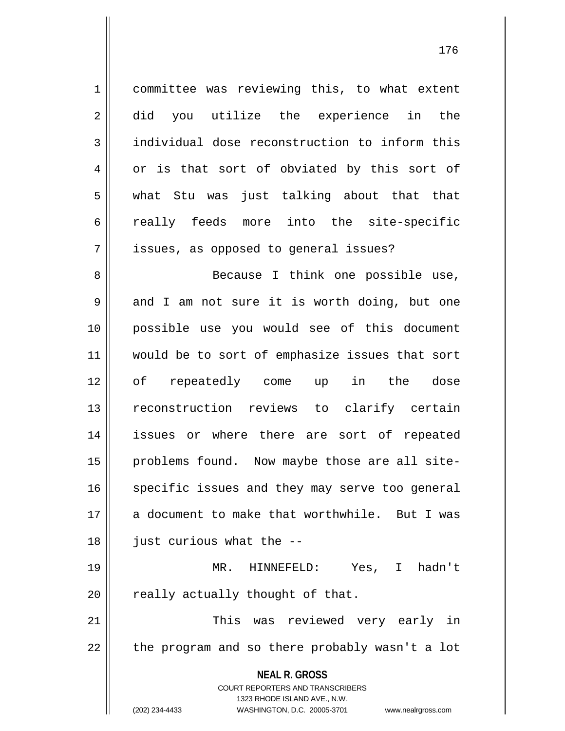**NEAL R. GROSS** COURT REPORTERS AND TRANSCRIBERS 1323 RHODE ISLAND AVE., N.W. 1 committee was reviewing this, to what extent 2 did you utilize the experience in the 3 | individual dose reconstruction to inform this 4 or is that sort of obviated by this sort of 5 what Stu was just talking about that that 6 really feeds more into the site-specific 7 | issues, as opposed to general issues? 8 Because I think one possible use,  $9 \parallel$  and I am not sure it is worth doing, but one 10 possible use you would see of this document 11 || would be to sort of emphasize issues that sort 12 of repeatedly come up in the dose 13 reconstruction reviews to clarify certain 14 issues or where there are sort of repeated 15 || problems found. Now maybe those are all site-16 || specific issues and they may serve too general 17 a document to make that worthwhile. But I was  $18$  || just curious what the  $-$ 19 MR. HINNEFELD: Yes, I hadn't  $20$  | really actually thought of that. 21 This was reviewed very early in  $22$  || the program and so there probably wasn't a lot

(202) 234-4433 WASHINGTON, D.C. 20005-3701 www.nealrgross.com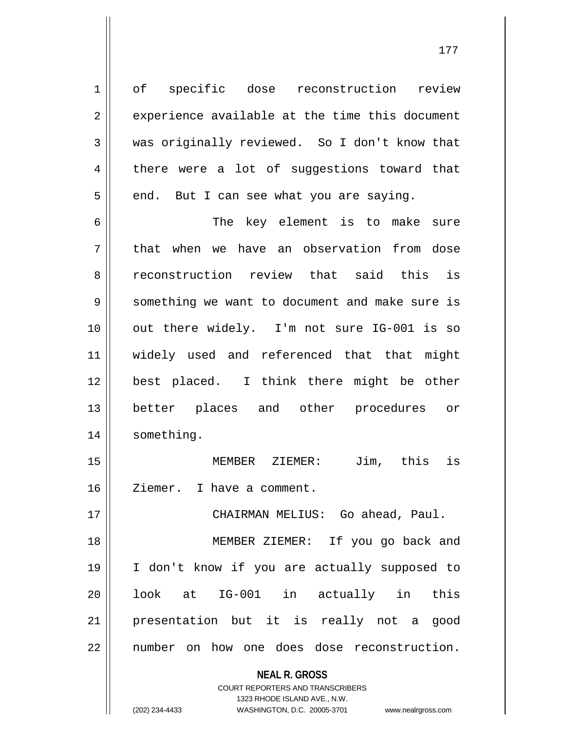1 of specific dose reconstruction review  $2 \parallel$  experience available at the time this document 3 was originally reviewed. So I don't know that 4 there were a lot of suggestions toward that  $5 \parallel$  end. But I can see what you are saying.

6 The key element is to make sure 7 || that when we have an observation from dose 8 and reconstruction review that said this is 9 Something we want to document and make sure is 10 out there widely. I'm not sure IG-001 is so 11 widely used and referenced that that might 12 best placed. I think there might be other 13 better places and other procedures or 14 | something.

15 MEMBER ZIEMER: Jim, this is 16 | Ziemer. I have a comment.

17 CHAIRMAN MELIUS: Go ahead, Paul.

18 MEMBER ZIEMER: If you go back and 19 I don't know if you are actually supposed to 20 || look at IG-001 in actually in this 21 presentation but it is really not a good 22 || number on how one does dose reconstruction.

**NEAL R. GROSS**

COURT REPORTERS AND TRANSCRIBERS 1323 RHODE ISLAND AVE., N.W. (202) 234-4433 WASHINGTON, D.C. 20005-3701 www.nealrgross.com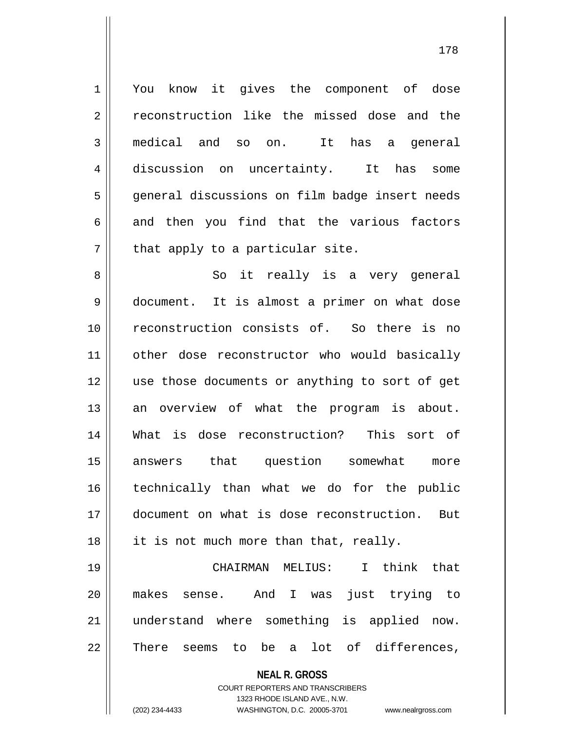1 || You know it gives the component of dose 2 reconstruction like the missed dose and the 3 medical and so on. It has a general 4 discussion on uncertainty. It has some 5 || general discussions on film badge insert needs  $6$  || and then you find that the various factors  $7$  | that apply to a particular site.

8 || So it really is a very general 9 document. It is almost a primer on what dose 10 reconstruction consists of. So there is no 11 || other dose reconstructor who would basically 12 || use those documents or anything to sort of get 13 || an overview of what the program is about. 14 What is dose reconstruction? This sort of 15 answers that question somewhat more 16 technically than what we do for the public 17 document on what is dose reconstruction. But 18 || it is not much more than that, really.

 CHAIRMAN MELIUS: I think that makes sense. And I was just trying to understand where something is applied now. 22 There seems to be a lot of differences,

> **NEAL R. GROSS** COURT REPORTERS AND TRANSCRIBERS 1323 RHODE ISLAND AVE., N.W. (202) 234-4433 WASHINGTON, D.C. 20005-3701 www.nealrgross.com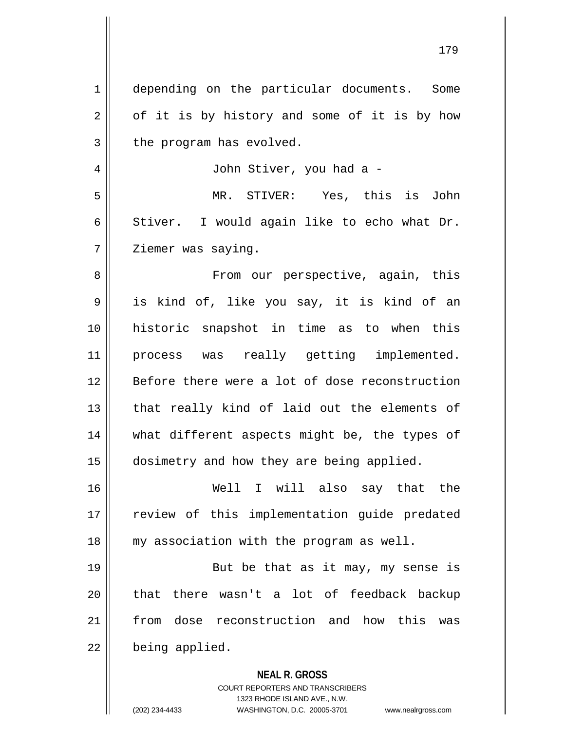| $\mathbf 1$ | depending on the particular documents. Some                         |
|-------------|---------------------------------------------------------------------|
| 2           | of it is by history and some of it is by how                        |
| 3           | the program has evolved.                                            |
| 4           | John Stiver, you had a -                                            |
| 5           | MR. STIVER: Yes, this is John                                       |
| 6           | Stiver. I would again like to echo what Dr.                         |
| 7           | Ziemer was saying.                                                  |
| 8           | From our perspective, again, this                                   |
| 9           | is kind of, like you say, it is kind of an                          |
| 10          | historic snapshot in time as to when this                           |
| 11          | process was really getting implemented.                             |
| 12          | Before there were a lot of dose reconstruction                      |
| 13          | that really kind of laid out the elements of                        |
| 14          | what different aspects might be, the types of                       |
| 15          | dosimetry and how they are being applied.                           |
| 16          | Well I will also say that<br>the                                    |
| 17          | review of this implementation guide predated                        |
| 18          | my association with the program as well.                            |
| 19          | But be that as it may, my sense is                                  |
|             |                                                                     |
| 20          | there wasn't a lot of feedback backup<br>that                       |
| 21          | dose reconstruction and how this<br>from<br>was                     |
| 22          | being applied.                                                      |
|             | <b>NEAL R. GROSS</b>                                                |
|             | COURT REPORTERS AND TRANSCRIBERS<br>1323 RHODE ISLAND AVE., N.W.    |
|             | (202) 234-4433<br>WASHINGTON, D.C. 20005-3701<br>www.nealrgross.com |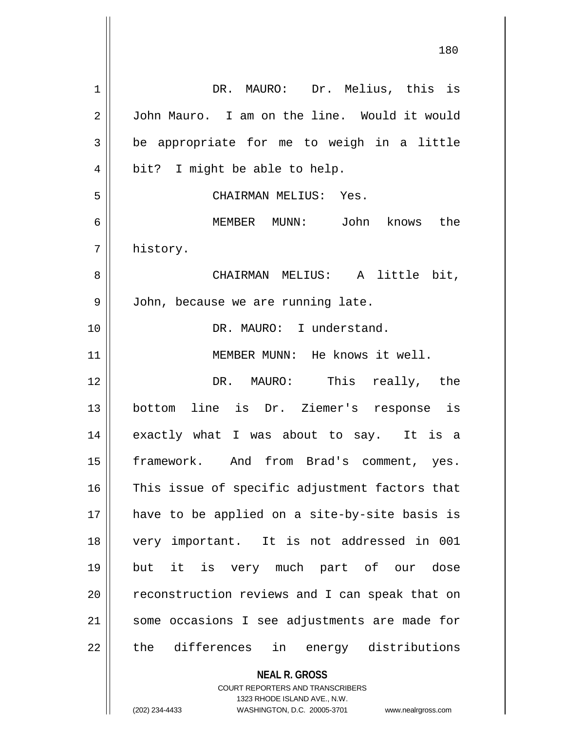| 1  | DR. MAURO: Dr. Melius, this is                                                                      |
|----|-----------------------------------------------------------------------------------------------------|
| 2  | John Mauro. I am on the line. Would it would                                                        |
| 3  | be appropriate for me to weigh in a little                                                          |
| 4  | bit? I might be able to help.                                                                       |
| 5  | CHAIRMAN MELIUS: Yes.                                                                               |
| 6  | MEMBER MUNN: John knows the                                                                         |
| 7  | history.                                                                                            |
| 8  | CHAIRMAN MELIUS: A little bit,                                                                      |
| 9  | John, because we are running late.                                                                  |
| 10 | DR. MAURO: I understand.                                                                            |
| 11 | MEMBER MUNN: He knows it well.                                                                      |
| 12 | DR. MAURO: This really, the                                                                         |
| 13 | bottom line is Dr. Ziemer's response is                                                             |
| 14 | exactly what I was about to say. It is a                                                            |
| 15 | framework. And from Brad's comment, yes.                                                            |
| 16 | This issue of specific adjustment factors that                                                      |
| 17 | have to be applied on a site-by-site basis is                                                       |
| 18 | very important. It is not addressed in 001                                                          |
| 19 | it is very much part of our dose<br>but                                                             |
| 20 | reconstruction reviews and I can speak that on                                                      |
| 21 | some occasions I see adjustments are made for                                                       |
| 22 | the differences in energy distributions                                                             |
|    | <b>NEAL R. GROSS</b>                                                                                |
|    | <b>COURT REPORTERS AND TRANSCRIBERS</b>                                                             |
|    | 1323 RHODE ISLAND AVE., N.W.<br>(202) 234-4433<br>WASHINGTON, D.C. 20005-3701<br>www.nealrgross.com |
|    |                                                                                                     |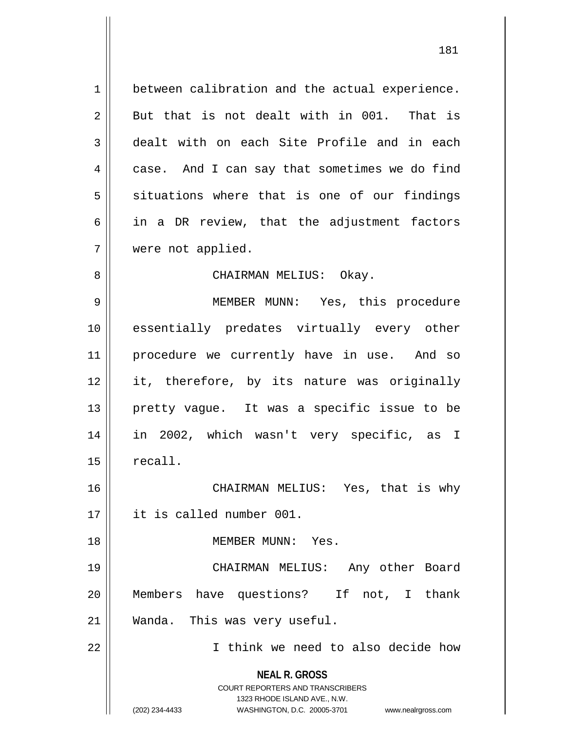1 between calibration and the actual experience.  $2 \parallel$  But that is not dealt with in 001. That is 3 dealt with on each Site Profile and in each 4 case. And I can say that sometimes we do find  $5 \parallel$  situations where that is one of our findings  $6 \parallel$  in a DR review, that the adjustment factors 7 were not applied.

#### 8 CHAIRMAN MELIUS: Okay.

9 || MEMBER MUNN: Yes, this procedure 10 essentially predates virtually every other 11 || procedure we currently have in use. And so 12 it, therefore, by its nature was originally 13 pretty vague. It was a specific issue to be 14 in 2002, which wasn't very specific, as I  $15 \parallel$  recall.

16 CHAIRMAN MELIUS: Yes, that is why 17 it is called number 001.

18 MEMBER MUNN: Yes.

19 CHAIRMAN MELIUS: Any other Board 20 Members have questions? If not, I thank 21 | Wanda. This was very useful.

22 I think we need to also decide how

**NEAL R. GROSS** COURT REPORTERS AND TRANSCRIBERS

1323 RHODE ISLAND AVE., N.W.

(202) 234-4433 WASHINGTON, D.C. 20005-3701 www.nealrgross.com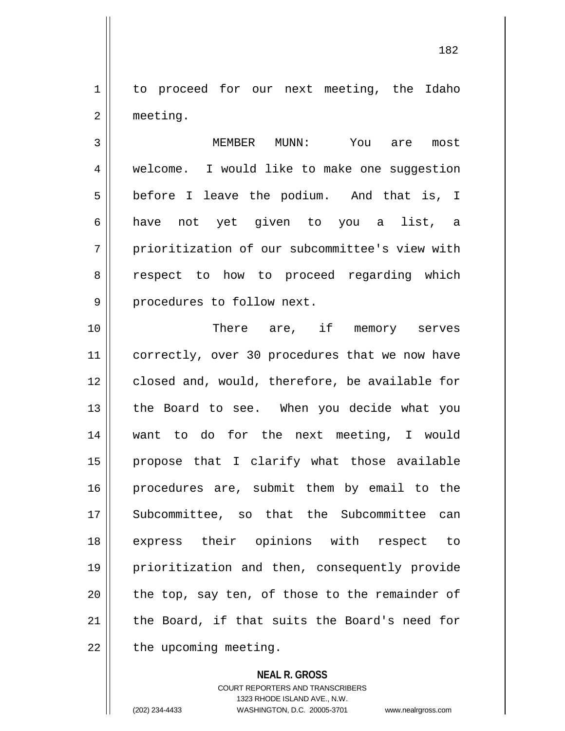1 to proceed for our next meeting, the Idaho 2 | meeting.

3 MEMBER MUNN: You are most 4 | welcome. I would like to make one suggestion  $5 \parallel$  before I leave the podium. And that is, I 6 have not yet given to you a list, a 7 | prioritization of our subcommittee's view with 8 || respect to how to proceed regarding which 9 | procedures to follow next.

 There are, if memory serves 11 | correctly, over 30 procedures that we now have 12 closed and, would, therefore, be available for 13 || the Board to see. When you decide what you want to do for the next meeting, I would 15 || propose that I clarify what those available procedures are, submit them by email to the Subcommittee, so that the Subcommittee can express their opinions with respect to prioritization and then, consequently provide || the top, say ten, of those to the remainder of | the Board, if that suits the Board's need for  $\parallel$  the upcoming meeting.

### **NEAL R. GROSS**

COURT REPORTERS AND TRANSCRIBERS 1323 RHODE ISLAND AVE., N.W. (202) 234-4433 WASHINGTON, D.C. 20005-3701 www.nealrgross.com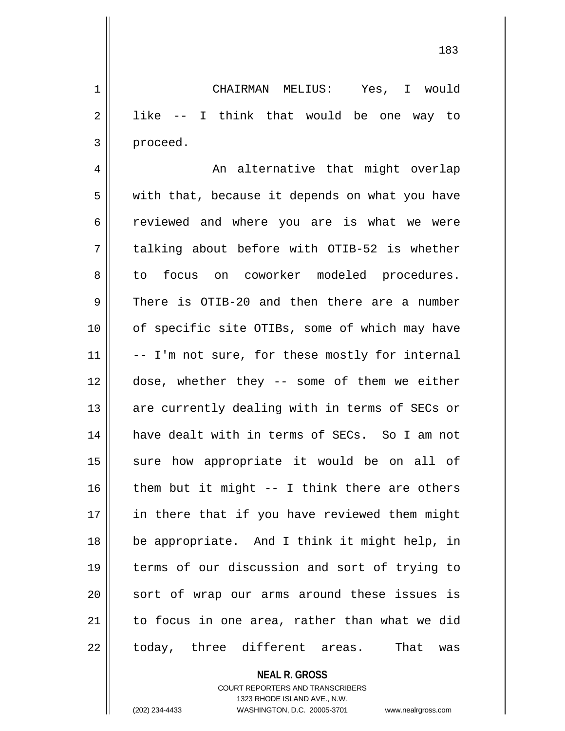1 CHAIRMAN MELIUS: Yes, I would  $2 \parallel$  like -- I think that would be one way to 3 proceed.

4 An alternative that might overlap  $5 \parallel$  with that, because it depends on what you have 6 || reviewed and where you are is what we were  $7 \parallel$  talking about before with OTIB-52 is whether 8 to focus on coworker modeled procedures. 9 There is OTIB-20 and then there are a number 10 || of specific site OTIBs, some of which may have  $11$   $\vert$  -- I'm not sure, for these mostly for internal 12 dose, whether they -- some of them we either 13 || are currently dealing with in terms of SECs or 14 || have dealt with in terms of SECs. So I am not 15 || sure how appropriate it would be on all of 16  $\parallel$  them but it might -- I think there are others 17 || in there that if you have reviewed them might 18 be appropriate. And I think it might help, in 19 terms of our discussion and sort of trying to 20 || sort of wrap our arms around these issues is  $21$  to focus in one area, rather than what we did 22 || today, three different areas. That was

## **NEAL R. GROSS**

COURT REPORTERS AND TRANSCRIBERS 1323 RHODE ISLAND AVE., N.W. (202) 234-4433 WASHINGTON, D.C. 20005-3701 www.nealrgross.com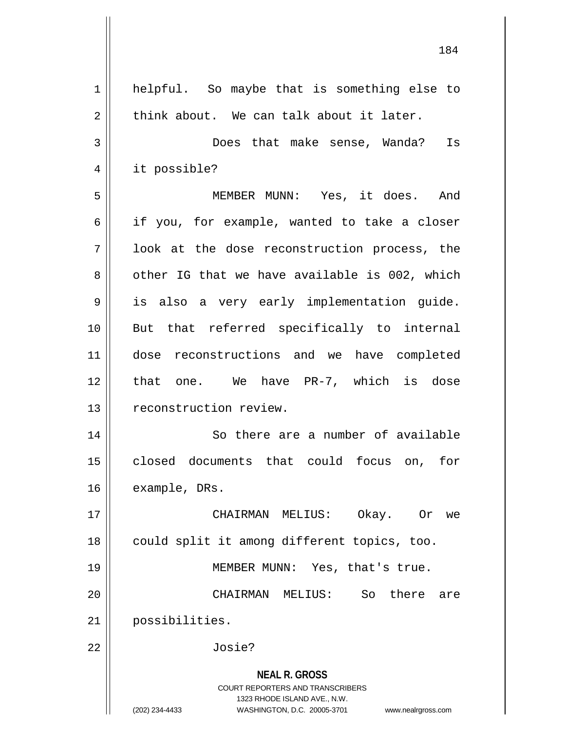| $\mathbf 1$    | helpful. So maybe that is something else to                                                                                                                            |
|----------------|------------------------------------------------------------------------------------------------------------------------------------------------------------------------|
| $\mathbf 2$    | think about. We can talk about it later.                                                                                                                               |
| 3              | Does that make sense, Wanda?<br>Is                                                                                                                                     |
| $\overline{4}$ | it possible?                                                                                                                                                           |
| 5              | MEMBER MUNN: Yes, it does. And                                                                                                                                         |
| 6              | if you, for example, wanted to take a closer                                                                                                                           |
| 7              | look at the dose reconstruction process, the                                                                                                                           |
| 8              | other IG that we have available is 002, which                                                                                                                          |
| 9              | is also a very early implementation guide.                                                                                                                             |
| 10             | But that referred specifically to internal                                                                                                                             |
|                |                                                                                                                                                                        |
| 11             | dose reconstructions and we have completed                                                                                                                             |
| 12             | that one. We have PR-7, which is dose                                                                                                                                  |
| 13             | reconstruction review.                                                                                                                                                 |
| 14             | So there are a number of available                                                                                                                                     |
| 15             | closed documents that could focus on, for                                                                                                                              |
| 16             | example, DRs.                                                                                                                                                          |
| 17             | CHAIRMAN MELIUS:<br>Okay. Or<br>we                                                                                                                                     |
| 18             | could split it among different topics, too.                                                                                                                            |
| 19             | MEMBER MUNN: Yes, that's true.                                                                                                                                         |
| 20             | So<br>there<br>CHAIRMAN MELIUS:<br>are                                                                                                                                 |
| 21             | possibilities.                                                                                                                                                         |
| 22             | Josie?                                                                                                                                                                 |
|                | <b>NEAL R. GROSS</b><br><b>COURT REPORTERS AND TRANSCRIBERS</b><br>1323 RHODE ISLAND AVE., N.W.<br>(202) 234-4433<br>WASHINGTON, D.C. 20005-3701<br>www.nealrgross.com |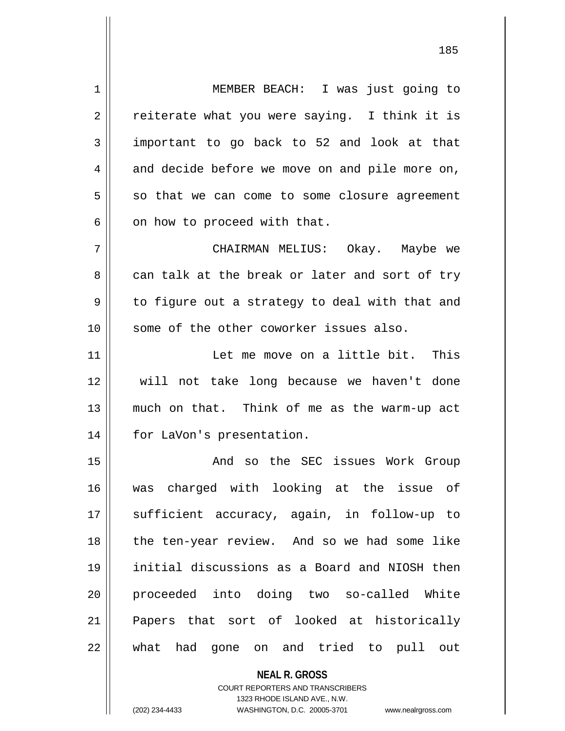1 MEMBER BEACH: I was just going to  $2 \parallel$  reiterate what you were saying. I think it is  $3 \parallel$  important to go back to 52 and look at that  $4 \parallel$  and decide before we move on and pile more on,  $5 \parallel$  so that we can come to some closure agreement  $6 \parallel$  on how to proceed with that.

7 CHAIRMAN MELIUS: Okay. Maybe we 8 can talk at the break or later and sort of try 9 || to figure out a strategy to deal with that and 10 || some of the other coworker issues also.

 Let me move on a little bit. This will not take long because we haven't done much on that. Think of me as the warm-up act 14 || for LaVon's presentation.

15 || And so the SEC issues Work Group 16 was charged with looking at the issue of 17 || sufficient accuracy, again, in follow-up to 18 || the ten-year review. And so we had some like 19 initial discussions as a Board and NIOSH then 20 proceeded into doing two so-called White 21 Papers that sort of looked at historically 22 || what had gone on and tried to pull out

> **NEAL R. GROSS** COURT REPORTERS AND TRANSCRIBERS 1323 RHODE ISLAND AVE., N.W. (202) 234-4433 WASHINGTON, D.C. 20005-3701 www.nealrgross.com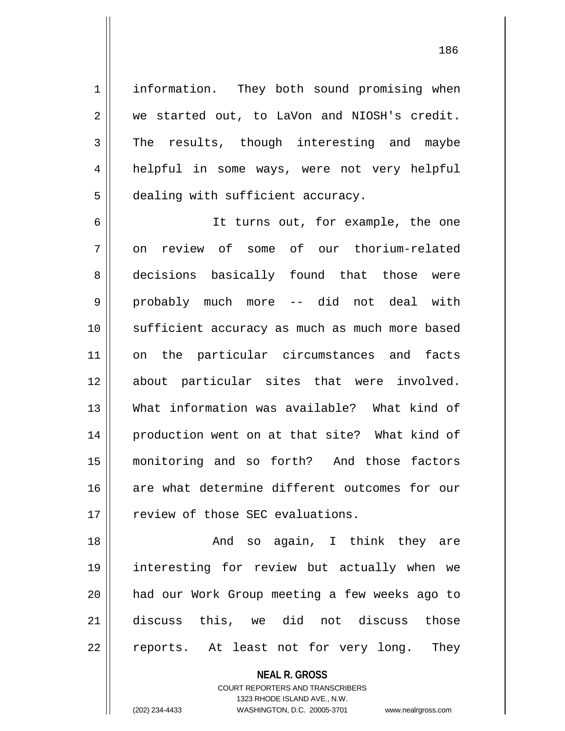1 | information. They both sound promising when  $2 \parallel$  we started out, to LaVon and NIOSH's credit.  $3 \parallel$  The results, though interesting and maybe 4 helpful in some ways, were not very helpful 5 | dealing with sufficient accuracy.

6 It turns out, for example, the one 7 || on review of some of our thorium-related 8 decisions basically found that those were 9 probably much more -- did not deal with 10 sufficient accuracy as much as much more based 11 on the particular circumstances and facts 12 about particular sites that were involved. 13 What information was available? What kind of 14 || production went on at that site? What kind of 15 monitoring and so forth? And those factors 16 are what determine different outcomes for our 17 || review of those SEC evaluations.

18 || The Monduiso again, I think they are 19 interesting for review but actually when we 20 had our Work Group meeting a few weeks ago to 21 discuss this, we did not discuss those 22 || reports. At least not for very long. They

> **NEAL R. GROSS** COURT REPORTERS AND TRANSCRIBERS 1323 RHODE ISLAND AVE., N.W.

(202) 234-4433 WASHINGTON, D.C. 20005-3701 www.nealrgross.com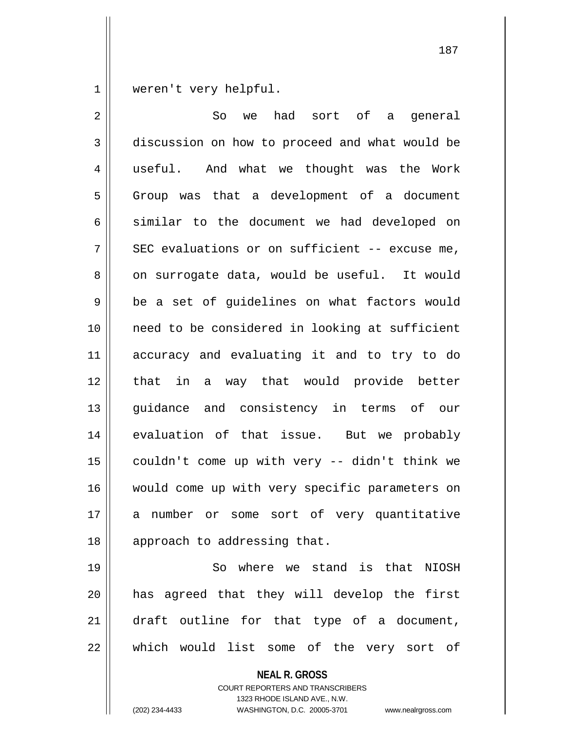1 || weren't very helpful.

2 So we had sort of a general 3 discussion on how to proceed and what would be 4 || useful. And what we thought was the Work  $5 \parallel$  Group was that a development of a document  $6 \parallel$  similar to the document we had developed on  $7$  | SEC evaluations or on sufficient -- excuse me,  $8 \parallel$  on surrogate data, would be useful. It would  $9 \parallel$  be a set of quidelines on what factors would 10 need to be considered in looking at sufficient 11 accuracy and evaluating it and to try to do 12 that in a way that would provide better 13 quidance and consistency in terms of our 14 evaluation of that issue. But we probably  $15$  | couldn't come up with very -- didn't think we 16 || would come up with very specific parameters on 17 a number or some sort of very quantitative 18 || approach to addressing that.

19 || So where we stand is that NIOSH 20 has agreed that they will develop the first 21 || draft outline for that type of a document, 22 which would list some of the very sort of

> **NEAL R. GROSS** COURT REPORTERS AND TRANSCRIBERS 1323 RHODE ISLAND AVE., N.W. (202) 234-4433 WASHINGTON, D.C. 20005-3701 www.nealrgross.com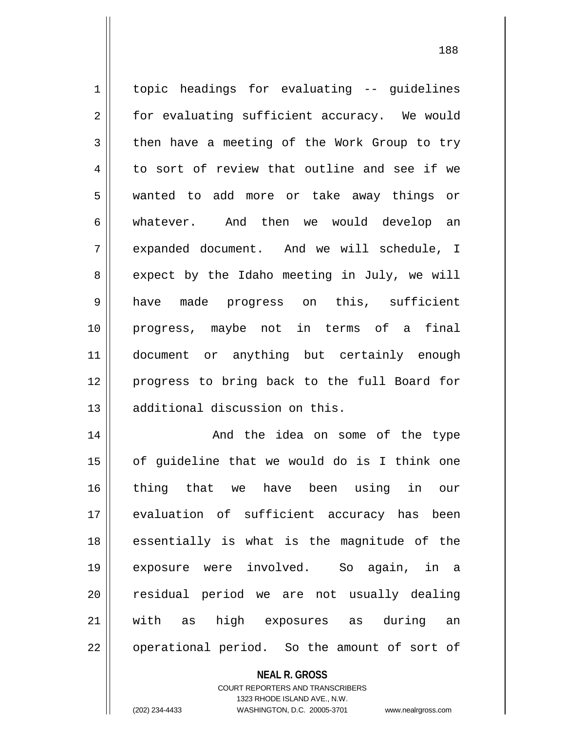topic headings for evaluating -- guidelines 2 | for evaluating sufficient accuracy. We would  $3 \parallel$  then have a meeting of the Work Group to try  $4 \parallel$  to sort of review that outline and see if we wanted to add more or take away things or whatever. And then we would develop an expanded document. And we will schedule, I  $8 \parallel$  expect by the Idaho meeting in July, we will have made progress on this, sufficient progress, maybe not in terms of a final document or anything but certainly enough progress to bring back to the full Board for 13 || additional discussion on this. And the idea on some of the type

 || of guideline that we would do is I think one thing that we have been using in our evaluation of sufficient accuracy has been 18 || essentially is what is the magnitude of the exposure were involved. So again, in a 20 || residual period we are not usually dealing with as high exposures as during an | operational period. So the amount of sort of

> **NEAL R. GROSS** COURT REPORTERS AND TRANSCRIBERS 1323 RHODE ISLAND AVE., N.W. (202) 234-4433 WASHINGTON, D.C. 20005-3701 www.nealrgross.com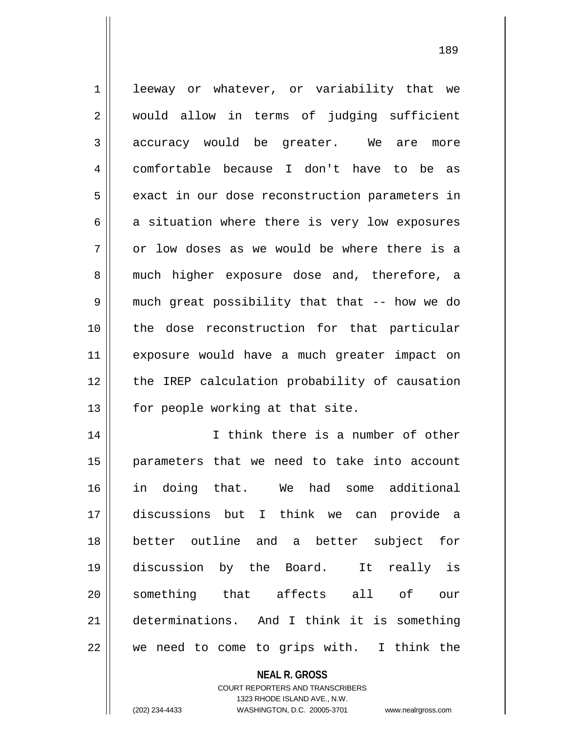1 || leeway or whatever, or variability that we 2 || would allow in terms of judging sufficient  $3 \parallel$  accuracy would be greater. We are more 4 comfortable because I don't have to be as  $5 \parallel$  exact in our dose reconstruction parameters in  $6 \parallel$  a situation where there is very low exposures  $7 \parallel$  or low doses as we would be where there is a 8 much higher exposure dose and, therefore, a 9 || much great possibility that that -- how we do 10 the dose reconstruction for that particular 11 exposure would have a much greater impact on 12 || the IREP calculation probability of causation  $13$  | for people working at that site. 14 || I think there is a number of other 15 parameters that we need to take into account 16 in doing that. We had some additional 17 discussions but I think we can provide a 18 better outline and a better subject for 19 discussion by the Board. It really is 20 Something that affects all of our 21 determinations. And I think it is something

 $22 \parallel$  we need to come to grips with. I think the

**NEAL R. GROSS**

COURT REPORTERS AND TRANSCRIBERS 1323 RHODE ISLAND AVE., N.W. (202) 234-4433 WASHINGTON, D.C. 20005-3701 www.nealrgross.com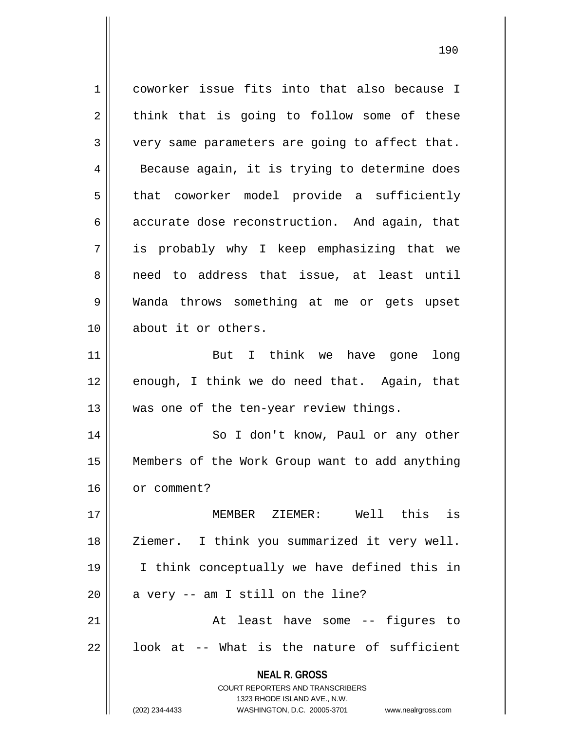**NEAL R. GROSS** COURT REPORTERS AND TRANSCRIBERS 1323 RHODE ISLAND AVE., N.W. 1 coworker issue fits into that also because I  $2 \parallel$  think that is going to follow some of these  $3 \parallel$  very same parameters are going to affect that.  $4 \parallel$  Because again, it is trying to determine does  $5 \parallel$  that coworker model provide a sufficiently  $6 \parallel$  accurate dose reconstruction. And again, that 7 is probably why I keep emphasizing that we 8 || need to address that issue, at least until 9 Wanda throws something at me or gets upset 10 about it or others. 11 || But I think we have gone long 12 enough, I think we do need that. Again, that 13 || was one of the ten-year review things. 14 || So I don't know, Paul or any other 15 Members of the Work Group want to add anything 16 | or comment? 17 MEMBER ZIEMER: Well this is 18 || Ziemer. I think you summarized it very well. 19 I think conceptually we have defined this in  $20$  | a very  $-$  am I still on the line? 21 || At least have some -- figures to  $22 \parallel$  look at -- What is the nature of sufficient

(202) 234-4433 WASHINGTON, D.C. 20005-3701 www.nealrgross.com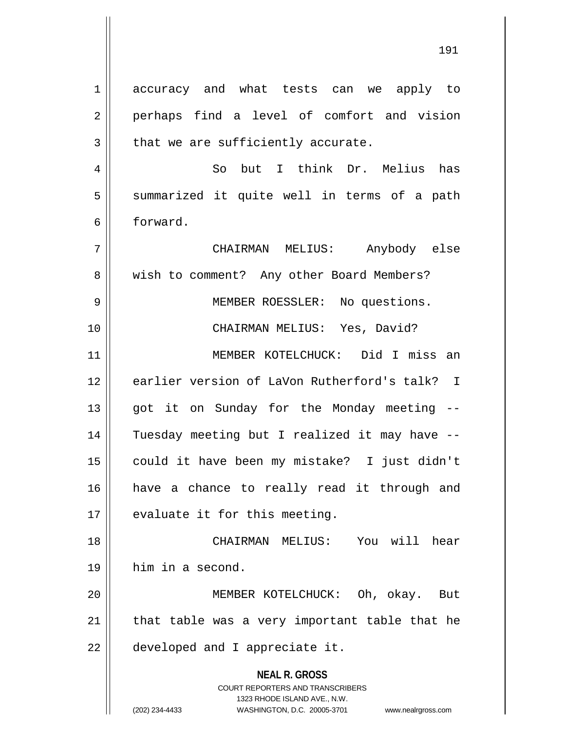**NEAL R. GROSS** COURT REPORTERS AND TRANSCRIBERS 1323 RHODE ISLAND AVE., N.W. (202) 234-4433 WASHINGTON, D.C. 20005-3701 www.nealrgross.com 1 accuracy and what tests can we apply to 2 perhaps find a level of comfort and vision | that we are sufficiently accurate. So but I think Dr. Melius has 5 || summarized it quite well in terms of a path forward. CHAIRMAN MELIUS: Anybody else 8 || wish to comment? Any other Board Members? MEMBER ROESSLER: No questions. CHAIRMAN MELIUS: Yes, David? MEMBER KOTELCHUCK: Did I miss an earlier version of LaVon Rutherford's talk? I 13 || got it on Sunday for the Monday meeting -- Tuesday meeting but I realized it may have -- could it have been my mistake? I just didn't have a chance to really read it through and | evaluate it for this meeting. CHAIRMAN MELIUS: You will hear him in a second. 20 || **MEMBER KOTELCHUCK:** Oh, okay. But | that table was a very important table that he | developed and I appreciate it.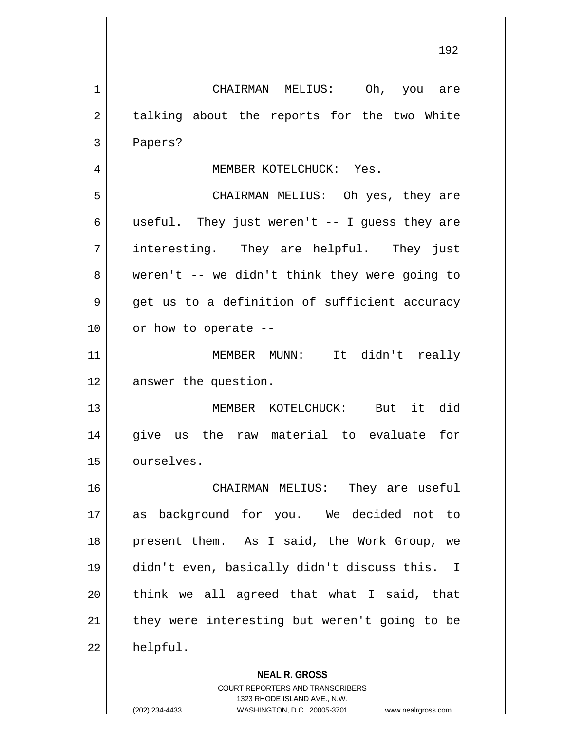**NEAL R. GROSS** 1 CHAIRMAN MELIUS: Oh, you are  $2 \parallel$  talking about the reports for the two White 3 Papers? 4 | MEMBER KOTELCHUCK: Yes. 5 CHAIRMAN MELIUS: Oh yes, they are 6 || useful. They just weren't  $-$ - I quess they are 7 interesting. They are helpful. They just  $8 \parallel$  weren't -- we didn't think they were going to  $9 \parallel$  get us to a definition of sufficient accuracy  $10$  | or how to operate --11 MEMBER MUNN: It didn't really 12 answer the question. 13 MEMBER KOTELCHUCK: But it did 14 give us the raw material to evaluate for 15 | ourselves. 16 CHAIRMAN MELIUS: They are useful 17 as background for you. We decided not to 18 || present them. As I said, the Work Group, we 19 didn't even, basically didn't discuss this. I  $20$  || think we all agreed that what I said, that  $21$  | they were interesting but weren't going to be 22 helpful.

> COURT REPORTERS AND TRANSCRIBERS 1323 RHODE ISLAND AVE., N.W.

(202) 234-4433 WASHINGTON, D.C. 20005-3701 www.nealrgross.com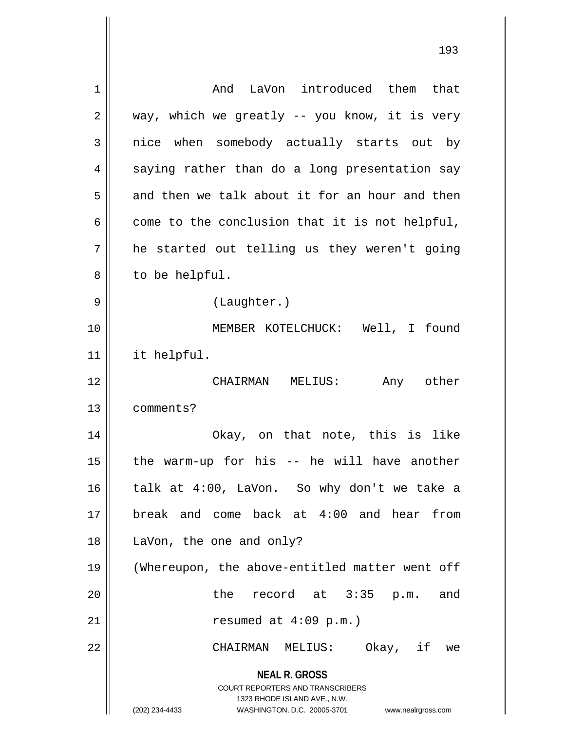| 1              | And LaVon introduced them that                                                                                                                               |
|----------------|--------------------------------------------------------------------------------------------------------------------------------------------------------------|
| $\overline{2}$ | way, which we greatly -- you know, it is very                                                                                                                |
| 3              | nice when somebody actually starts out by                                                                                                                    |
| 4              | saying rather than do a long presentation say                                                                                                                |
| 5              | and then we talk about it for an hour and then                                                                                                               |
| 6              | come to the conclusion that it is not helpful,                                                                                                               |
| 7              | he started out telling us they weren't going                                                                                                                 |
| 8              | to be helpful.                                                                                                                                               |
| 9              | (Laughter.)                                                                                                                                                  |
| 10             | MEMBER KOTELCHUCK: Well, I found                                                                                                                             |
| 11             | it helpful.                                                                                                                                                  |
| 12             | CHAIRMAN MELIUS:<br>Any other                                                                                                                                |
| 13             | comments?                                                                                                                                                    |
| 14             | Okay, on that note, this is like                                                                                                                             |
| 15             | the warm-up for his -- he will have another                                                                                                                  |
| 16             | talk at 4:00, LaVon. So why don't we take a                                                                                                                  |
| 17             | break and come back at 4:00 and hear from                                                                                                                    |
| 18             | LaVon, the one and only?                                                                                                                                     |
| 19             | (Whereupon, the above-entitled matter went off                                                                                                               |
| 20             | the record at 3:35 p.m. and                                                                                                                                  |
| 21             | resumed at $4:09$ p.m.)                                                                                                                                      |
| 22             | CHAIRMAN MELIUS: Okay, if we                                                                                                                                 |
|                | <b>NEAL R. GROSS</b><br>COURT REPORTERS AND TRANSCRIBERS<br>1323 RHODE ISLAND AVE., N.W.<br>(202) 234-4433<br>WASHINGTON, D.C. 20005-3701 www.nealrgross.com |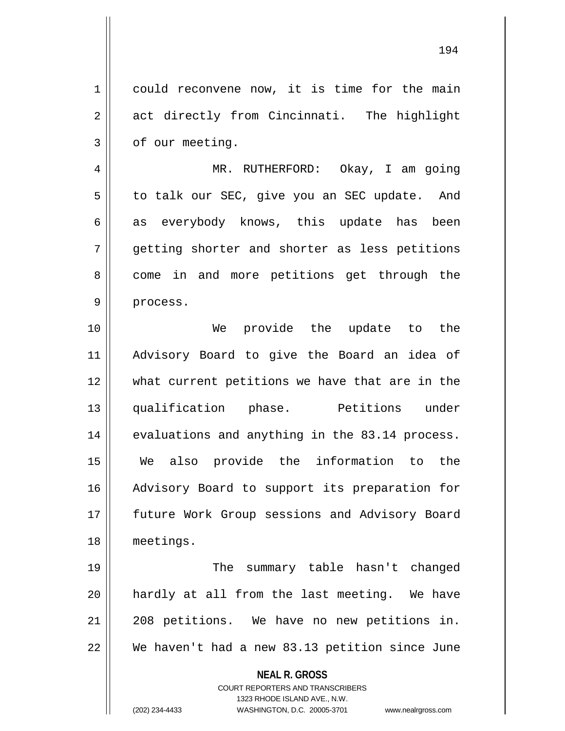1 could reconvene now, it is time for the main 2 act directly from Cincinnati. The highlight  $3 \parallel$  of our meeting.

4 MR. RUTHERFORD: Okay, I am going 5 | to talk our SEC, give you an SEC update. And 6 as everybody knows, this update has been 7 getting shorter and shorter as less petitions 8 come in and more petitions get through the 9 || process.

 We provide the update to the Advisory Board to give the Board an idea of what current petitions we have that are in the qualification phase. Petitions under 14 evaluations and anything in the 83.14 process. We also provide the information to the 16 || Advisory Board to support its preparation for 17 || future Work Group sessions and Advisory Board meetings.

 The summary table hasn't changed hardly at all from the last meeting. We have 208 petitions. We have no new petitions in. We haven't had a new 83.13 petition since June

> **NEAL R. GROSS** COURT REPORTERS AND TRANSCRIBERS 1323 RHODE ISLAND AVE., N.W. (202) 234-4433 WASHINGTON, D.C. 20005-3701 www.nealrgross.com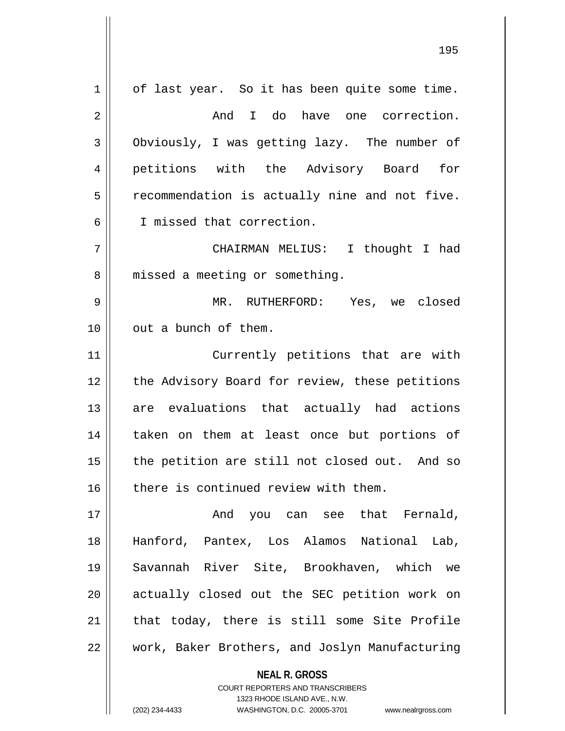$1 \parallel$  of last year. So it has been quite some time. 2 And I do have one correction. 3 Obviously, I was getting lazy. The number of 4 petitions with the Advisory Board for  $5 \parallel$  recommendation is actually nine and not five. 6 I missed that correction. 7 CHAIRMAN MELIUS: I thought I had 8 || missed a meeting or something. 9 MR. RUTHERFORD: Yes, we closed 10 || out a bunch of them. 11 || Currently petitions that are with 12 || the Advisory Board for review, these petitions 13 are evaluations that actually had actions 14 || taken on them at least once but portions of  $15$  | the petition are still not closed out. And so 16 there is continued review with them. 17 And you can see that Fernald, 18 Hanford, Pantex, Los Alamos National Lab, 19 Savannah River Site, Brookhaven, which we 20 || actually closed out the SEC petition work on  $21$  | that today, there is still some Site Profile 22 | work, Baker Brothers, and Joslyn Manufacturing

> **NEAL R. GROSS** COURT REPORTERS AND TRANSCRIBERS 1323 RHODE ISLAND AVE., N.W.

(202) 234-4433 WASHINGTON, D.C. 20005-3701 www.nealrgross.com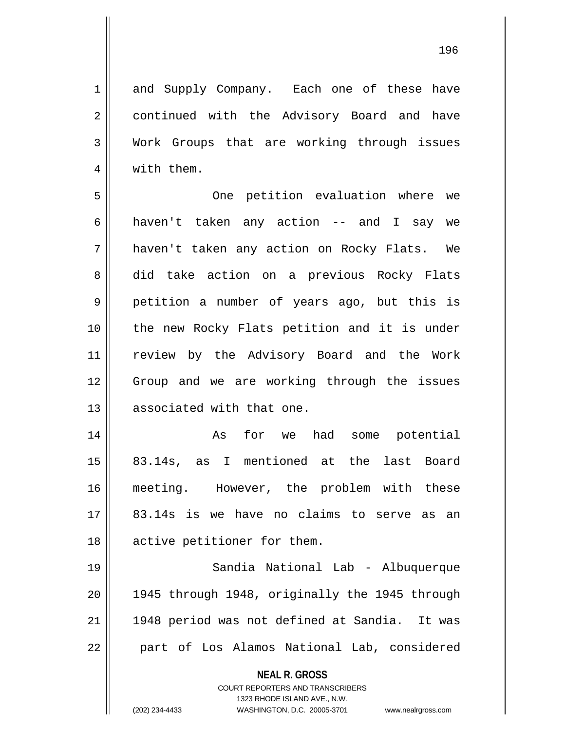1 || and Supply Company. Each one of these have 2 || continued with the Advisory Board and have 3 Work Groups that are working through issues 4 || with them.

5 One petition evaluation where we  $6 \parallel$  haven't taken any action -- and I say we 7 haven't taken any action on Rocky Flats. We 8 did take action on a previous Rocky Flats 9 | petition a number of years ago, but this is 10 || the new Rocky Flats petition and it is under 11 review by the Advisory Board and the Work 12 Group and we are working through the issues 13 || associated with that one.

14 || As for we had some potential 15 83.14s, as I mentioned at the last Board 16 meeting. However, the problem with these 17 83.14s is we have no claims to serve as an 18 || active petitioner for them.

19 Sandia National Lab - Albuquerque 20 1945 through 1948, originally the 1945 through 21 || 1948 period was not defined at Sandia. It was 22 || part of Los Alamos National Lab, considered

> **NEAL R. GROSS** COURT REPORTERS AND TRANSCRIBERS

1323 RHODE ISLAND AVE., N.W. (202) 234-4433 WASHINGTON, D.C. 20005-3701 www.nealrgross.com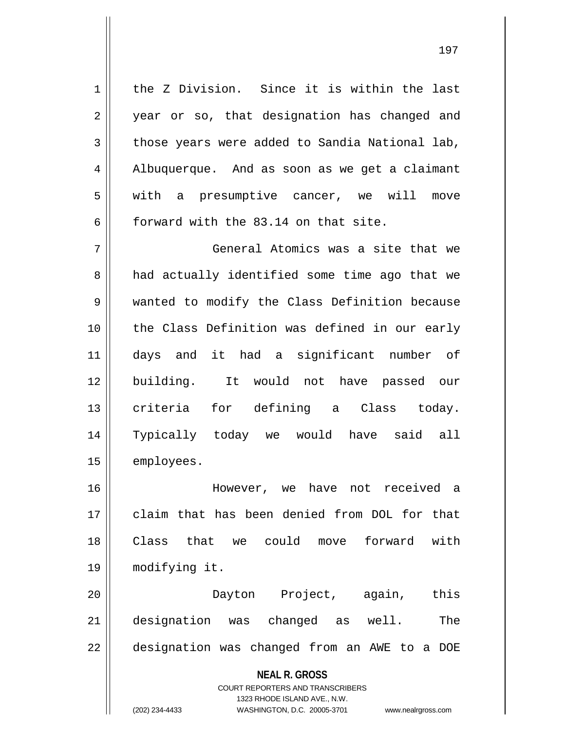1 || the Z Division. Since it is within the last 2 || year or so, that designation has changed and  $3 \parallel$  those years were added to Sandia National lab, 4 | Albuquerque. And as soon as we get a claimant 5 with a presumptive cancer, we will move 6 forward with the 83.14 on that site.

7 General Atomics was a site that we 8 and actually identified some time ago that we 9 wanted to modify the Class Definition because 10 || the Class Definition was defined in our early 11 days and it had a significant number of 12 building. It would not have passed our 13 || criteria for defining a Class today. 14 Typically today we would have said all 15 | employees.

 However, we have not received a claim that has been denied from DOL for that Class that we could move forward with modifying it.

20 Dayton Project, again, this 21 designation was changed as well. The 22 || designation was changed from an AWE to a DOE

**NEAL R. GROSS**

COURT REPORTERS AND TRANSCRIBERS 1323 RHODE ISLAND AVE., N.W. (202) 234-4433 WASHINGTON, D.C. 20005-3701 www.nealrgross.com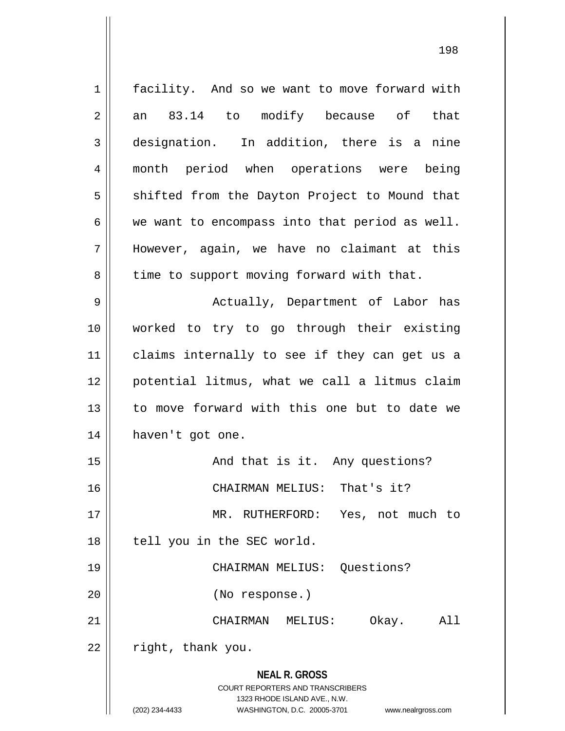**NEAL R. GROSS** COURT REPORTERS AND TRANSCRIBERS 1323 RHODE ISLAND AVE., N.W. (202) 234-4433 WASHINGTON, D.C. 20005-3701 www.nealrgross.com 1 | facility. And so we want to move forward with  $2 \parallel$  an 83.14 to modify because of that 3 designation. In addition, there is a nine 4 month period when operations were being  $5 \parallel$  shifted from the Dayton Project to Mound that  $6 \parallel$  we want to encompass into that period as well. 7 However, again, we have no claimant at this  $8 \parallel$  time to support moving forward with that. 9 Actually, Department of Labor has 10 worked to try to go through their existing 11 claims internally to see if they can get us a 12 potential litmus, what we call a litmus claim 13 || to move forward with this one but to date we 14 || haven't got one. 15 || And that is it. Any questions? 16 CHAIRMAN MELIUS: That's it? 17 || MR. RUTHERFORD: Yes, not much to 18 || tell you in the SEC world. 19 CHAIRMAN MELIUS: Questions? 20 (No response.) 21 CHAIRMAN MELIUS: Okay. All  $22$  | right, thank you.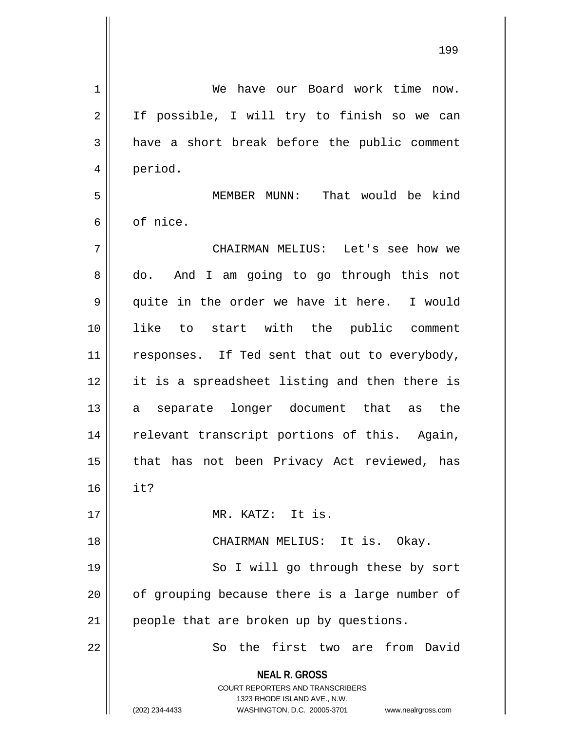| 1              | We have our Board work time<br>now.                                                                                                                                    |
|----------------|------------------------------------------------------------------------------------------------------------------------------------------------------------------------|
| $\overline{2}$ | If possible, I will try to finish so we can                                                                                                                            |
| 3              | have a short break before the public comment                                                                                                                           |
| 4              | period.                                                                                                                                                                |
| 5              | That would be kind<br>MEMBER MUNN:                                                                                                                                     |
| 6              | of nice.                                                                                                                                                               |
| 7              | CHAIRMAN MELIUS: Let's see how we                                                                                                                                      |
| 8              | do. And I am going to go through this not                                                                                                                              |
| 9              | quite in the order we have it here. I would                                                                                                                            |
| 10             | like to start with the public comment                                                                                                                                  |
| 11             | responses. If Ted sent that out to everybody,                                                                                                                          |
| 12             | it is a spreadsheet listing and then there is                                                                                                                          |
| 13             | separate longer document that as the<br>a                                                                                                                              |
| 14             | relevant transcript portions of this. Again,                                                                                                                           |
| 15             | that has not been Privacy Act reviewed, has                                                                                                                            |
| 16             | it?                                                                                                                                                                    |
| 17             | MR. KATZ: It is.                                                                                                                                                       |
| 18             | CHAIRMAN MELIUS: It is. Okay.                                                                                                                                          |
| 19             | So I will go through these by sort                                                                                                                                     |
| 20             | of grouping because there is a large number of                                                                                                                         |
| 21             | people that are broken up by questions.                                                                                                                                |
| 22             | So the first two are from David                                                                                                                                        |
|                | <b>NEAL R. GROSS</b><br><b>COURT REPORTERS AND TRANSCRIBERS</b><br>1323 RHODE ISLAND AVE., N.W.<br>(202) 234-4433<br>WASHINGTON, D.C. 20005-3701<br>www.nealrgross.com |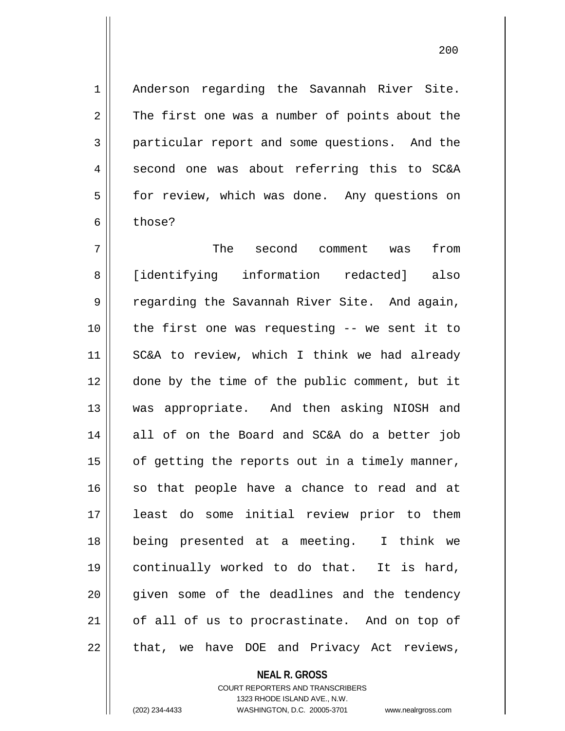1 || Anderson regarding the Savannah River Site.  $2 \parallel$  The first one was a number of points about the 3 particular report and some questions. And the 4 || second one was about referring this to SC&A 5 | for review, which was done. Any questions on 6 b those?

 The second comment was from [identifying information redacted] also 9 The regarding the Savannah River Site. And again, the first one was requesting -- we sent it to SC&A to review, which I think we had already done by the time of the public comment, but it was appropriate. And then asking NIOSH and 14 all of on the Board and SC&A do a better job | of getting the reports out in a timely manner, 16 || so that people have a chance to read and at least do some initial review prior to them being presented at a meeting. I think we continually worked to do that. It is hard, 20 || given some of the deadlines and the tendency 21 || of all of us to procrastinate. And on top of 22 || that, we have DOE and Privacy Act reviews,

# **NEAL R. GROSS**

#### COURT REPORTERS AND TRANSCRIBERS 1323 RHODE ISLAND AVE., N.W. (202) 234-4433 WASHINGTON, D.C. 20005-3701 www.nealrgross.com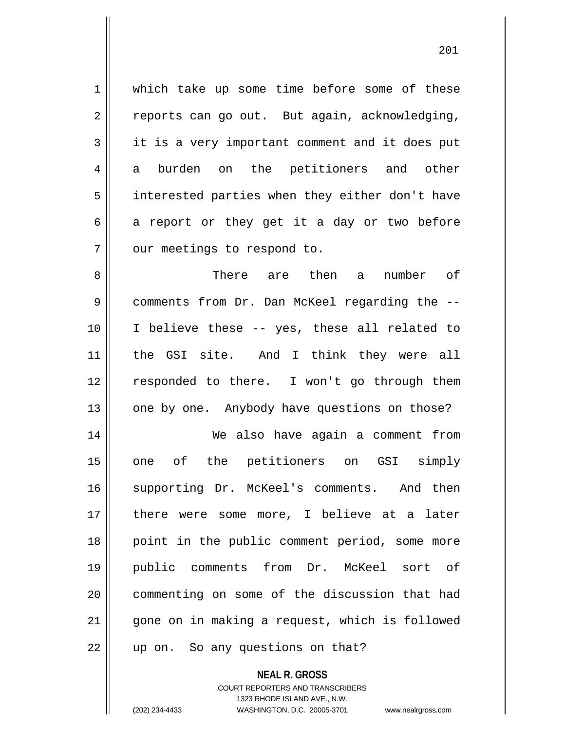1 which take up some time before some of these  $2 \parallel$  reports can go out. But again, acknowledging, 3 it is a very important comment and it does put 4 a burden on the petitioners and other 5 | interested parties when they either don't have  $6 \parallel$  a report or they get it a day or two before 7 | our meetings to respond to.

 There are then a number of comments from Dr. Dan McKeel regarding the -- I believe these -- yes, these all related to 11 || the GSI site. And I think they were all 12 || responded to there. I won't go through them | one by one. Anybody have questions on those?

14 We also have again a comment from 15 || one of the petitioners on GSI simply 16 || supporting Dr. McKeel's comments. And then 17 || there were some more, I believe at a later 18 || point in the public comment period, some more 19 public comments from Dr. McKeel sort of 20 commenting on some of the discussion that had 21 || gone on in making a request, which is followed 22 || up on. So any questions on that?

> **NEAL R. GROSS** COURT REPORTERS AND TRANSCRIBERS 1323 RHODE ISLAND AVE., N.W. (202) 234-4433 WASHINGTON, D.C. 20005-3701 www.nealrgross.com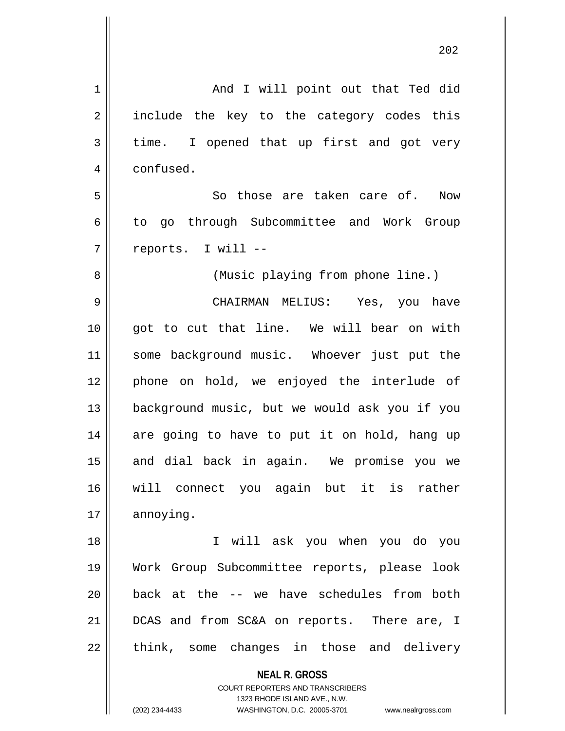| 1  | And I will point out that Ted did                                   |
|----|---------------------------------------------------------------------|
| 2  | include the key to the category codes this                          |
| 3  | time. I opened that up first and got very                           |
| 4  | confused.                                                           |
| 5  | So those are taken care of. Now                                     |
| 6  | to go through Subcommittee and Work Group                           |
| 7  | reports. I will --                                                  |
| 8  | (Music playing from phone line.)                                    |
| 9  | CHAIRMAN MELIUS: Yes, you have                                      |
| 10 | got to cut that line. We will bear on with                          |
| 11 | some background music. Whoever just put the                         |
| 12 | phone on hold, we enjoyed the interlude of                          |
| 13 | background music, but we would ask you if you                       |
| 14 | are going to have to put it on hold, hang up                        |
| 15 | and dial back in again. We promise you we                           |
| 16 | will connect you again but it is rather                             |
| 17 | annoying.                                                           |
| 18 | I will ask you when you do you                                      |
| 19 | Work Group Subcommittee reports, please look                        |
| 20 | back at the -- we have schedules from both                          |
| 21 | DCAS and from SC&A on reports. There are, I                         |
| 22 | think, some changes in those and delivery                           |
|    | <b>NEAL R. GROSS</b>                                                |
|    | COURT REPORTERS AND TRANSCRIBERS                                    |
|    | 1323 RHODE ISLAND AVE., N.W.                                        |
|    | (202) 234-4433<br>WASHINGTON, D.C. 20005-3701<br>www.nealrgross.com |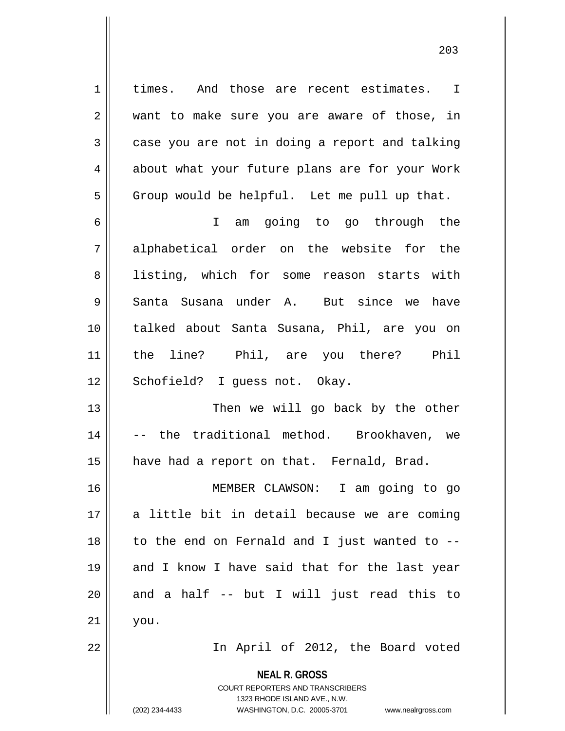1 | times. And those are recent estimates. I  $2 \parallel$  want to make sure you are aware of those, in  $3 \parallel$  case you are not in doing a report and talking 4 about what your future plans are for your Work  $5 \parallel$  Group would be helpful. Let me pull up that.

6 I am going to go through the 7 alphabetical order on the website for the 8 || listing, which for some reason starts with 9 || Santa Susana under A. But since we have 10 || talked about Santa Susana, Phil, are you on 11 the line? Phil, are you there? Phil 12 || Schofield? I guess not. Okay.

13 || Then we will go back by the other 14 || -- the traditional method. Brookhaven, we 15 | have had a report on that. Fernald, Brad.

16 MEMBER CLAWSON: I am going to go 17 || a little bit in detail because we are coming  $18$  | to the end on Fernald and I just wanted to  $-$ 19 || and I know I have said that for the last year  $20$  and a half -- but I will just read this to  $21$  | you.

22 In April of 2012, the Board voted

**NEAL R. GROSS** COURT REPORTERS AND TRANSCRIBERS 1323 RHODE ISLAND AVE., N.W.

(202) 234-4433 WASHINGTON, D.C. 20005-3701 www.nealrgross.com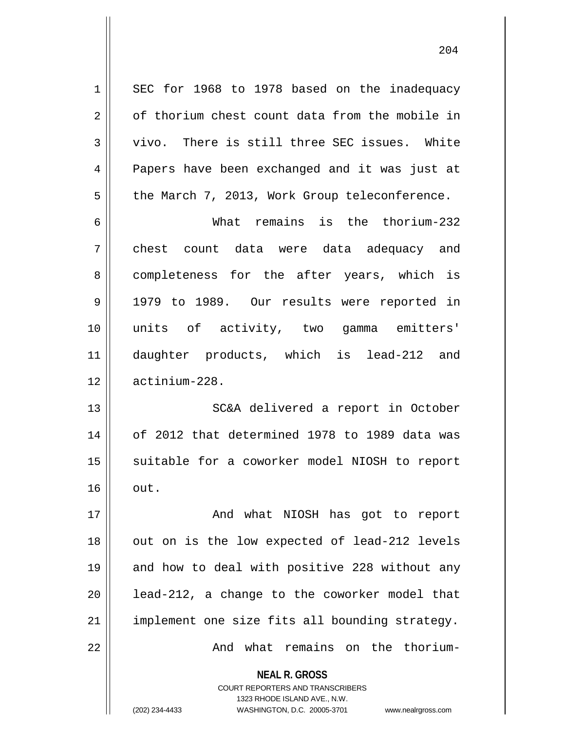1 SEC for 1968 to 1978 based on the inadequacy  $2 \parallel$  of thorium chest count data from the mobile in 3 Vivo. There is still three SEC issues. White 4 **Papers have been exchanged and it was just at**  $5 \parallel$  the March 7, 2013, Work Group teleconference.

 What remains is the thorium-232 chest count data were data adequacy and 8 || completeness for the after years, which is 9 || 1979 to 1989. Our results were reported in units of activity, two gamma emitters' daughter products, which is lead-212 and actinium-228.

13 || SC&A delivered a report in October 14 of 2012 that determined 1978 to 1989 data was 15 || suitable for a coworker model NIOSH to report  $16$   $\vert \vert$  out.

17 || And what NIOSH has got to report  $18$  || out on is the low expected of lead-212 levels 19 || and how to deal with positive 228 without any  $20$  || lead-212, a change to the coworker model that 21 | implement one size fits all bounding strategy. 22 And what remains on the thorium-

> **NEAL R. GROSS** COURT REPORTERS AND TRANSCRIBERS 1323 RHODE ISLAND AVE., N.W. (202) 234-4433 WASHINGTON, D.C. 20005-3701 www.nealrgross.com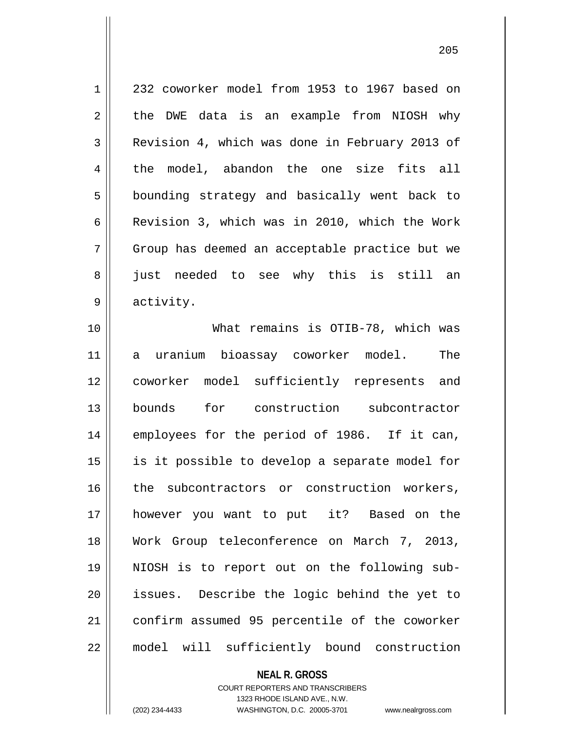1 232 coworker model from 1953 to 1967 based on  $2 \parallel$  the DWE data is an example from NIOSH why 3 Revision 4, which was done in February 2013 of 4 the model, abandon the one size fits all 5 | bounding strategy and basically went back to 6 | Revision 3, which was in 2010, which the Work 7 Group has deemed an acceptable practice but we 8 || just needed to see why this is still an 9 || activity.

 What remains is OTIB-78, which was a uranium bioassay coworker model. The coworker model sufficiently represents and bounds for construction subcontractor employees for the period of 1986. If it can, 15 || is it possible to develop a separate model for 16 || the subcontractors or construction workers, however you want to put it? Based on the Work Group teleconference on March 7, 2013, NIOSH is to report out on the following sub- issues. Describe the logic behind the yet to 21 | confirm assumed 95 percentile of the coworker model will sufficiently bound construction

> **NEAL R. GROSS** COURT REPORTERS AND TRANSCRIBERS 1323 RHODE ISLAND AVE., N.W.

(202) 234-4433 WASHINGTON, D.C. 20005-3701 www.nealrgross.com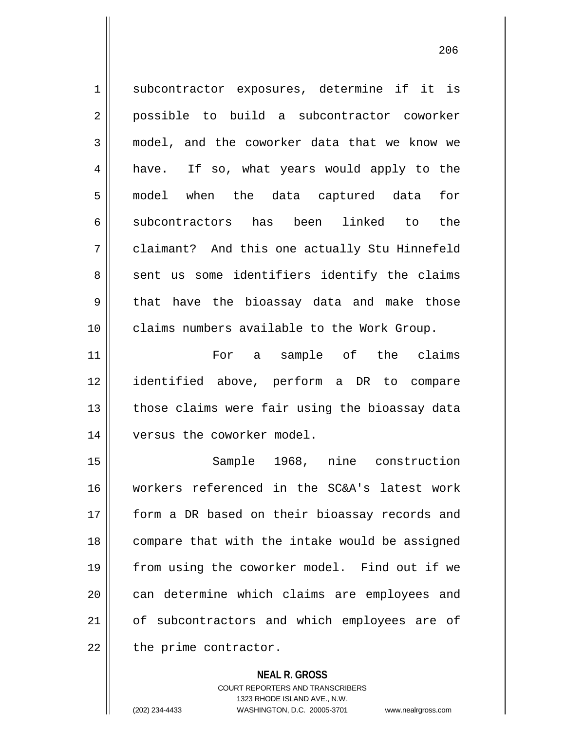1 || subcontractor exposures, determine if it is 2 possible to build a subcontractor coworker 3 || model, and the coworker data that we know we 4 || have. If so, what years would apply to the 5 model when the data captured data for 6 subcontractors has been linked to the 7 claimant? And this one actually Stu Hinnefeld  $8 \parallel$  sent us some identifiers identify the claims 9 that have the bioassay data and make those 10 claims numbers available to the Work Group. 11 For a sample of the claims 12 identified above, perform a DR to compare  $13$  || those claims were fair using the bioassay data 14 | versus the coworker model. 15 Sample 1968, nine construction 16 workers referenced in the SC&A's latest work 17 || form a DR based on their bioassay records and 18 compare that with the intake would be assigned 19 from using the coworker model. Find out if we 20 || can determine which claims are employees and 21 || of subcontractors and which employees are of  $22$  || the prime contractor.

**NEAL R. GROSS**

COURT REPORTERS AND TRANSCRIBERS 1323 RHODE ISLAND AVE., N.W. (202) 234-4433 WASHINGTON, D.C. 20005-3701 www.nealrgross.com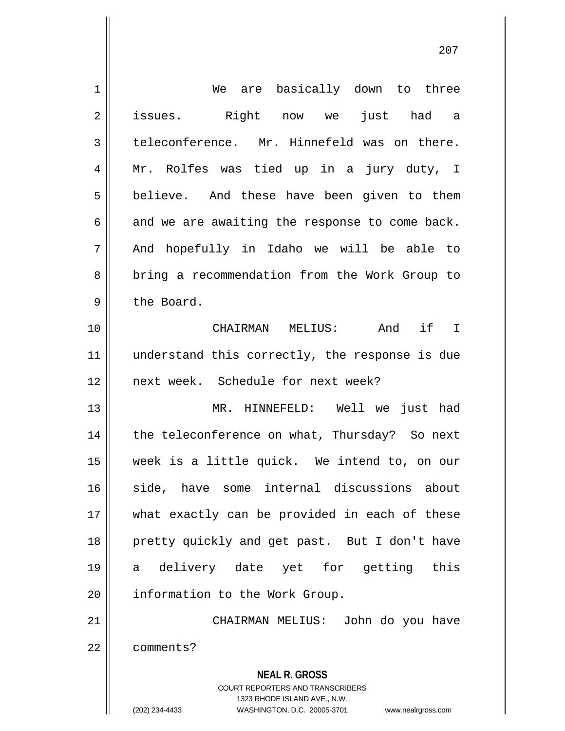| $\mathbf 1$    | are basically down to three<br>We                                                                                                                               |
|----------------|-----------------------------------------------------------------------------------------------------------------------------------------------------------------|
| $\overline{2}$ | issues. Right now we<br>just had a                                                                                                                              |
| 3              | teleconference. Mr. Hinnefeld was on there.                                                                                                                     |
| 4              | Mr. Rolfes was tied up in a jury duty, I                                                                                                                        |
| 5              | believe. And these have been given to them                                                                                                                      |
| 6              | and we are awaiting the response to come back.                                                                                                                  |
| 7              | And hopefully in Idaho we will be able to                                                                                                                       |
| 8              | bring a recommendation from the Work Group to                                                                                                                   |
| $\mathsf 9$    | the Board.                                                                                                                                                      |
| 10             | CHAIRMAN MELIUS: And if I                                                                                                                                       |
| 11             | understand this correctly, the response is due                                                                                                                  |
| 12             | next week. Schedule for next week?                                                                                                                              |
| 13             | MR. HINNEFELD: Well we<br>just had                                                                                                                              |
| 14             | the teleconference on what, Thursday? So next                                                                                                                   |
| 15             | week is a little quick. We intend to, on our                                                                                                                    |
| 16             | internal discussions<br>side, have some<br>about                                                                                                                |
| 17             | what exactly can be provided in each of these                                                                                                                   |
| 18             | pretty quickly and get past. But I don't have                                                                                                                   |
| 19             | delivery date yet for getting<br>this<br>а                                                                                                                      |
| 20             | information to the Work Group.                                                                                                                                  |
| 21             | CHAIRMAN MELIUS: John do you have                                                                                                                               |
| 22             | comments?                                                                                                                                                       |
|                | <b>NEAL R. GROSS</b><br>COURT REPORTERS AND TRANSCRIBERS<br>1323 RHODE ISLAND AVE., N.W.<br>(202) 234-4433<br>WASHINGTON, D.C. 20005-3701<br>www.nealrgross.com |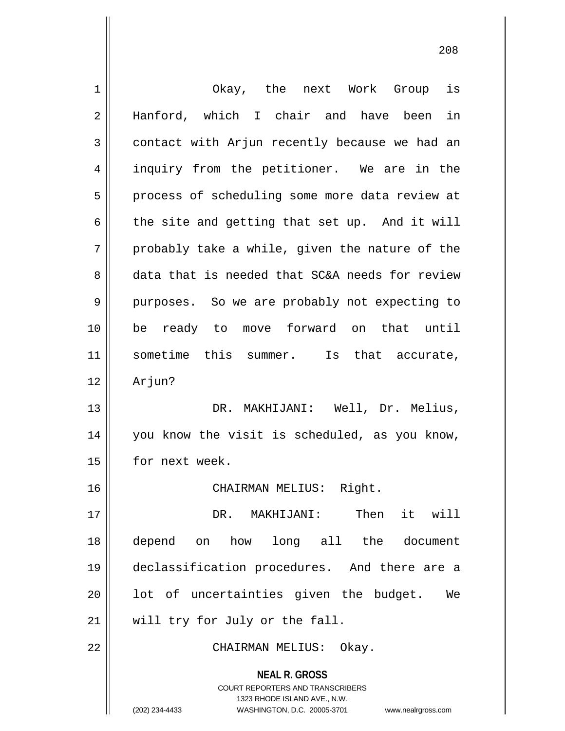| $\mathbf 1$ | Okay, the next Work Group is                                                                                                                                    |
|-------------|-----------------------------------------------------------------------------------------------------------------------------------------------------------------|
| $\sqrt{2}$  | Hanford, which I chair and have been in                                                                                                                         |
| 3           | contact with Arjun recently because we had an                                                                                                                   |
| 4           | inquiry from the petitioner. We are in the                                                                                                                      |
| 5           | process of scheduling some more data review at                                                                                                                  |
| 6           | the site and getting that set up. And it will                                                                                                                   |
| 7           | probably take a while, given the nature of the                                                                                                                  |
| 8           | data that is needed that SC&A needs for review                                                                                                                  |
| 9           | purposes. So we are probably not expecting to                                                                                                                   |
| 10          | be ready to move forward on that until                                                                                                                          |
| 11          | sometime this summer. Is that accurate,                                                                                                                         |
| 12          | Arjun?                                                                                                                                                          |
| 13          | DR. MAKHIJANI: Well, Dr. Melius,                                                                                                                                |
| 14          | you know the visit is scheduled, as you know,                                                                                                                   |
| 15          | for next week.                                                                                                                                                  |
| 16          | CHAIRMAN MELIUS:<br>Right.                                                                                                                                      |
| 17          | Then<br>it will<br>DR. MAKHIJANI:                                                                                                                               |
| 18          | depend<br>how<br>long all the<br>document<br>on                                                                                                                 |
| 19          | declassification procedures. And there are a                                                                                                                    |
| 20          | lot of uncertainties given the budget.<br>We                                                                                                                    |
| 21          | will try for July or the fall.                                                                                                                                  |
| 22          | CHAIRMAN MELIUS: Okay.                                                                                                                                          |
|             | <b>NEAL R. GROSS</b><br>COURT REPORTERS AND TRANSCRIBERS<br>1323 RHODE ISLAND AVE., N.W.<br>(202) 234-4433<br>WASHINGTON, D.C. 20005-3701<br>www.nealrgross.com |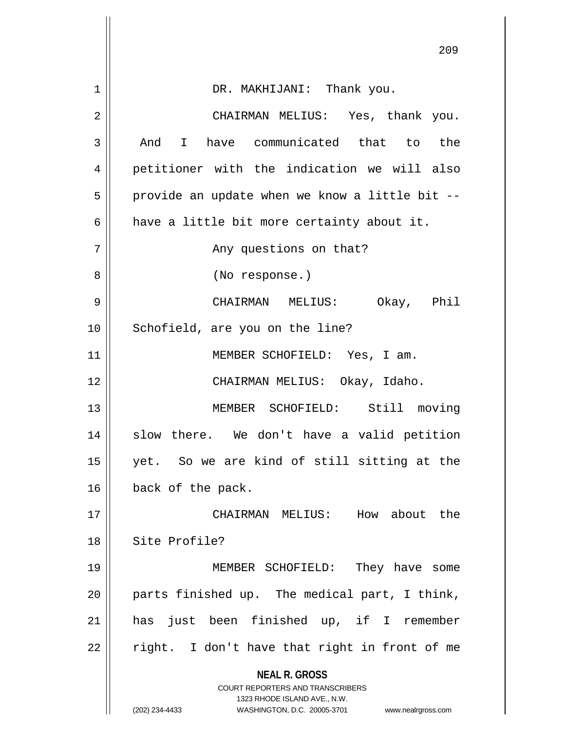|             | 209                                                                                                                                                                 |
|-------------|---------------------------------------------------------------------------------------------------------------------------------------------------------------------|
|             |                                                                                                                                                                     |
| $\mathbf 1$ | DR. MAKHIJANI: Thank you.                                                                                                                                           |
| 2           | CHAIRMAN MELIUS: Yes, thank you.                                                                                                                                    |
| 3           | And I have communicated that to the                                                                                                                                 |
| 4           | petitioner with the indication we will also                                                                                                                         |
| 5           | provide an update when we know a little bit --                                                                                                                      |
| 6           | have a little bit more certainty about it.                                                                                                                          |
| 7           | Any questions on that?                                                                                                                                              |
| 8           | (No response.)                                                                                                                                                      |
| 9           | CHAIRMAN MELIUS: Okay, Phil                                                                                                                                         |
| 10          | Schofield, are you on the line?                                                                                                                                     |
| 11          | MEMBER SCHOFIELD: Yes, I am.                                                                                                                                        |
| 12          | CHAIRMAN MELIUS: Okay, Idaho.                                                                                                                                       |
| 13          | MEMBER SCHOFIELD: Still moving                                                                                                                                      |
| 14          | slow there. We don't have a valid petition                                                                                                                          |
| 15          | yet. So we are kind of still sitting at the                                                                                                                         |
| 16          | back of the pack.                                                                                                                                                   |
| 17          | CHAIRMAN MELIUS: How about the                                                                                                                                      |
| 18          | Site Profile?                                                                                                                                                       |
| 19          | MEMBER SCHOFIELD: They have some                                                                                                                                    |
| 20          | parts finished up. The medical part, I think,                                                                                                                       |
| 21          | has just been finished up, if I remember                                                                                                                            |
| 22          | right. I don't have that right in front of me                                                                                                                       |
|             | <b>NEAL R. GROSS</b><br><b>COURT REPORTERS AND TRANSCRIBERS</b><br>1323 RHODE ISLAND AVE., N.W.<br>(202) 234-4433<br>WASHINGTON, D.C. 20005-3701 www.nealrgross.com |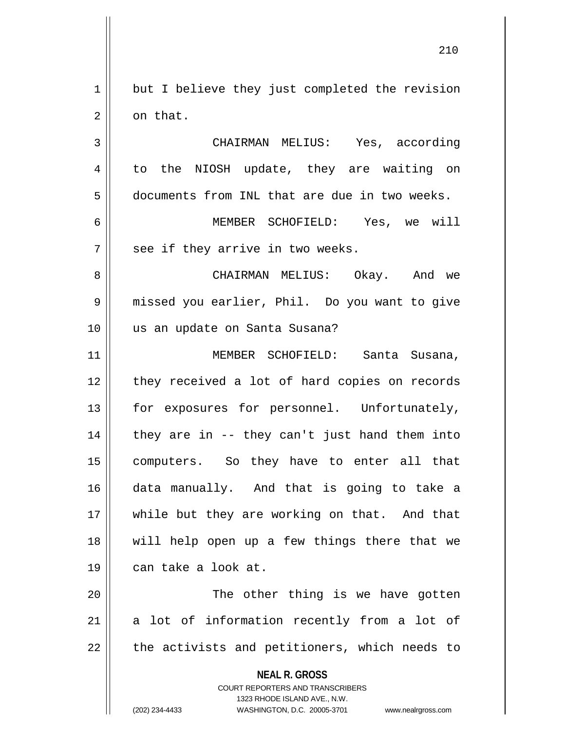1 || but I believe they just completed the revision 2 | on that.

3 | CHAIRMAN MELIUS: Yes, according 4 to the NIOSH update, they are waiting on documents from INL that are due in two weeks. MEMBER SCHOFIELD: Yes, we will | see if they arrive in two weeks. CHAIRMAN MELIUS: Okay. And we missed you earlier, Phil. Do you want to give us an update on Santa Susana? MEMBER SCHOFIELD: Santa Susana,

12 || they received a lot of hard copies on records 13 || for exposures for personnel. Unfortunately, | they are in -- they can't just hand them into computers. So they have to enter all that data manually. And that is going to take a 17 || while but they are working on that. And that will help open up a few things there that we can take a look at.

20 The other thing is we have gotten 21 a lot of information recently from a lot of  $22$  || the activists and petitioners, which needs to

> **NEAL R. GROSS** COURT REPORTERS AND TRANSCRIBERS

> > 1323 RHODE ISLAND AVE., N.W.

(202) 234-4433 WASHINGTON, D.C. 20005-3701 www.nealrgross.com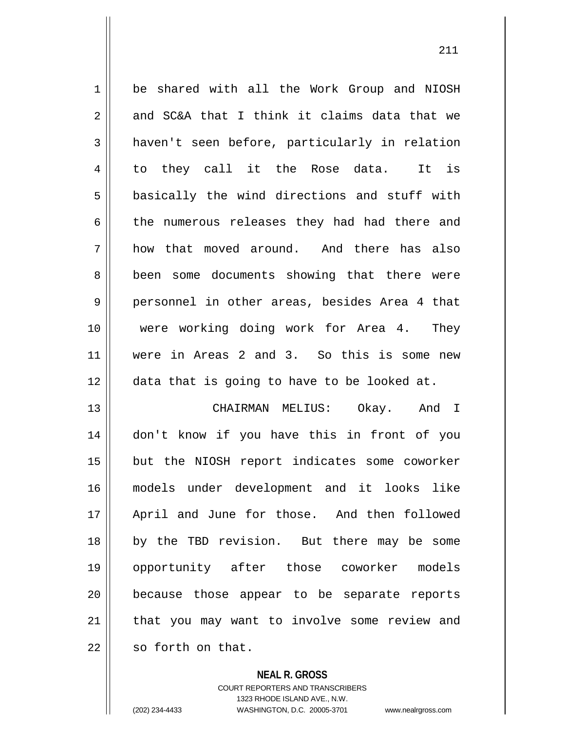1 be shared with all the Work Group and NIOSH  $2 \parallel$  and SC&A that I think it claims data that we  $3 \parallel$  haven't seen before, particularly in relation 4 to they call it the Rose data. It is  $5 \parallel$  basically the wind directions and stuff with 6 the numerous releases they had had there and 7 how that moved around. And there has also 8 || been some documents showing that there were 9 personnel in other areas, besides Area 4 that 10 were working doing work for Area 4. They 11 were in Areas 2 and 3. So this is some new 12 data that is going to have to be looked at. 13 CHAIRMAN MELIUS: Okay. And I 14 don't know if you have this in front of you 15 || but the NIOSH report indicates some coworker 16 models under development and it looks like 17 April and June for those. And then followed 18 by the TBD revision. But there may be some 19 opportunity after those coworker models 20 because those appear to be separate reports 21 || that you may want to involve some review and

 $22$   $\parallel$  so forth on that.

**NEAL R. GROSS**

COURT REPORTERS AND TRANSCRIBERS 1323 RHODE ISLAND AVE., N.W. (202) 234-4433 WASHINGTON, D.C. 20005-3701 www.nealrgross.com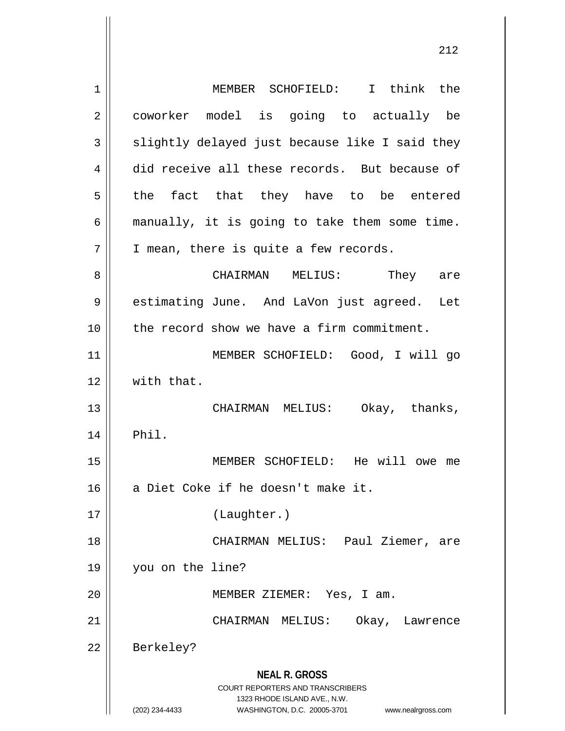| $\mathbf 1$    | MEMBER SCHOFIELD: I think the                                                                                                                                          |
|----------------|------------------------------------------------------------------------------------------------------------------------------------------------------------------------|
| $\overline{2}$ | coworker model is going to actually be                                                                                                                                 |
| 3              | slightly delayed just because like I said they                                                                                                                         |
| 4              | did receive all these records. But because of                                                                                                                          |
| 5              | the fact that they have to be entered                                                                                                                                  |
| 6              | manually, it is going to take them some time.                                                                                                                          |
| 7              | I mean, there is quite a few records.                                                                                                                                  |
| 8              | CHAIRMAN MELIUS: They are                                                                                                                                              |
| 9              | estimating June. And LaVon just agreed. Let                                                                                                                            |
| 10             | the record show we have a firm commitment.                                                                                                                             |
| 11             | MEMBER SCHOFIELD: Good, I will go                                                                                                                                      |
| 12             | with that.                                                                                                                                                             |
| 13             | CHAIRMAN MELIUS: Okay, thanks,                                                                                                                                         |
| 14             | Phil.                                                                                                                                                                  |
| 15             | MEMBER SCHOFIELD: He will owe me                                                                                                                                       |
| 16             | a Diet Coke if he doesn't make it.                                                                                                                                     |
| 17             | (Laughter.)                                                                                                                                                            |
| 18             | CHAIRMAN MELIUS: Paul Ziemer, are                                                                                                                                      |
| 19             | you on the line?                                                                                                                                                       |
| 20             | MEMBER ZIEMER: Yes, I am.                                                                                                                                              |
| 21             | CHAIRMAN MELIUS:<br>Okay, Lawrence                                                                                                                                     |
| 22             | Berkeley?                                                                                                                                                              |
|                | <b>NEAL R. GROSS</b><br><b>COURT REPORTERS AND TRANSCRIBERS</b><br>1323 RHODE ISLAND AVE., N.W.<br>WASHINGTON, D.C. 20005-3701<br>(202) 234-4433<br>www.nealrgross.com |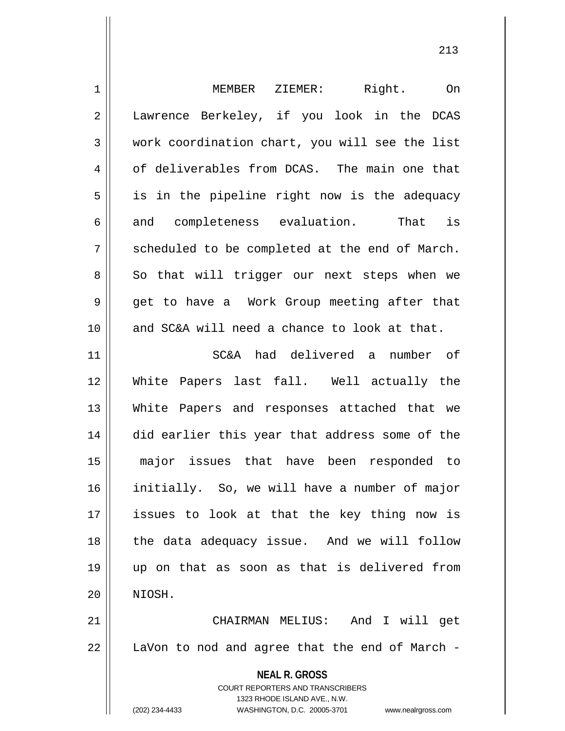| MEMBER ZIEMER: Right.<br>On                                                                                                                                     |
|-----------------------------------------------------------------------------------------------------------------------------------------------------------------|
| Lawrence Berkeley, if you look in the DCAS                                                                                                                      |
| work coordination chart, you will see the list                                                                                                                  |
| of deliverables from DCAS. The main one that                                                                                                                    |
| is in the pipeline right now is the adequacy                                                                                                                    |
| is<br>and completeness evaluation.<br>That                                                                                                                      |
| scheduled to be completed at the end of March.                                                                                                                  |
| So that will trigger our next steps when we                                                                                                                     |
| get to have a Work Group meeting after that                                                                                                                     |
| and SC&A will need a chance to look at that.                                                                                                                    |
| SC&A had delivered a<br>number of                                                                                                                               |
| White Papers last fall. Well actually the                                                                                                                       |
| White Papers and responses attached that we                                                                                                                     |
| did earlier this year that address some of the                                                                                                                  |
| major issues that have been responded to                                                                                                                        |
| initially. So, we will have a number of major                                                                                                                   |
| issues to look at that the key thing now is                                                                                                                     |
| the data adequacy issue. And we will follow                                                                                                                     |
| up on that as soon as that is delivered from                                                                                                                    |
| NIOSH.                                                                                                                                                          |
| CHAIRMAN MELIUS: And I will get                                                                                                                                 |
| LaVon to nod and agree that the end of March -                                                                                                                  |
| <b>NEAL R. GROSS</b><br>COURT REPORTERS AND TRANSCRIBERS<br>1323 RHODE ISLAND AVE., N.W.<br>(202) 234-4433<br>WASHINGTON, D.C. 20005-3701<br>www.nealrgross.com |
|                                                                                                                                                                 |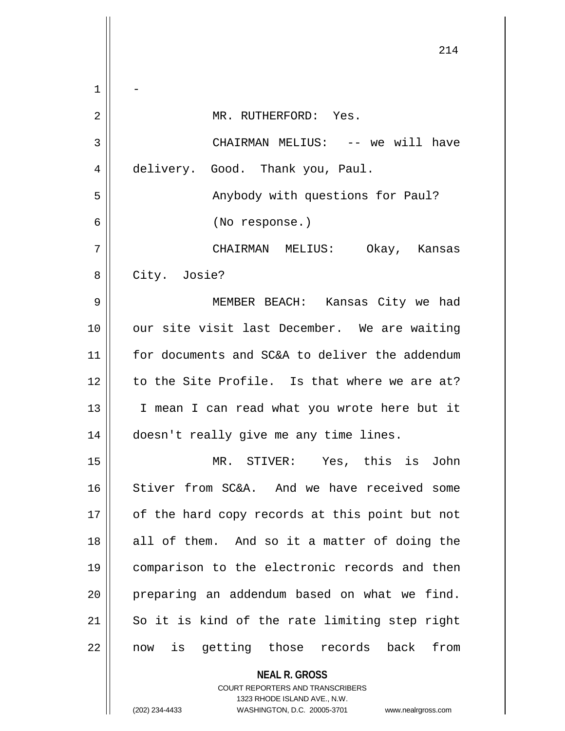|    | 214                                            |
|----|------------------------------------------------|
| 1  |                                                |
| 2  | MR. RUTHERFORD: Yes.                           |
| 3  | CHAIRMAN MELIUS: -- we will have               |
| 4  | delivery. Good. Thank you, Paul.               |
| 5  | Anybody with questions for Paul?               |
| 6  | (No response.)                                 |
| 7  | CHAIRMAN MELIUS: Okay, Kansas                  |
| 8  | City. Josie?                                   |
| 9  | MEMBER BEACH: Kansas City we had               |
| 10 | our site visit last December. We are waiting   |
| 11 | for documents and SC&A to deliver the addendum |
| 12 | to the Site Profile. Is that where we are at?  |
| 13 | I mean I can read what you wrote here but it   |
| 14 | doesn't really give me any time lines.         |
| 15 | MR. STIVER: Yes, this is John                  |
| 16 | Stiver from SC&A. And we have received some    |
| 17 | of the hard copy records at this point but not |
| 18 | all of them. And so it a matter of doing the   |
| 19 | comparison to the electronic records and then  |
| 20 | preparing an addendum based on what we find.   |
| 21 | So it is kind of the rate limiting step right  |
| 22 | now is getting those records back<br>from      |
|    | <b>NEAL R. GROSS</b>                           |

COURT REPORTERS AND TRANSCRIBERS 1323 RHODE ISLAND AVE., N.W.

 $\mathsf{II}$ 

Ħ  $\mathsf{l}$ 

(202) 234-4433 WASHINGTON, D.C. 20005-3701 www.nealrgross.com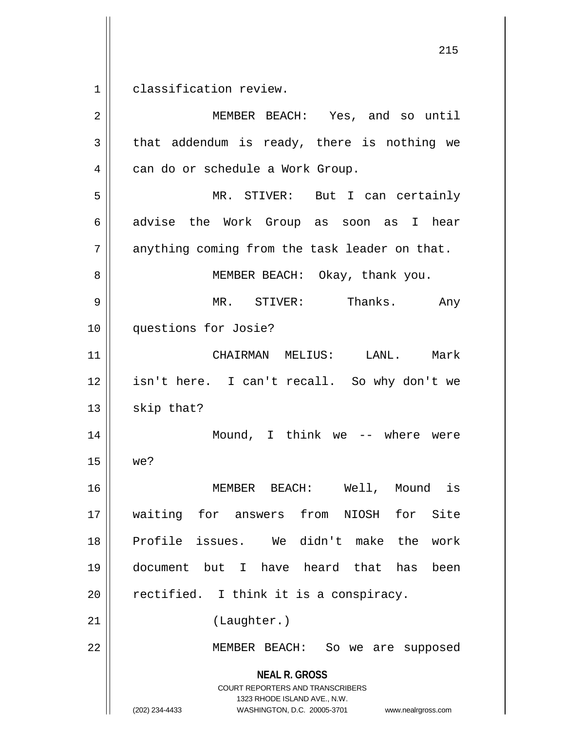1 classification review.

**NEAL R. GROSS** COURT REPORTERS AND TRANSCRIBERS 1323 RHODE ISLAND AVE., N.W. (202) 234-4433 WASHINGTON, D.C. 20005-3701 www.nealrgross.com MEMBER BEACH: Yes, and so until  $3 \parallel$  that addendum is ready, there is nothing we 4 | can do or schedule a Work Group. MR. STIVER: But I can certainly 6 advise the Work Group as soon as I hear | anything coming from the task leader on that. 8 || MEMBER BEACH: Okay, thank you. MR. STIVER: Thanks. Any questions for Josie? CHAIRMAN MELIUS: LANL. Mark isn't here. I can't recall. So why don't we | skip that? Mound, I think we -- where were we? MEMBER BEACH: Well, Mound is waiting for answers from NIOSH for Site Profile issues. We didn't make the work document but I have heard that has been | rectified. I think it is a conspiracy. 21 || (Laughter.) MEMBER BEACH: So we are supposed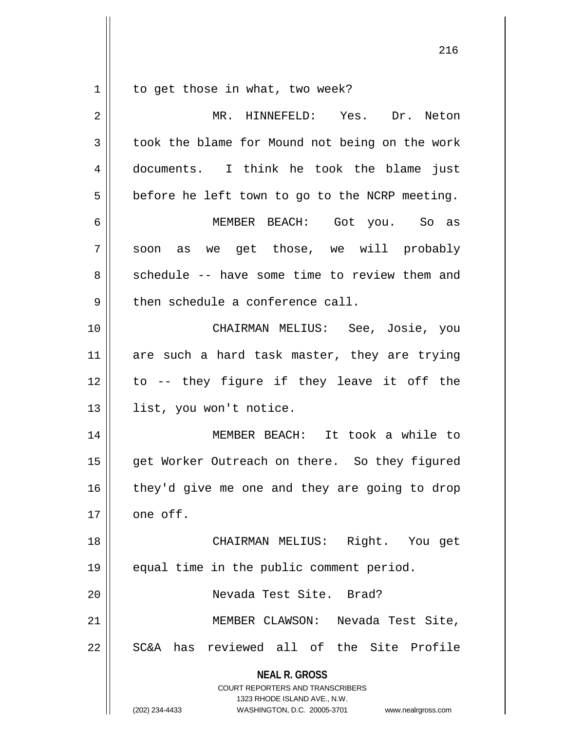$1 \parallel$  to get those in what, two week?

| 2  | MR. HINNEFELD: Yes. Dr. Neton                                                                                                                                   |
|----|-----------------------------------------------------------------------------------------------------------------------------------------------------------------|
| 3  | took the blame for Mound not being on the work                                                                                                                  |
| 4  | documents. I think he took the blame just                                                                                                                       |
| 5  | before he left town to go to the NCRP meeting.                                                                                                                  |
| 6  | MEMBER BEACH: Got you. So as                                                                                                                                    |
| 7  | soon as we get those, we will probably                                                                                                                          |
| 8  | schedule -- have some time to review them and                                                                                                                   |
| 9  | then schedule a conference call.                                                                                                                                |
| 10 | CHAIRMAN MELIUS: See, Josie, you                                                                                                                                |
| 11 | are such a hard task master, they are trying                                                                                                                    |
| 12 | to -- they figure if they leave it off the                                                                                                                      |
| 13 | list, you won't notice.                                                                                                                                         |
| 14 | MEMBER BEACH: It took a while to                                                                                                                                |
| 15 | get Worker Outreach on there. So they figured                                                                                                                   |
| 16 | they'd give me one and they are going to drop                                                                                                                   |
| 17 | one off.                                                                                                                                                        |
| 18 | CHAIRMAN MELIUS: Right. You get                                                                                                                                 |
| 19 | equal time in the public comment period.                                                                                                                        |
| 20 | Nevada Test Site. Brad?                                                                                                                                         |
| 21 | MEMBER CLAWSON: Nevada Test Site,                                                                                                                               |
| 22 | SC&A has reviewed all of the Site Profile                                                                                                                       |
|    | <b>NEAL R. GROSS</b><br>COURT REPORTERS AND TRANSCRIBERS<br>1323 RHODE ISLAND AVE., N.W.<br>(202) 234-4433<br>WASHINGTON, D.C. 20005-3701<br>www.nealrgross.com |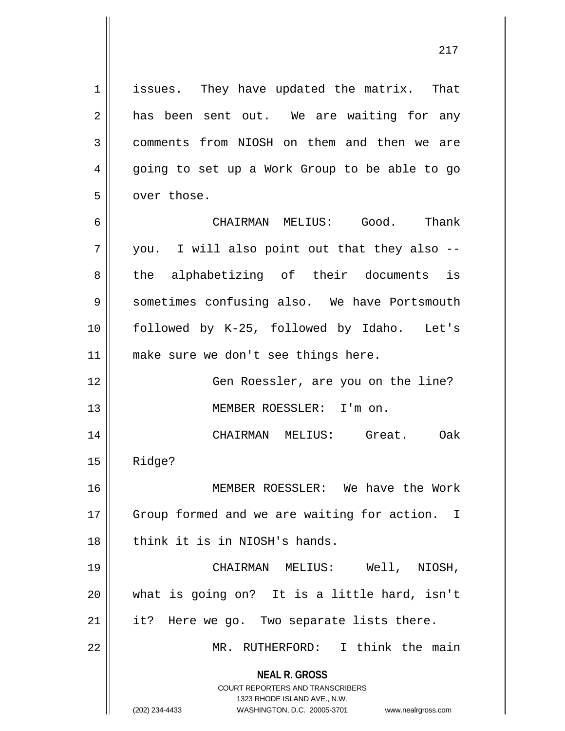1 || issues. They have updated the matrix. That  $2 \parallel$  has been sent out. We are waiting for any 3 comments from NIOSH on them and then we are 4 || going to set up a Work Group to be able to go 5 | over those.

6 CHAIRMAN MELIUS: Good. Thank  $7 \parallel$  you. I will also point out that they also  $-$ 8 || the alphabetizing of their documents is 9 Sometimes confusing also. We have Portsmouth 10 followed by K-25, followed by Idaho. Let's 11 || make sure we don't see things here.

12 || Gen Roessler, are you on the line? 13 MEMBER ROESSLER: I'm on.

14 CHAIRMAN MELIUS: Great. Oak  $15$  Ridge?

16 MEMBER ROESSLER: We have the Work 17 || Group formed and we are waiting for action. I  $18$  || think it is in NIOSH's hands.

 CHAIRMAN MELIUS: Well, NIOSH, what is going on? It is a little hard, isn't | it? Here we go. Two separate lists there. MR. RUTHERFORD: I think the main

> **NEAL R. GROSS** COURT REPORTERS AND TRANSCRIBERS

> > 1323 RHODE ISLAND AVE., N.W.

(202) 234-4433 WASHINGTON, D.C. 20005-3701 www.nealrgross.com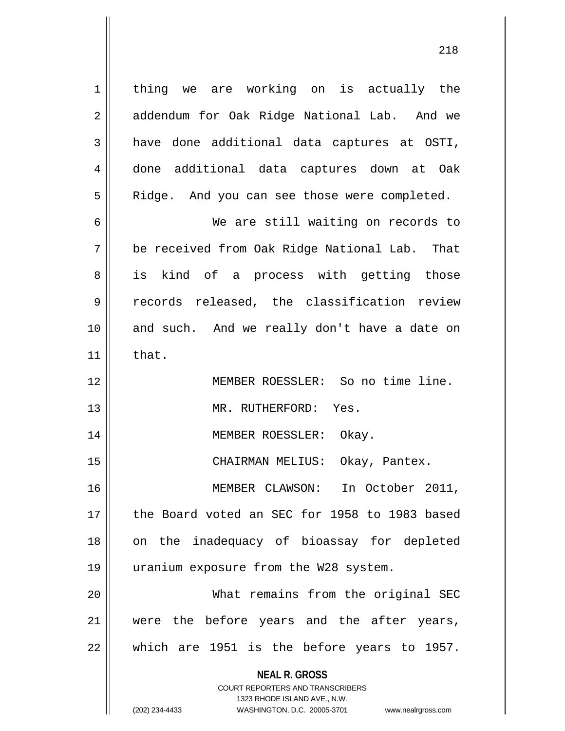**NEAL R. GROSS** 1 | thing we are working on is actually the 2 | addendum for Oak Ridge National Lab. And we 3 have done additional data captures at OSTI, done additional data captures down at Oak 5 | Ridge. And you can see those were completed. We are still waiting on records to be received from Oak Ridge National Lab. That 8 || is kind of a process with getting those records released, the classification review and such. And we really don't have a date on  $\parallel$  that. MEMBER ROESSLER: So no time line. MR. RUTHERFORD: Yes. 14 || MEMBER ROESSLER: Okay. CHAIRMAN MELIUS: Okay, Pantex. MEMBER CLAWSON: In October 2011, the Board voted an SEC for 1958 to 1983 based 18 || on the inadequacy of bioassay for depleted uranium exposure from the W28 system. What remains from the original SEC were the before years and the after years, || which are 1951 is the before years to 1957.

> COURT REPORTERS AND TRANSCRIBERS 1323 RHODE ISLAND AVE., N.W.

(202) 234-4433 WASHINGTON, D.C. 20005-3701 www.nealrgross.com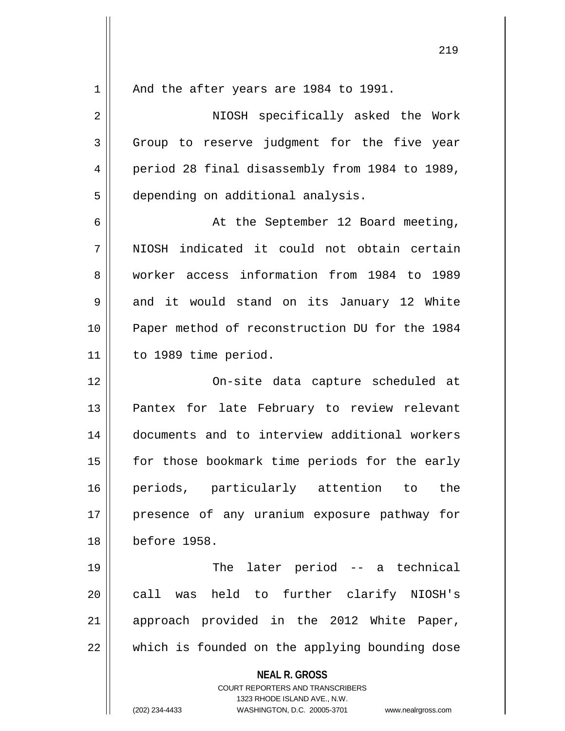**NEAL R. GROSS** COURT REPORTERS AND TRANSCRIBERS 1323 RHODE ISLAND AVE., N.W. (202) 234-4433 WASHINGTON, D.C. 20005-3701 www.nealrgross.com 1 || And the after years are 1984 to 1991. 2 NIOSH specifically asked the Work  $3 \parallel$  Group to reserve judgment for the five year 4 | period 28 final disassembly from 1984 to 1989, 5 | depending on additional analysis. 6 || At the September 12 Board meeting, 7 NIOSH indicated it could not obtain certain 8 worker access information from 1984 to 1989 9 and it would stand on its January 12 White 10 Paper method of reconstruction DU for the 1984 11 to 1989 time period. 12 On-site data capture scheduled at 13 || Pantex for late February to review relevant 14 documents and to interview additional workers 15 | for those bookmark time periods for the early 16 periods, particularly attention to the 17 || presence of any uranium exposure pathway for 18 before 1958. 19 || The later period -- a technical 20 call was held to further clarify NIOSH's 21 || approach provided in the 2012 White Paper,  $22$   $\parallel$  which is founded on the applying bounding dose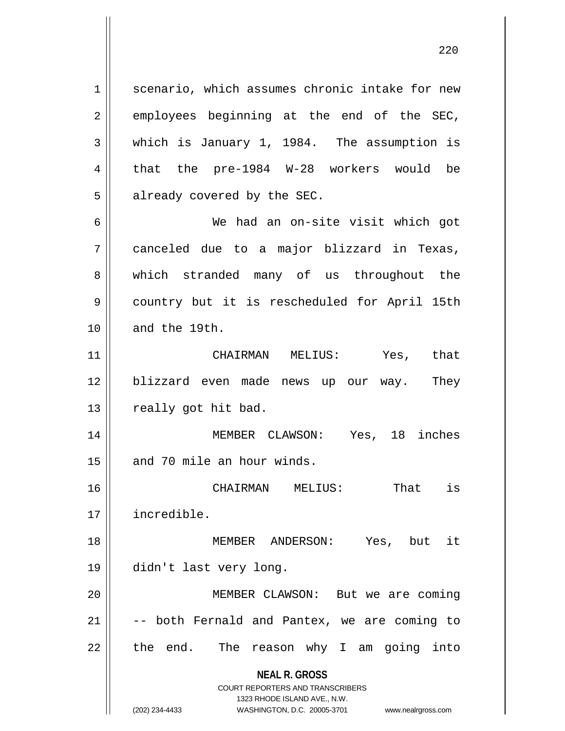**NEAL R. GROSS** COURT REPORTERS AND TRANSCRIBERS 1323 RHODE ISLAND AVE., N.W. 1 | scenario, which assumes chronic intake for new  $2 \parallel$  employees beginning at the end of the SEC, 3 which is January 1, 1984. The assumption is  $4 \parallel$  that the pre-1984 W-28 workers would be  $5$  || already covered by the SEC. 6 We had an on-site visit which got 7 canceled due to a major blizzard in Texas, 8 which stranded many of us throughout the 9 | country but it is rescheduled for April 15th 10 and the 19th. 11 CHAIRMAN MELIUS: Yes, that 12 || blizzard even made news up our way. They  $13$  | really got hit bad. 14 MEMBER CLAWSON: Yes, 18 inches 15 and 70 mile an hour winds. 16 CHAIRMAN MELIUS: That is 17 incredible. 18 MEMBER ANDERSON: Yes, but it 19 didn't last very long. 20 || MEMBER CLAWSON: But we are coming  $21$   $\vert$  -- both Fernald and Pantex, we are coming to  $22$  || the end. The reason why I am going into

(202) 234-4433 WASHINGTON, D.C. 20005-3701 www.nealrgross.com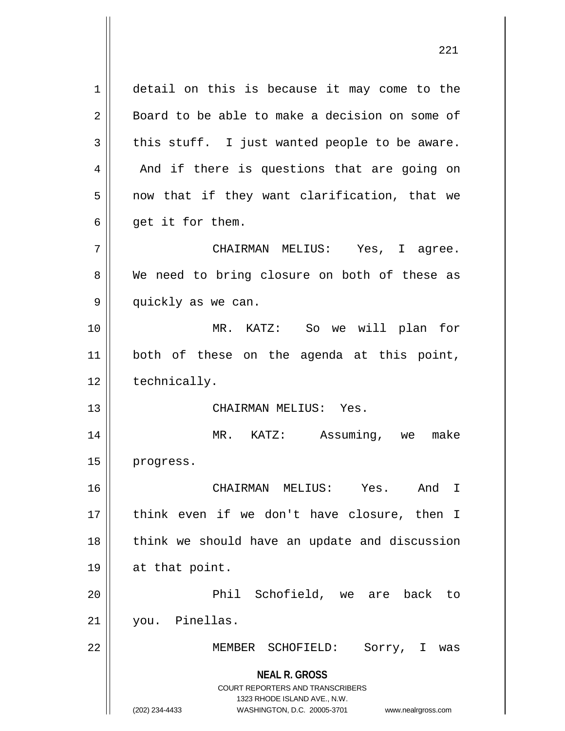**NEAL R. GROSS** COURT REPORTERS AND TRANSCRIBERS 1323 RHODE ISLAND AVE., N.W. (202) 234-4433 WASHINGTON, D.C. 20005-3701 www.nealrgross.com 1 detail on this is because it may come to the 2 Board to be able to make a decision on some of  $3 \parallel$  this stuff. I just wanted people to be aware.  $4 \parallel$  And if there is questions that are going on  $5 \parallel$  now that if they want clarification, that we  $6 \parallel$  qet it for them. 7 CHAIRMAN MELIUS: Yes, I agree. 8 We need to bring closure on both of these as 9 || quickly as we can. 10 MR. KATZ: So we will plan for 11 || both of these on the agenda at this point, 12 | technically. 13 CHAIRMAN MELIUS: Yes. 14 MR. KATZ: Assuming, we make 15 | progress. 16 CHAIRMAN MELIUS: Yes. And I 17 think even if we don't have closure, then I 18 || think we should have an update and discussion 19 at that point. 20 Phil Schofield, we are back to 21 you. Pinellas. 22 MEMBER SCHOFIELD: Sorry, I was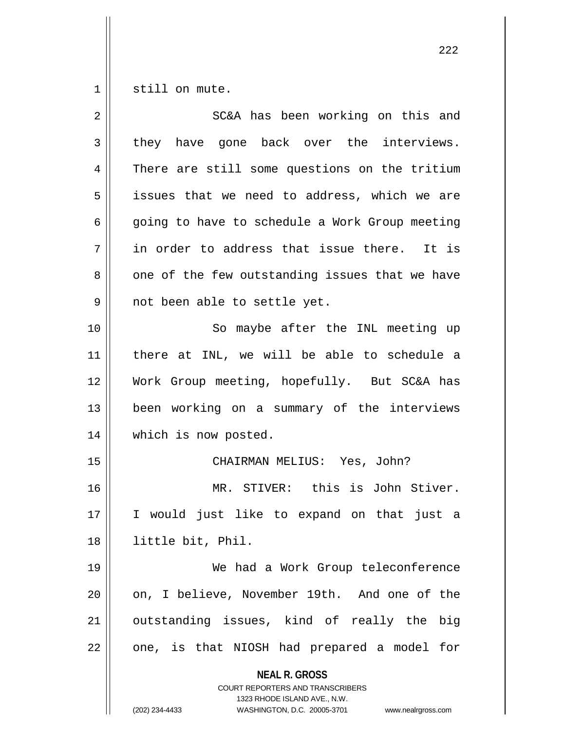1 Still on mute.

| $\overline{2}$ | SC&A has been working on this and                                                                                                                                      |
|----------------|------------------------------------------------------------------------------------------------------------------------------------------------------------------------|
| 3              | they have gone back over the interviews.                                                                                                                               |
| 4              | There are still some questions on the tritium                                                                                                                          |
| 5              | issues that we need to address, which we are                                                                                                                           |
| 6              | going to have to schedule a Work Group meeting                                                                                                                         |
| 7              | in order to address that issue there. It is                                                                                                                            |
| 8              | one of the few outstanding issues that we have                                                                                                                         |
| 9              | not been able to settle yet.                                                                                                                                           |
| 10             | So maybe after the INL meeting up                                                                                                                                      |
| 11             | there at INL, we will be able to schedule a                                                                                                                            |
| 12             | Work Group meeting, hopefully. But SC&A has                                                                                                                            |
| 13             | been working on a summary of the interviews                                                                                                                            |
| 14             | which is now posted.                                                                                                                                                   |
| 15             | CHAIRMAN MELIUS: Yes, John?                                                                                                                                            |
| 16             | MR. STIVER: this is John Stiver.                                                                                                                                       |
| 17             | I would just like to expand on that just a                                                                                                                             |
| 18             | little bit, Phil.                                                                                                                                                      |
| 19             | We had a Work Group teleconference                                                                                                                                     |
| 20             | on, I believe, November 19th. And one of the                                                                                                                           |
| 21             | outstanding issues, kind of really the<br>big                                                                                                                          |
| 22             | one, is that NIOSH had prepared a model for                                                                                                                            |
|                | <b>NEAL R. GROSS</b><br><b>COURT REPORTERS AND TRANSCRIBERS</b><br>1323 RHODE ISLAND AVE., N.W.<br>(202) 234-4433<br>WASHINGTON, D.C. 20005-3701<br>www.nealrgross.com |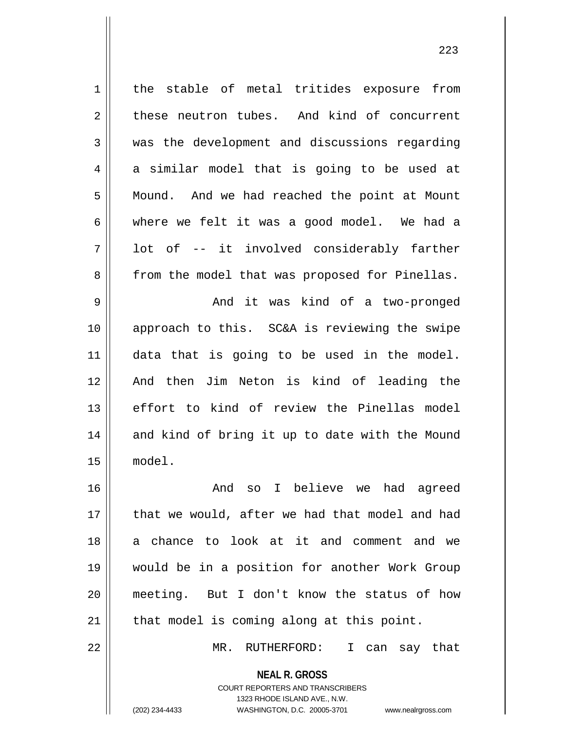1 || the stable of metal tritides exposure from 2 these neutron tubes. And kind of concurrent 3 || was the development and discussions regarding  $4 \parallel$  a similar model that is going to be used at 5 | Mound. And we had reached the point at Mount  $6 \parallel$  where we felt it was a good model. We had a  $7 \parallel$  lot of -- it involved considerably farther 8 || from the model that was proposed for Pinellas. 9 And it was kind of a two-pronged 10 approach to this. SC&A is reviewing the swipe 11 data that is going to be used in the model. 12 And then Jim Neton is kind of leading the 13 effort to kind of review the Pinellas model  $14$  and kind of bring it up to date with the Mound 15 model. 16 And so I believe we had agreed 17 || that we would, after we had that model and had 18 a chance to look at it and comment and we 19 would be in a position for another Work Group 20 meeting. But I don't know the status of how  $21$  | that model is coming along at this point. 22 MR. RUTHERFORD: I can say that

> **NEAL R. GROSS** COURT REPORTERS AND TRANSCRIBERS 1323 RHODE ISLAND AVE., N.W.

(202) 234-4433 WASHINGTON, D.C. 20005-3701 www.nealrgross.com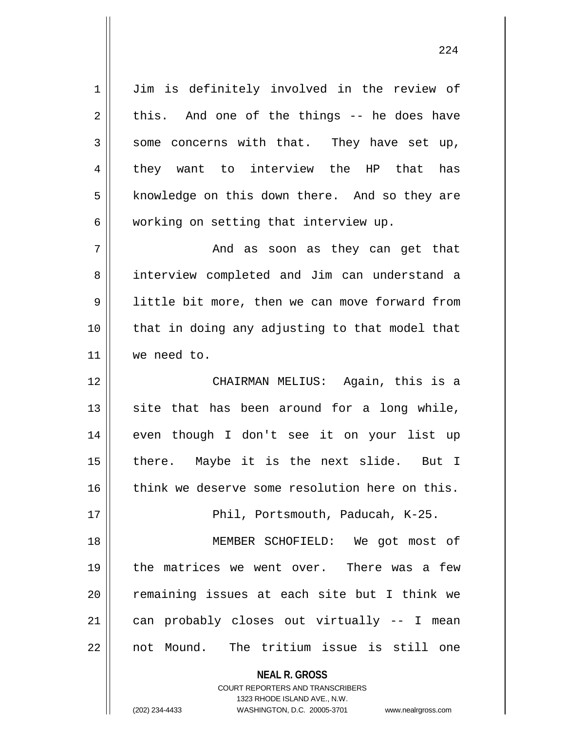1 | Jim is definitely involved in the review of  $2 \parallel$  this. And one of the things -- he does have  $3 \parallel$  some concerns with that. They have set up, 4 they want to interview the HP that has 5 || knowledge on this down there. And so they are  $6 \parallel$  working on setting that interview up.

7 And as soon as they can get that 8 || interview completed and Jim can understand a 9 | little bit more, then we can move forward from 10 || that in doing any adjusting to that model that 11 we need to.

12 CHAIRMAN MELIUS: Again, this is a  $13$  site that has been around for a long while, 14 || even though I don't see it on your list up 15 || there. Maybe it is the next slide. But I 16 think we deserve some resolution here on this.

17 || Phil, Portsmouth, Paducah, K-25.

 MEMBER SCHOFIELD: We got most of the matrices we went over. There was a few 20 || remaining issues at each site but I think we can probably closes out virtually  $-$  I mean not Mound. The tritium issue is still one

**NEAL R. GROSS**

COURT REPORTERS AND TRANSCRIBERS 1323 RHODE ISLAND AVE., N.W. (202) 234-4433 WASHINGTON, D.C. 20005-3701 www.nealrgross.com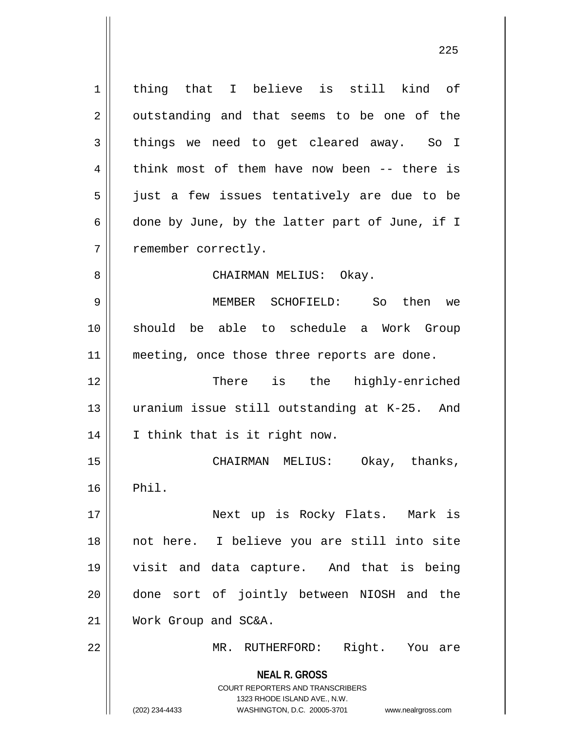**NEAL R. GROSS** COURT REPORTERS AND TRANSCRIBERS 1323 RHODE ISLAND AVE., N.W. (202) 234-4433 WASHINGTON, D.C. 20005-3701 www.nealrgross.com 1 || thing that I believe is still kind of  $2 \parallel$  outstanding and that seems to be one of the 3 things we need to get cleared away. So I 4 think most of them have now been -- there is 5 || just a few issues tentatively are due to be 6  $\parallel$  done by June, by the latter part of June, if I 7 | remember correctly. 8 CHAIRMAN MELIUS: Okay. 9 MEMBER SCHOFIELD: So then we 10 should be able to schedule a Work Group 11 || meeting, once those three reports are done. 12 There is the highly-enriched 13 uranium issue still outstanding at K-25. And 14 || I think that is it right now. 15 CHAIRMAN MELIUS: Okay, thanks,  $16$  Phil. 17 Next up is Rocky Flats. Mark is 18 not here. I believe you are still into site 19 visit and data capture. And that is being 20 || done sort of jointly between NIOSH and the 21 Work Group and SC&A. 22 || MR. RUTHERFORD: Right. You are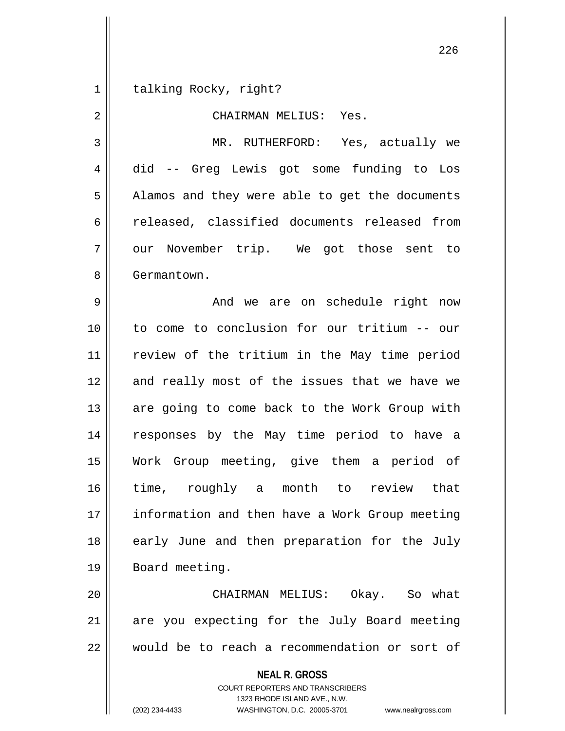1 | talking Rocky, right?

2 || CHAIRMAN MELIUS: Yes. 3 MR. RUTHERFORD: Yes, actually we 4 did -- Greg Lewis got some funding to Los 5 | Alamos and they were able to get the documents 6 celeased, classified documents released from 7 || our November trip. We got those sent to 8 | Germantown. 9 And we are on schedule right now 10 to come to conclusion for our tritium -- our 11 review of the tritium in the May time period 12 and really most of the issues that we have we 13 || are going to come back to the Work Group with 14 responses by the May time period to have a 15 Work Group meeting, give them a period of 16 time, roughly a month to review that 17 information and then have a Work Group meeting 18 || early June and then preparation for the July 19 || Board meeting.

20 CHAIRMAN MELIUS: Okay. So what  $21$  are you expecting for the July Board meeting 22 would be to reach a recommendation or sort of

> **NEAL R. GROSS** COURT REPORTERS AND TRANSCRIBERS 1323 RHODE ISLAND AVE., N.W.

(202) 234-4433 WASHINGTON, D.C. 20005-3701 www.nealrgross.com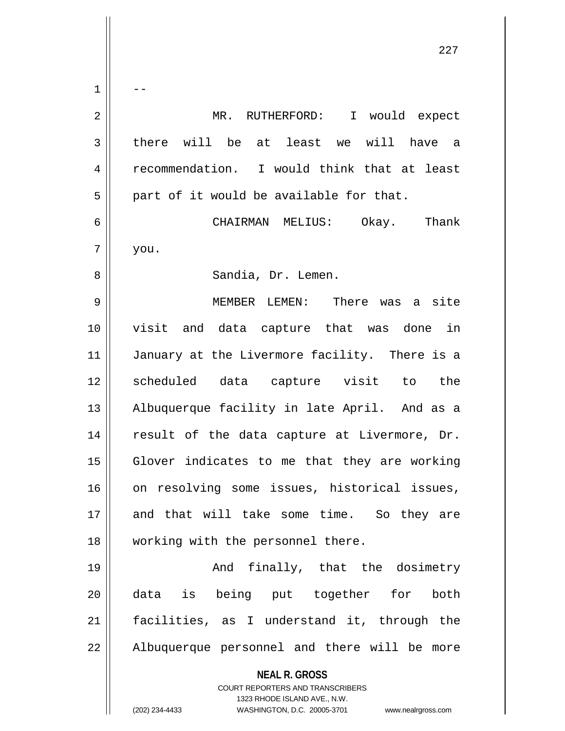**NEAL R. GROSS** COURT REPORTERS AND TRANSCRIBERS 1323 RHODE ISLAND AVE., N.W. (202) 234-4433 WASHINGTON, D.C. 20005-3701 www.nealrgross.com  $1 \parallel - -$ 2 MR. RUTHERFORD: I would expect  $3 \parallel$  there will be at least we will have a 4 Fecommendation. I would think that at least  $5 \parallel$  part of it would be available for that. 6 CHAIRMAN MELIUS: Okay. Thank  $7 \parallel$  you. 8 || Sandia, Dr. Lemen. 9 MEMBER LEMEN: There was a site 10 visit and data capture that was done in 11 || January at the Livermore facility. There is a 12 scheduled data capture visit to the 13 || Albuquerque facility in late April. And as a 14 || result of the data capture at Livermore, Dr. 15 Glover indicates to me that they are working 16 || on resolving some issues, historical issues, 17 and that will take some time. So they are 18 || working with the personnel there. 19 And finally, that the dosimetry 20 data is being put together for both 21 facilities, as I understand it, through the 22 || Albuquerque personnel and there will be more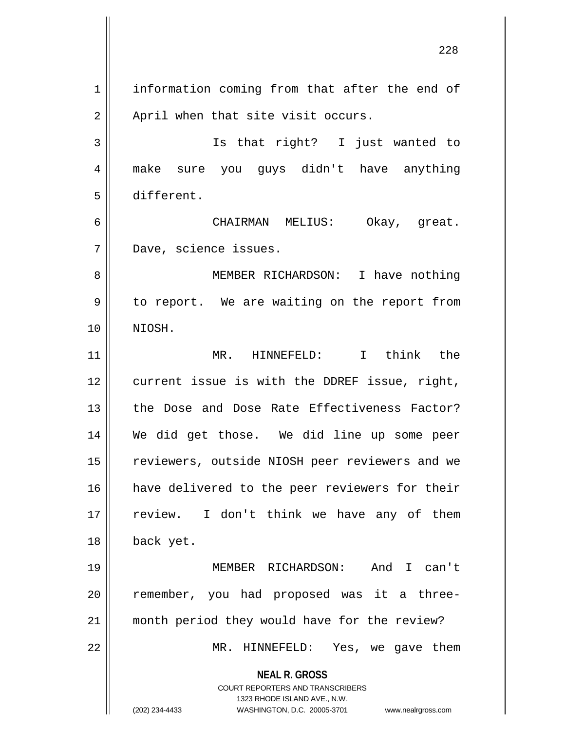**NEAL R. GROSS** COURT REPORTERS AND TRANSCRIBERS 1323 RHODE ISLAND AVE., N.W. 1 information coming from that after the end of  $2 \parallel$  April when that site visit occurs. 3 Is that right? I just wanted to 4 || make sure you guys didn't have anything 5 different. 6 CHAIRMAN MELIUS: Okay, great. 7 Dave, science issues. 8 || MEMBER RICHARDSON: I have nothing 9 || to report. We are waiting on the report from 10 NIOSH. 11 MR. HINNEFELD: I think the 12 current issue is with the DDREF issue, right, 13 the Dose and Dose Rate Effectiveness Factor? 14 We did get those. We did line up some peer 15 || reviewers, outside NIOSH peer reviewers and we 16 || have delivered to the peer reviewers for their 17 || review. I don't think we have any of them 18 back yet. 19 MEMBER RICHARDSON: And I can't 20 || remember, you had proposed was it a three-21 month period they would have for the review? 22 MR. HINNEFELD: Yes, we gave them

(202) 234-4433 WASHINGTON, D.C. 20005-3701 www.nealrgross.com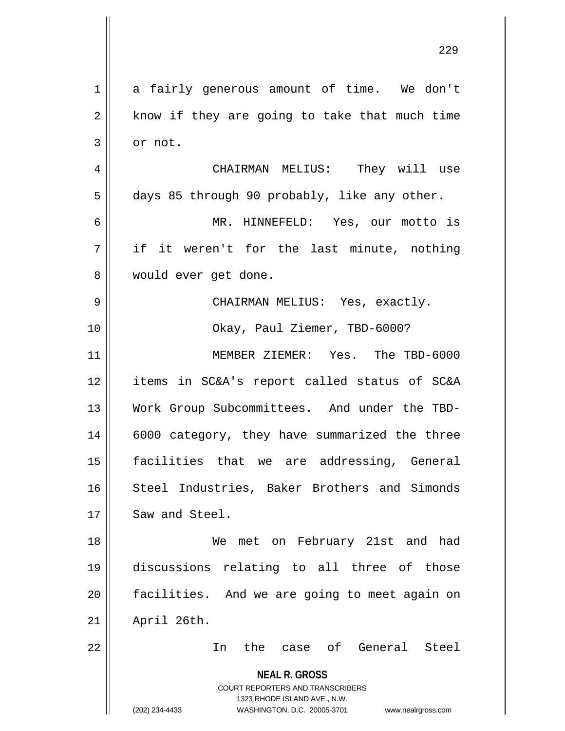| $\mathbf 1$    | a fairly generous amount of time. We don't                                                                                                                             |
|----------------|------------------------------------------------------------------------------------------------------------------------------------------------------------------------|
| $\mathbf 2$    | know if they are going to take that much time                                                                                                                          |
| 3              | or not.                                                                                                                                                                |
| $\overline{4}$ | CHAIRMAN MELIUS: They will use                                                                                                                                         |
| 5              | days 85 through 90 probably, like any other.                                                                                                                           |
| 6              | MR. HINNEFELD: Yes, our motto is                                                                                                                                       |
| 7              | if it weren't for the last minute, nothing                                                                                                                             |
| 8              | would ever get done.                                                                                                                                                   |
| $\mathsf 9$    | CHAIRMAN MELIUS: Yes, exactly.                                                                                                                                         |
| 10             | Okay, Paul Ziemer, TBD-6000?                                                                                                                                           |
| 11             | MEMBER ZIEMER: Yes. The TBD-6000                                                                                                                                       |
| 12             | items in SC&A's report called status of SC&A                                                                                                                           |
| 13             | Work Group Subcommittees. And under the TBD-                                                                                                                           |
| 14             | 6000 category, they have summarized the three                                                                                                                          |
| 15             | facilities that we are addressing, General                                                                                                                             |
| 16             | Steel Industries, Baker Brothers and Simonds                                                                                                                           |
| 17             | Saw and Steel.                                                                                                                                                         |
| 18             | met on February 21st and had<br>We                                                                                                                                     |
| 19             | discussions relating to all three of those                                                                                                                             |
| 20             | facilities. And we are going to meet again on                                                                                                                          |
| 21             | April 26th.                                                                                                                                                            |
| 22             | the case of General Steel<br>In                                                                                                                                        |
|                | <b>NEAL R. GROSS</b><br><b>COURT REPORTERS AND TRANSCRIBERS</b><br>1323 RHODE ISLAND AVE., N.W.<br>(202) 234-4433<br>WASHINGTON, D.C. 20005-3701<br>www.nealrgross.com |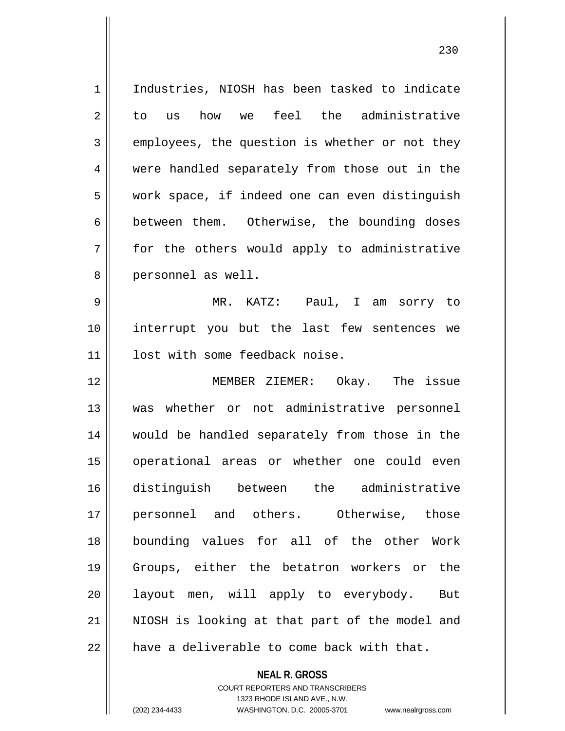1 | Industries, NIOSH has been tasked to indicate 2 to us how we feel the administrative  $3 \parallel$  employees, the question is whether or not they 4 || were handled separately from those out in the 5 | work space, if indeed one can even distinguish 6 between them. Otherwise, the bounding doses  $7$  for the others would apply to administrative 8 || personnel as well. 9 MR. KATZ: Paul, I am sorry to

10 interrupt you but the last few sentences we 11 | lost with some feedback noise.

 MEMBER ZIEMER: Okay. The issue was whether or not administrative personnel 14 || would be handled separately from those in the 15 || operational areas or whether one could even distinguish between the administrative personnel and others. Otherwise, those bounding values for all of the other Work Groups, either the betatron workers or the 20 || layout men, will apply to everybody. But 21 || NIOSH is looking at that part of the model and  $\parallel$  have a deliverable to come back with that.

> **NEAL R. GROSS** COURT REPORTERS AND TRANSCRIBERS 1323 RHODE ISLAND AVE., N.W. (202) 234-4433 WASHINGTON, D.C. 20005-3701 www.nealrgross.com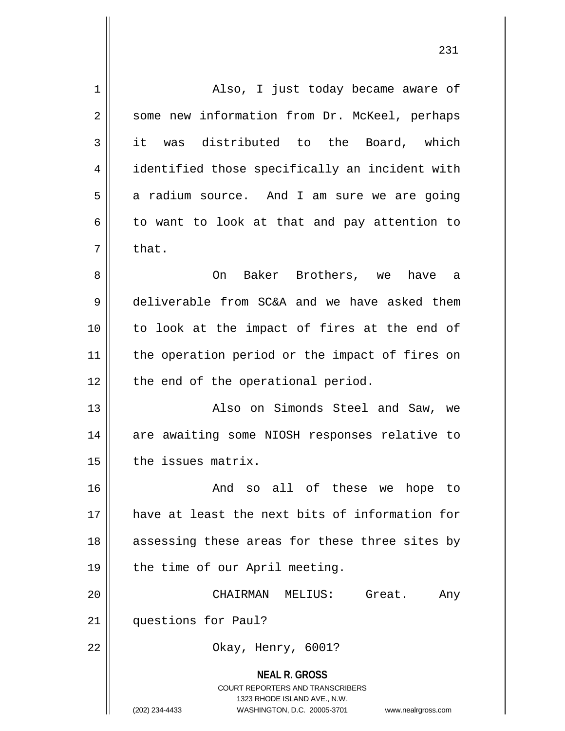| $\mathbf 1$ | Also, I just today became aware of                                                                                                                              |
|-------------|-----------------------------------------------------------------------------------------------------------------------------------------------------------------|
| 2           | some new information from Dr. McKeel, perhaps                                                                                                                   |
| 3           | it was distributed to the Board, which                                                                                                                          |
| 4           | identified those specifically an incident with                                                                                                                  |
| 5           | a radium source. And I am sure we are going                                                                                                                     |
| 6           | to want to look at that and pay attention to                                                                                                                    |
| 7           | that.                                                                                                                                                           |
| 8           | On<br>Baker Brothers, we have a                                                                                                                                 |
| 9           | deliverable from SC&A and we have asked them                                                                                                                    |
| 10          | to look at the impact of fires at the end of                                                                                                                    |
| 11          | the operation period or the impact of fires on                                                                                                                  |
| 12          | the end of the operational period.                                                                                                                              |
| 13          | Also on Simonds Steel and Saw, we                                                                                                                               |
| 14          | are awaiting some NIOSH responses relative to                                                                                                                   |
| 15          | the issues matrix.                                                                                                                                              |
| 16          | And so all of these we hope to                                                                                                                                  |
| 17          | have at least the next bits of information for                                                                                                                  |
| 18          | assessing these areas for these three sites by                                                                                                                  |
| 19          | the time of our April meeting.                                                                                                                                  |
| 20          | CHAIRMAN MELIUS:<br>Great.<br>Any                                                                                                                               |
| 21          | questions for Paul?                                                                                                                                             |
| 22          | Okay, Henry, 6001?                                                                                                                                              |
|             | <b>NEAL R. GROSS</b><br>COURT REPORTERS AND TRANSCRIBERS<br>1323 RHODE ISLAND AVE., N.W.<br>(202) 234-4433<br>WASHINGTON, D.C. 20005-3701<br>www.nealrgross.com |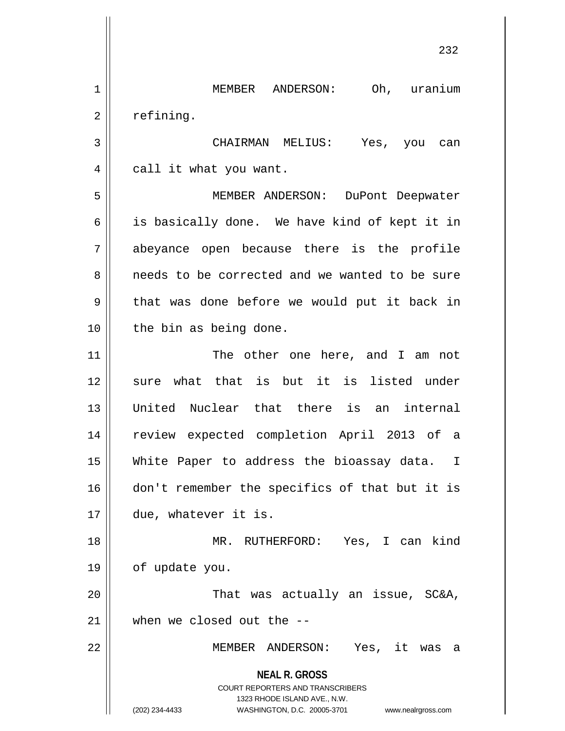**NEAL R. GROSS** COURT REPORTERS AND TRANSCRIBERS 1323 RHODE ISLAND AVE., N.W. (202) 234-4433 WASHINGTON, D.C. 20005-3701 www.nealrgross.com 232 1 MEMBER ANDERSON: Oh, uranium  $2 \parallel$  refining. 3 CHAIRMAN MELIUS: Yes, you can 4 | call it what you want. 5 MEMBER ANDERSON: DuPont Deepwater 6 || is basically done. We have kind of kept it in 7 abeyance open because there is the profile 8 || needs to be corrected and we wanted to be sure  $9 \parallel$  that was done before we would put it back in 10 || the bin as being done. 11 || The other one here, and I am not 12 sure what that is but it is listed under 13 United Nuclear that there is an internal 14 review expected completion April 2013 of a 15 White Paper to address the bioassay data. I 16 || don't remember the specifics of that but it is 17 due, whatever it is. 18 MR. RUTHERFORD: Yes, I can kind 19 of update you. 20 || That was actually an issue, SC&A, 21 when we closed out the -- 22 MEMBER ANDERSON: Yes, it was a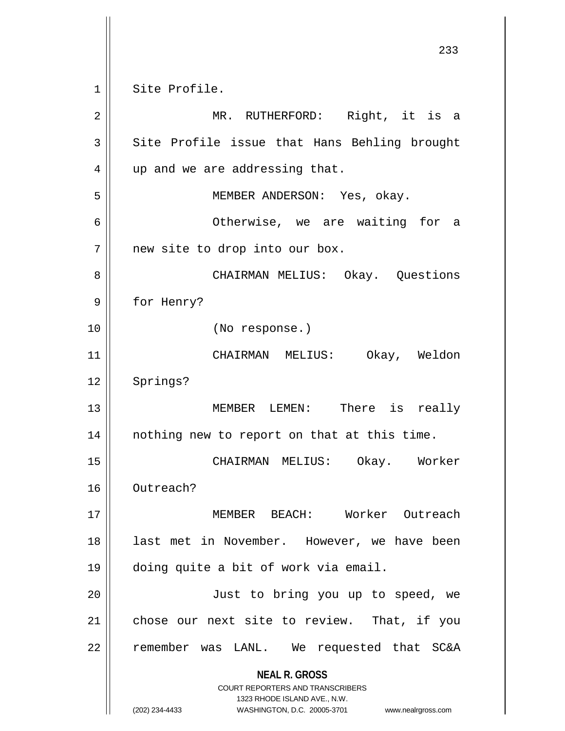**NEAL R. GROSS** COURT REPORTERS AND TRANSCRIBERS 1323 RHODE ISLAND AVE., N.W. (202) 234-4433 WASHINGTON, D.C. 20005-3701 www.nealrgross.com 233 1 Site Profile. 2 || MR. RUTHERFORD: Right, it is a  $3 \parallel$  Site Profile issue that Hans Behling brought 4 || up and we are addressing that. 5 MEMBER ANDERSON: Yes, okay. 6 Otherwise, we are waiting for a 7 || new site to drop into our box. 8 CHAIRMAN MELIUS: Okay. Questions 9 || for Henry? 10 (No response.) 11 CHAIRMAN MELIUS: Okay, Weldon 12 | Springs? 13 MEMBER LEMEN: There is really 14 nothing new to report on that at this time. 15 CHAIRMAN MELIUS: Okay. Worker 16 Outreach? 17 MEMBER BEACH: Worker Outreach 18 || last met in November. However, we have been 19 doing quite a bit of work via email. 20 || Just to bring you up to speed, we 21 chose our next site to review. That, if you 22 || remember was LANL. We requested that SC&A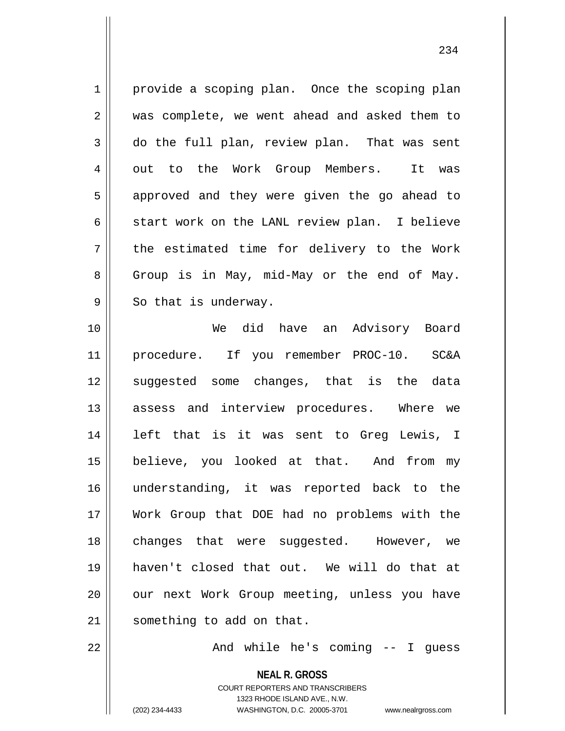1 | provide a scoping plan. Once the scoping plan 2 || was complete, we went ahead and asked them to  $3 \parallel$  do the full plan, review plan. That was sent 4 || out to the Work Group Members. It was 5 || approved and they were given the go ahead to  $6 \parallel$  start work on the LANL review plan. I believe 7 || the estimated time for delivery to the Work  $8 \parallel$  Group is in May, mid-May or the end of May.  $9 \parallel$  So that is underway. 10 We did have an Advisory Board 11 procedure. If you remember PROC-10. SC&A 12 suggested some changes, that is the data 13 assess and interview procedures. Where we 14 left that is it was sent to Greg Lewis, I 15 || believe, you looked at that. And from my 16 understanding, it was reported back to the 17 Work Group that DOE had no problems with the

19 haven't closed that out. We will do that at 20 || our next Work Group meeting, unless you have

21 | something to add on that.

22 And while he's coming -- I guess

**NEAL R. GROSS** COURT REPORTERS AND TRANSCRIBERS 1323 RHODE ISLAND AVE., N.W. (202) 234-4433 WASHINGTON, D.C. 20005-3701 www.nealrgross.com

18 || changes that were suggested. However, we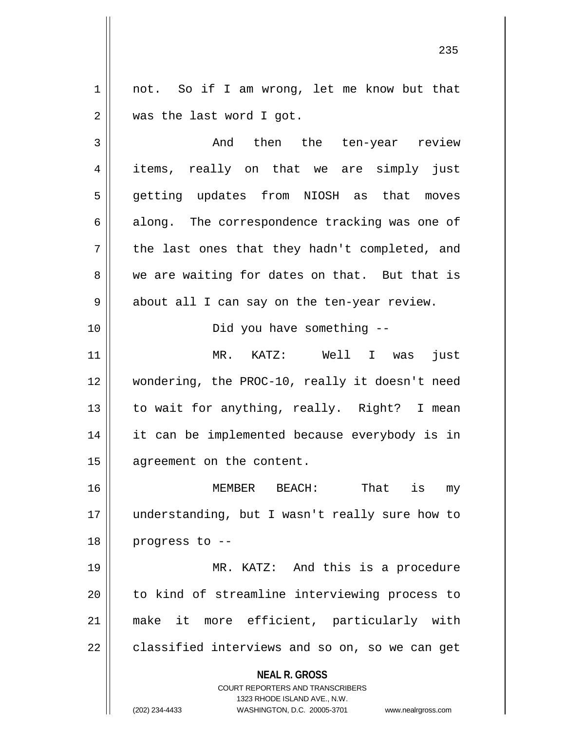1 || not. So if I am wrong, let me know but that 2 | was the last word I got.

3 and then the ten-year review 4 items, really on that we are simply just 5 getting updates from NIOSH as that moves  $6 \parallel$  along. The correspondence tracking was one of  $7 \parallel$  the last ones that they hadn't completed, and 8 we are waiting for dates on that. But that is 9 || about all I can say on the ten-year review. 10 Did you have something -- 11 MR. KATZ: Well I was just 12 wondering, the PROC-10, really it doesn't need 13 || to wait for anything, really. Right? I mean 14 it can be implemented because everybody is in 15 | agreement on the content. 16 MEMBER BEACH: That is my 17 understanding, but I wasn't really sure how to  $18$  || progress to  $-$ -

19 MR. KATZ: And this is a procedure 20 || to kind of streamline interviewing process to 21 make it more efficient, particularly with  $22 \parallel$  classified interviews and so on, so we can get

## **NEAL R. GROSS**

COURT REPORTERS AND TRANSCRIBERS 1323 RHODE ISLAND AVE., N.W. (202) 234-4433 WASHINGTON, D.C. 20005-3701 www.nealrgross.com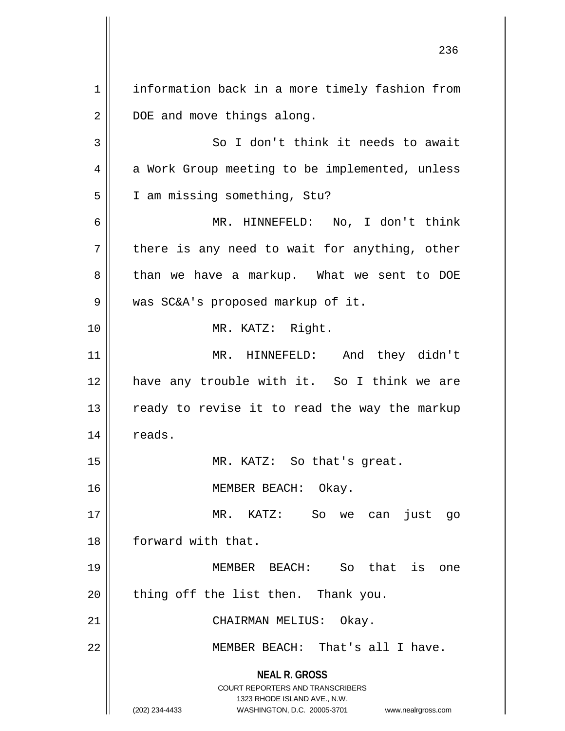**NEAL R. GROSS** COURT REPORTERS AND TRANSCRIBERS 1323 RHODE ISLAND AVE., N.W. (202) 234-4433 WASHINGTON, D.C. 20005-3701 www.nealrgross.com 1 | information back in a more timely fashion from 2 | DOE and move things along. 3 || So I don't think it needs to await 4 | a Work Group meeting to be implemented, unless 5 | I am missing something, Stu? 6 MR. HINNEFELD: No, I don't think  $7 \parallel$  there is any need to wait for anything, other 8 than we have a markup. What we sent to DOE 9 was SC&A's proposed markup of it. 10 MR. KATZ: Right. 11 MR. HINNEFELD: And they didn't 12 || have any trouble with it. So I think we are  $13$  ready to revise it to read the way the markup 14 | reads. 15 || MR. KATZ: So that's great. 16 || MEMBER BEACH: Okay. 17 MR. KATZ: So we can just go 18 || forward with that. 19 MEMBER BEACH: So that is one  $20$  || thing off the list then. Thank you. 21 || CHAIRMAN MELIUS: Okay. 22 || MEMBER BEACH: That's all I have.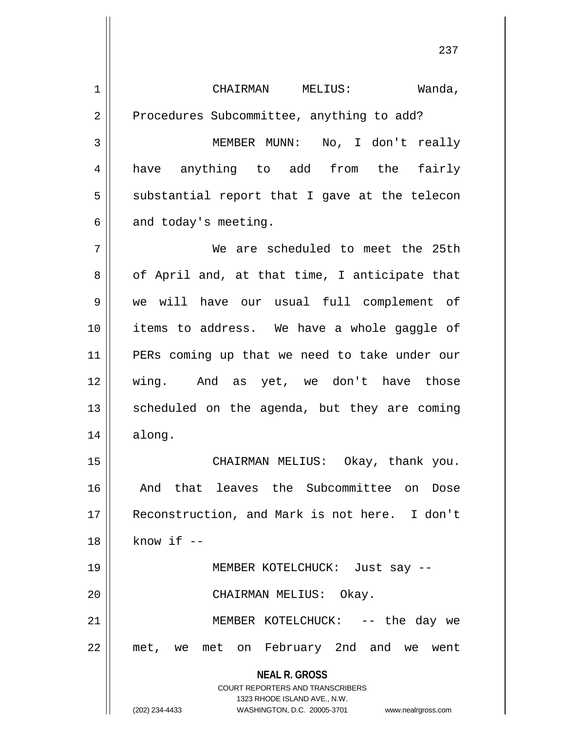**NEAL R. GROSS** COURT REPORTERS AND TRANSCRIBERS 1323 RHODE ISLAND AVE., N.W. CHAIRMAN MELIUS: Wanda, 2 | Procedures Subcommittee, anything to add? MEMBER MUNN: No, I don't really 4 have anything to add from the fairly  $5 \parallel$  substantial report that I gave at the telecon  $6 \parallel$  and today's meeting. We are scheduled to meet the 25th  $8 \parallel$  of April and, at that time, I anticipate that we will have our usual full complement of items to address. We have a whole gaggle of PERs coming up that we need to take under our wing. And as yet, we don't have those scheduled on the agenda, but they are coming along. CHAIRMAN MELIUS: Okay, thank you. 16 || And that leaves the Subcommittee on Dose Reconstruction, and Mark is not here. I don't || know if  $-$  MEMBER KOTELCHUCK: Just say -- CHAIRMAN MELIUS: Okay. MEMBER KOTELCHUCK: -- the day we met, we met on February 2nd and we went

(202) 234-4433 WASHINGTON, D.C. 20005-3701 www.nealrgross.com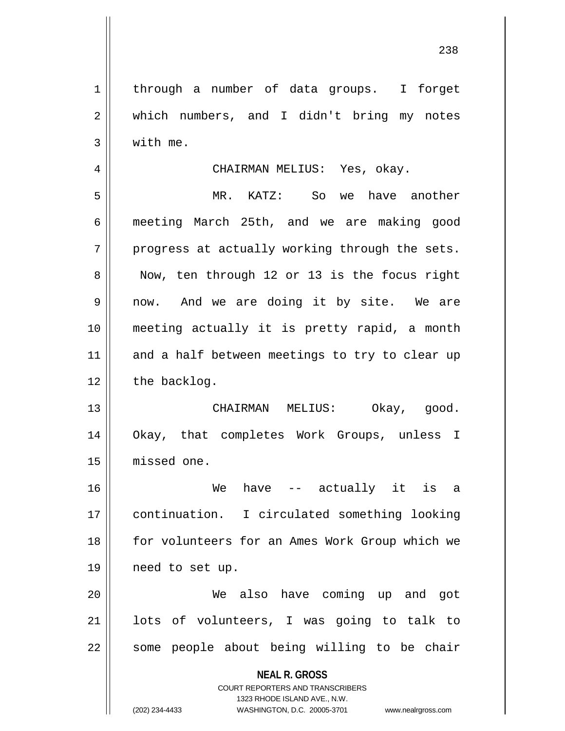**NEAL R. GROSS** COURT REPORTERS AND TRANSCRIBERS 1323 RHODE ISLAND AVE., N.W. 1 | through a number of data groups. I forget 2 || which numbers, and I didn't bring my notes  $3 \parallel$  with me. 4 CHAIRMAN MELIUS: Yes, okay. 5 MR. KATZ: So we have another 6 meeting March 25th, and we are making good  $7 \parallel$  progress at actually working through the sets. 8 || Now, ten through 12 or 13 is the focus right 9 || now. And we are doing it by site. We are 10 meeting actually it is pretty rapid, a month 11 and a half between meetings to try to clear up  $12$  | the backlog. 13 CHAIRMAN MELIUS: Okay, good. 14 Okay, that completes Work Groups, unless I 15 missed one. 16 We have -- actually it is a 17 || continuation. I circulated something looking 18 for volunteers for an Ames Work Group which we 19 need to set up. 20 We also have coming up and got 21 lots of volunteers, I was going to talk to  $22$  || some people about being willing to be chair

(202) 234-4433 WASHINGTON, D.C. 20005-3701 www.nealrgross.com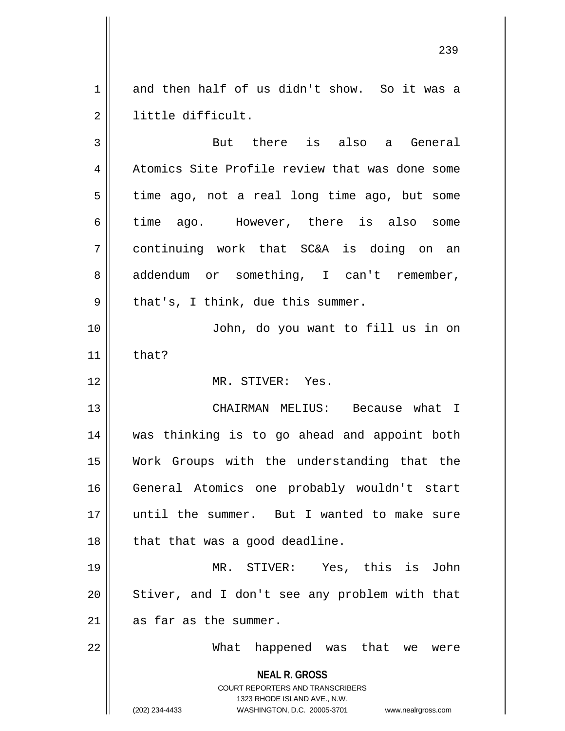1 and then half of us didn't show. So it was a little difficult.

**NEAL R. GROSS** COURT REPORTERS AND TRANSCRIBERS 1323 RHODE ISLAND AVE., N.W. But there is also a General 4 Atomics Site Profile review that was done some  $5 \parallel$  time ago, not a real long time ago, but some 6 time ago. However, there is also some continuing work that SC&A is doing on an 8 addendum or something, I can't remember,  $9 \parallel$  that's, I think, due this summer. John, do you want to fill us in on that? MR. STIVER: Yes. CHAIRMAN MELIUS: Because what I was thinking is to go ahead and appoint both Work Groups with the understanding that the General Atomics one probably wouldn't start until the summer. But I wanted to make sure || that that was a good deadline. MR. STIVER: Yes, this is John || Stiver, and I don't see any problem with that as far as the summer. What happened was that we were

(202) 234-4433 WASHINGTON, D.C. 20005-3701 www.nealrgross.com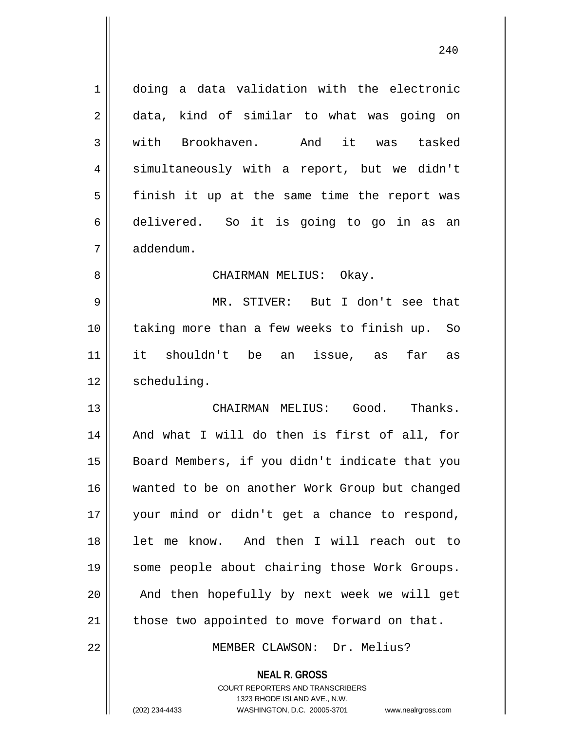| $\mathbf{1}$ | doing a data validation with the electronic                                                                                                                            |
|--------------|------------------------------------------------------------------------------------------------------------------------------------------------------------------------|
| 2            | data, kind of similar to what was going on                                                                                                                             |
| 3            | with Brookhaven.<br>And it was tasked                                                                                                                                  |
| 4            | simultaneously with a report, but we didn't                                                                                                                            |
| 5            | finish it up at the same time the report was                                                                                                                           |
| 6            | delivered. So it is going to go in as an                                                                                                                               |
| 7            | addendum.                                                                                                                                                              |
| 8            | CHAIRMAN MELIUS: Okay.                                                                                                                                                 |
| 9            | MR. STIVER: But I don't see that                                                                                                                                       |
| 10           | taking more than a few weeks to finish up. So                                                                                                                          |
| 11           | it shouldn't be an issue, as far as                                                                                                                                    |
| 12           | scheduling.                                                                                                                                                            |
| 13           | CHAIRMAN MELIUS: Good. Thanks.                                                                                                                                         |
| 14           | And what I will do then is first of all, for                                                                                                                           |
| 15           | Board Members, if you didn't indicate that you                                                                                                                         |
| 16           | wanted to be on another Work Group but changed                                                                                                                         |
| 17           | your mind or didn't get a chance to respond,                                                                                                                           |
| 18           | let me know. And then I will reach out to                                                                                                                              |
| 19           | some people about chairing those Work Groups.                                                                                                                          |
| 20           | And then hopefully by next week we will get                                                                                                                            |
| 21           | those two appointed to move forward on that.                                                                                                                           |
| 22           | MEMBER CLAWSON: Dr. Melius?                                                                                                                                            |
|              | <b>NEAL R. GROSS</b><br><b>COURT REPORTERS AND TRANSCRIBERS</b><br>1323 RHODE ISLAND AVE., N.W.<br>(202) 234-4433<br>WASHINGTON, D.C. 20005-3701<br>www.nealrgross.com |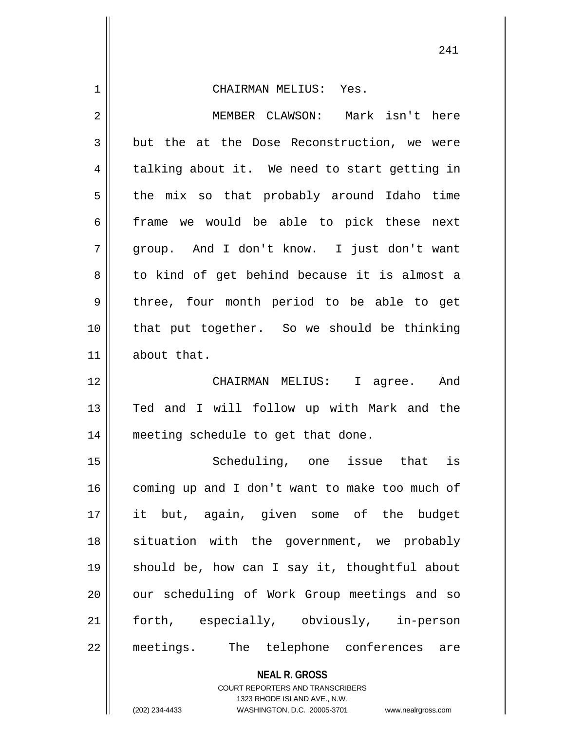| 1  | CHAIRMAN MELIUS: Yes.                          |
|----|------------------------------------------------|
| 2  | MEMBER CLAWSON: Mark isn't here                |
| 3  | but the at the Dose Reconstruction, we were    |
| 4  | talking about it. We need to start getting in  |
| 5  | the mix so that probably around Idaho time     |
| 6  | frame we would be able to pick these next      |
| 7  | group. And I don't know. I just don't want     |
| 8  | to kind of get behind because it is almost a   |
| 9  | three, four month period to be able to get     |
| 10 | that put together. So we should be thinking    |
| 11 | about that.                                    |
|    |                                                |
| 12 | CHAIRMAN MELIUS: I agree. And                  |
| 13 | Ted and I will follow up with Mark and the     |
| 14 | meeting schedule to get that done.             |
| 15 | Scheduling, one issue that is                  |
| 16 | coming up and I don't want to make too much of |
| 17 | it but, again, given some of the budget        |
| 18 | situation with the government, we probably     |
| 19 | should be, how can I say it, thoughtful about  |
| 20 | our scheduling of Work Group meetings and so   |
| 21 | forth, especially, obviously, in-person        |

**NEAL R. GROSS** COURT REPORTERS AND TRANSCRIBERS

1323 RHODE ISLAND AVE., N.W.

(202) 234-4433 WASHINGTON, D.C. 20005-3701 www.nealrgross.com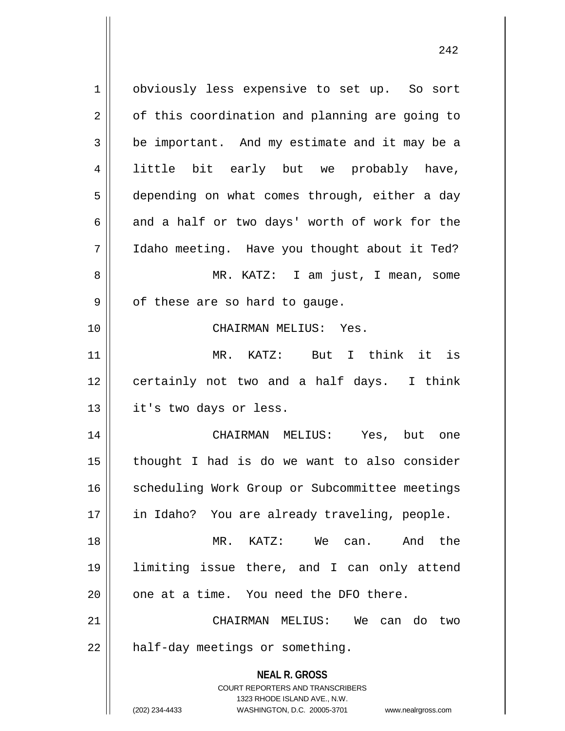**NEAL R. GROSS** COURT REPORTERS AND TRANSCRIBERS 1323 RHODE ISLAND AVE., N.W. (202) 234-4433 WASHINGTON, D.C. 20005-3701 www.nealrgross.com 1 | obviously less expensive to set up. So sort  $2 \parallel$  of this coordination and planning are going to  $3 \parallel$  be important. And my estimate and it may be a 4 little bit early but we probably have, 5 depending on what comes through, either a day  $6 \parallel$  and a half or two days' worth of work for the 7 Idaho meeting. Have you thought about it Ted? 8 || MR. KATZ: I am just, I mean, some  $9 \parallel$  of these are so hard to gauge. 10 CHAIRMAN MELIUS: Yes. 11 MR. KATZ: But I think it is 12 || certainly not two and a half days. I think 13 || it's two days or less. 14 CHAIRMAN MELIUS: Yes, but one  $15$  || thought I had is do we want to also consider 16 | scheduling Work Group or Subcommittee meetings 17 || in Idaho? You are already traveling, people. 18 MR. KATZ: We can. And the 19 limiting issue there, and I can only attend  $20$  || one at a time. You need the DFO there. 21 CHAIRMAN MELIUS: We can do two  $22$  | half-day meetings or something.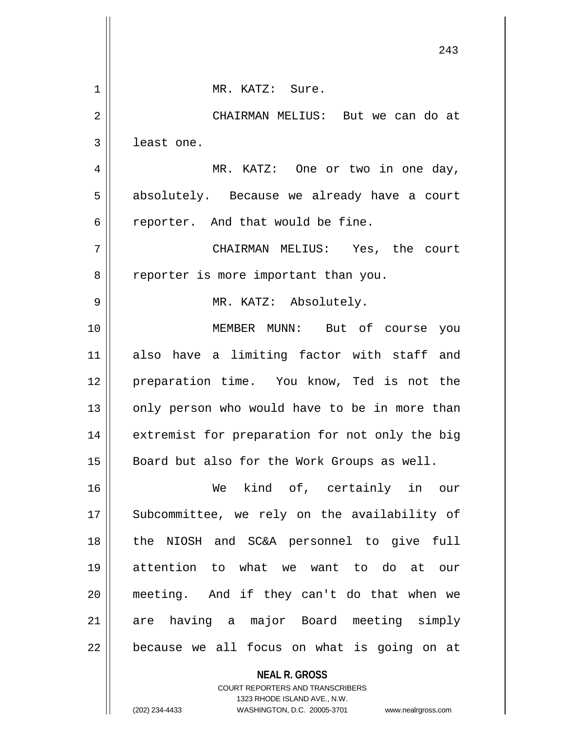|    | 243                                            |
|----|------------------------------------------------|
| 1  | MR. KATZ: Sure.                                |
| 2  | CHAIRMAN MELIUS: But we can do at              |
| 3  | least one.                                     |
| 4  | MR. KATZ: One or two in one day,               |
| 5  | absolutely. Because we already have a court    |
| 6  | reporter. And that would be fine.              |
| 7  | CHAIRMAN MELIUS: Yes, the court                |
| 8  | reporter is more important than you.           |
| 9  | MR. KATZ: Absolutely.                          |
| 10 | MEMBER MUNN: But of course you                 |
| 11 | also have a limiting factor with staff and     |
| 12 | preparation time. You know, Ted is not the     |
| 13 | only person who would have to be in more than  |
|    |                                                |
| 14 | extremist for preparation for not only the big |
| 15 | Board but also for the Work Groups as well.    |
| 16 | We kind of, certainly in our                   |
| 17 | Subcommittee, we rely on the availability of   |
| 18 | the NIOSH and SC&A personnel to give full      |
| 19 | attention to what we want to do at our         |
| 20 | meeting. And if they can't do that when we     |
| 21 | are having a major Board meeting simply        |
| 22 | because we all focus on what is going on at    |
|    | <b>NEAL R. GROSS</b>                           |

COURT REPORTERS AND TRANSCRIBERS 1323 RHODE ISLAND AVE., N.W. (202) 234-4433 WASHINGTON, D.C. 20005-3701 www.nealrgross.com

 $\mathsf{II}$ 

 $\overline{\mathsf{I}}$  $\mathsf{l}$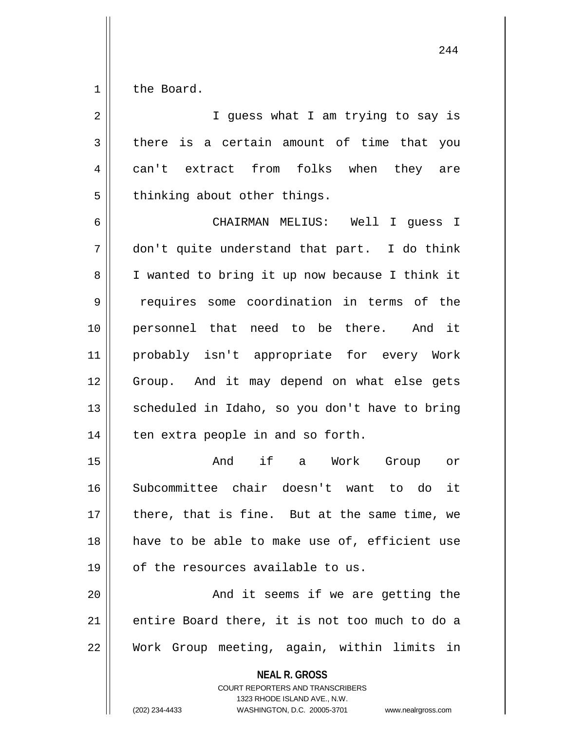1 | the Board.

**NEAL R. GROSS** COURT REPORTERS AND TRANSCRIBERS 1323 RHODE ISLAND AVE., N.W. 2 || I guess what I am trying to say is  $3 \parallel$  there is a certain amount of time that you 4 can't extract from folks when they are  $5$  | thinking about other things. 6 CHAIRMAN MELIUS: Well I guess I 7 don't quite understand that part. I do think 8 || I wanted to bring it up now because I think it 9 | requires some coordination in terms of the 10 personnel that need to be there. And it 11 probably isn't appropriate for every Work 12 Group. And it may depend on what else gets 13 || scheduled in Idaho, so you don't have to bring  $14$  || ten extra people in and so forth. 15 And if a Work Group or 16 Subcommittee chair doesn't want to do it 17 || there, that is fine. But at the same time, we 18 have to be able to make use of, efficient use  $19$  | of the resources available to us. 20 || And it seems if we are getting the 21 || entire Board there, it is not too much to do a 22 Work Group meeting, again, within limits in

(202) 234-4433 WASHINGTON, D.C. 20005-3701 www.nealrgross.com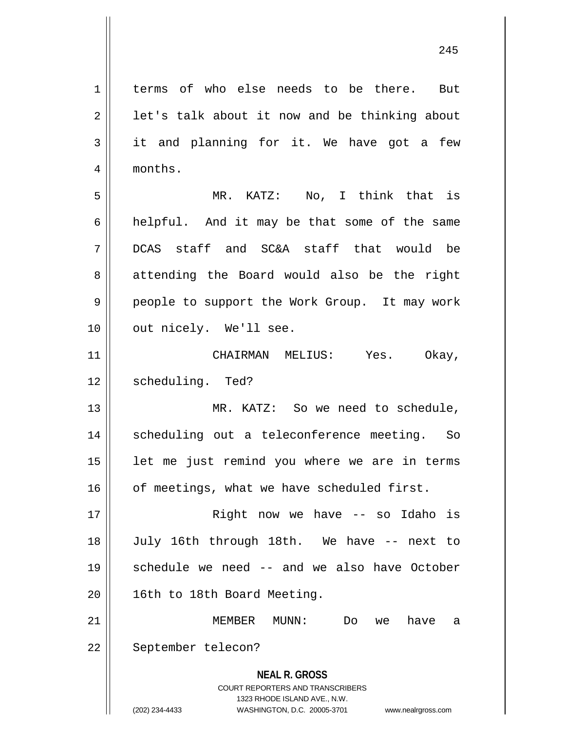1 || terms of who else needs to be there. But

**NEAL R. GROSS** COURT REPORTERS AND TRANSCRIBERS 1323 RHODE ISLAND AVE., N.W.  $2 \parallel$  let's talk about it now and be thinking about  $3 \parallel$  it and planning for it. We have got a few 4 | months. 5 MR. KATZ: No, I think that is  $6 \parallel$  helpful. And it may be that some of the same 7 DCAS staff and SC&A staff that would be 8 attending the Board would also be the right 9 people to support the Work Group. It may work 10 || out nicely. We'll see. 11 CHAIRMAN MELIUS: Yes. Okay, 12 | scheduling. Ted? 13 MR. KATZ: So we need to schedule, 14 || scheduling out a teleconference meeting. So  $15$  || let me just remind you where we are in terms 16 | of meetings, what we have scheduled first. 17 || Right now we have -- so Idaho is 18 July 16th through 18th. We have -- next to 19 schedule we need -- and we also have October 20 | 16th to 18th Board Meeting. 21 MEMBER MUNN: Do we have a 22 | September telecon?

(202) 234-4433 WASHINGTON, D.C. 20005-3701 www.nealrgross.com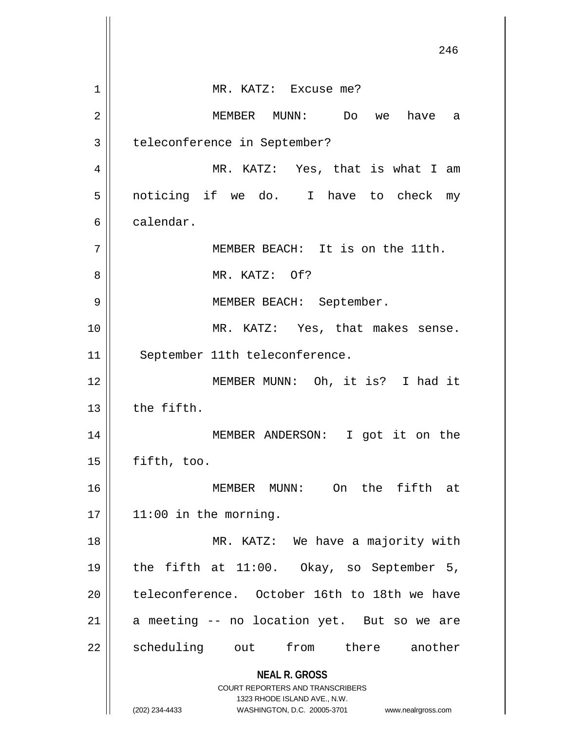**NEAL R. GROSS** COURT REPORTERS AND TRANSCRIBERS 1323 RHODE ISLAND AVE., N.W. (202) 234-4433 WASHINGTON, D.C. 20005-3701 www.nealrgross.com 246 1 MR. KATZ: Excuse me? 2 MEMBER MUNN: Do we have a 3 | teleconference in September? 4 MR. KATZ: Yes, that is what I am 5 noticing if we do. I have to check my 6 calendar. 7 || MEMBER BEACH: It is on the 11th. 8 MR. KATZ: Of? 9 || MEMBER BEACH: September. 10 || MR. KATZ: Yes, that makes sense. 11 || September 11th teleconference. 12 MEMBER MUNN: Oh, it is? I had it  $13$   $\parallel$  the fifth. 14 MEMBER ANDERSON: I got it on the 15 fifth, too. 16 MEMBER MUNN: On the fifth at  $17 \parallel 11:00$  in the morning. 18 || MR. KATZ: We have a majority with 19 the fifth at 11:00. Okay, so September 5, 20 || teleconference. October 16th to 18th we have  $21$  a meeting -- no location yet. But so we are 22 || scheduling out from there another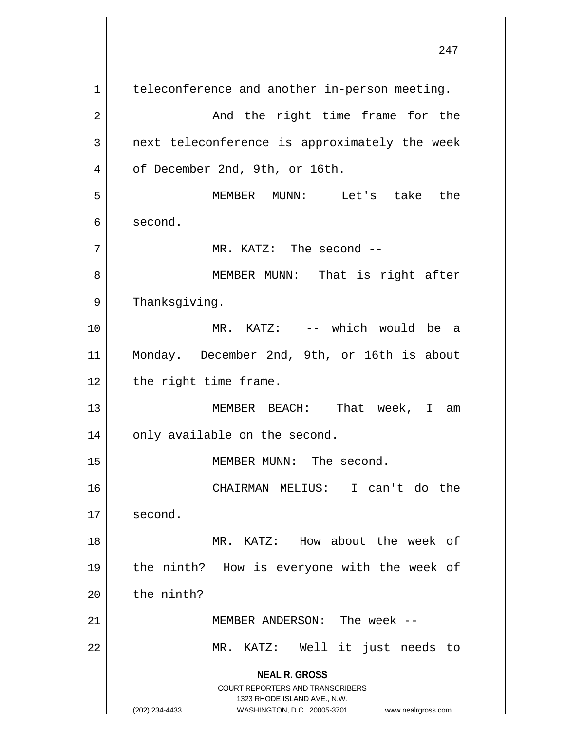**NEAL R. GROSS** COURT REPORTERS AND TRANSCRIBERS 1323 RHODE ISLAND AVE., N.W. (202) 234-4433 WASHINGTON, D.C. 20005-3701 www.nealrgross.com 1 | teleconference and another in-person meeting. 2 And the right time frame for the  $3$  | next teleconference is approximately the week 4 | of December 2nd, 9th, or 16th. 5 MEMBER MUNN: Let's take the 6 second. 7 || MR. KATZ: The second --8 || MEMBER MUNN: That is right after  $9 \parallel$  Thanksgiving. 10 MR. KATZ: -- which would be a 11 Monday. December 2nd, 9th, or 16th is about 12 | the right time frame. 13 MEMBER BEACH: That week, I am  $14 \parallel$  only available on the second. 15 || MEMBER MUNN: The second. 16 CHAIRMAN MELIUS: I can't do the 17 | second. 18 MR. KATZ: How about the week of 19 || the ninth? How is everyone with the week of  $20$  | the ninth? 21 MEMBER ANDERSON: The week -- 22 MR. KATZ: Well it just needs to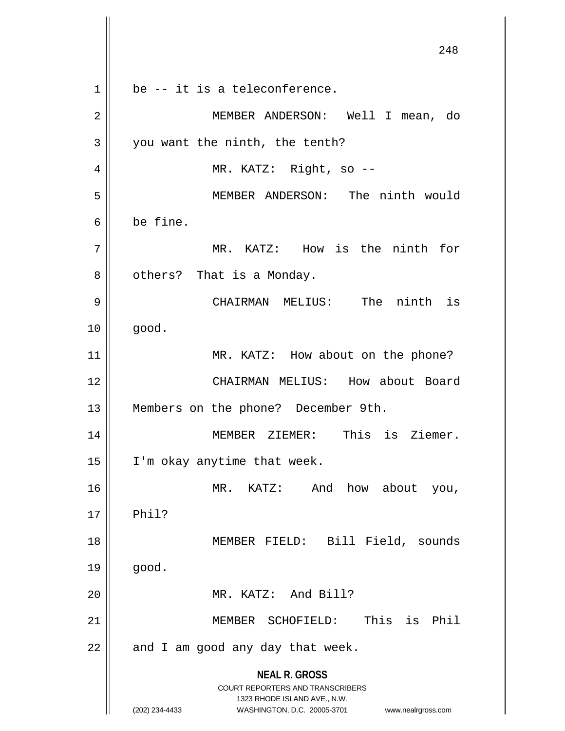**NEAL R. GROSS** COURT REPORTERS AND TRANSCRIBERS 1323 RHODE ISLAND AVE., N.W. (202) 234-4433 WASHINGTON, D.C. 20005-3701 www.nealrgross.com 248  $1 \parallel$  be -- it is a teleconference. 2 MEMBER ANDERSON: Well I mean, do  $3 \parallel$  you want the ninth, the tenth? 4 || MR. KATZ: Right, so --5 MEMBER ANDERSON: The ninth would 6 be fine. 7 MR. KATZ: How is the ninth for  $8 \parallel$  others? That is a Monday. 9 CHAIRMAN MELIUS: The ninth is  $10 \parallel$  good. 11 || MR. KATZ: How about on the phone? 12 CHAIRMAN MELIUS: How about Board 13 || Members on the phone? December 9th. 14 MEMBER ZIEMER: This is Ziemer. 15 | I'm okay anytime that week. 16 MR. KATZ: And how about you,  $17 \parallel$  Phil? 18 MEMBER FIELD: Bill Field, sounds  $19 \parallel$  good. 20 MR. KATZ: And Bill? 21 MEMBER SCHOFIELD: This is Phil  $22$  | and I am good any day that week.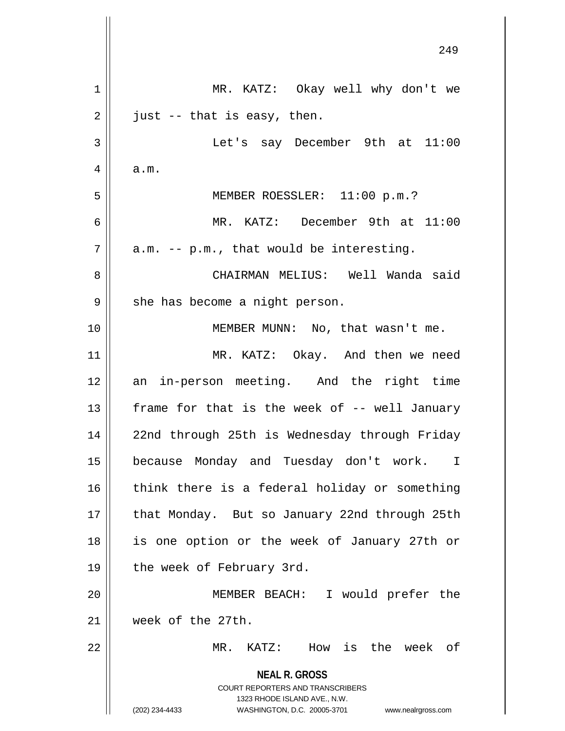|    | 249                                                                                                                                                                    |
|----|------------------------------------------------------------------------------------------------------------------------------------------------------------------------|
| 1  | MR. KATZ: Okay well why don't we                                                                                                                                       |
| 2  | just -- that is easy, then.                                                                                                                                            |
| 3  | Let's say December 9th at 11:00                                                                                                                                        |
| 4  | a.m.                                                                                                                                                                   |
| 5  | MEMBER ROESSLER: 11:00 p.m.?                                                                                                                                           |
| 6  | MR. KATZ: December 9th at 11:00                                                                                                                                        |
| 7  | a.m. -- p.m., that would be interesting.                                                                                                                               |
| 8  | CHAIRMAN MELIUS: Well Wanda said                                                                                                                                       |
| 9  | she has become a night person.                                                                                                                                         |
| 10 | MEMBER MUNN: No, that wasn't me.                                                                                                                                       |
| 11 | MR. KATZ: Okay. And then we need                                                                                                                                       |
| 12 | an in-person meeting. And the right time                                                                                                                               |
| 13 | frame for that is the week of -- well January                                                                                                                          |
| 14 | 22nd through 25th is Wednesday through Friday                                                                                                                          |
| 15 | because Monday and Tuesday don't work.<br>$\top$                                                                                                                       |
| 16 | think there is a federal holiday or something                                                                                                                          |
| 17 | that Monday. But so January 22nd through 25th                                                                                                                          |
| 18 | is one option or the week of January 27th or                                                                                                                           |
| 19 | the week of February 3rd.                                                                                                                                              |
| 20 | MEMBER BEACH: I would prefer the                                                                                                                                       |
| 21 | week of the 27th.                                                                                                                                                      |
| 22 | How is the week of<br>MR. KATZ:                                                                                                                                        |
|    | <b>NEAL R. GROSS</b><br><b>COURT REPORTERS AND TRANSCRIBERS</b><br>1323 RHODE ISLAND AVE., N.W.<br>(202) 234-4433<br>WASHINGTON, D.C. 20005-3701<br>www.nealrgross.com |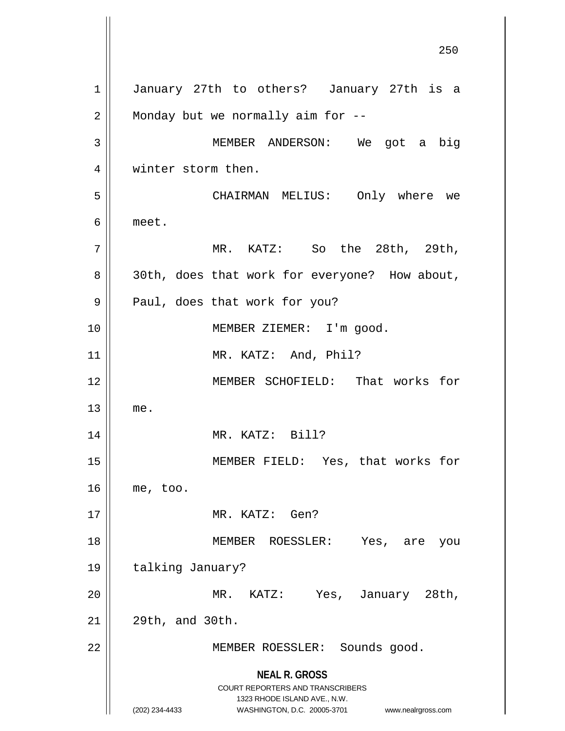**NEAL R. GROSS** COURT REPORTERS AND TRANSCRIBERS 1323 RHODE ISLAND AVE., N.W. (202) 234-4433 WASHINGTON, D.C. 20005-3701 www.nealrgross.com 250 1 || January 27th to others? January 27th is a  $2 \parallel$  Monday but we normally aim for --3 MEMBER ANDERSON: We got a big 4 || winter storm then. 5 CHAIRMAN MELIUS: Only where we 6 meet. 7 MR. KATZ: So the 28th, 29th, 8 || 30th, does that work for everyone? How about, 9 || Paul, does that work for you? 10 MEMBER ZIEMER: I'm good. 11 || MR. KATZ: And, Phil? 12 MEMBER SCHOFIELD: That works for  $13$  me. 14 || MR. KATZ: Bill? 15 MEMBER FIELD: Yes, that works for  $16 \parallel \text{me}$ , too. 17 MR. KATZ: Gen? 18 MEMBER ROESSLER: Yes, are you 19 | talking January? 20 MR. KATZ: Yes, January 28th,  $21$  |  $29th$ , and  $30th$ . 22 || MEMBER ROESSLER: Sounds good.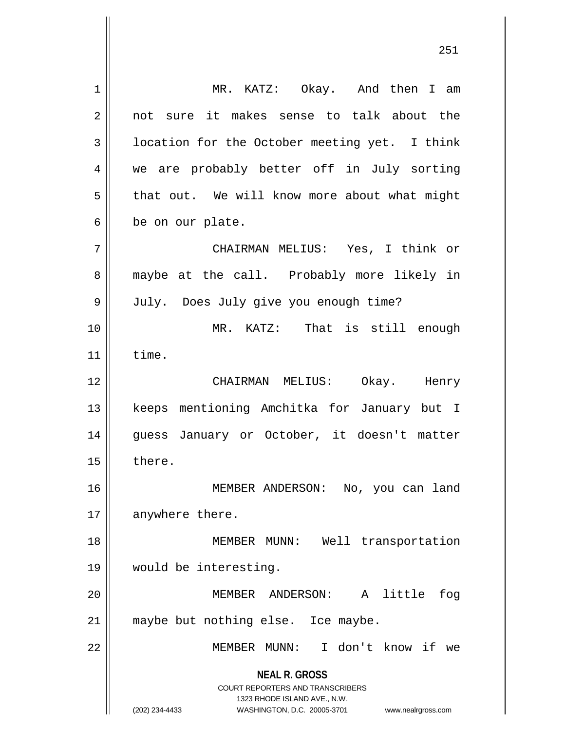**NEAL R. GROSS** COURT REPORTERS AND TRANSCRIBERS 1323 RHODE ISLAND AVE., N.W. (202) 234-4433 WASHINGTON, D.C. 20005-3701 www.nealrgross.com 1 MR. KATZ: Okay. And then I am 2 || not sure it makes sense to talk about the  $3 \parallel$  location for the October meeting yet. I think 4 we are probably better off in July sorting  $5 \parallel$  that out. We will know more about what might  $6 \parallel$  be on our plate. 7 CHAIRMAN MELIUS: Yes, I think or 8 maybe at the call. Probably more likely in 9 | July. Does July give you enough time? 10 MR. KATZ: That is still enough  $11$   $\parallel$  time. 12 CHAIRMAN MELIUS: Okay. Henry 13 || keeps mentioning Amchitka for January but I 14 || guess January or October, it doesn't matter  $15 \parallel$  there. 16 || MEMBER ANDERSON: No, you can land 17 | anywhere there. 18 MEMBER MUNN: Well transportation 19 would be interesting. 20 MEMBER ANDERSON: A little fog 21 || maybe but nothing else. Ice maybe. 22 MEMBER MUNN: I don't know if we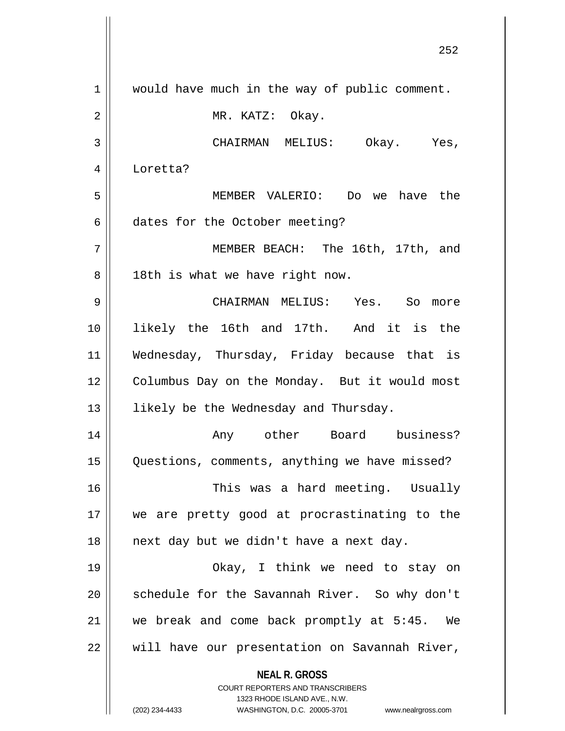| would have much in the way of public comment.<br>1<br>$\overline{2}$<br>MR. KATZ: Okay.<br>3<br>CHAIRMAN MELIUS: Okay. Yes,<br>4<br>Loretta?<br>5<br>MEMBER VALERIO: Do we have the<br>6<br>dates for the October meeting?<br>7<br>MEMBER BEACH: The 16th, 17th, and<br>8<br>18th is what we have right now.<br>9<br>CHAIRMAN MELIUS: Yes. So more<br>likely the 16th and 17th. And it is the<br>Wednesday, Thursday, Friday because that is<br>Columbus Day on the Monday. But it would most<br>likely be the Wednesday and Thursday.<br>Any other Board business?<br>Questions, comments, anything we have missed?<br>This was a hard meeting. Usually<br>we are pretty good at procrastinating to the<br>next day but we didn't have a next day.<br>Okay, I think we need to stay on<br>schedule for the Savannah River. So why don't<br>we break and come back promptly at 5:45. We<br>will have our presentation on Savannah River, |    |                      |
|------------------------------------------------------------------------------------------------------------------------------------------------------------------------------------------------------------------------------------------------------------------------------------------------------------------------------------------------------------------------------------------------------------------------------------------------------------------------------------------------------------------------------------------------------------------------------------------------------------------------------------------------------------------------------------------------------------------------------------------------------------------------------------------------------------------------------------------------------------------------------------------------------------------------------------------|----|----------------------|
|                                                                                                                                                                                                                                                                                                                                                                                                                                                                                                                                                                                                                                                                                                                                                                                                                                                                                                                                          |    |                      |
|                                                                                                                                                                                                                                                                                                                                                                                                                                                                                                                                                                                                                                                                                                                                                                                                                                                                                                                                          |    |                      |
|                                                                                                                                                                                                                                                                                                                                                                                                                                                                                                                                                                                                                                                                                                                                                                                                                                                                                                                                          |    |                      |
|                                                                                                                                                                                                                                                                                                                                                                                                                                                                                                                                                                                                                                                                                                                                                                                                                                                                                                                                          |    |                      |
|                                                                                                                                                                                                                                                                                                                                                                                                                                                                                                                                                                                                                                                                                                                                                                                                                                                                                                                                          |    |                      |
|                                                                                                                                                                                                                                                                                                                                                                                                                                                                                                                                                                                                                                                                                                                                                                                                                                                                                                                                          |    |                      |
|                                                                                                                                                                                                                                                                                                                                                                                                                                                                                                                                                                                                                                                                                                                                                                                                                                                                                                                                          |    |                      |
|                                                                                                                                                                                                                                                                                                                                                                                                                                                                                                                                                                                                                                                                                                                                                                                                                                                                                                                                          |    |                      |
|                                                                                                                                                                                                                                                                                                                                                                                                                                                                                                                                                                                                                                                                                                                                                                                                                                                                                                                                          |    |                      |
|                                                                                                                                                                                                                                                                                                                                                                                                                                                                                                                                                                                                                                                                                                                                                                                                                                                                                                                                          | 10 |                      |
|                                                                                                                                                                                                                                                                                                                                                                                                                                                                                                                                                                                                                                                                                                                                                                                                                                                                                                                                          | 11 |                      |
|                                                                                                                                                                                                                                                                                                                                                                                                                                                                                                                                                                                                                                                                                                                                                                                                                                                                                                                                          | 12 |                      |
|                                                                                                                                                                                                                                                                                                                                                                                                                                                                                                                                                                                                                                                                                                                                                                                                                                                                                                                                          | 13 |                      |
|                                                                                                                                                                                                                                                                                                                                                                                                                                                                                                                                                                                                                                                                                                                                                                                                                                                                                                                                          | 14 |                      |
|                                                                                                                                                                                                                                                                                                                                                                                                                                                                                                                                                                                                                                                                                                                                                                                                                                                                                                                                          | 15 |                      |
|                                                                                                                                                                                                                                                                                                                                                                                                                                                                                                                                                                                                                                                                                                                                                                                                                                                                                                                                          | 16 |                      |
|                                                                                                                                                                                                                                                                                                                                                                                                                                                                                                                                                                                                                                                                                                                                                                                                                                                                                                                                          | 17 |                      |
|                                                                                                                                                                                                                                                                                                                                                                                                                                                                                                                                                                                                                                                                                                                                                                                                                                                                                                                                          | 18 |                      |
|                                                                                                                                                                                                                                                                                                                                                                                                                                                                                                                                                                                                                                                                                                                                                                                                                                                                                                                                          | 19 |                      |
|                                                                                                                                                                                                                                                                                                                                                                                                                                                                                                                                                                                                                                                                                                                                                                                                                                                                                                                                          | 20 |                      |
|                                                                                                                                                                                                                                                                                                                                                                                                                                                                                                                                                                                                                                                                                                                                                                                                                                                                                                                                          | 21 |                      |
|                                                                                                                                                                                                                                                                                                                                                                                                                                                                                                                                                                                                                                                                                                                                                                                                                                                                                                                                          | 22 |                      |
|                                                                                                                                                                                                                                                                                                                                                                                                                                                                                                                                                                                                                                                                                                                                                                                                                                                                                                                                          |    | <b>NEAL R. GROSS</b> |
| <b>COURT REPORTERS AND TRANSCRIBERS</b><br>1323 RHODE ISLAND AVE., N.W.                                                                                                                                                                                                                                                                                                                                                                                                                                                                                                                                                                                                                                                                                                                                                                                                                                                                  |    |                      |
| (202) 234-4433<br>WASHINGTON, D.C. 20005-3701<br>www.nealrgross.com                                                                                                                                                                                                                                                                                                                                                                                                                                                                                                                                                                                                                                                                                                                                                                                                                                                                      |    |                      |

 $\mathbf{I}$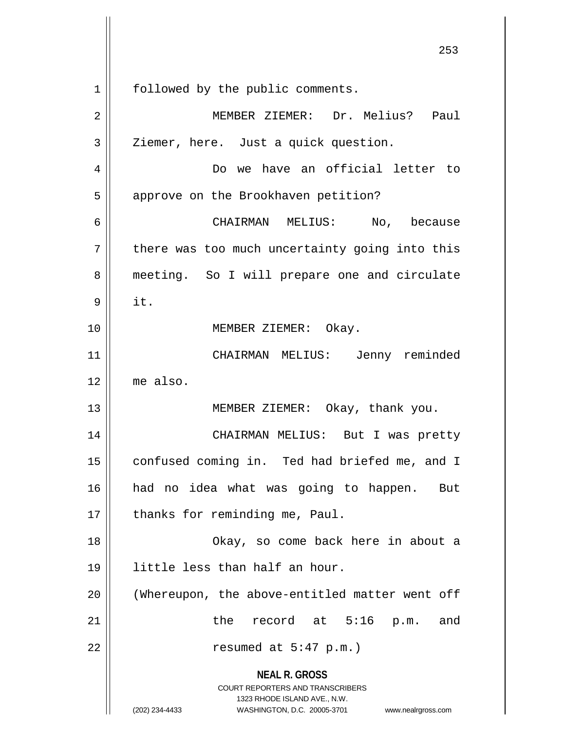**NEAL R. GROSS** COURT REPORTERS AND TRANSCRIBERS 1323 RHODE ISLAND AVE., N.W. (202) 234-4433 WASHINGTON, D.C. 20005-3701 www.nealrgross.com 1 | followed by the public comments. 2 MEMBER ZIEMER: Dr. Melius? Paul  $3 \parallel$  Ziemer, here. Just a quick question. 4 Do we have an official letter to 5 | approve on the Brookhaven petition? 6 CHAIRMAN MELIUS: No, because  $7$  | there was too much uncertainty going into this 8 || meeting. So I will prepare one and circulate  $9 \parallel$  it. 10 || **MEMBER ZIEMER:** Okay. 11 CHAIRMAN MELIUS: Jenny reminded 12 me also. 13 || MEMBER ZIEMER: Okay, thank you. 14 CHAIRMAN MELIUS: But I was pretty 15 | confused coming in. Ted had briefed me, and I 16 had no idea what was going to happen. But 17 | thanks for reminding me, Paul. 18 || Chay, so come back here in about a 19 little less than half an hour. 20 (Whereupon, the above-entitled matter went off 21 the record at 5:16 p.m. and 22 || resumed at 5:47 p.m.)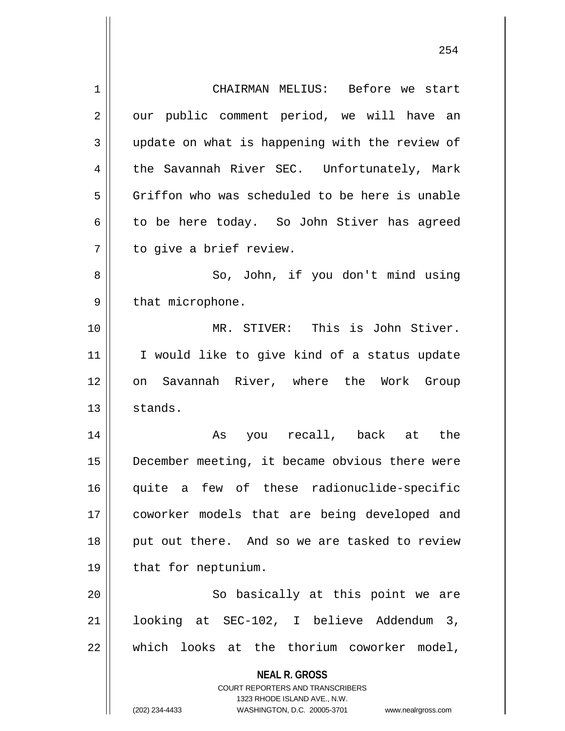| 1  | CHAIRMAN MELIUS: Before we start                                    |
|----|---------------------------------------------------------------------|
| 2  | our public comment period, we will have an                          |
| 3  | update on what is happening with the review of                      |
| 4  | the Savannah River SEC. Unfortunately, Mark                         |
| 5  | Griffon who was scheduled to be here is unable                      |
| 6  | to be here today. So John Stiver has agreed                         |
| 7  | to give a brief review.                                             |
| 8  | So, John, if you don't mind using                                   |
| 9  | that microphone.                                                    |
| 10 | MR. STIVER: This is John Stiver.                                    |
| 11 | I would like to give kind of a status update                        |
| 12 | on Savannah River, where the Work Group                             |
| 13 | stands.                                                             |
| 14 | As you recall, back at the                                          |
| 15 | December meeting, it became obvious there were                      |
| 16 | quite a few of these radionuclide-specific                          |
| 17 | coworker models that are being developed and                        |
| 18 | put out there. And so we are tasked to review                       |
| 19 | that for neptunium.                                                 |
| 20 | So basically at this point we are                                   |
| 21 | looking at SEC-102, I believe Addendum 3,                           |
| 22 | which looks at the thorium coworker model,                          |
|    | <b>NEAL R. GROSS</b>                                                |
|    | <b>COURT REPORTERS AND TRANSCRIBERS</b>                             |
|    | 1323 RHODE ISLAND AVE., N.W.                                        |
|    | (202) 234-4433<br>WASHINGTON, D.C. 20005-3701<br>www.nealrgross.com |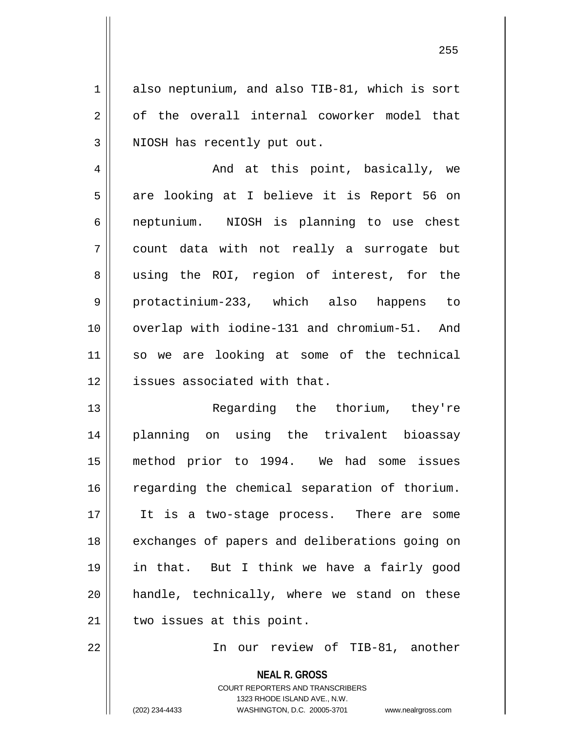1 also neptunium, and also TIB-81, which is sort  $2 \parallel$  of the overall internal coworker model that  $3$  || NIOSH has recently put out.

 And at this point, basically, we 5 || are looking at I believe it is Report 56 on neptunium. NIOSH is planning to use chest count data with not really a surrogate but 8 using the ROI, region of interest, for the protactinium-233, which also happens to overlap with iodine-131 and chromium-51. And so we are looking at some of the technical 12 | issues associated with that.

 Regarding the thorium, they're planning on using the trivalent bioassay method prior to 1994. We had some issues 16 || regarding the chemical separation of thorium. 17 || It is a two-stage process. There are some 18 || exchanges of papers and deliberations going on in that. But I think we have a fairly good handle, technically, where we stand on these | two issues at this point.

22 In our review of TIB-81, another

**NEAL R. GROSS** COURT REPORTERS AND TRANSCRIBERS 1323 RHODE ISLAND AVE., N.W. (202) 234-4433 WASHINGTON, D.C. 20005-3701 www.nealrgross.com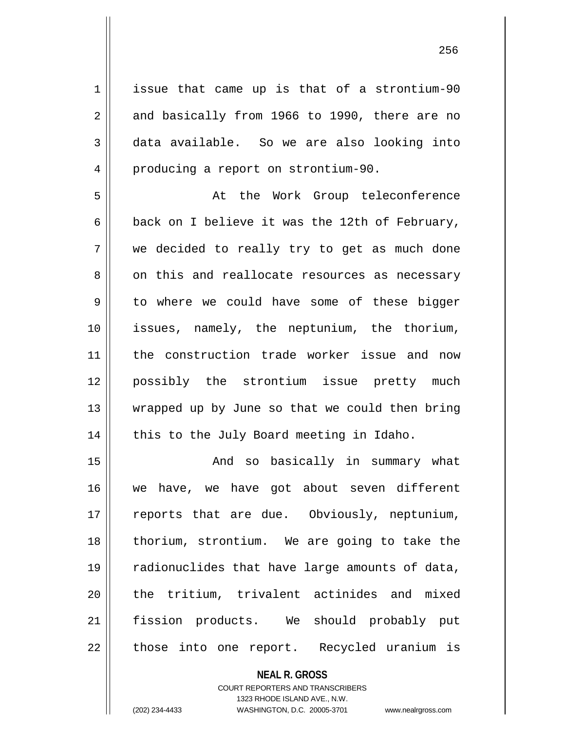1 issue that came up is that of a strontium-90  $2 \parallel$  and basically from 1966 to 1990, there are no 3 data available. So we are also looking into 4 | producing a report on strontium-90. 5 At the Work Group teleconference 6 | back on I believe it was the 12th of February, 7 we decided to really try to get as much done 8 on this and reallocate resources as necessary  $9 \parallel$  to where we could have some of these bigger 10 issues, namely, the neptunium, the thorium, 11 the construction trade worker issue and now 12 possibly the strontium issue pretty much 13 || wrapped up by June so that we could then bring  $14$  | this to the July Board meeting in Idaho. 15 And so basically in summary what

 we have, we have got about seven different 17 || reports that are due. Obviously, neptunium, thorium, strontium. We are going to take the radionuclides that have large amounts of data, 20 || the tritium, trivalent actinides and mixed fission products. We should probably put || those into one report. Recycled uranium is

> **NEAL R. GROSS** COURT REPORTERS AND TRANSCRIBERS 1323 RHODE ISLAND AVE., N.W. (202) 234-4433 WASHINGTON, D.C. 20005-3701 www.nealrgross.com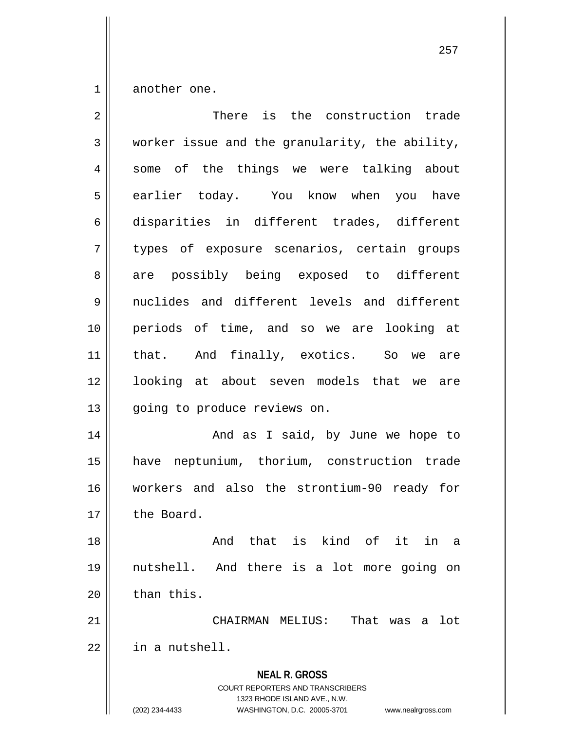$1 \parallel$  another one.

| $\overline{2}$ | There is the construction trade                                                                                                                                        |
|----------------|------------------------------------------------------------------------------------------------------------------------------------------------------------------------|
| 3              | worker issue and the granularity, the ability,                                                                                                                         |
| 4              | some of the things we were talking about                                                                                                                               |
| 5              | earlier today. You know when you have                                                                                                                                  |
| 6              | disparities in different trades, different                                                                                                                             |
| 7              | types of exposure scenarios, certain groups                                                                                                                            |
| 8              | are possibly being exposed to different                                                                                                                                |
| 9              | nuclides and different levels and different                                                                                                                            |
| 10             | periods of time, and so we are looking at                                                                                                                              |
| 11             | that. And finally, exotics. So we are                                                                                                                                  |
| 12             | looking at about seven models that we are                                                                                                                              |
| 13             | going to produce reviews on.                                                                                                                                           |
| 14             | And as I said, by June we hope to                                                                                                                                      |
| 15             | have neptunium, thorium, construction trade                                                                                                                            |
| 16             | workers and also the strontium-90 ready for                                                                                                                            |
| 17             | the Board.                                                                                                                                                             |
| 18             | And that is kind of it in<br>a                                                                                                                                         |
| 19             | nutshell. And there is a lot more going on                                                                                                                             |
| 20             | than this.                                                                                                                                                             |
| 21             | That<br>CHAIRMAN MELIUS:<br>lot<br>was<br>a                                                                                                                            |
| 22             | in a nutshell.                                                                                                                                                         |
|                | <b>NEAL R. GROSS</b><br><b>COURT REPORTERS AND TRANSCRIBERS</b><br>1323 RHODE ISLAND AVE., N.W.<br>(202) 234-4433<br>WASHINGTON, D.C. 20005-3701<br>www.nealrgross.com |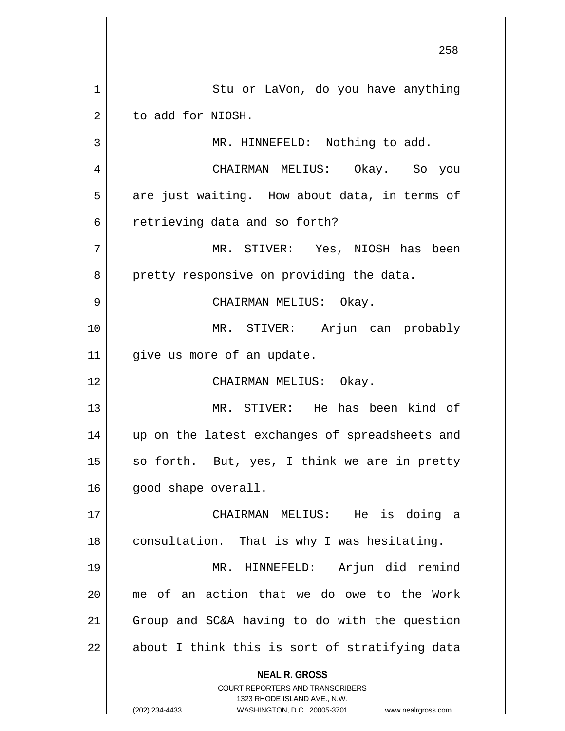**NEAL R. GROSS** COURT REPORTERS AND TRANSCRIBERS 1323 RHODE ISLAND AVE., N.W. (202) 234-4433 WASHINGTON, D.C. 20005-3701 www.nealrgross.com 1 Stu or LaVon, do you have anything  $2 \parallel$  to add for NIOSH. 3 || MR. HINNEFELD: Nothing to add. 4 CHAIRMAN MELIUS: Okay. So you  $5 \parallel$  are just waiting. How about data, in terms of 6 || retrieving data and so forth? 7 MR. STIVER: Yes, NIOSH has been 8 || pretty responsive on providing the data. 9 CHAIRMAN MELIUS: Okay. 10 MR. STIVER: Arjun can probably 11 | give us more of an update. 12 CHAIRMAN MELIUS: Okay. 13 MR. STIVER: He has been kind of 14 up on the latest exchanges of spreadsheets and 15  $\parallel$  so forth. But, yes, I think we are in pretty 16 | good shape overall. 17 CHAIRMAN MELIUS: He is doing a 18 || consultation. That is why I was hesitating. 19 MR. HINNEFELD: Arjun did remind 20 me of an action that we do owe to the Work 21 | Group and SC&A having to do with the question  $22 \parallel$  about I think this is sort of stratifying data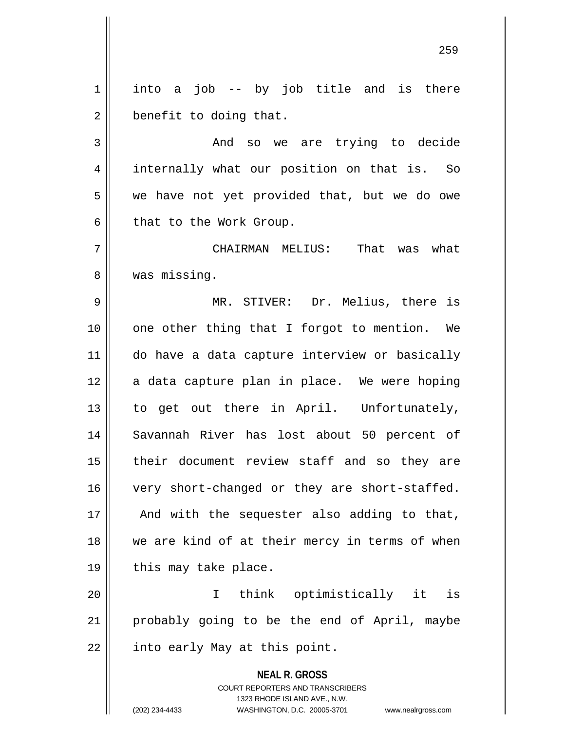$1 \parallel$  into a job -- by job title and is there  $2 \parallel$  benefit to doing that.

3 And so we are trying to decide 4 || internally what our position on that is. So  $5 \parallel$  we have not yet provided that, but we do owe  $6 \parallel$  that to the Work Group.

7 CHAIRMAN MELIUS: That was what 8 || was missing.

 MR. STIVER: Dr. Melius, there is | one other thing that I forgot to mention. We do have a data capture interview or basically | a data capture plan in place. We were hoping 13 || to get out there in April. Unfortunately, Savannah River has lost about 50 percent of 15 || their document review staff and so they are 16 | very short-changed or they are short-staffed. || And with the sequester also adding to that, 18 || we are kind of at their mercy in terms of when | this may take place.

20 I think optimistically it is 21 probably going to be the end of April, maybe  $22$  | into early May at this point.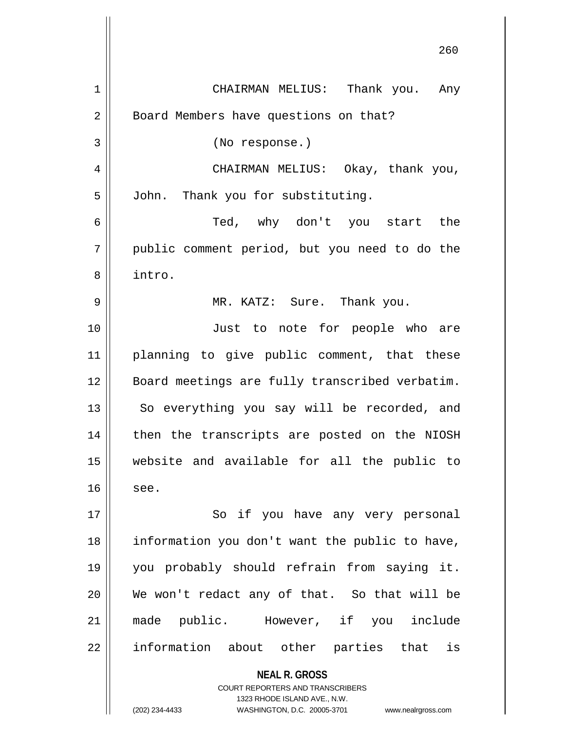|    | 260                                                                                                                                                                    |
|----|------------------------------------------------------------------------------------------------------------------------------------------------------------------------|
| 1  | CHAIRMAN MELIUS: Thank you. Any                                                                                                                                        |
| 2  | Board Members have questions on that?                                                                                                                                  |
| 3  | (No response.)                                                                                                                                                         |
| 4  | CHAIRMAN MELIUS: Okay, thank you,                                                                                                                                      |
| 5  | John. Thank you for substituting.                                                                                                                                      |
| 6  | Ted, why don't you start the                                                                                                                                           |
| 7  | public comment period, but you need to do the                                                                                                                          |
| 8  | intro.                                                                                                                                                                 |
| 9  | MR. KATZ: Sure. Thank you.                                                                                                                                             |
| 10 | Just to note for people who are                                                                                                                                        |
| 11 | planning to give public comment, that these                                                                                                                            |
| 12 | Board meetings are fully transcribed verbatim.                                                                                                                         |
| 13 | So everything you say will be recorded, and                                                                                                                            |
| 14 | then the transcripts are posted on the NIOSH                                                                                                                           |
| 15 | website and available for all the public to                                                                                                                            |
| 16 | see.                                                                                                                                                                   |
| 17 | So if you have any very personal                                                                                                                                       |
| 18 | information you don't want the public to have,                                                                                                                         |
| 19 | you probably should refrain from saying it.                                                                                                                            |
| 20 | We won't redact any of that. So that will be                                                                                                                           |
| 21 | made public. However, if you include                                                                                                                                   |
| 22 | information about other parties that is                                                                                                                                |
|    | <b>NEAL R. GROSS</b><br><b>COURT REPORTERS AND TRANSCRIBERS</b><br>1323 RHODE ISLAND AVE., N.W.<br>(202) 234-4433<br>WASHINGTON, D.C. 20005-3701<br>www.nealrgross.com |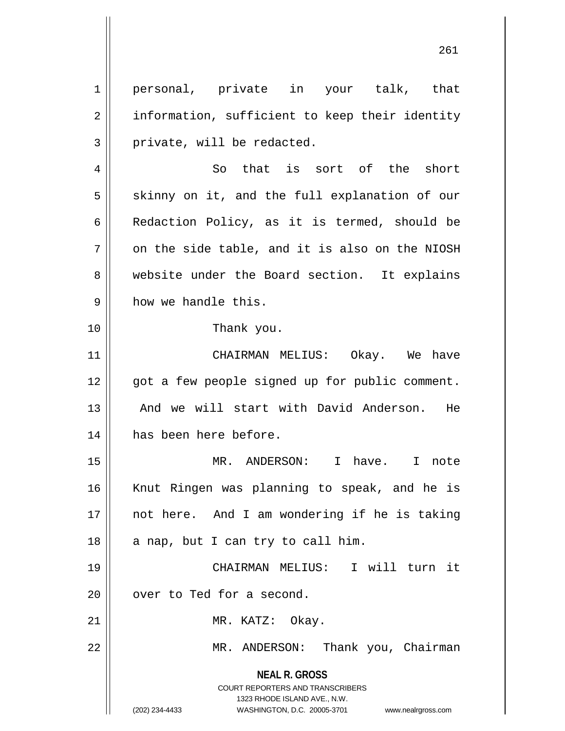1 || personal, private in your talk, that 2 | information, sufficient to keep their identity  $3 \parallel$  private, will be redacted.

 $4 \parallel$  So that is sort of the short  $5 \parallel$  skinny on it, and the full explanation of our 6 | Redaction Policy, as it is termed, should be  $7$  | on the side table, and it is also on the NIOSH 8 website under the Board section. It explains 9 | how we handle this.

10 Thank you.

11 CHAIRMAN MELIUS: Okay. We have 12 || got a few people signed up for public comment. 13 || And we will start with David Anderson. He 14 has been here before.

15 MR. ANDERSON: I have. I note 16 || Knut Ringen was planning to speak, and he is 17 || not here. And I am wondering if he is taking  $18 \parallel$  a nap, but I can try to call him.

19 CHAIRMAN MELIUS: I will turn it 20 | over to Ted for a second.

21 || MR. KATZ: Okay.

22 || MR. ANDERSON: Thank you, Chairman

**NEAL R. GROSS** COURT REPORTERS AND TRANSCRIBERS

1323 RHODE ISLAND AVE., N.W.

(202) 234-4433 WASHINGTON, D.C. 20005-3701 www.nealrgross.com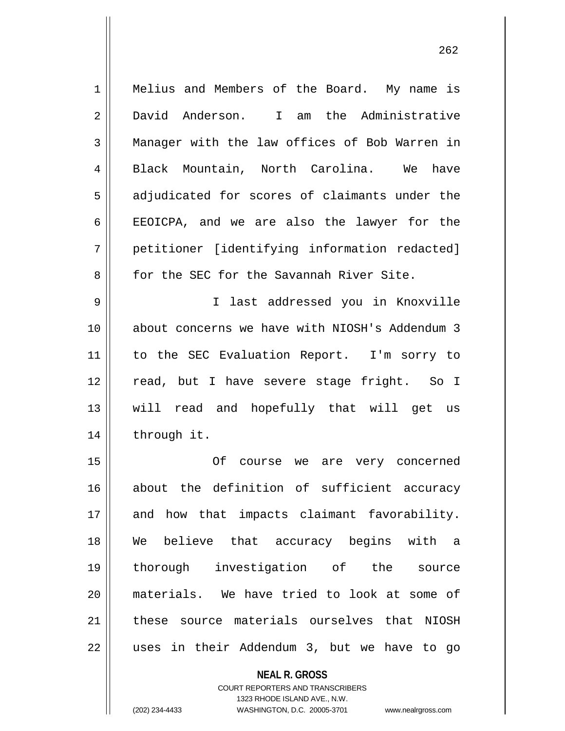| $\mathbf 1$    | Melius and Members of the Board. My name is    |
|----------------|------------------------------------------------|
| 2              | David Anderson. I am the Administrative        |
| 3              | Manager with the law offices of Bob Warren in  |
| $\overline{4}$ | Black Mountain, North Carolina.<br>We have     |
| 5              | adjudicated for scores of claimants under the  |
| 6              | EEOICPA, and we are also the lawyer for the    |
| 7              | petitioner [identifying information redacted]  |
| 8              | for the SEC for the Savannah River Site.       |
| 9              | I last addressed you in Knoxville              |
| 10             | about concerns we have with NIOSH's Addendum 3 |
| 11             | to the SEC Evaluation Report. I'm sorry to     |
| 12             | read, but I have severe stage fright. So I     |
| 13             | will read and hopefully that will get us       |
| 14             | through it.                                    |
| 15             | Οf<br>course we are very concerned             |
| 16             | about the definition of sufficient accuracy    |
| 17             | and how that impacts claimant favorability.    |
| 18             | We believe that accuracy begins with a         |
| 19             | thorough investigation of the source           |
| 20             | materials. We have tried to look at some of    |
| 21             | these source materials ourselves that NIOSH    |
| 22             | uses in their Addendum 3, but we have to go    |
|                | <b>NEAL R. GROSS</b>                           |

COURT REPORTERS AND TRANSCRIBERS 1323 RHODE ISLAND AVE., N.W.

 $\mathsf{II}$ 

(202) 234-4433 WASHINGTON, D.C. 20005-3701 www.nealrgross.com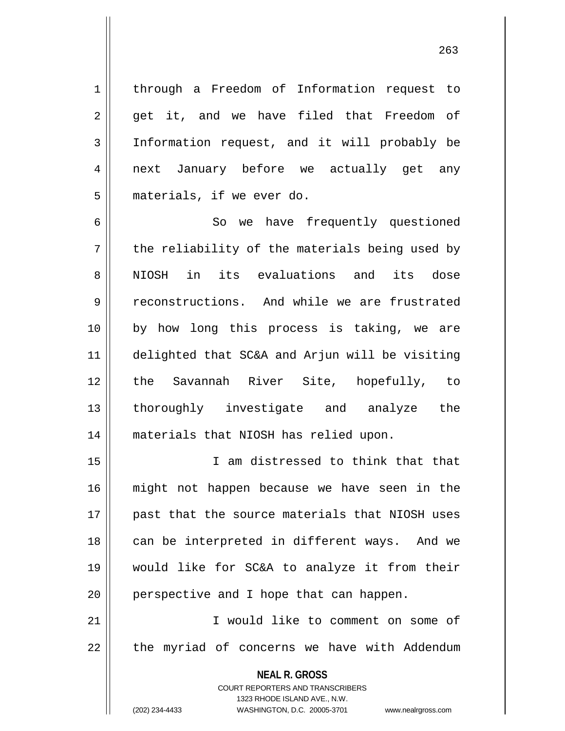1 through a Freedom of Information request to  $2 \parallel$  get it, and we have filed that Freedom of

3 Information request, and it will probably be 4 || next January before we actually get any 5 | materials, if we ever do.

6 || So we have frequently questioned  $7 \parallel$  the reliability of the materials being used by 8 NIOSH in its evaluations and its dose 9 Teconstructions. And while we are frustrated 10 by how long this process is taking, we are 11 delighted that SC&A and Arjun will be visiting 12 the Savannah River Site, hopefully, to 13 || thoroughly investigate and analyze the 14 materials that NIOSH has relied upon.

 I am distressed to think that that might not happen because we have seen in the 17 || past that the source materials that NIOSH uses 18 || can be interpreted in different ways. And we would like for SC&A to analyze it from their | perspective and I hope that can happen.

21 I would like to comment on some of 22 || the myriad of concerns we have with Addendum

> **NEAL R. GROSS** COURT REPORTERS AND TRANSCRIBERS

> > 1323 RHODE ISLAND AVE., N.W.

(202) 234-4433 WASHINGTON, D.C. 20005-3701 www.nealrgross.com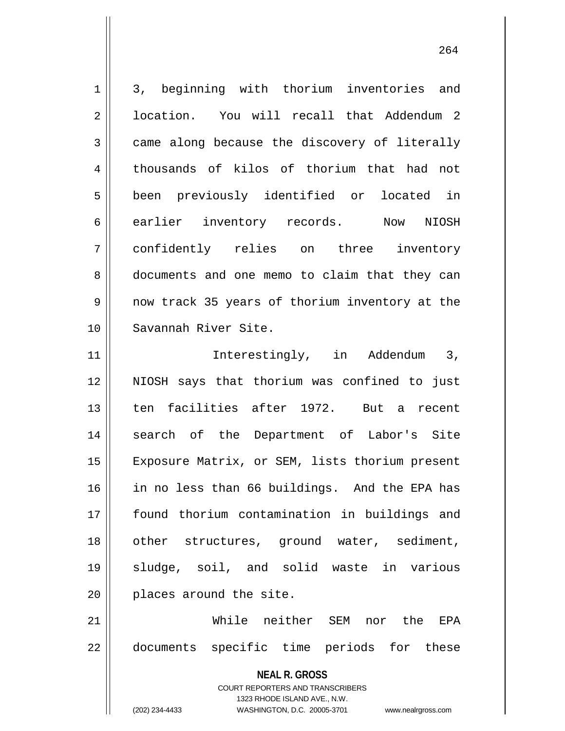1 3, beginning with thorium inventories and 2 l location. You will recall that Addendum 2  $3 \parallel$  came along because the discovery of literally 4 thousands of kilos of thorium that had not 5 || been previously identified or located in 6 earlier inventory records. Now NIOSH 7 confidently relies on three inventory 8 documents and one memo to claim that they can 9 || now track 35 years of thorium inventory at the 10 Savannah River Site. 11 || Therestingly, in Addendum 3, 12 NIOSH says that thorium was confined to just 13 || ten facilities after 1972. But a recent 14 || search of the Department of Labor's Site 15 | Exposure Matrix, or SEM, lists thorium present 16 in no less than 66 buildings. And the EPA has 17 found thorium contamination in buildings and 18 || other structures, ground water, sediment, 19 sludge, soil, and solid waste in various 20 || places around the site. 21 While neither SEM nor the EPA 22 documents specific time periods for these

> COURT REPORTERS AND TRANSCRIBERS 1323 RHODE ISLAND AVE., N.W.

**NEAL R. GROSS**

(202) 234-4433 WASHINGTON, D.C. 20005-3701 www.nealrgross.com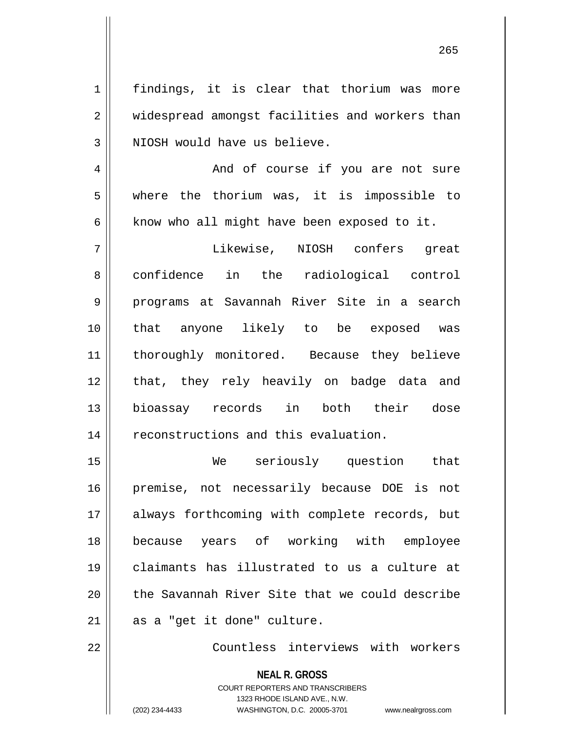1 | findings, it is clear that thorium was more 2 | widespread amongst facilities and workers than | NIOSH would have us believe. And of course if you are not sure where the thorium was, it is impossible to | know who all might have been exposed to it. Likewise, NIOSH confers great 8 || confidence in the radiological control programs at Savannah River Site in a search that anyone likely to be exposed was 11 || thoroughly monitored. Because they believe 12 || that, they rely heavily on badge data and bioassay records in both their dose 14 | reconstructions and this evaluation. We seriously question that premise, not necessarily because DOE is not 17 || always forthcoming with complete records, but because years of working with employee claimants has illustrated to us a culture at 20 the Savannah River Site that we could describe | as a "get it done" culture.

22 Countless interviews with workers

**NEAL R. GROSS** COURT REPORTERS AND TRANSCRIBERS 1323 RHODE ISLAND AVE., N.W. (202) 234-4433 WASHINGTON, D.C. 20005-3701 www.nealrgross.com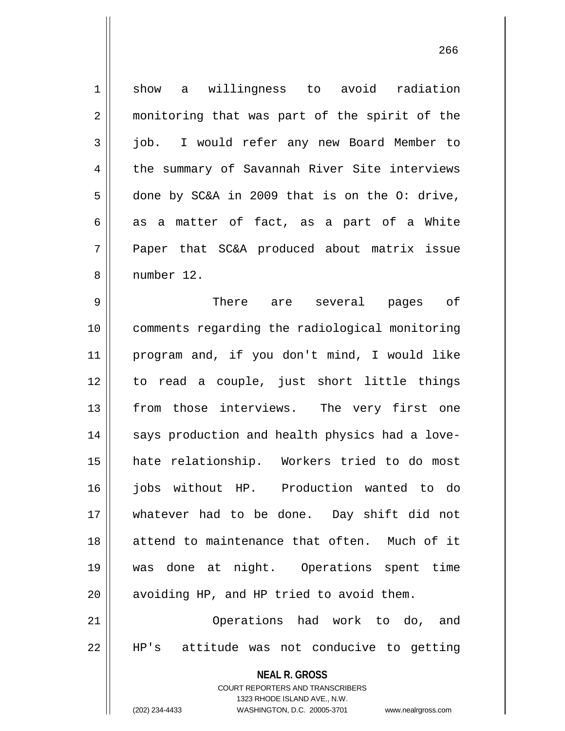1 show a willingness to avoid radiation 2 || monitoring that was part of the spirit of the 3 job. I would refer any new Board Member to 4 the summary of Savannah River Site interviews  $5 \parallel$  done by SC&A in 2009 that is on the O: drive,  $6 \parallel$  as a matter of fact, as a part of a White 7 Paper that SC&A produced about matrix issue 8 number 12. 9 There are several pages of 10 comments regarding the radiological monitoring

 program and, if you don't mind, I would like to read a couple, just short little things 13 || from those interviews. The very first one 14 || says production and health physics had a love-15 || hate relationship. Workers tried to do most jobs without HP. Production wanted to do whatever had to be done. Day shift did not attend to maintenance that often. Much of it was done at night. Operations spent time | avoiding HP, and HP tried to avoid them.

21 Operations had work to do, and 22 HP's attitude was not conducive to getting

**NEAL R. GROSS**

COURT REPORTERS AND TRANSCRIBERS 1323 RHODE ISLAND AVE., N.W. (202) 234-4433 WASHINGTON, D.C. 20005-3701 www.nealrgross.com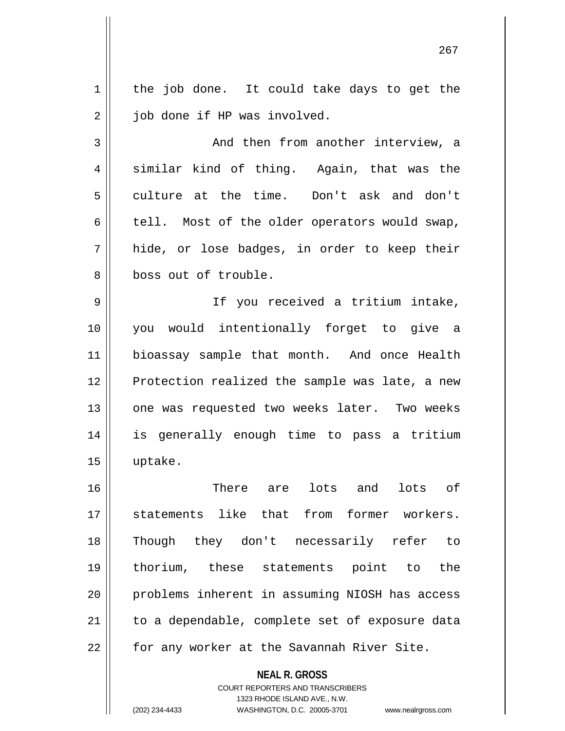$1 \parallel$  the job done. It could take days to get the 2 | job done if HP was involved.

3 And then from another interview, a  $4 \parallel$  similar kind of thing. Again, that was the 5 culture at the time. Don't ask and don't  $6 \parallel$  tell. Most of the older operators would swap,  $7 \parallel$  hide, or lose badges, in order to keep their 8 boss out of trouble.

9 || If you received a tritium intake, 10 you would intentionally forget to give a 11 || bioassay sample that month. And once Health 12 || Protection realized the sample was late, a new 13 || one was requested two weeks later. Two weeks 14 is generally enough time to pass a tritium 15 uptake.

 There are lots and lots of statements like that from former workers. Though they don't necessarily refer to thorium, these statements point to the problems inherent in assuming NIOSH has access | to a dependable, complete set of exposure data 22 || for any worker at the Savannah River Site.

**NEAL R. GROSS**

COURT REPORTERS AND TRANSCRIBERS 1323 RHODE ISLAND AVE., N.W. (202) 234-4433 WASHINGTON, D.C. 20005-3701 www.nealrgross.com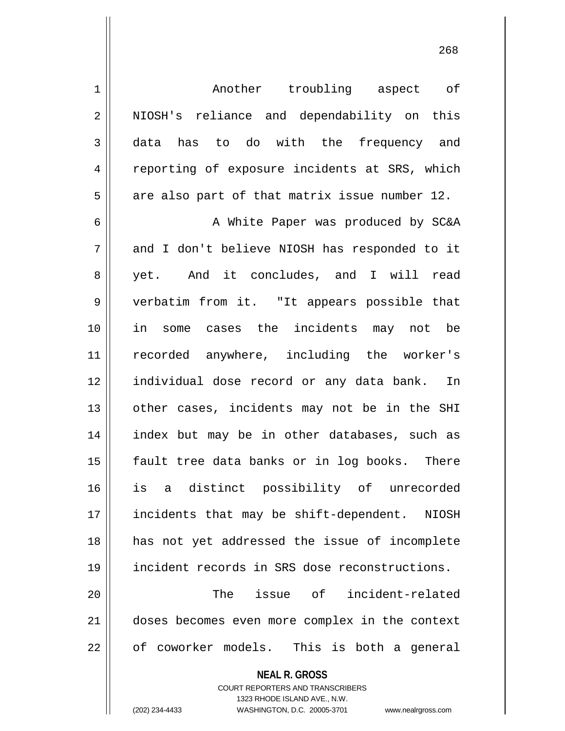1 Another troubling aspect of 2 || NIOSH's reliance and dependability on this 3 data has to do with the frequency and 4 Teporting of exposure incidents at SRS, which  $5 \parallel$  are also part of that matrix issue number 12. 6 || A White Paper was produced by SC&A

 and I don't believe NIOSH has responded to it 8 || yet. And it concludes, and I will read verbatim from it. "It appears possible that in some cases the incidents may not be recorded anywhere, including the worker's individual dose record or any data bank. In 13 || other cases, incidents may not be in the SHI index but may be in other databases, such as 15 || fault tree data banks or in log books. There is a distinct possibility of unrecorded 17 || incidents that may be shift-dependent. NIOSH has not yet addressed the issue of incomplete incident records in SRS dose reconstructions.

20 The issue of incident-related 21 doses becomes even more complex in the context  $22 \parallel$  of coworker models. This is both a general

**NEAL R. GROSS**

COURT REPORTERS AND TRANSCRIBERS 1323 RHODE ISLAND AVE., N.W. (202) 234-4433 WASHINGTON, D.C. 20005-3701 www.nealrgross.com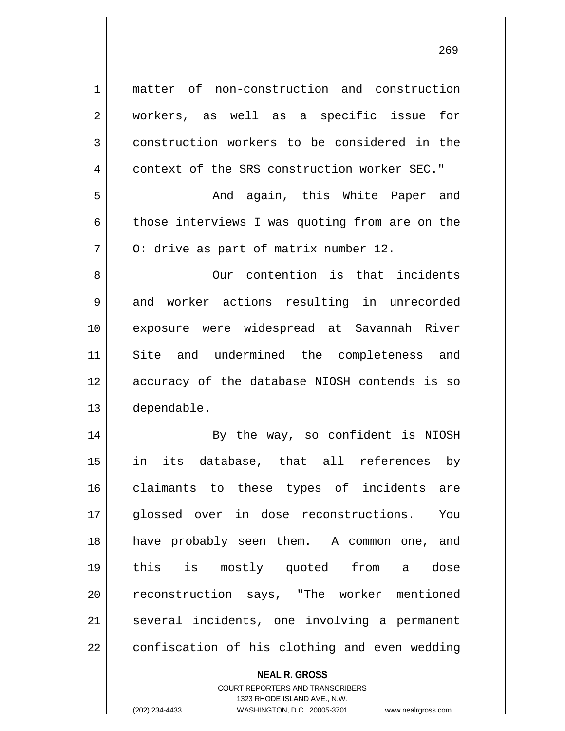matter of non-construction and construction workers, as well as a specific issue for 3 construction workers to be considered in the 4 context of the SRS construction worker SEC." And again, this White Paper and  $\parallel$  those interviews I was quoting from are on the  $7 \parallel$  0: drive as part of matrix number 12. Our contention is that incidents 9 || and worker actions resulting in unrecorded exposure were widespread at Savannah River 11 || Site and undermined the completeness and accuracy of the database NIOSH contends is so dependable. 14 || By the way, so confident is NIOSH in its database, that all references by claimants to these types of incidents are glossed over in dose reconstructions. You have probably seen them. A common one, and this is mostly quoted from a dose 20 || reconstruction says, "The worker mentioned 21 || several incidents, one involving a permanent | confiscation of his clothing and even wedding

> COURT REPORTERS AND TRANSCRIBERS 1323 RHODE ISLAND AVE., N.W. (202) 234-4433 WASHINGTON, D.C. 20005-3701 www.nealrgross.com

**NEAL R. GROSS**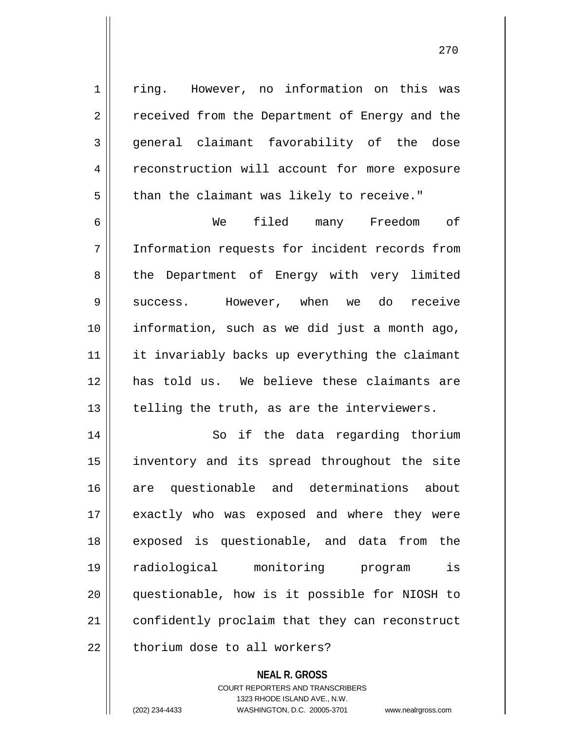1 || ring. However, no information on this was 2 || received from the Department of Energy and the 3 general claimant favorability of the dose 4 | reconstruction will account for more exposure  $5 \parallel$  than the claimant was likely to receive." 6 We filed many Freedom of

7 Information requests for incident records from 8 || the Department of Energy with very limited 9 Success. However, when we do receive 10 information, such as we did just a month ago, 11 || it invariably backs up everything the claimant 12 has told us. We believe these claimants are  $13$  | telling the truth, as are the interviewers.

14 || So if the data regarding thorium 15 inventory and its spread throughout the site 16 are questionable and determinations about 17 || exactly who was exposed and where they were 18 || exposed is questionable, and data from the 19 radiological monitoring program is 20 questionable, how is it possible for NIOSH to 21 | confidently proclaim that they can reconstruct  $22$   $\parallel$  thorium dose to all workers?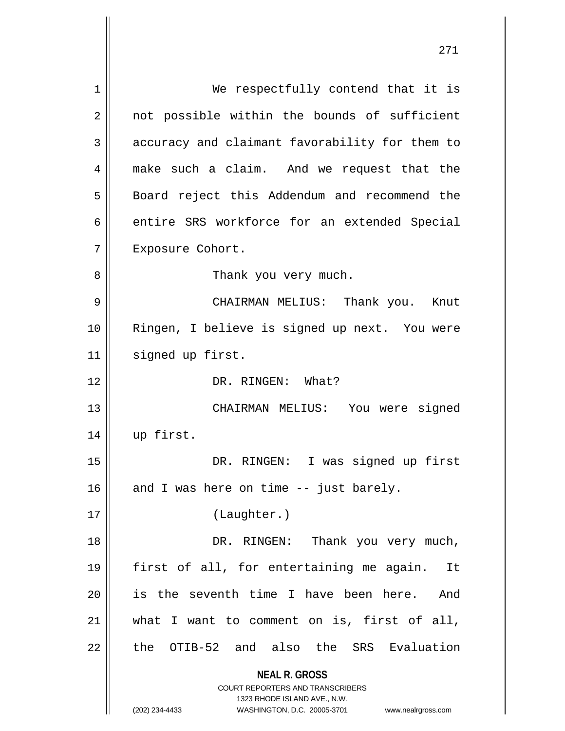| 1  | We respectfully contend that it is             |
|----|------------------------------------------------|
| 2  | not possible within the bounds of sufficient   |
| 3  | accuracy and claimant favorability for them to |
| 4  | make such a claim. And we request that the     |
| 5  | Board reject this Addendum and recommend the   |
| 6  | entire SRS workforce for an extended Special   |
| 7  | Exposure Cohort.                               |
| 8  | Thank you very much.                           |
| 9  | CHAIRMAN MELIUS: Thank you. Knut               |
| 10 | Ringen, I believe is signed up next. You were  |
| 11 | signed up first.                               |
| 12 | DR. RINGEN: What?                              |
| 13 | CHAIRMAN MELIUS: You were signed               |
| 14 | up first.                                      |
| 15 | DR. RINGEN: I was signed up first              |
| 16 | and I was here on time -- just barely.         |
| 17 | (Laughter.)                                    |
| 18 | Thank you very much,<br>DR. RINGEN:            |
| 19 | first of all, for entertaining me again.<br>It |
| 20 | is the seventh time I have been here. And      |
| 21 | what I want to comment on is, first of all,    |
| 22 | the OTIB-52 and also the SRS Evaluation        |
|    | <b>NEAL R. GROSS</b>                           |
|    | <b>COURT REPORTERS AND TRANSCRIBERS</b>        |
|    | 1323 RHODE ISLAND AVE., N.W.<br>(202) 234-4433 |
|    | WASHINGTON, D.C. 20005-3701 www.nealrgross.com |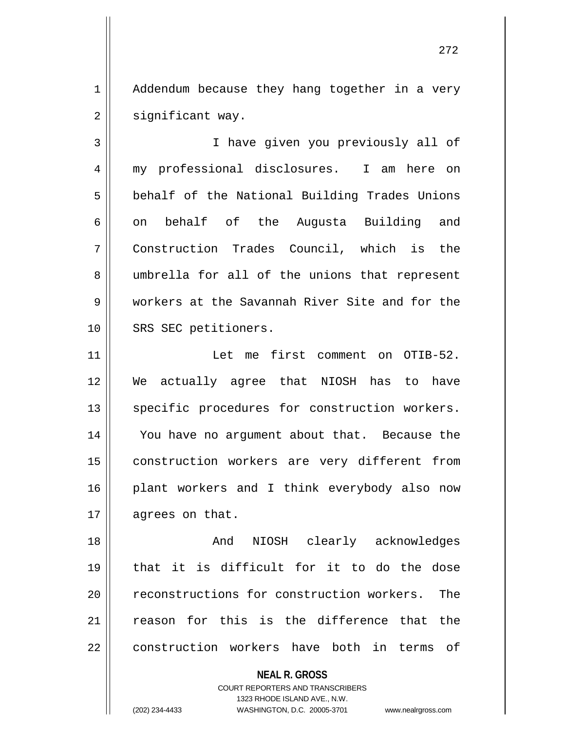1 | Addendum because they hang together in a very  $2 \parallel$  significant way.

3 || Thave given you previously all of 4 my professional disclosures. I am here on 5 | behalf of the National Building Trades Unions  $6 \parallel$  on behalf of the Augusta Building and 7 Construction Trades Council, which is the 8 umbrella for all of the unions that represent 9 workers at the Savannah River Site and for the 10 || SRS SEC petitioners.

11 Let me first comment on OTIB-52. 12 We actually agree that NIOSH has to have 13 || specific procedures for construction workers. 14 || You have no argument about that. Because the 15 || construction workers are very different from 16 || plant workers and I think everybody also now 17 | agrees on that.

18 And NIOSH clearly acknowledges 19 that it is difficult for it to do the dose 20 || reconstructions for construction workers. The 21 || reason for this is the difference that the 22 construction workers have both in terms of

**NEAL R. GROSS**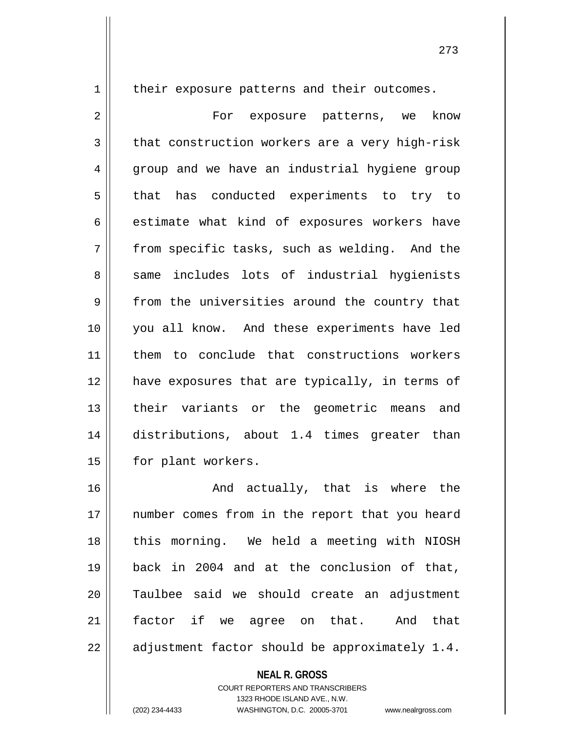1 | their exposure patterns and their outcomes.

2 For exposure patterns, we know  $3 \parallel$  that construction workers are a very high-risk 4 || group and we have an industrial hygiene group  $5 \parallel$  that has conducted experiments to try to  $6 \parallel$  estimate what kind of exposures workers have  $7 \parallel$  from specific tasks, such as welding. And the 8 same includes lots of industrial hygienists 9 from the universities around the country that 10 you all know. And these experiments have led 11 them to conclude that constructions workers 12 || have exposures that are typically, in terms of 13 || their variants or the geometric means and 14 distributions, about 1.4 times greater than 15 | for plant workers.

 And actually, that is where the 17 || number comes from in the report that you heard 18 || this morning. We held a meeting with NIOSH back in 2004 and at the conclusion of that, Taulbee said we should create an adjustment factor if we agree on that. And that  $\parallel$  adjustment factor should be approximately 1.4.

**NEAL R. GROSS**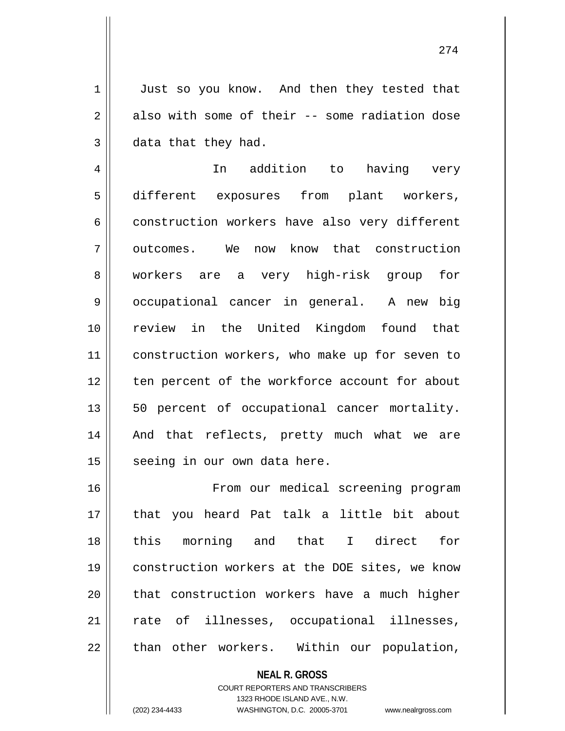1 || Just so you know. And then they tested that  $2 \parallel$  also with some of their -- some radiation dose  $3 \parallel$  data that they had.

4 In addition to having very 5 different exposures from plant workers, 6 construction workers have also very different 7 | outcomes. We now know that construction 8 workers are a very high-risk group for 9 || occupational cancer in general. A new big 10 review in the United Kingdom found that 11 | construction workers, who make up for seven to 12 || ten percent of the workforce account for about 13 || 50 percent of occupational cancer mortality. 14 || And that reflects, pretty much what we are  $15$  seeing in our own data here.

16 From our medical screening program 17 that you heard Pat talk a little bit about 18 this morning and that I direct for 19 || construction workers at the DOE sites, we know 20 || that construction workers have a much higher 21 || rate of illnesses, occupational illnesses,  $22$  || than other workers. Within our population,

**NEAL R. GROSS**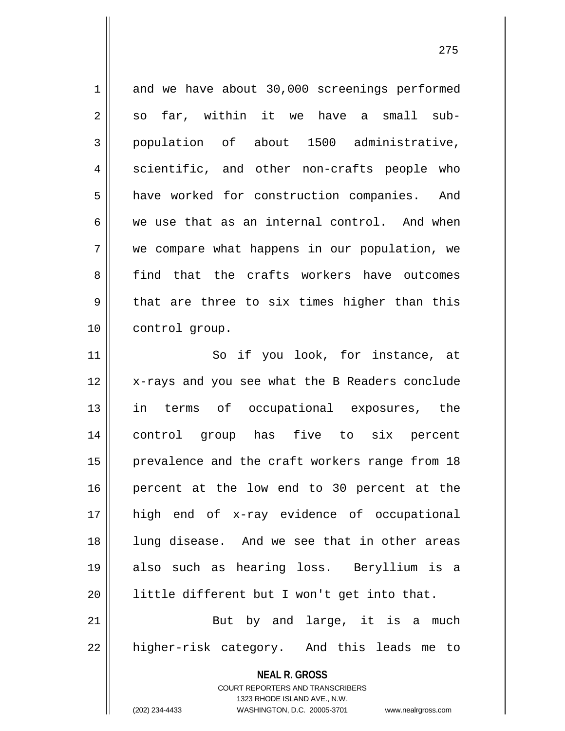**NEAL R. GROSS** 1 and we have about 30,000 screenings performed  $2 \parallel$  so far, within it we have a small sub-3 population of about 1500 administrative, 4 scientific, and other non-crafts people who 5 | have worked for construction companies. And 6 we use that as an internal control. And when 7 we compare what happens in our population, we 8 find that the crafts workers have outcomes  $9 \parallel$  that are three to six times higher than this 10 | control group. 11 || So if you look, for instance, at 12 || x-rays and you see what the B Readers conclude 13 in terms of occupational exposures, the 14 control group has five to six percent 15 || prevalence and the craft workers range from 18 16 percent at the low end to 30 percent at the 17 high end of x-ray evidence of occupational 18 lung disease. And we see that in other areas 19 also such as hearing loss. Beryllium is a 20 little different but I won't get into that. 21 || But by and large, it is a much 22 || higher-risk category. And this leads me to

COURT REPORTERS AND TRANSCRIBERS

1323 RHODE ISLAND AVE., N.W. (202) 234-4433 WASHINGTON, D.C. 20005-3701 www.nealrgross.com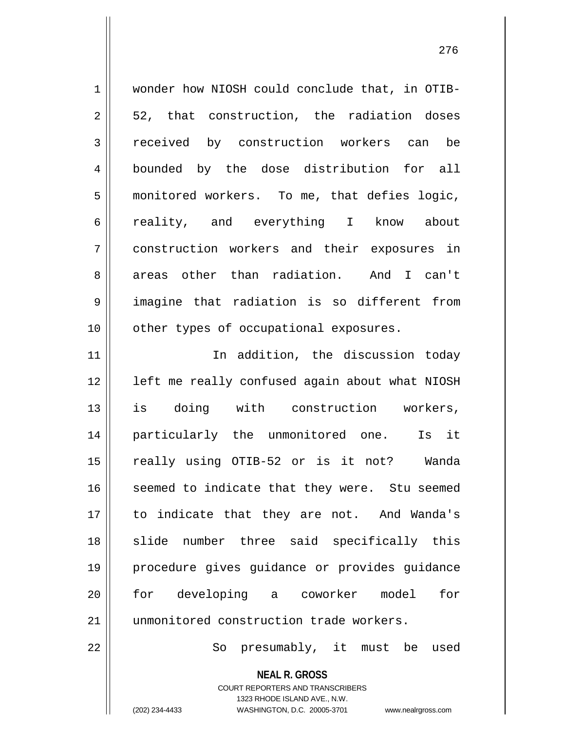1 wonder how NIOSH could conclude that, in OTIB- $2 \parallel 52$ , that construction, the radiation doses 3 || received by construction workers can be 4 || bounded by the dose distribution for all 5 monitored workers. To me, that defies logic, 6 || reality, and everything I know about 7 construction workers and their exposures in 8 areas other than radiation. And I can't 9 imagine that radiation is so different from 10 || other types of occupational exposures. 11 || The addition, the discussion today 12 || left me really confused again about what NIOSH

 is doing with construction workers, particularly the unmonitored one. Is it really using OTIB-52 or is it not? Wanda 16 || seemed to indicate that they were. Stu seemed to indicate that they are not. And Wanda's 18 || slide number three said specifically this procedure gives guidance or provides guidance for developing a coworker model for 21 || unmonitored construction trade workers.

22 || So presumably, it must be used

**NEAL R. GROSS** COURT REPORTERS AND TRANSCRIBERS

1323 RHODE ISLAND AVE., N.W.

(202) 234-4433 WASHINGTON, D.C. 20005-3701 www.nealrgross.com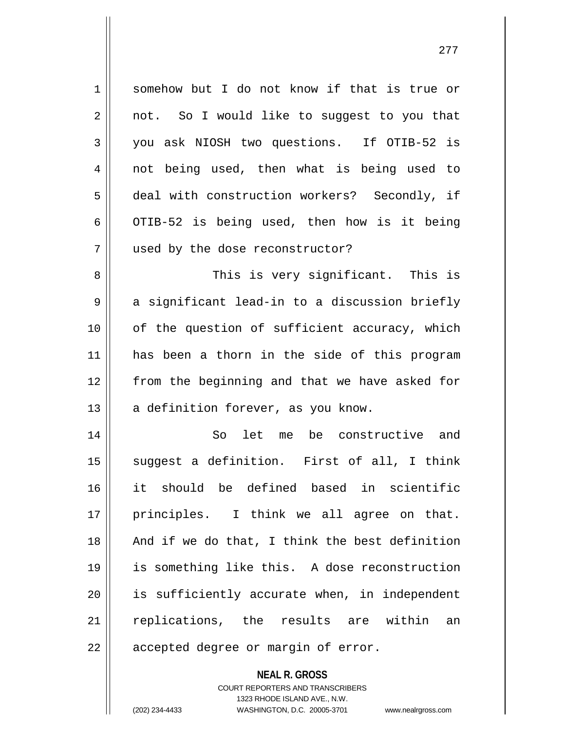1 somehow but I do not know if that is true or  $2 \parallel$  not. So I would like to suggest to you that 3 you ask NIOSH two questions. If OTIB-52 is 4 || not being used, then what is being used to 5 deal with construction workers? Secondly, if 6 | OTIB-52 is being used, then how is it being 7 used by the dose reconstructor? 8 This is very significant. This is  $9 \parallel$  a significant lead-in to a discussion briefly  $10$  | of the question of sufficient accuracy, which 11 || has been a thorn in the side of this program 12 from the beginning and that we have asked for  $13$  | a definition forever, as you know. 14 So let me be constructive and 15 || suggest a definition. First of all, I think 16 it should be defined based in scientific 17 || principles. I think we all agree on that. 18 || And if we do that, I think the best definition 19 is something like this. A dose reconstruction 20 || is sufficiently accurate when, in independent 21 || replications, the results are within an  $22$  || accepted degree or margin of error.

> **NEAL R. GROSS** COURT REPORTERS AND TRANSCRIBERS

1323 RHODE ISLAND AVE., N.W.

(202) 234-4433 WASHINGTON, D.C. 20005-3701 www.nealrgross.com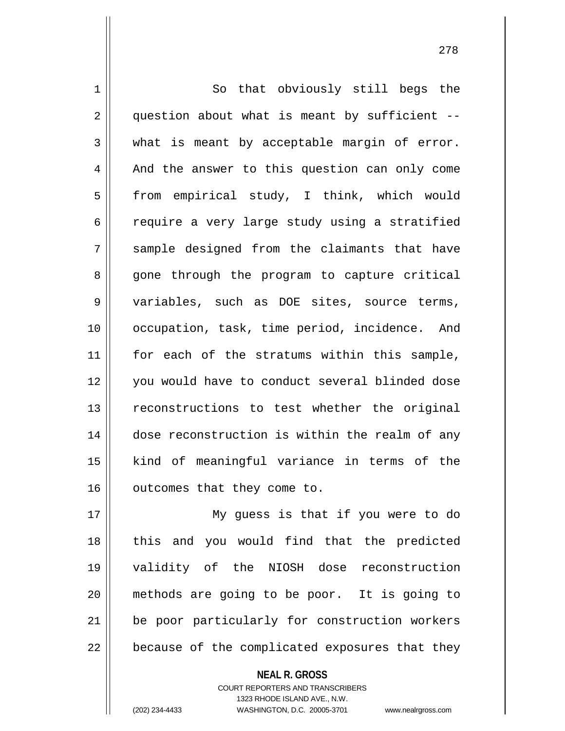1 || So that obviously still begs the  $2 \parallel$  question about what is meant by sufficient -- $3 \parallel$  what is meant by acceptable margin of error. 4 And the answer to this question can only come 5 | from empirical study, I think, which would  $6 \parallel$  require a very large study using a stratified 7 Sample designed from the claimants that have 8 gone through the program to capture critical 9 variables, such as DOE sites, source terms, 10 || occupation, task, time period, incidence. And 11 || for each of the stratums within this sample, 12 || vou would have to conduct several blinded dose 13 || reconstructions to test whether the original 14 dose reconstruction is within the realm of any 15 kind of meaningful variance in terms of the 16 | outcomes that they come to.

 My guess is that if you were to do 18 || this and you would find that the predicted validity of the NIOSH dose reconstruction methods are going to be poor. It is going to 21 || be poor particularly for construction workers  $\vert$  because of the complicated exposures that they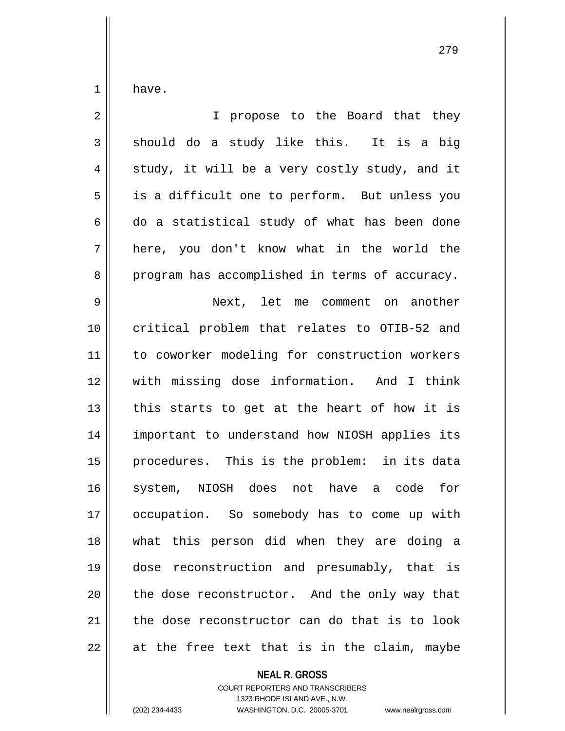$1 \parallel$  have.

 $\mathsf{I}$ 

| $\sqrt{2}$     | I propose to the Board that they               |
|----------------|------------------------------------------------|
| $\mathfrak{Z}$ | should do a study like this. It is a big       |
| 4              | study, it will be a very costly study, and it  |
| 5              | is a difficult one to perform. But unless you  |
| 6              | do a statistical study of what has been done   |
| 7              | here, you don't know what in the world the     |
| 8              | program has accomplished in terms of accuracy. |
| 9              | Next, let me comment on another                |
| 10             | critical problem that relates to OTIB-52 and   |
| 11             | to coworker modeling for construction workers  |
| 12             | with missing dose information. And I think     |
| 13             | this starts to get at the heart of how it is   |
| 14             | important to understand how NIOSH applies its  |
| 15             | procedures. This is the problem: in its data   |
| 16             | system, NIOSH does not have a code for         |
| 17             | occupation. So somebody has to come up with    |
| 18             | what this person did when they are doing a     |
| 19             | dose reconstruction and presumably, that is    |
| 20             | the dose reconstructor. And the only way that  |
| 21             | the dose reconstructor can do that is to look  |
| 22             | at the free text that is in the claim, maybe   |

**NEAL R. GROSS**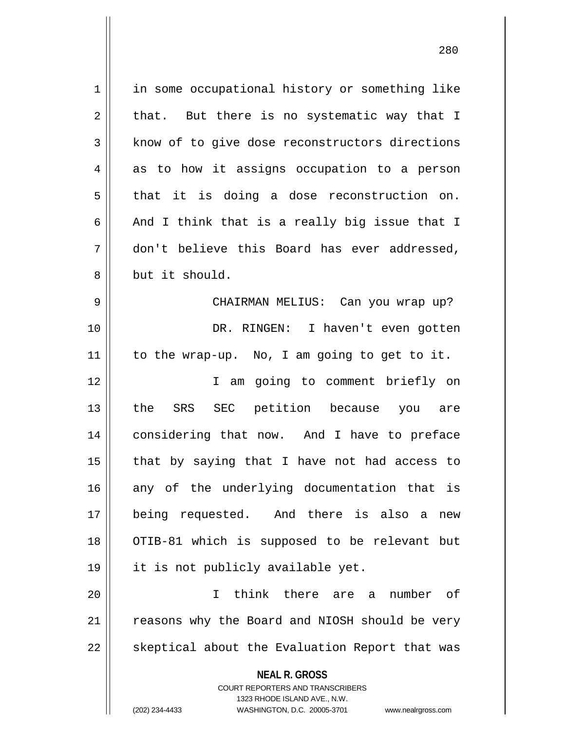| 1  | in some occupational history or something like                                                                                                                  |
|----|-----------------------------------------------------------------------------------------------------------------------------------------------------------------|
| 2  | that. But there is no systematic way that I                                                                                                                     |
| 3  | know of to give dose reconstructors directions                                                                                                                  |
| 4  | as to how it assigns occupation to a person                                                                                                                     |
| 5  | that it is doing a dose reconstruction on.                                                                                                                      |
| 6  | And I think that is a really big issue that I                                                                                                                   |
| 7  | don't believe this Board has ever addressed,                                                                                                                    |
| 8  | but it should.                                                                                                                                                  |
| 9  | CHAIRMAN MELIUS: Can you wrap up?                                                                                                                               |
| 10 | DR. RINGEN: I haven't even gotten                                                                                                                               |
| 11 | to the wrap-up. No, I am going to get to it.                                                                                                                    |
| 12 | I am going to comment briefly on                                                                                                                                |
| 13 | the SRS SEC petition because you are                                                                                                                            |
| 14 | considering that now. And I have to preface                                                                                                                     |
| 15 | that by saying that I have not had access to                                                                                                                    |
| 16 | any of the underlying documentation that is                                                                                                                     |
| 17 | being requested. And there is also a<br>new                                                                                                                     |
| 18 | OTIB-81 which is supposed to be relevant but                                                                                                                    |
| 19 | it is not publicly available yet.                                                                                                                               |
| 20 | think there are a<br>T<br>number of                                                                                                                             |
| 21 | reasons why the Board and NIOSH should be very                                                                                                                  |
| 22 | skeptical about the Evaluation Report that was                                                                                                                  |
|    | <b>NEAL R. GROSS</b><br>COURT REPORTERS AND TRANSCRIBERS<br>1323 RHODE ISLAND AVE., N.W.<br>(202) 234-4433<br>WASHINGTON, D.C. 20005-3701<br>www.nealrgross.com |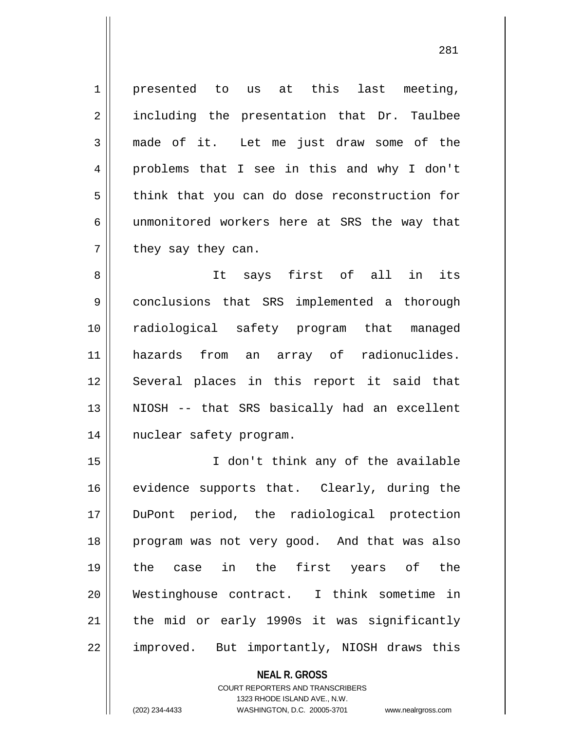$1 \parallel$  presented to us at this last meeting, 2 || including the presentation that Dr. Taulbee 3 made of it. Let me just draw some of the 4 problems that I see in this and why I don't  $5 \parallel$  think that you can do dose reconstruction for 6 unmonitored workers here at SRS the way that  $7 \parallel$  they say they can.

 It says first of all in its conclusions that SRS implemented a thorough radiological safety program that managed hazards from an array of radionuclides. 12 || Several places in this report it said that 13 || NIOSH -- that SRS basically had an excellent nuclear safety program.

 I don't think any of the available 16 || evidence supports that. Clearly, during the DuPont period, the radiological protection program was not very good. And that was also the case in the first years of the Westinghouse contract. I think sometime in 21 || the mid or early 1990s it was significantly 22 | improved. But importantly, NIOSH draws this

> **NEAL R. GROSS** COURT REPORTERS AND TRANSCRIBERS 1323 RHODE ISLAND AVE., N.W.

(202) 234-4433 WASHINGTON, D.C. 20005-3701 www.nealrgross.com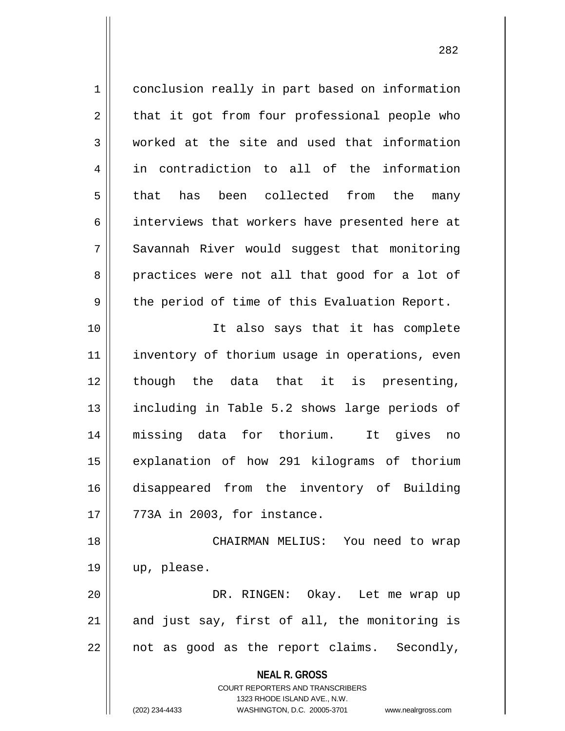1 | conclusion really in part based on information  $2 \parallel$  that it got from four professional people who 3 worked at the site and used that information 4 in contradiction to all of the information 5 that has been collected from the many 6 || interviews that workers have presented here at 7 Savannah River would suggest that monitoring 8 practices were not all that good for a lot of  $9 \parallel$  the period of time of this Evaluation Report. 10 It also says that it has complete

11 || inventory of thorium usage in operations, even 12 though the data that it is presenting, 13 || including in Table 5.2 shows large periods of 14 missing data for thorium. It gives no 15 explanation of how 291 kilograms of thorium 16 disappeared from the inventory of Building  $17 \parallel 773$ A in 2003, for instance.

18 CHAIRMAN MELIUS: You need to wrap 19 up, please. 20 DR. RINGEN: Okay. Let me wrap up

 $21$  and just say, first of all, the monitoring is  $22 \parallel$  not as good as the report claims. Secondly,

**NEAL R. GROSS**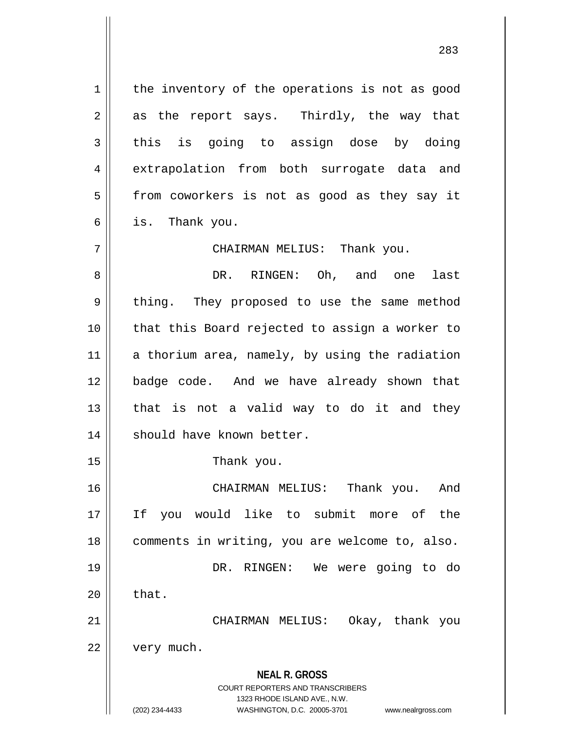**NEAL R. GROSS** COURT REPORTERS AND TRANSCRIBERS 1323 RHODE ISLAND AVE., N.W. (202) 234-4433 WASHINGTON, D.C. 20005-3701 www.nealrgross.com  $1 \parallel$  the inventory of the operations is not as good  $2 \parallel$  as the report says. Thirdly, the way that  $3 \parallel$  this is going to assign dose by doing 4 || extrapolation from both surrogate data and 5 | from coworkers is not as good as they say it  $6 \parallel$  is. Thank you. 7 CHAIRMAN MELIUS: Thank you. 8 || DR. RINGEN: Oh, and one last 9 || thing. They proposed to use the same method 10 that this Board rejected to assign a worker to  $11$  a thorium area, namely, by using the radiation 12 badge code. And we have already shown that  $13$  that is not a valid way to do it and they 14 || should have known better. 15 || Thank you. 16 CHAIRMAN MELIUS: Thank you. And 17 If you would like to submit more of the 18 comments in writing, you are welcome to, also. 19 DR. RINGEN: We were going to do  $20 \parallel$  that. 21 CHAIRMAN MELIUS: Okay, thank you 22 | very much.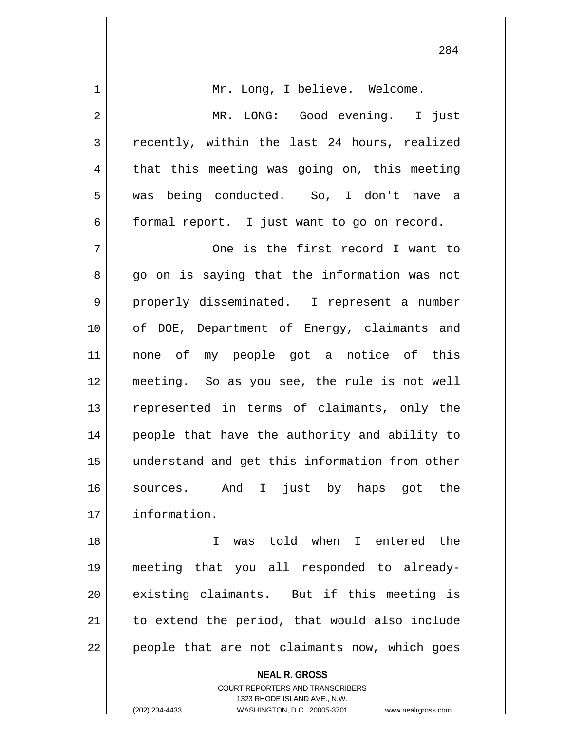| 1  | Mr. Long, I believe. Welcome.                  |
|----|------------------------------------------------|
| 2  | MR. LONG: Good evening. I just                 |
| 3  | recently, within the last 24 hours, realized   |
| 4  | that this meeting was going on, this meeting   |
| 5  | was being conducted. So, I don't have a        |
| 6  | formal report. I just want to go on record.    |
| 7  | One is the first record I want to              |
| 8  | go on is saying that the information was not   |
| 9  | properly disseminated. I represent a number    |
| 10 | of DOE, Department of Energy, claimants and    |
| 11 | none of my people got a notice of this         |
| 12 | meeting. So as you see, the rule is not well   |
| 13 | represented in terms of claimants, only the    |
| 14 | people that have the authority and ability to  |
| 15 | understand and get this information from other |
| 16 | sources. And I just by haps got the            |
| 17 | information.                                   |
| 18 | was told when I entered the<br>T.              |
| 19 | meeting that you all responded to already-     |
| 20 | existing claimants. But if this meeting is     |
| 21 | to extend the period, that would also include  |
| 22 | people that are not claimants now, which goes  |
|    | <b>NEAL R. GROSS</b>                           |

COURT REPORTERS AND TRANSCRIBERS 1323 RHODE ISLAND AVE., N.W.

(202) 234-4433 WASHINGTON, D.C. 20005-3701 www.nealrgross.com

 $\mathsf{I}$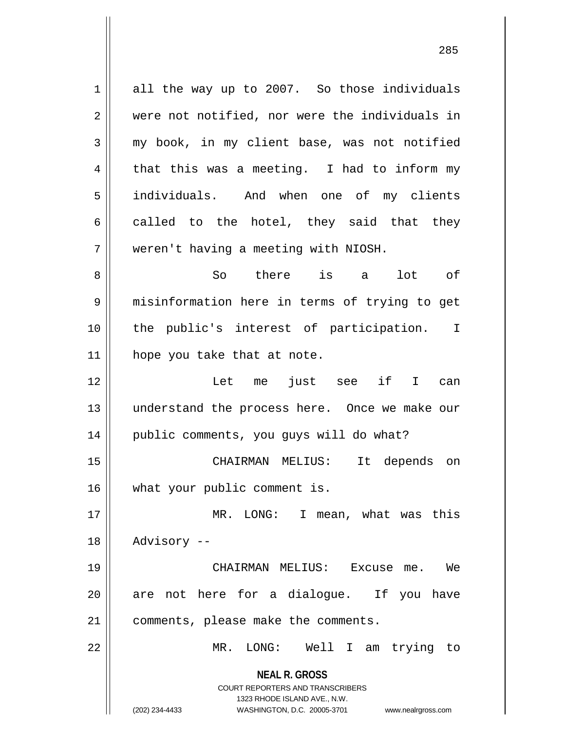**NEAL R. GROSS** COURT REPORTERS AND TRANSCRIBERS 1323 RHODE ISLAND AVE., N.W. (202) 234-4433 WASHINGTON, D.C. 20005-3701 www.nealrgross.com 1 all the way up to 2007. So those individuals 2 || were not notified, nor were the individuals in 3 my book, in my client base, was not notified  $4 \parallel$  that this was a meeting. I had to inform my 5 individuals. And when one of my clients  $6 \parallel$  called to the hotel, they said that they 7 weren't having a meeting with NIOSH. 8 So there is a lot of 9 misinformation here in terms of trying to get 10 the public's interest of participation. I  $11$  | hope you take that at note. 12 Let me just see if I can 13 understand the process here. Once we make our 14 | public comments, you guys will do what? 15 CHAIRMAN MELIUS: It depends on 16 || what your public comment is. 17 MR. LONG: I mean, what was this 18 || Advisory --19 CHAIRMAN MELIUS: Excuse me. We 20 || are not here for a dialoque. If you have 21 | comments, please make the comments. 22 MR. LONG: Well I am trying to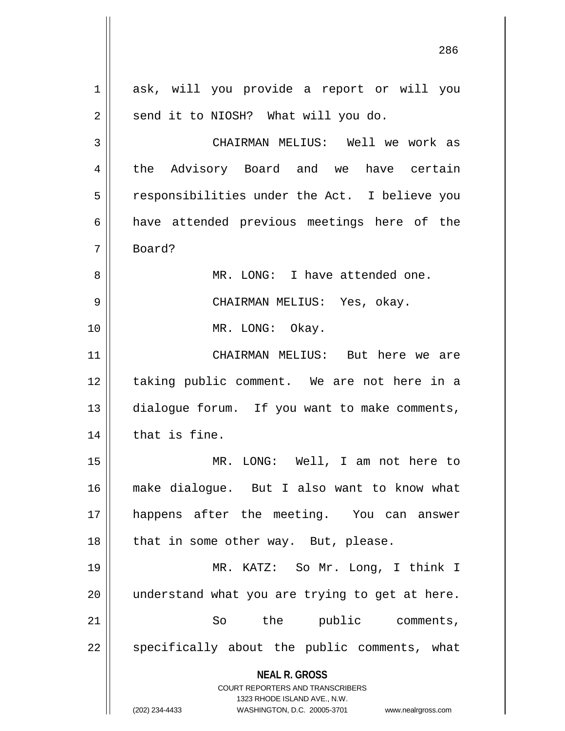**NEAL R. GROSS** COURT REPORTERS AND TRANSCRIBERS 1323 RHODE ISLAND AVE., N.W. (202) 234-4433 WASHINGTON, D.C. 20005-3701 www.nealrgross.com 1 ask, will you provide a report or will you  $2 \parallel$  send it to NIOSH? What will you do. 3 CHAIRMAN MELIUS: Well we work as 4 the Advisory Board and we have certain 5 | responsibilities under the Act. I believe you 6 aave attended previous meetings here of the 7 Board? 8 || MR. LONG: I have attended one. 9 CHAIRMAN MELIUS: Yes, okay. 10 || MR. LONG: Okay. 11 CHAIRMAN MELIUS: But here we are 12 || taking public comment. We are not here in a 13 | dialogue forum. If you want to make comments,  $14$  | that is fine. 15 MR. LONG: Well, I am not here to 16 make dialogue. But I also want to know what 17 happens after the meeting. You can answer  $18$  || that in some other way. But, please. 19 MR. KATZ: So Mr. Long, I think I  $20$  || understand what you are trying to get at here. 21 So the public comments, 22 || specifically about the public comments, what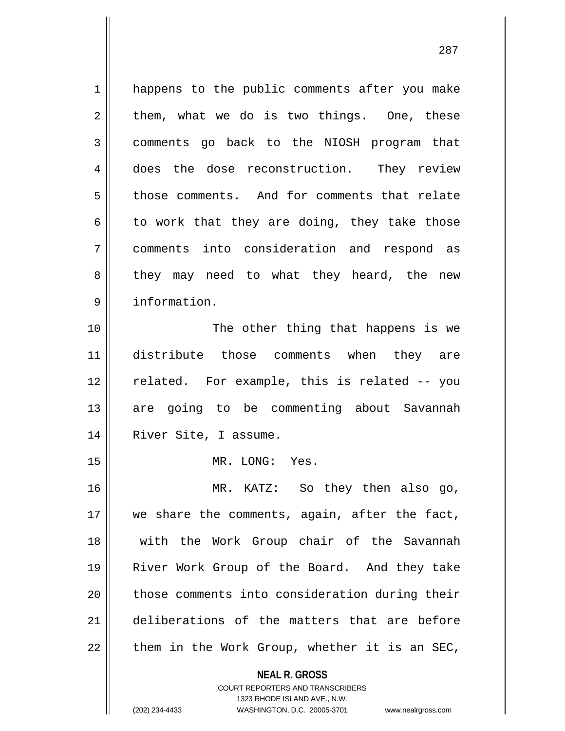**NEAL R. GROSS** 1 || happens to the public comments after you make  $2 \parallel$  them, what we do is two things. One, these 3 comments go back to the NIOSH program that 4 does the dose reconstruction. They review 5 | those comments. And for comments that relate  $6 \parallel$  to work that they are doing, they take those 7 comments into consideration and respond as 8 || they may need to what they heard, the new 9 information. 10 || The other thing that happens is we 11 distribute those comments when they are 12 || related. For example, this is related -- you 13 || are going to be commenting about Savannah 14 || River Site, I assume. 15 MR. LONG: Yes. 16 MR. KATZ: So they then also go, 17 || we share the comments, again, after the fact, 18 || with the Work Group chair of the Savannah 19 River Work Group of the Board. And they take 20 || those comments into consideration during their 21 deliberations of the matters that are before  $22$  | them in the Work Group, whether it is an SEC,

> COURT REPORTERS AND TRANSCRIBERS 1323 RHODE ISLAND AVE., N.W.

(202) 234-4433 WASHINGTON, D.C. 20005-3701 www.nealrgross.com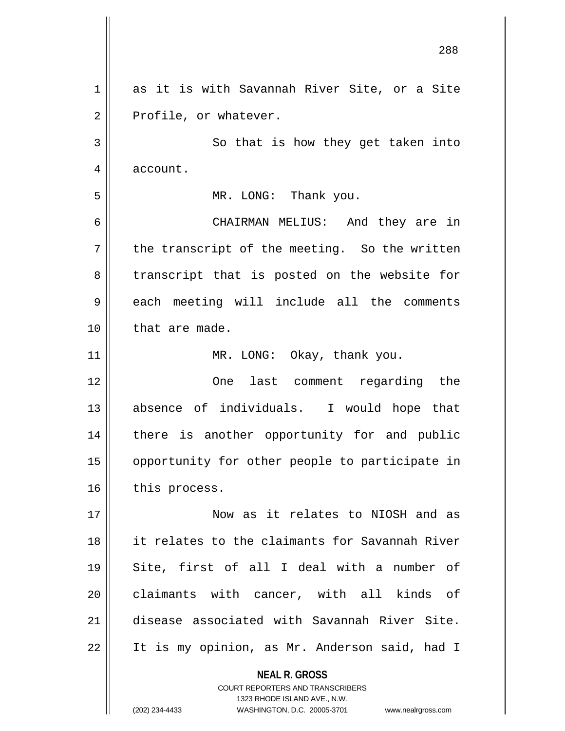**NEAL R. GROSS** COURT REPORTERS AND TRANSCRIBERS 1323 RHODE ISLAND AVE., N.W. 288 1 as it is with Savannah River Site, or a Site  $2 \parallel$  Profile, or whatever. 3 So that is how they get taken into 4 | account. 5 MR. LONG: Thank you. 6 CHAIRMAN MELIUS: And they are in  $7 \parallel$  the transcript of the meeting. So the written 8 || transcript that is posted on the website for 9 each meeting will include all the comments 10 || that are made. 11 || MR. LONG: Okay, thank you. 12 One last comment regarding the 13 absence of individuals. I would hope that 14 || there is another opportunity for and public 15 || opportunity for other people to participate in  $16$  | this process. 17 Now as it relates to NIOSH and as 18 it relates to the claimants for Savannah River 19 Site, first of all I deal with a number of 20 claimants with cancer, with all kinds of 21 disease associated with Savannah River Site. 22 It is my opinion, as Mr. Anderson said, had I

(202) 234-4433 WASHINGTON, D.C. 20005-3701 www.nealrgross.com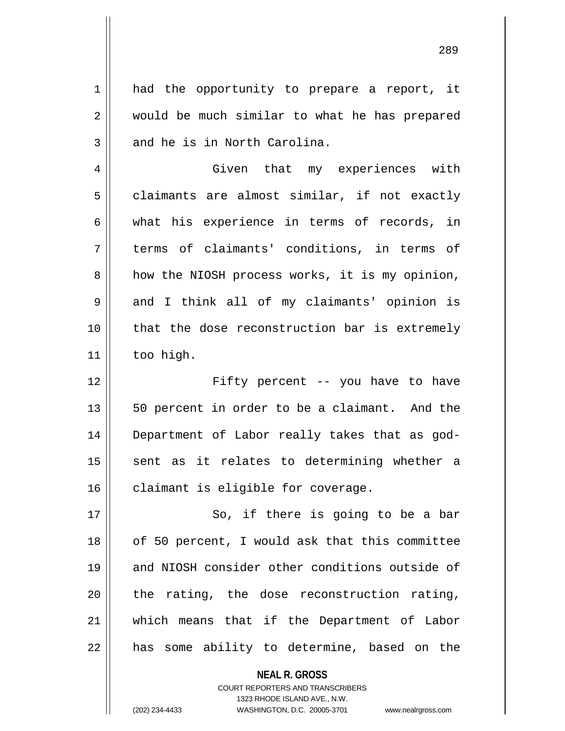1 || had the opportunity to prepare a report, it 2 || would be much similar to what he has prepared  $3 \parallel$  and he is in North Carolina. 4 | Given that my experiences with  $5 \parallel$  claimants are almost similar, if not exactly  $6 \parallel$  what his experience in terms of records, in 7 || terms of claimants' conditions, in terms of  $8 \parallel$  how the NIOSH process works, it is my opinion, 9 and I think all of my claimants' opinion is 10 || that the dose reconstruction bar is extremely  $11$  | too high. 12 Fifty percent -- you have to have 13 || 50 percent in order to be a claimant. And the 14 Department of Labor really takes that as god-

 $15$  sent as it relates to determining whether a  $16$  claimant is eligible for coverage.

17 || So, if there is going to be a bar || of 50 percent, I would ask that this committee and NIOSH consider other conditions outside of | the rating, the dose reconstruction rating, which means that if the Department of Labor || has some ability to determine, based on the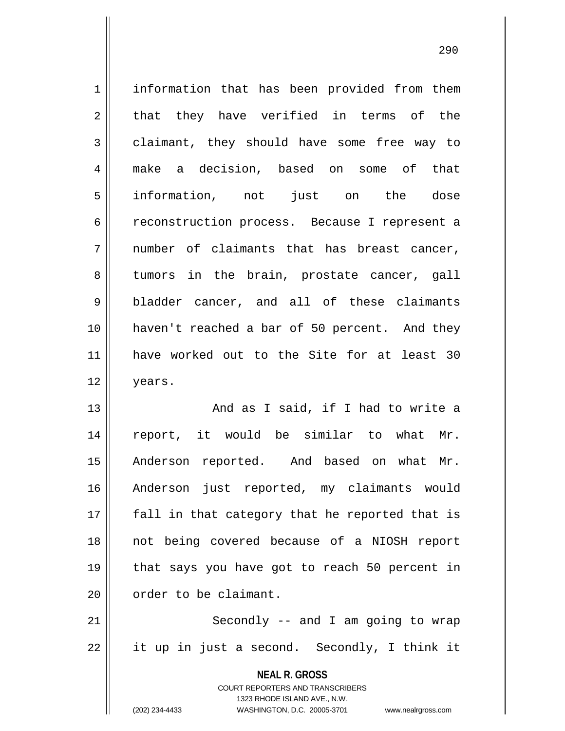**NEAL R. GROSS** 1 | information that has been provided from them  $2 \parallel$  that they have verified in terms of the 3 claimant, they should have some free way to 4 make a decision, based on some of that 5 information, not just on the dose 6 ceconstruction process. Because I represent a  $7 \parallel$  number of claimants that has breast cancer, 8 tumors in the brain, prostate cancer, gall 9 bladder cancer, and all of these claimants 10 || haven't reached a bar of 50 percent. And they 11 have worked out to the Site for at least 30 12 years. 13 || And as I said, if I had to write a 14 report, it would be similar to what Mr. 15 || Anderson reported. And based on what Mr. 16 Anderson just reported, my claimants would  $17$  || fall in that category that he reported that is 18 not being covered because of a NIOSH report 19 that says you have got to reach 50 percent in 20 | order to be claimant. 21 || Secondly -- and I am going to wrap  $22 \parallel$  it up in just a second. Secondly, I think it

> COURT REPORTERS AND TRANSCRIBERS 1323 RHODE ISLAND AVE., N.W.

(202) 234-4433 WASHINGTON, D.C. 20005-3701 www.nealrgross.com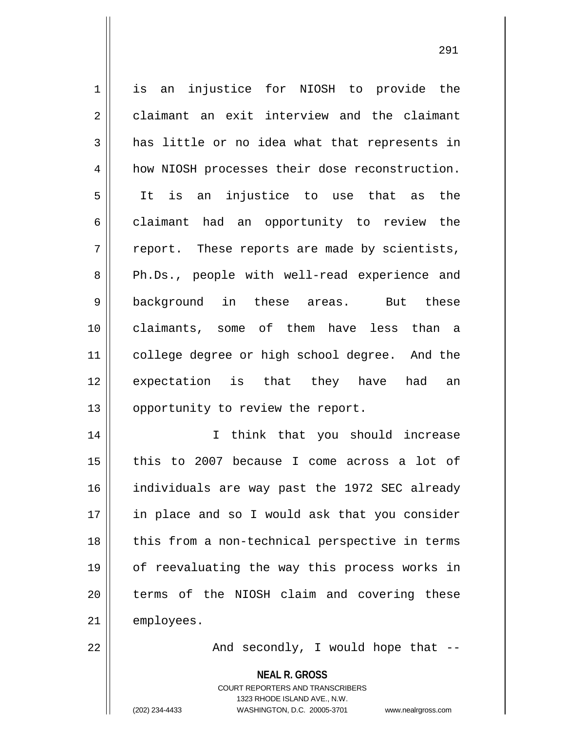1 || is an injustice for NIOSH to provide the 2 claimant an exit interview and the claimant  $3 \parallel$  has little or no idea what that represents in 4 | how NIOSH processes their dose reconstruction. 5 It is an injustice to use that as the  $6 \parallel$  claimant had an opportunity to review the  $7 \parallel$  report. These reports are made by scientists, 8 Ph.Ds., people with well-read experience and 9 background in these areas. But these 10 claimants, some of them have less than a 11 || college degree or high school degree. And the 12 expectation is that they have had an 13 | opportunity to review the report. 14 || I think that you should increase 15  $\parallel$  this to 2007 because I come across a lot of 16 individuals are way past the 1972 SEC already 17 || in place and so I would ask that you consider  $18$  || this from a non-technical perspective in terms 19 of reevaluating the way this process works in 20 || terms of the NIOSH claim and covering these 21 | employees. 22 And secondly, I would hope that --

**NEAL R. GROSS**

COURT REPORTERS AND TRANSCRIBERS 1323 RHODE ISLAND AVE., N.W. (202) 234-4433 WASHINGTON, D.C. 20005-3701 www.nealrgross.com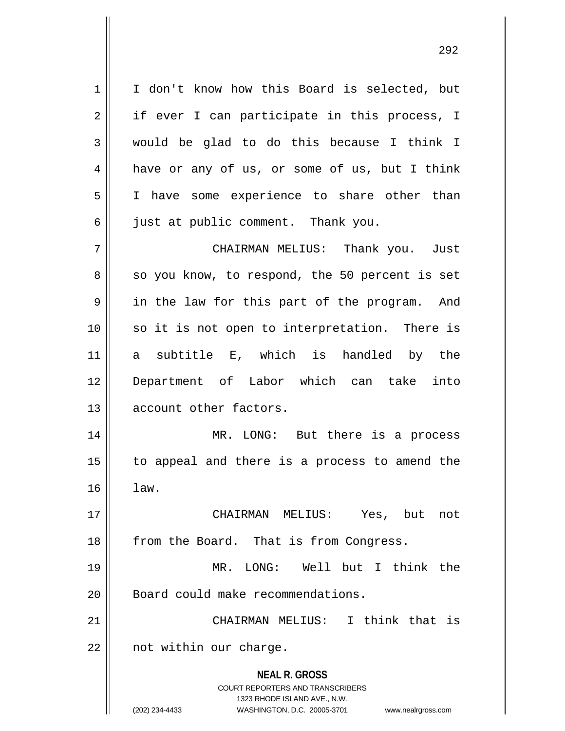1 | I don't know how this Board is selected, but  $2 \parallel$  if ever I can participate in this process, I 3 would be glad to do this because I think I 4 | have or any of us, or some of us, but I think 5 I have some experience to share other than  $6 \parallel$  just at public comment. Thank you. 7 CHAIRMAN MELIUS: Thank you. Just  $8 \parallel$  so you know, to respond, the 50 percent is set  $9 \parallel$  in the law for this part of the program. And 10 || so it is not open to interpretation. There is 11 a subtitle E, which is handled by the 12 Department of Labor which can take into 13 **d** account other factors. 14 MR. LONG: But there is a process 15 to appeal and there is a process to amend the  $16 \parallel$  law. 17 CHAIRMAN MELIUS: Yes, but not 18 || from the Board. That is from Congress. 19 MR. LONG: Well but I think the 20 | Board could make recommendations.

21 CHAIRMAN MELIUS: I think that is  $22$  | not within our charge.

> **NEAL R. GROSS** COURT REPORTERS AND TRANSCRIBERS 1323 RHODE ISLAND AVE., N.W. (202) 234-4433 WASHINGTON, D.C. 20005-3701 www.nealrgross.com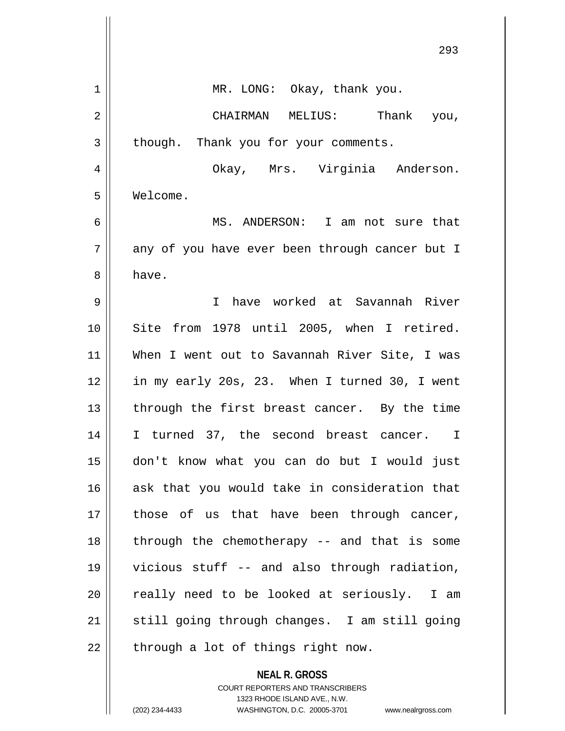|    | 293                                            |
|----|------------------------------------------------|
| 1  | MR. LONG: Okay, thank you.                     |
| 2  | CHAIRMAN MELIUS: Thank you,                    |
| 3  | though. Thank you for your comments.           |
| 4  | Okay, Mrs. Virginia Anderson.                  |
| 5  | Welcome.                                       |
| 6  | MS. ANDERSON: I am not sure that               |
| 7  | any of you have ever been through cancer but I |
| 8  | have.                                          |
| 9  | have worked at Savannah River<br>$\mathbf I$   |
| 10 | Site from 1978 until 2005, when I retired.     |
| 11 | When I went out to Savannah River Site, I was  |
| 12 | in my early 20s, 23. When I turned 30, I went  |
| 13 | through the first breast cancer. By the time   |
| 14 | I turned 37, the second breast cancer. I       |
| 15 | don't know what you can do but I would just    |
| 16 | ask that you would take in consideration that  |
| 17 | those of us that have been through cancer,     |
| 18 | through the chemotherapy -- and that is some   |
| 19 | vicious stuff -- and also through radiation,   |
| 20 | really need to be looked at seriously. I am    |
| 21 | still going through changes. I am still going  |
| 22 | through a lot of things right now.             |
|    | <b>NEAL R. GROSS</b>                           |

COURT REPORTERS AND TRANSCRIBERS 1323 RHODE ISLAND AVE., N.W.

 $\mathsf{II}$ 

 $\mathsf{I}$ 

(202) 234-4433 WASHINGTON, D.C. 20005-3701 www.nealrgross.com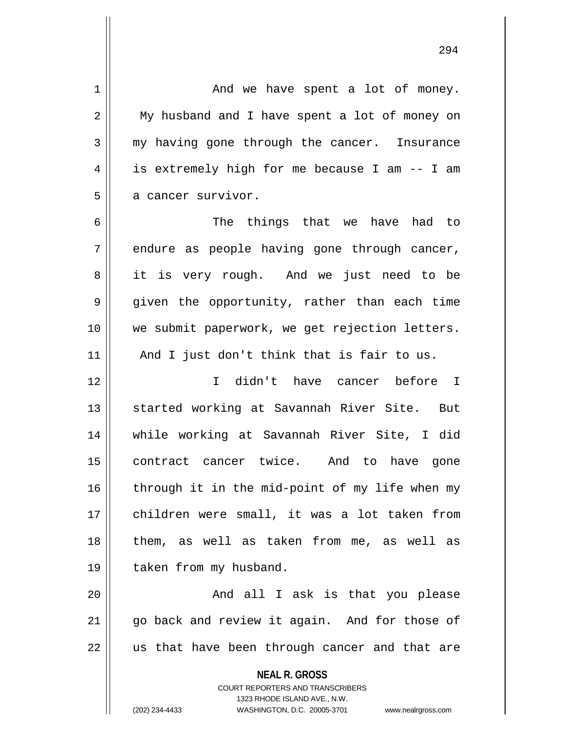| $\mathbf 1$    | And we have spent a lot of money.                                   |
|----------------|---------------------------------------------------------------------|
| $\overline{2}$ | My husband and I have spent a lot of money on                       |
| 3              | my having gone through the cancer. Insurance                        |
| 4              | is extremely high for me because I am -- I am                       |
| 5              | a cancer survivor.                                                  |
| 6              | The things that we have had to                                      |
| 7              | endure as people having gone through cancer,                        |
| 8              | it is very rough. And we just need to be                            |
| 9              | given the opportunity, rather than each time                        |
| 10             | we submit paperwork, we get rejection letters.                      |
| 11             | And I just don't think that is fair to us.                          |
| 12             | I didn't have cancer before I                                       |
| 13             | started working at Savannah River Site. But                         |
| 14             | while working at Savannah River Site, I did                         |
| 15             | contract cancer twice. And to have gone                             |
| 16             | through it in the mid-point of my life when my                      |
| 17             | children were small, it was a lot taken from                        |
| 18             | them, as well as taken from me, as well as                          |
| 19             | taken from my husband.                                              |
| 20             | And all I ask is that you please                                    |
| 21             | go back and review it again. And for those of                       |
| 22             | us that have been through cancer and that are                       |
|                | <b>NEAL R. GROSS</b>                                                |
|                | <b>COURT REPORTERS AND TRANSCRIBERS</b>                             |
|                | 1323 RHODE ISLAND AVE., N.W.                                        |
|                | (202) 234-4433<br>WASHINGTON, D.C. 20005-3701<br>www.nealrgross.com |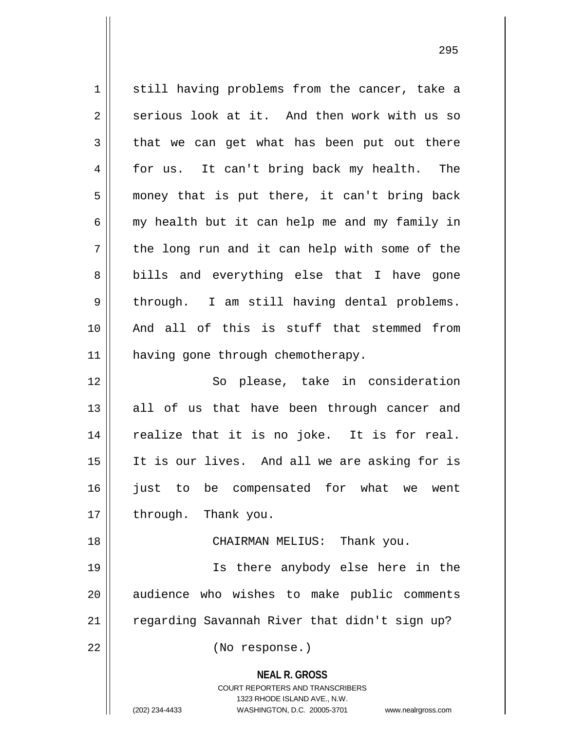**NEAL R. GROSS** COURT REPORTERS AND TRANSCRIBERS 1323 RHODE ISLAND AVE., N.W. (202) 234-4433 WASHINGTON, D.C. 20005-3701 www.nealrgross.com 1 || still having problems from the cancer, take a  $2 \parallel$  serious look at it. And then work with us so  $3 \parallel$  that we can get what has been put out there 4 for us. It can't bring back my health. The 5 || money that is put there, it can't bring back  $6 \parallel$  my health but it can help me and my family in  $7 \parallel$  the long run and it can help with some of the 8 || bills and everything else that I have gone  $9 \parallel$  through. I am still having dental problems. 10 And all of this is stuff that stemmed from 11 | having gone through chemotherapy. 12 So please, take in consideration  $13$  all of us that have been through cancer and  $14$  realize that it is no joke. It is for real. 15 It is our lives. And all we are asking for is 16 iust to be compensated for what we went  $17$  | through. Thank you. 18 CHAIRMAN MELIUS: Thank you. 19 Is there anybody else here in the 20 || audience who wishes to make public comments 21 | regarding Savannah River that didn't sign up? 22 || (No response.)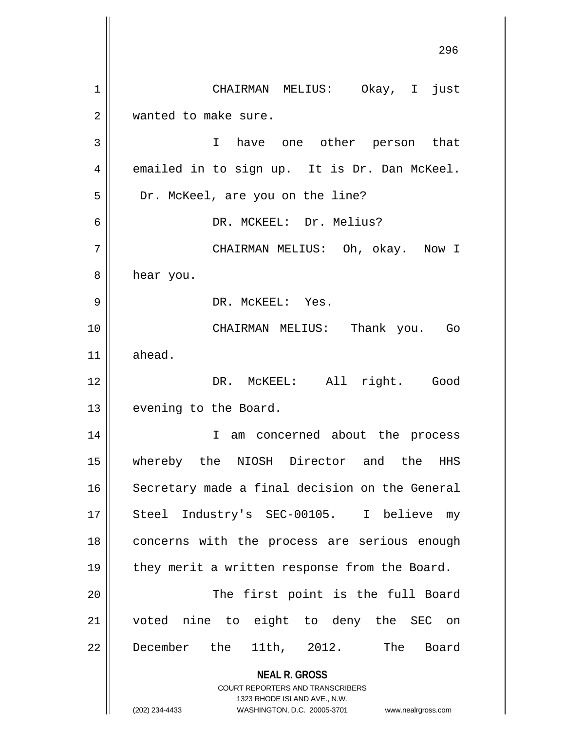**NEAL R. GROSS** COURT REPORTERS AND TRANSCRIBERS 1323 RHODE ISLAND AVE., N.W. (202) 234-4433 WASHINGTON, D.C. 20005-3701 www.nealrgross.com 1 CHAIRMAN MELIUS: Okay, I just 2 | wanted to make sure. 3 I have one other person that  $4 \parallel$  emailed in to sign up. It is Dr. Dan McKeel. 5 | Dr. McKeel, are you on the line? 6 DR. MCKEEL: Dr. Melius? 7 CHAIRMAN MELIUS: Oh, okay. Now I 8 | hear you. 9 DR. McKEEL: Yes. 10 CHAIRMAN MELIUS: Thank you. Go 11 ahead. 12 || DR. McKEEL: All right. Good 13 | evening to the Board. 14 || I am concerned about the process 15 whereby the NIOSH Director and the HHS 16 | Secretary made a final decision on the General 17 || Steel Industry's SEC-00105. I believe my 18 || concerns with the process are serious enough 19 || they merit a written response from the Board. 20 || The first point is the full Board 21 voted nine to eight to deny the SEC on 22 December the 11th, 2012. The Board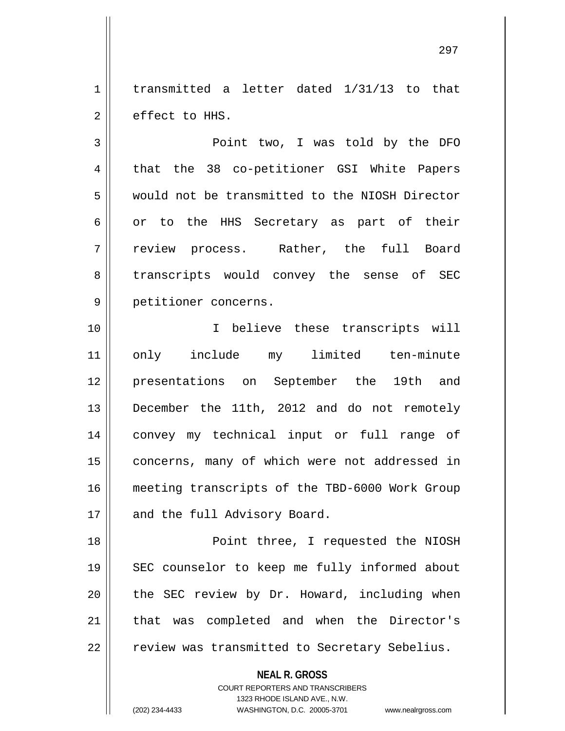$1 \parallel$  transmitted a letter dated  $1/31/13$  to that  $2 \parallel$  effect to HHS.

3 Point two, I was told by the DFO 4 || that the 38 co-petitioner GSI White Papers 5 would not be transmitted to the NIOSH Director  $6 \parallel$  or to the HHS Secretary as part of their 7 review process. Rather, the full Board 8 || transcripts would convey the sense of SEC 9 petitioner concerns.

10 || T believe these transcripts will 11 only include my limited ten-minute 12 presentations on September the 19th and 13 December the 11th, 2012 and do not remotely 14 convey my technical input or full range of 15 || concerns, many of which were not addressed in 16 meeting transcripts of the TBD-6000 Work Group 17 || and the full Advisory Board.

 Point three, I requested the NIOSH SEC counselor to keep me fully informed about | the SEC review by Dr. Howard, including when 21 || that was completed and when the Director's | review was transmitted to Secretary Sebelius.

**NEAL R. GROSS**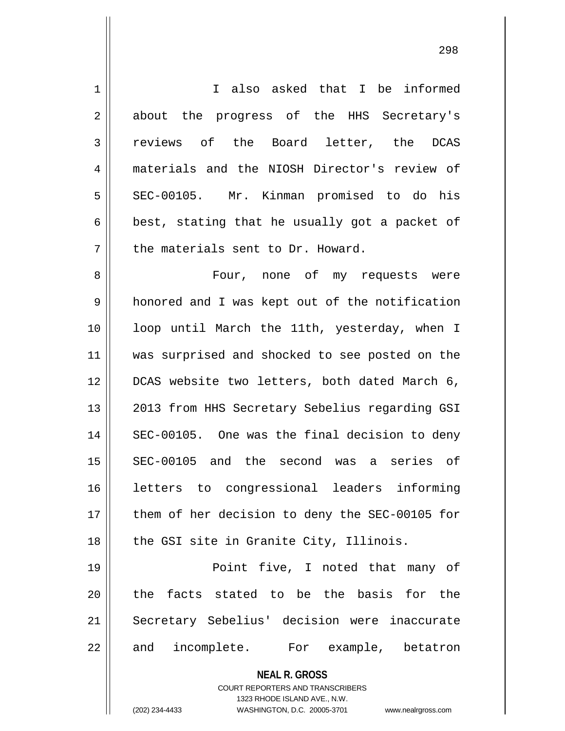| $\mathbf 1$ | I also asked that I be informed                                                                                                                                     |
|-------------|---------------------------------------------------------------------------------------------------------------------------------------------------------------------|
| 2           | about the progress of the HHS Secretary's                                                                                                                           |
| 3           | reviews<br>of the Board letter, the DCAS                                                                                                                            |
| 4           | materials and the NIOSH Director's review of                                                                                                                        |
| 5           | SEC-00105. Mr. Kinman promised to do his                                                                                                                            |
| 6           | best, stating that he usually got a packet of                                                                                                                       |
| 7           | the materials sent to Dr. Howard.                                                                                                                                   |
| 8           | Four, none of my requests were                                                                                                                                      |
| 9           | honored and I was kept out of the notification                                                                                                                      |
| 10          | loop until March the 11th, yesterday, when I                                                                                                                        |
| 11          | was surprised and shocked to see posted on the                                                                                                                      |
| 12          | DCAS website two letters, both dated March 6,                                                                                                                       |
| 13          | 2013 from HHS Secretary Sebelius regarding GSI                                                                                                                      |
| 14          | SEC-00105. One was the final decision to deny                                                                                                                       |
| 15          | SEC-00105 and the second was a series of                                                                                                                            |
| 16          | letters to congressional leaders informing                                                                                                                          |
| 17          | them of her decision to deny the SEC-00105 for                                                                                                                      |
| 18          | the GSI site in Granite City, Illinois.                                                                                                                             |
| 19          | Point five, I noted that many of                                                                                                                                    |
| 20          | the facts stated to be the basis for the                                                                                                                            |
| 21          | Secretary Sebelius' decision were inaccurate                                                                                                                        |
| 22          | and incomplete. For example, betatron                                                                                                                               |
|             | <b>NEAL R. GROSS</b><br><b>COURT REPORTERS AND TRANSCRIBERS</b><br>1323 RHODE ISLAND AVE., N.W.<br>(202) 234-4433<br>WASHINGTON, D.C. 20005-3701 www.nealrgross.com |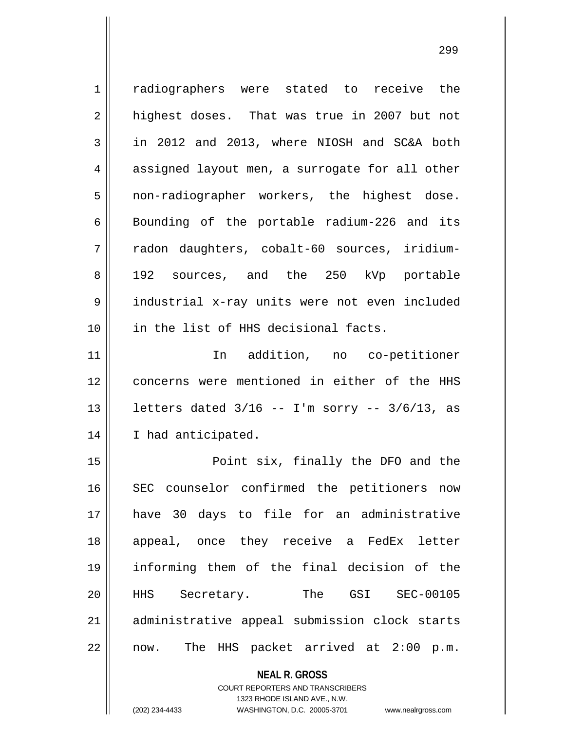**NEAL R. GROSS** COURT REPORTERS AND TRANSCRIBERS 1 || radiographers were stated to receive the  $2 \parallel$  highest doses. That was true in 2007 but not  $3 \parallel$  in 2012 and 2013, where NIOSH and SC&A both 4 || assigned layout men, a surrogate for all other 5 || non-radiographer workers, the highest dose.  $6 \parallel$  Bounding of the portable radium-226 and its 7 || radon daughters, cobalt-60 sources, iridium-8 192 sources, and the 250 kVp portable 9 industrial x-ray units were not even included 10 in the list of HHS decisional facts. 11 In addition, no co-petitioner 12 || concerns were mentioned in either of the HHS 13  $\vert$  letters dated  $3/16$  -- I'm sorry --  $3/6/13$ , as 14 || I had anticipated. 15 Point six, finally the DFO and the 16 || SEC counselor confirmed the petitioners now 17 have 30 days to file for an administrative 18 || appeal, once they receive a FedEx letter 19 informing them of the final decision of the 20 HHS Secretary. The GSI SEC-00105 21 || administrative appeal submission clock starts 22 || now. The HHS packet arrived at 2:00 p.m.

1323 RHODE ISLAND AVE., N.W.

(202) 234-4433 WASHINGTON, D.C. 20005-3701 www.nealrgross.com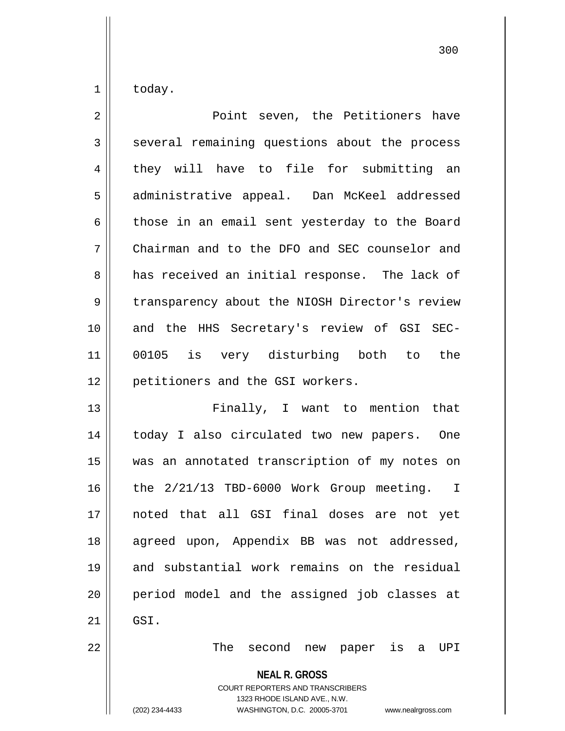$1 \parallel$  today.

| $\overline{2}$ | Point seven, the Petitioners have              |
|----------------|------------------------------------------------|
| 3              | several remaining questions about the process  |
| 4              | they will have to file for submitting an       |
| 5              | administrative appeal. Dan McKeel addressed    |
| 6              | those in an email sent yesterday to the Board  |
| 7              | Chairman and to the DFO and SEC counselor and  |
| 8              | has received an initial response. The lack of  |
| 9              | transparency about the NIOSH Director's review |
| 10             | and the HHS Secretary's review of GSI SEC-     |
| 11             | 00105 is very disturbing both to<br>the        |
| 12             | petitioners and the GSI workers.               |
| 13             | Finally, I want to mention that                |
| 14             | today I also circulated two new papers. One    |
| 15             | was an annotated transcription of my notes on  |
| 16             | the 2/21/13 TBD-6000 Work Group meeting. I     |
| 17             | noted that all GSI final doses are not yet     |
| 18             | agreed upon, Appendix BB was not addressed,    |
| 19             | and substantial work remains on the residual   |
| 20             | period model and the assigned job classes at   |
| 21             | GSI.                                           |
| $\cap$         |                                                |

The second new paper is a UPI

**NEAL R. GROSS**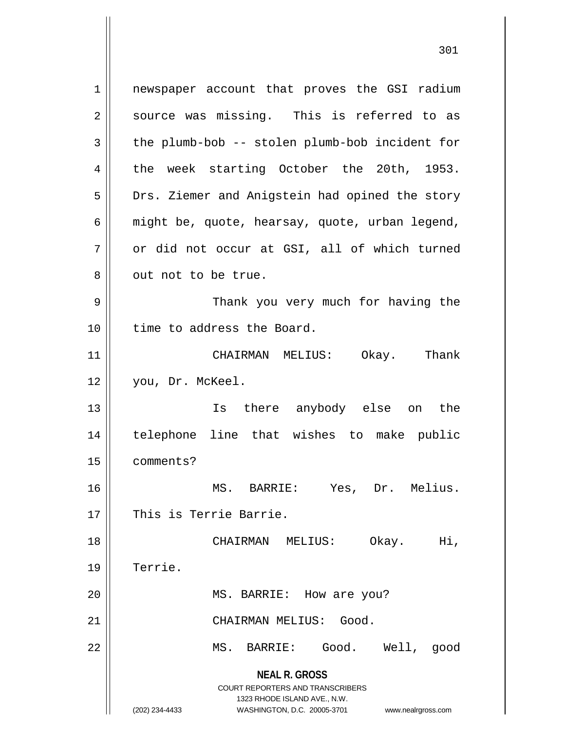**NEAL R. GROSS** COURT REPORTERS AND TRANSCRIBERS 1323 RHODE ISLAND AVE., N.W. (202) 234-4433 WASHINGTON, D.C. 20005-3701 www.nealrgross.com 1 || newspaper account that proves the GSI radium  $2 \parallel$  source was missing. This is referred to as  $3 \parallel$  the plumb-bob -- stolen plumb-bob incident for 4 the week starting October the 20th, 1953. 5 | Drs. Ziemer and Anigstein had opined the story 6  $\parallel$  might be, quote, hearsay, quote, urban legend,  $7 \parallel$  or did not occur at GSI, all of which turned 8 || out not to be true. 9 Thank you very much for having the 10 || time to address the Board. 11 CHAIRMAN MELIUS: Okay. Thank 12 you, Dr. McKeel. 13 Is there anybody else on the 14 telephone line that wishes to make public 15 comments? 16 MS. BARRIE: Yes, Dr. Melius. 17 || This is Terrie Barrie. 18 CHAIRMAN MELIUS: Okay. Hi, 19 Terrie. 20 || MS. BARRIE: How are you? 21 CHAIRMAN MELIUS: Good. 22 MS. BARRIE: Good. Well, good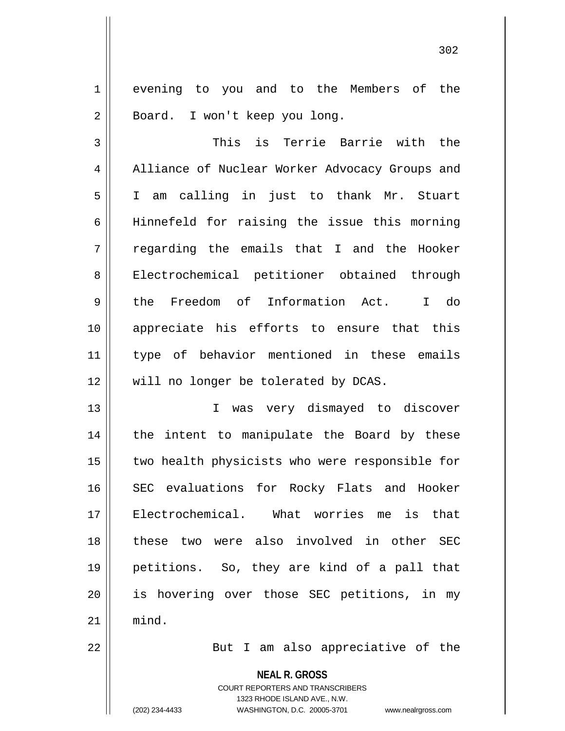1 || evening to you and to the Members of the 2 | Board. I won't keep you long.

3 This is Terrie Barrie with the 4 || Alliance of Nuclear Worker Advocacy Groups and 5 I am calling in just to thank Mr. Stuart 6 || Hinnefeld for raising the issue this morning  $7 \parallel$  regarding the emails that I and the Hooker 8 || Electrochemical petitioner obtained through 9 the Freedom of Information Act. I do 10 appreciate his efforts to ensure that this 11 type of behavior mentioned in these emails 12 || will no longer be tolerated by DCAS.

13 || T was very dismayed to discover  $14$  | the intent to manipulate the Board by these 15 || two health physicists who were responsible for 16 SEC evaluations for Rocky Flats and Hooker 17 Electrochemical. What worries me is that 18 these two were also involved in other SEC 19 petitions. So, they are kind of a pall that 20 || is hovering over those SEC petitions, in my  $21$  mind.

22 || But I am also appreciative of the

**NEAL R. GROSS**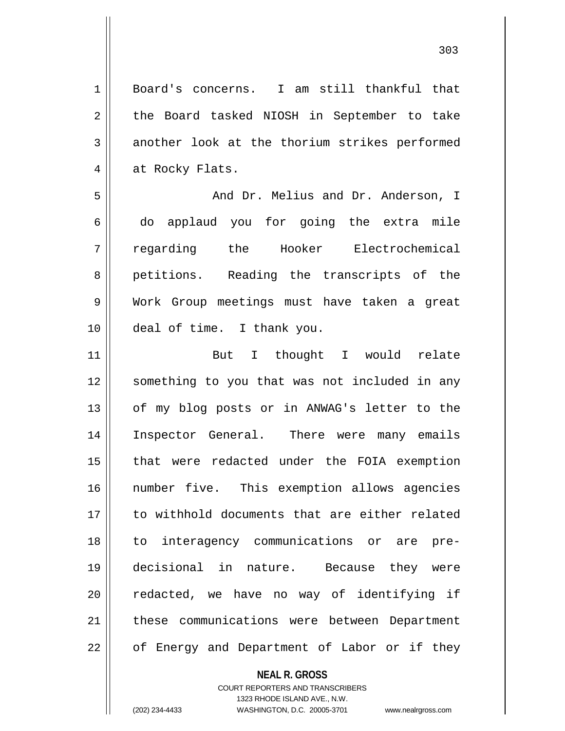Board's concerns. I am still thankful that 2 || the Board tasked NIOSH in September to take  $3 \parallel$  another look at the thorium strikes performed 4 | at Rocky Flats. And Dr. Melius and Dr. Anderson, I do applaud you for going the extra mile regarding the Hooker Electrochemical 8 || petitions. Reading the transcripts of the Work Group meetings must have taken a great deal of time. I thank you. But I thought I would relate something to you that was not included in any 13 || of my blog posts or in ANWAG's letter to the Inspector General. There were many emails 15 || that were redacted under the FOIA exemption number five. This exemption allows agencies to withhold documents that are either related to interagency communications or are pre- decisional in nature. Because they were 20 || redacted, we have no way of identifying if 21 || these communications were between Department | of Energy and Department of Labor or if they

**NEAL R. GROSS**

COURT REPORTERS AND TRANSCRIBERS 1323 RHODE ISLAND AVE., N.W. (202) 234-4433 WASHINGTON, D.C. 20005-3701 www.nealrgross.com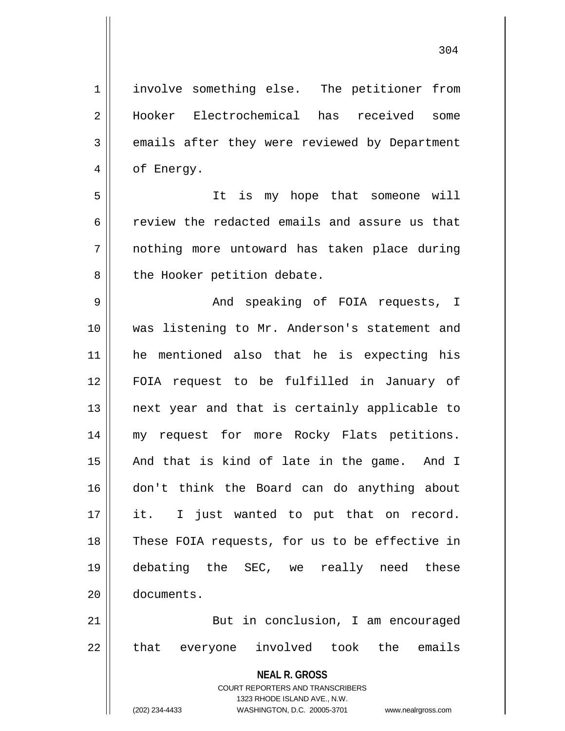1 | involve something else. The petitioner from 2 Hooker Electrochemical has received some 3 emails after they were reviewed by Department 4 | of Energy.

5 It is my hope that someone will 6 review the redacted emails and assure us that 7 nothing more untoward has taken place during 8 || the Hooker petition debate.

 And speaking of FOIA requests, I was listening to Mr. Anderson's statement and he mentioned also that he is expecting his FOIA request to be fulfilled in January of 13 || next year and that is certainly applicable to my request for more Rocky Flats petitions. 15 || And that is kind of late in the game. And I don't think the Board can do anything about 17 || it. I just wanted to put that on record. 18 || These FOIA requests, for us to be effective in debating the SEC, we really need these documents.

21 || But in conclusion, I am encouraged 22 || that everyone involved took the emails

> **NEAL R. GROSS** COURT REPORTERS AND TRANSCRIBERS 1323 RHODE ISLAND AVE., N.W. (202) 234-4433 WASHINGTON, D.C. 20005-3701 www.nealrgross.com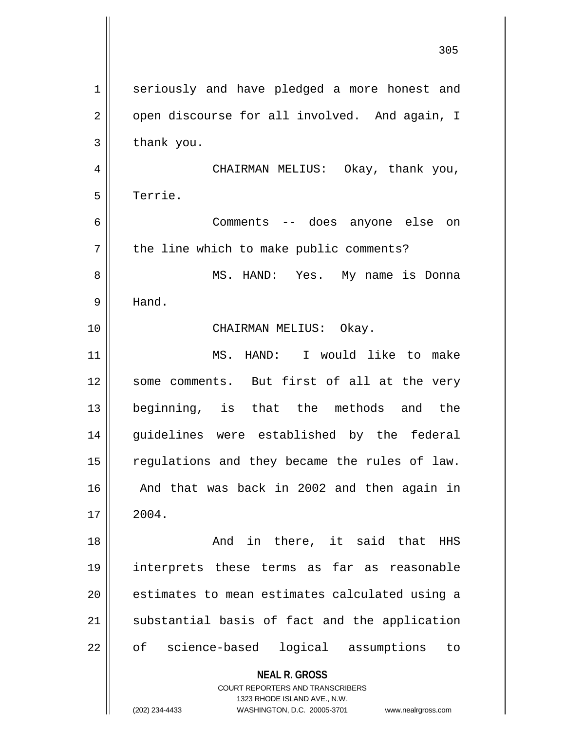| $\mathbf 1$ | seriously and have pledged a more honest and                        |
|-------------|---------------------------------------------------------------------|
| 2           | open discourse for all involved. And again, I                       |
| 3           | thank you.                                                          |
| 4           | CHAIRMAN MELIUS: Okay, thank you,                                   |
| 5           | Terrie.                                                             |
| 6           | Comments -- does anyone else on                                     |
| 7           | the line which to make public comments?                             |
| 8           | MS. HAND: Yes.<br>My name is Donna                                  |
| 9           | Hand.                                                               |
| 10          | CHAIRMAN MELIUS: Okay.                                              |
| 11          | MS. HAND: I would like to make                                      |
| 12          | some comments. But first of all at the very                         |
| 13          | beginning, is that the methods and the                              |
| 14          | guidelines were established by the federal                          |
| 15          | regulations and they became the rules of law.                       |
| 16          | And that was back in 2002 and then again in                         |
| 17          | 2004.                                                               |
| 18          | And in there, it said that<br>HHS                                   |
| 19          | interprets these terms as far as reasonable                         |
| 20          | estimates to mean estimates calculated using a                      |
| 21          | substantial basis of fact and the application                       |
| 22          | of science-based logical assumptions to                             |
|             | <b>NEAL R. GROSS</b><br><b>COURT REPORTERS AND TRANSCRIBERS</b>     |
|             | 1323 RHODE ISLAND AVE., N.W.                                        |
|             | (202) 234-4433<br>WASHINGTON, D.C. 20005-3701<br>www.nealrgross.com |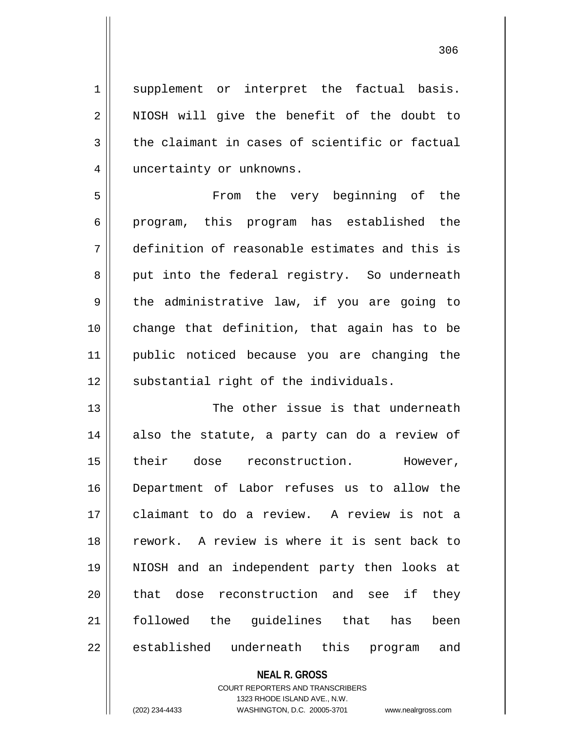1 || supplement or interpret the factual basis. 2 || NIOSH will give the benefit of the doubt to  $3 \parallel$  the claimant in cases of scientific or factual 4 | uncertainty or unknowns.

5 || From the very beginning of the 6 || program, this program has established the 7 definition of reasonable estimates and this is 8 || put into the federal registry. So underneath  $9 \parallel$  the administrative law, if you are going to 10 change that definition, that again has to be 11 public noticed because you are changing the 12 || substantial right of the individuals.

13  $\parallel$  The other issue is that underneath 14 also the statute, a party can do a review of 15 || their dose reconstruction. However, 16 Department of Labor refuses us to allow the 17 claimant to do a review. A review is not a 18 rework. A review is where it is sent back to 19 NIOSH and an independent party then looks at 20 || that dose reconstruction and see if they 21 followed the guidelines that has been 22 || established underneath this program and

## **NEAL R. GROSS**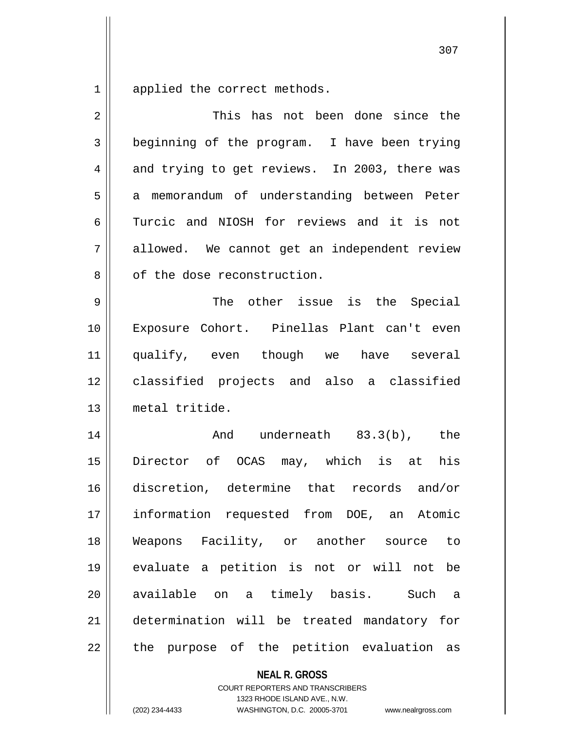1 applied the correct methods.

| $\overline{2}$ | This has not been done since the               |
|----------------|------------------------------------------------|
| 3              | beginning of the program. I have been trying   |
| 4              | and trying to get reviews. In 2003, there was  |
| 5              | memorandum of understanding between Peter<br>a |
| 6              | Turcic and NIOSH for reviews and it is not     |
| 7              | allowed. We cannot get an independent review   |
| 8              | of the dose reconstruction.                    |
| 9              | The other issue is the Special                 |
| 10             | Exposure Cohort. Pinellas Plant can't even     |
| 11             | qualify, even though we have several           |
| 12             | classified projects and also a classified      |
| 13             | metal tritide.                                 |
| 14             | And underneath 83.3(b), the                    |
| 15             | Director of OCAS may, which is at his          |
| 16             | discretion, determine that records and/or      |
| 17             | information requested from DOE, an Atomic      |
| 18             | Weapons Facility, or another source<br>to      |
| 19             | evaluate a petition is not or will not be      |
| 20             | available on a timely basis. Such<br>a,        |
| 21             | determination will be treated mandatory for    |
| 22             | the purpose of the petition evaluation as      |
|                | <b>NEAL R. GROSS</b>                           |

COURT REPORTERS AND TRANSCRIBERS 1323 RHODE ISLAND AVE., N.W.

(202) 234-4433 WASHINGTON, D.C. 20005-3701 www.nealrgross.com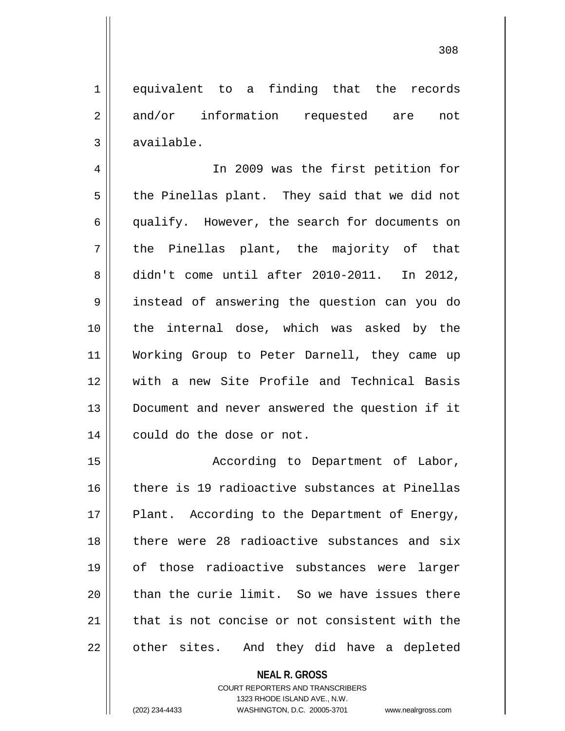1 equivalent to a finding that the records 2 and/or information requested are not  $3 \parallel$  available.

4 || In 2009 was the first petition for  $5 \parallel$  the Pinellas plant. They said that we did not 6 || qualify. However, the search for documents on  $7 \parallel$  the Pinellas plant, the majority of that 8 didn't come until after 2010-2011. In 2012, 9 instead of answering the question can you do 10 || the internal dose, which was asked by the 11 Working Group to Peter Darnell, they came up 12 with a new Site Profile and Technical Basis 13 Document and never answered the question if it 14 | could do the dose or not.

15 || **According to Department of Labor**, 16 there is 19 radioactive substances at Pinellas  $17$  || Plant. According to the Department of Energy, 18 there were 28 radioactive substances and six 19 of those radioactive substances were larger 20  $\parallel$  than the curie limit. So we have issues there 21 that is not concise or not consistent with the 22 || other sites. And they did have a depleted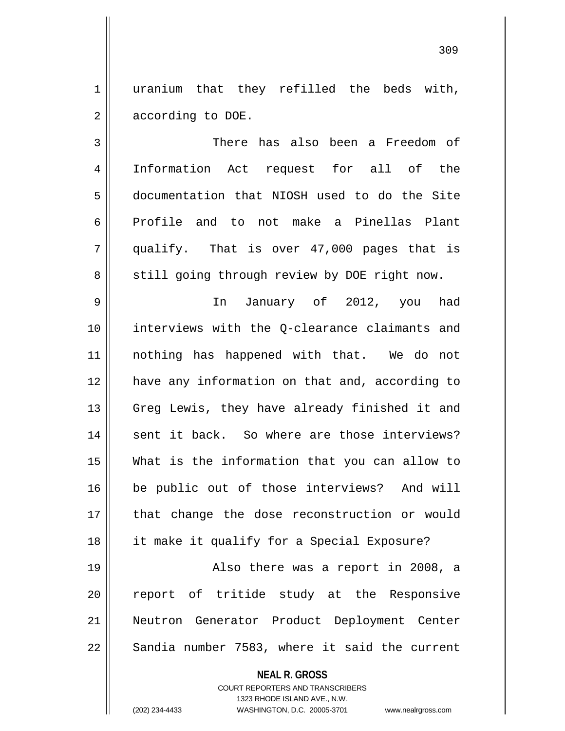1 || uranium that they refilled the beds with, 2 | according to DOE.

 There has also been a Freedom of Information Act request for all of the documentation that NIOSH used to do the Site Profile and to not make a Pinellas Plant  $7 \parallel$  qualify. That is over 47,000 pages that is 8 || still going through review by DOE right now.

 In January of 2012, you had interviews with the Q-clearance claimants and nothing has happened with that. We do not have any information on that and, according to 13 || Greg Lewis, they have already finished it and 14 || sent it back. So where are those interviews? What is the information that you can allow to be public out of those interviews? And will 17 || that change the dose reconstruction or would it make it qualify for a Special Exposure?

19 || Also there was a report in 2008, a 20 || report of tritide study at the Responsive 21 Neutron Generator Product Deployment Center  $22 \parallel$  Sandia number 7583, where it said the current

## **NEAL R. GROSS**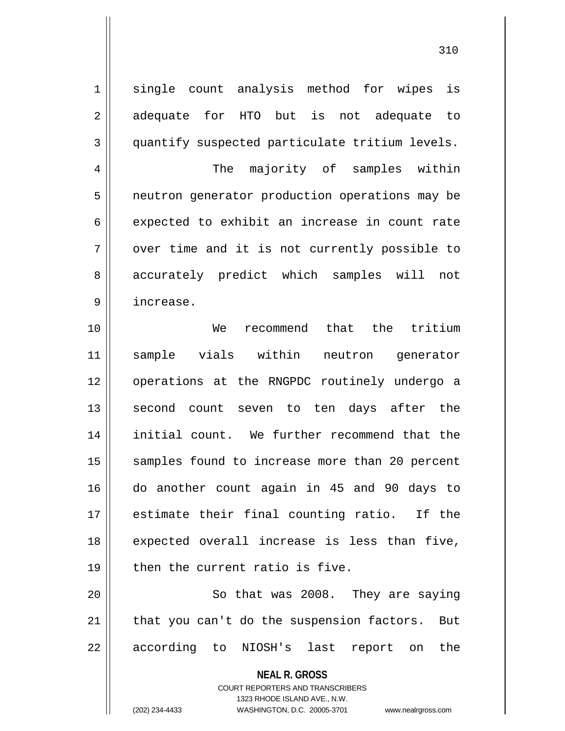1 || single count analysis method for wipes is 2 adequate for HTO but is not adequate to 3 quantify suspected particulate tritium levels. 4 The majority of samples within 5 | neutron generator production operations may be  $6 \parallel$  expected to exhibit an increase in count rate  $7 \parallel$  over time and it is not currently possible to 8 accurately predict which samples will not 9 increase. 10 We recommend that the tritium 11 sample vials within neutron generator 12 || operations at the RNGPDC routinely undergo a 13 || second count seven to ten days after the 14 initial count. We further recommend that the 15 || samples found to increase more than 20 percent 16 do another count again in 45 and 90 days to 17 estimate their final counting ratio. If the  $18$  expected overall increase is less than five,  $19$  | then the current ratio is five. 20 || So that was 2008. They are saying  $21$  | that you can't do the suspension factors. But

22 || according to NIOSH's last report on the

**NEAL R. GROSS** COURT REPORTERS AND TRANSCRIBERS

1323 RHODE ISLAND AVE., N.W.

(202) 234-4433 WASHINGTON, D.C. 20005-3701 www.nealrgross.com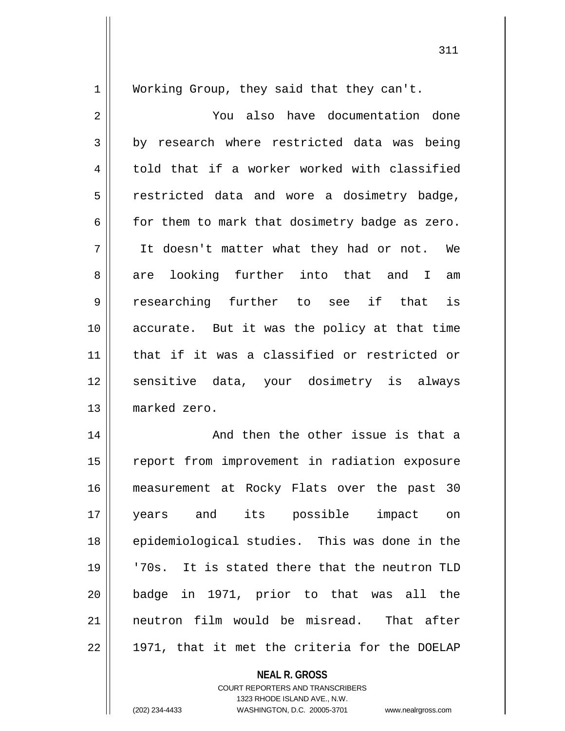1 | Working Group, they said that they can't.

2 You also have documentation done  $3 \parallel$  by research where restricted data was being 4 told that if a worker worked with classified 5 | restricted data and wore a dosimetry badge,  $6 \parallel$  for them to mark that dosimetry badge as zero. 7 It doesn't matter what they had or not. We 8 || are looking further into that and I am 9 researching further to see if that is 10 || accurate. But it was the policy at that time 11 that if it was a classified or restricted or 12 sensitive data, your dosimetry is always 13 marked zero.

14 || And then the other issue is that a 15 || report from improvement in radiation exposure 16 measurement at Rocky Flats over the past 30 17 years and its possible impact on 18 || epidemiological studies. This was done in the 19 '70s. It is stated there that the neutron TLD 20 badge in 1971, prior to that was all the 21 neutron film would be misread. That after  $22 \parallel 1971$ , that it met the criteria for the DOELAP

## **NEAL R. GROSS**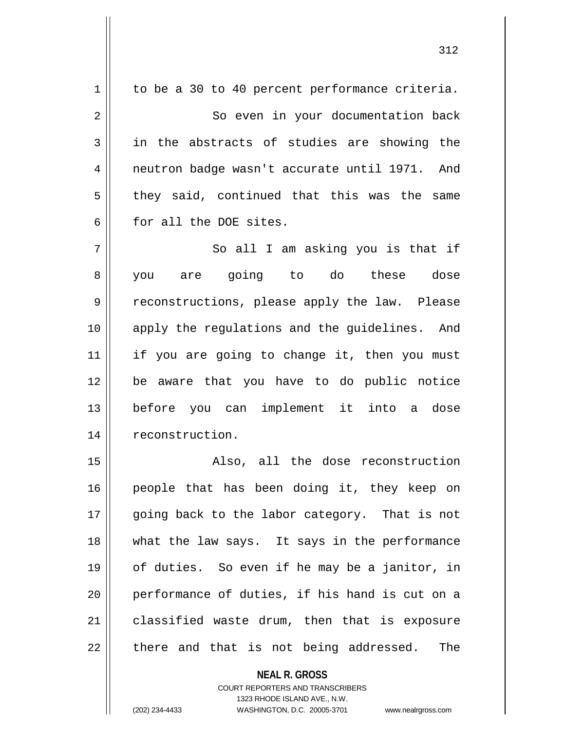| 1  | to be a 30 to 40 percent performance criteria. |
|----|------------------------------------------------|
| 2  | So even in your documentation back             |
| 3  | in the abstracts of studies are showing the    |
| 4  | neutron badge wasn't accurate until 1971. And  |
| 5  | they said, continued that this was the same    |
| 6  | for all the DOE sites.                         |
| 7  | So all I am asking you is that if              |
| 8  | are going to do these dose<br>you              |
| 9  | reconstructions, please apply the law. Please  |
| 10 | apply the regulations and the guidelines. And  |
| 11 | if you are going to change it, then you must   |
| 12 | be aware that you have to do public notice     |
| 13 | before you can implement it into a dose        |
| 14 | reconstruction.                                |
| 15 | Also, all the dose reconstruction              |
| 16 | people that has been doing it, they keep on    |
| 17 | going back to the labor category. That is not  |
| 18 | what the law says. It says in the performance  |
| 19 | of duties. So even if he may be a janitor, in  |
| 20 | performance of duties, if his hand is cut on a |
| 21 | classified waste drum, then that is exposure   |
| 22 | there and that is not being addressed.<br>The  |
|    |                                                |

**NEAL R. GROSS**

COURT REPORTERS AND TRANSCRIBERS 1323 RHODE ISLAND AVE., N.W.

(202) 234-4433 WASHINGTON, D.C. 20005-3701 www.nealrgross.com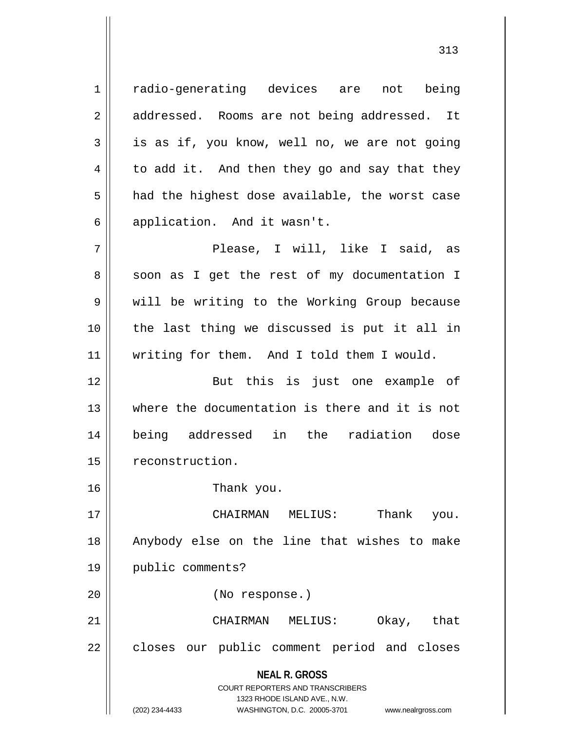**NEAL R. GROSS** COURT REPORTERS AND TRANSCRIBERS 1323 RHODE ISLAND AVE., N.W. (202) 234-4433 WASHINGTON, D.C. 20005-3701 www.nealrgross.com 1 || radio-generating devices are not being 2 | addressed. Rooms are not being addressed. It  $3 \parallel$  is as if, you know, well no, we are not going  $4 \parallel$  to add it. And then they go and say that they  $5 \parallel$  had the highest dose available, the worst case 6 || application. And it wasn't. 7 || The Please, I will, like I said, as 8 || soon as I get the rest of my documentation I 9 || will be writing to the Working Group because 10 the last thing we discussed is put it all in 11 || writing for them. And I told them I would. 12 But this is just one example of 13 where the documentation is there and it is not 14 being addressed in the radiation dose 15 | reconstruction. 16 Thank you. 17 CHAIRMAN MELIUS: Thank you. 18 Anybody else on the line that wishes to make 19 public comments? 20 (No response.) 21 CHAIRMAN MELIUS: Okay, that 22 | closes our public comment period and closes